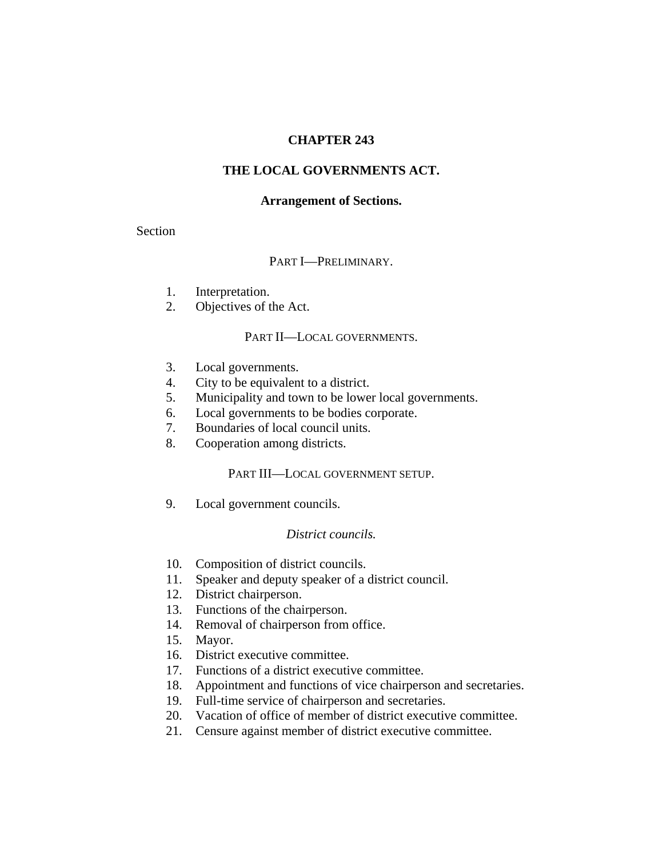## **CHAPTER 243**

## **THE LOCAL GOVERNMENTS ACT.**

#### **Arrangement of Sections.**

Section

### PART I—PRELIMINARY.

- 1. Interpretation.
- 2. Objectives of the Act.

### PART II—LOCAL GOVERNMENTS.

- 3. Local governments.
- 4. City to be equivalent to a district.
- 5. Municipality and town to be lower local governments.
- 6. Local governments to be bodies corporate.
- 7. Boundaries of local council units.
- 8. Cooperation among districts.

### PART III—LOCAL GOVERNMENT SETUP.

9. Local government councils.

### *District councils.*

- 10. Composition of district councils.
- 11. Speaker and deputy speaker of a district council.
- 12. District chairperson.
- 13. Functions of the chairperson.
- 14. Removal of chairperson from office.
- 15. Mayor.
- 16. District executive committee.
- 17. Functions of a district executive committee.
- 18. Appointment and functions of vice chairperson and secretaries.
- 19. Full-time service of chairperson and secretaries.
- 20. Vacation of office of member of district executive committee.
- 21. Censure against member of district executive committee.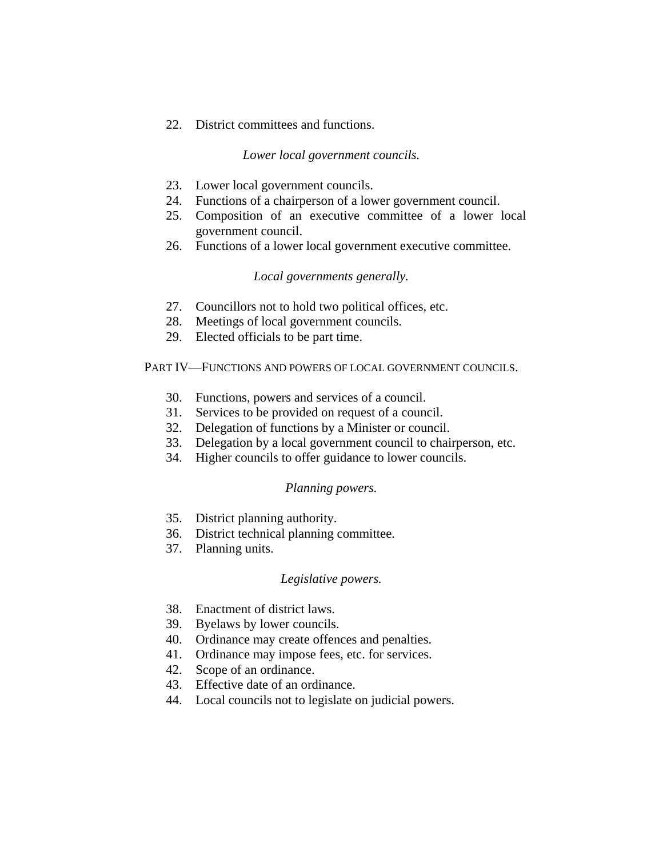22. District committees and functions.

## *Lower local government councils.*

- 23. Lower local government councils.
- 24. Functions of a chairperson of a lower government council.
- 25. Composition of an executive committee of a lower local government council.
- 26. Functions of a lower local government executive committee.

## *Local governments generally.*

- 27. Councillors not to hold two political offices, etc.
- 28. Meetings of local government councils.
- 29. Elected officials to be part time.

PART IV—FUNCTIONS AND POWERS OF LOCAL GOVERNMENT COUNCILS.

- 30. Functions, powers and services of a council.
- 31. Services to be provided on request of a council.
- 32. Delegation of functions by a Minister or council.
- 33. Delegation by a local government council to chairperson, etc.
- 34. Higher councils to offer guidance to lower councils.

### *Planning powers.*

- 35. District planning authority.
- 36. District technical planning committee.
- 37. Planning units.

### *Legislative powers.*

- 38. Enactment of district laws.
- 39. Byelaws by lower councils.
- 40. Ordinance may create offences and penalties.
- 41. Ordinance may impose fees, etc. for services.
- 42. Scope of an ordinance.
- 43. Effective date of an ordinance.
- 44. Local councils not to legislate on judicial powers.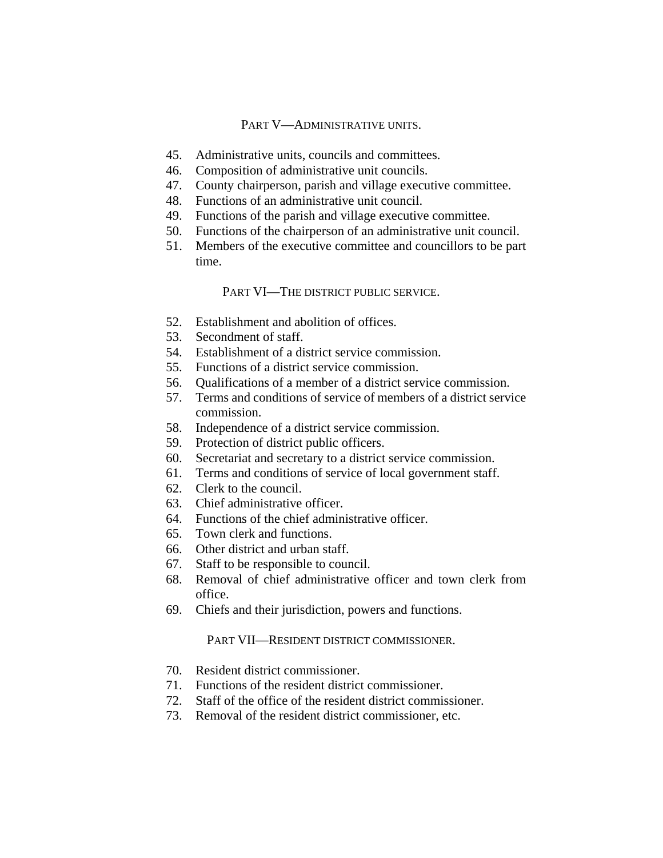## PART V—ADMINISTRATIVE UNITS.

- 45. Administrative units, councils and committees.
- 46. Composition of administrative unit councils.
- 47. County chairperson, parish and village executive committee.
- 48. Functions of an administrative unit council.
- 49. Functions of the parish and village executive committee.
- 50. Functions of the chairperson of an administrative unit council.
- 51. Members of the executive committee and councillors to be part time.

## PART VI—THE DISTRICT PUBLIC SERVICE.

- 52. Establishment and abolition of offices.
- 53. Secondment of staff.
- 54. Establishment of a district service commission.
- 55. Functions of a district service commission.
- 56. Qualifications of a member of a district service commission.
- 57. Terms and conditions of service of members of a district service commission.
- 58. Independence of a district service commission.
- 59. Protection of district public officers.
- 60. Secretariat and secretary to a district service commission.
- 61. Terms and conditions of service of local government staff.
- 62. Clerk to the council.
- 63. Chief administrative officer.
- 64. Functions of the chief administrative officer.
- 65. Town clerk and functions.
- 66. Other district and urban staff.
- 67. Staff to be responsible to council.
- 68. Removal of chief administrative officer and town clerk from office.
- 69. Chiefs and their jurisdiction, powers and functions.

### PART VII—RESIDENT DISTRICT COMMISSIONER.

- 70. Resident district commissioner.
- 71. Functions of the resident district commissioner.
- 72. Staff of the office of the resident district commissioner.
- 73. Removal of the resident district commissioner, etc.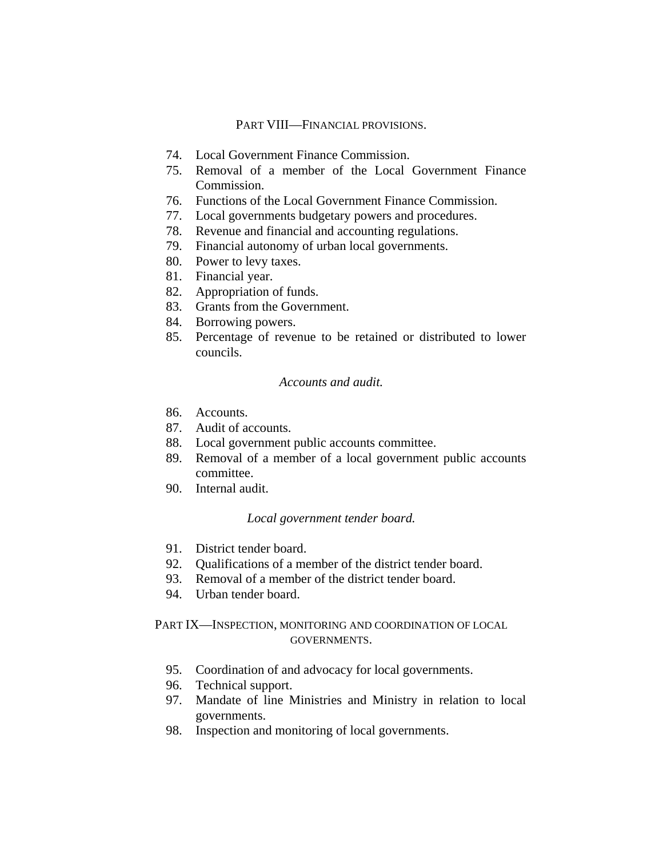# PART VIII—FINANCIAL PROVISIONS.

- 74. Local Government Finance Commission.
- 75. Removal of a member of the Local Government Finance Commission.
- 76. Functions of the Local Government Finance Commission.
- 77. Local governments budgetary powers and procedures.
- 78. Revenue and financial and accounting regulations.
- 79. Financial autonomy of urban local governments.
- 80. Power to levy taxes.
- 81. Financial year.
- 82. Appropriation of funds.
- 83. Grants from the Government.
- 84. Borrowing powers.
- 85. Percentage of revenue to be retained or distributed to lower councils.

### *Accounts and audit.*

- 86. Accounts.
- 87. Audit of accounts.
- 88. Local government public accounts committee.
- 89. Removal of a member of a local government public accounts committee.
- 90. Internal audit.

### *Local government tender board.*

- 91. District tender board.
- 92. Qualifications of a member of the district tender board.
- 93. Removal of a member of the district tender board.
- 94. Urban tender board.

# PART IX—INSPECTION, MONITORING AND COORDINATION OF LOCAL GOVERNMENTS.

- 95. Coordination of and advocacy for local governments.
- 96. Technical support.
- 97. Mandate of line Ministries and Ministry in relation to local governments.
- 98. Inspection and monitoring of local governments.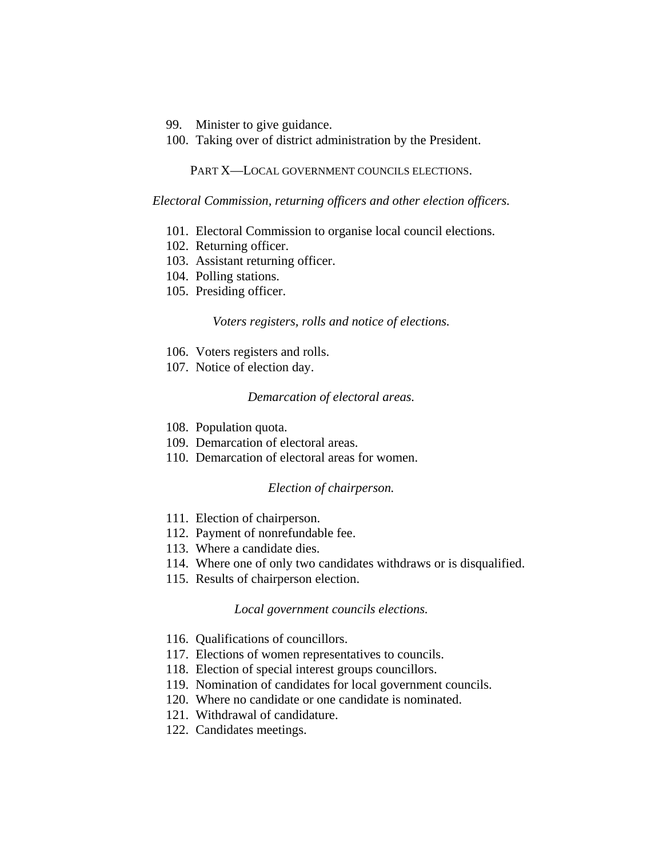- 99. Minister to give guidance.
- 100. Taking over of district administration by the President.

PART X—LOCAL GOVERNMENT COUNCILS ELECTIONS.

*Electoral Commission, returning officers and other election officers.*

- 101. Electoral Commission to organise local council elections.
- 102. Returning officer.
- 103. Assistant returning officer.
- 104. Polling stations.
- 105. Presiding officer.

*Voters registers, rolls and notice of elections.*

- 106. Voters registers and rolls.
- 107. Notice of election day.

#### *Demarcation of electoral areas.*

- 108. Population quota.
- 109. Demarcation of electoral areas.
- 110. Demarcation of electoral areas for women.

## *Election of chairperson.*

- 111. Election of chairperson.
- 112. Payment of nonrefundable fee.
- 113. Where a candidate dies.
- 114. Where one of only two candidates withdraws or is disqualified.
- 115. Results of chairperson election.

### *Local government councils elections.*

- 116. Qualifications of councillors.
- 117. Elections of women representatives to councils.
- 118. Election of special interest groups councillors.
- 119. Nomination of candidates for local government councils.
- 120. Where no candidate or one candidate is nominated.
- 121. Withdrawal of candidature.
- 122. Candidates meetings.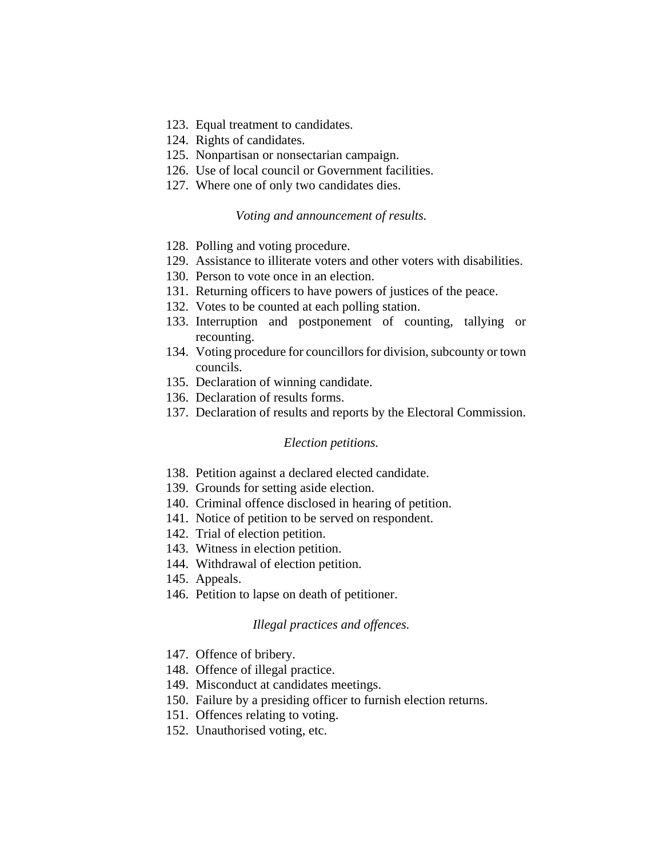- 123. Equal treatment to candidates.
- 124. Rights of candidates.
- 125. Nonpartisan or nonsectarian campaign.
- 126. Use of local council or Government facilities.
- 127. Where one of only two candidates dies.

### *Voting and announcement of results.*

- 128. Polling and voting procedure.
- 129. Assistance to illiterate voters and other voters with disabilities.
- 130. Person to vote once in an election.
- 131. Returning officers to have powers of justices of the peace.
- 132. Votes to be counted at each polling station.
- 133. Interruption and postponement of counting, tallying or recounting.
- 134. Voting procedure for councillors for division, subcounty or town councils.
- 135. Declaration of winning candidate.
- 136. Declaration of results forms.
- 137. Declaration of results and reports by the Electoral Commission.

#### *Election petitions.*

- 138. Petition against a declared elected candidate.
- 139. Grounds for setting aside election.
- 140. Criminal offence disclosed in hearing of petition.
- 141. Notice of petition to be served on respondent.
- 142. Trial of election petition.
- 143. Witness in election petition.
- 144. Withdrawal of election petition.
- 145. Appeals.
- 146. Petition to lapse on death of petitioner.

#### *Illegal practices and offences.*

- 147. Offence of bribery.
- 148. Offence of illegal practice.
- 149. Misconduct at candidates meetings.
- 150. Failure by a presiding officer to furnish election returns.
- 151. Offences relating to voting.
- 152. Unauthorised voting, etc.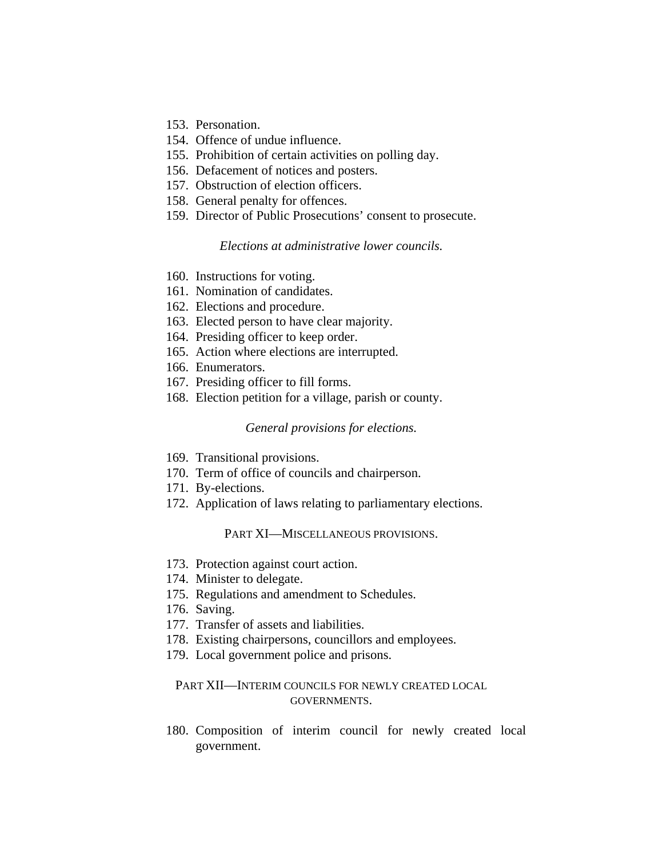- 153. Personation.
- 154. Offence of undue influence.
- 155. Prohibition of certain activities on polling day.
- 156. Defacement of notices and posters.
- 157. Obstruction of election officers.
- 158. General penalty for offences.
- 159. Director of Public Prosecutions' consent to prosecute.

### *Elections at administrative lower councils.*

- 160. Instructions for voting.
- 161. Nomination of candidates.
- 162. Elections and procedure.
- 163. Elected person to have clear majority.
- 164. Presiding officer to keep order.
- 165. Action where elections are interrupted.
- 166. Enumerators.
- 167. Presiding officer to fill forms.
- 168. Election petition for a village, parish or county.

#### *General provisions for elections.*

- 169. Transitional provisions.
- 170. Term of office of councils and chairperson.
- 171. By-elections.
- 172. Application of laws relating to parliamentary elections.

#### PART XI—MISCELLANEOUS PROVISIONS.

- 173. Protection against court action.
- 174. Minister to delegate.
- 175. Regulations and amendment to Schedules.
- 176. Saving.
- 177. Transfer of assets and liabilities.
- 178. Existing chairpersons, councillors and employees.
- 179. Local government police and prisons.

# PART XII—INTERIM COUNCILS FOR NEWLY CREATED LOCAL GOVERNMENTS.

180. Composition of interim council for newly created local government.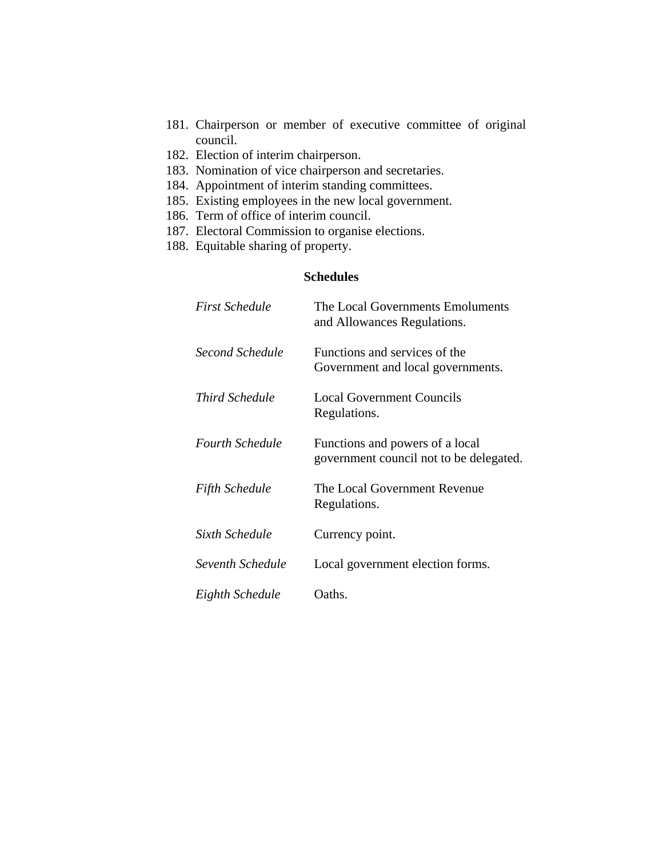- 181. Chairperson or member of executive committee of original council.
- 182. Election of interim chairperson.
- 183. Nomination of vice chairperson and secretaries.
- 184. Appointment of interim standing committees.
- 185. Existing employees in the new local government.
- 186. Term of office of interim council.
- 187. Electoral Commission to organise elections.
- 188. Equitable sharing of property.

# **Schedules**

| <b>First Schedule</b>  | The Local Governments Emoluments<br>and Allowances Regulations.            |
|------------------------|----------------------------------------------------------------------------|
| Second Schedule        | Functions and services of the<br>Government and local governments.         |
| <i>Third Schedule</i>  | <b>Local Government Councils</b><br>Regulations.                           |
| <b>Fourth Schedule</b> | Functions and powers of a local<br>government council not to be delegated. |
| Fifth Schedule         | The Local Government Revenue<br>Regulations.                               |
| Sixth Schedule         | Currency point.                                                            |
| Seventh Schedule       | Local government election forms.                                           |
| Eighth Schedule        | Oaths.                                                                     |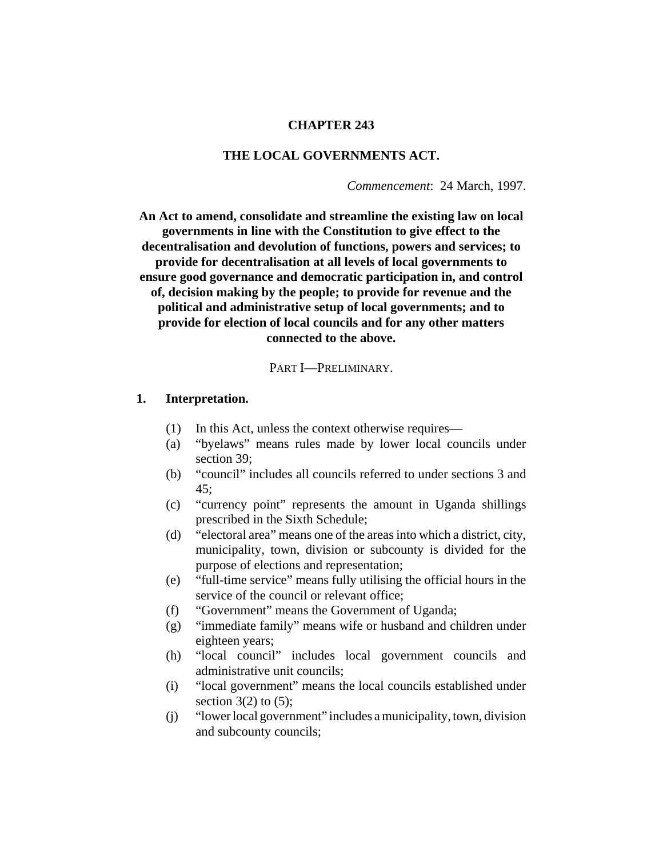## **CHAPTER 243**

# **THE LOCAL GOVERNMENTS ACT.**

*Commencement*: 24 March, 1997.

**An Act to amend, consolidate and streamline the existing law on local governments in line with the Constitution to give effect to the decentralisation and devolution of functions, powers and services; to provide for decentralisation at all levels of local governments to ensure good governance and democratic participation in, and control of, decision making by the people; to provide for revenue and the political and administrative setup of local governments; and to provide for election of local councils and for any other matters connected to the above.**

#### PART I—PRELIMINARY.

### **1. Interpretation.**

- (1) In this Act, unless the context otherwise requires—
- (a) "byelaws" means rules made by lower local councils under section 39;
- (b) "council" includes all councils referred to under sections 3 and 45;
- (c) "currency point" represents the amount in Uganda shillings prescribed in the Sixth Schedule;
- (d) "electoral area" means one of the areas into which a district, city, municipality, town, division or subcounty is divided for the purpose of elections and representation;
- (e) "full-time service" means fully utilising the official hours in the service of the council or relevant office;
- (f) "Government" means the Government of Uganda;
- (g) "immediate family" means wife or husband and children under eighteen years;
- (h) "local council" includes local government councils and administrative unit councils;
- (i) "local government" means the local councils established under section  $3(2)$  to  $(5)$ ;
- (j) "lower local government" includes a municipality, town, division and subcounty councils;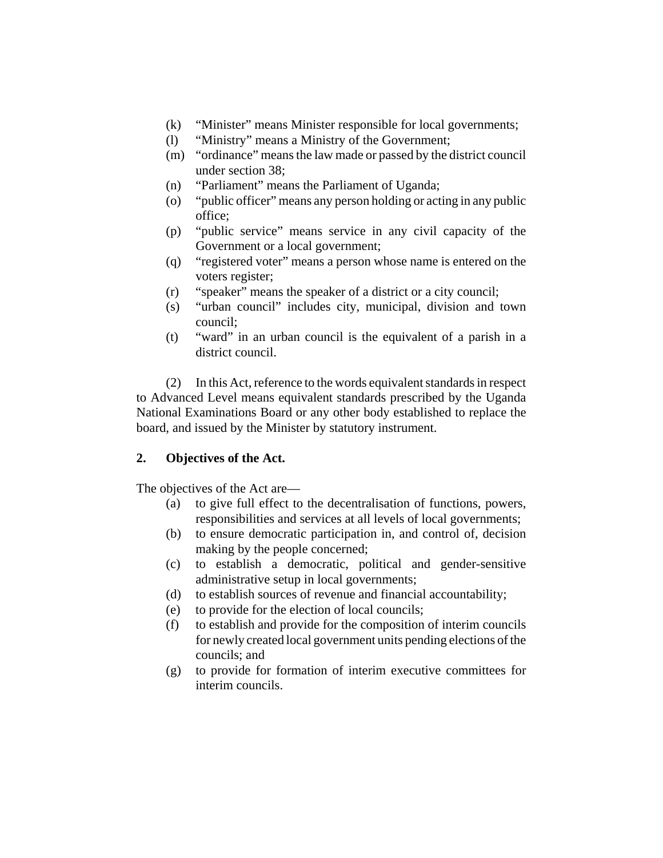- (k) "Minister" means Minister responsible for local governments;
- (l) "Ministry" means a Ministry of the Government;
- (m) "ordinance" means the law made or passed by the district council under section 38;
- (n) "Parliament" means the Parliament of Uganda;
- (o) "public officer" means any person holding or acting in any public office;
- (p) "public service" means service in any civil capacity of the Government or a local government;
- (q) "registered voter" means a person whose name is entered on the voters register;
- (r) "speaker" means the speaker of a district or a city council;
- (s) "urban council" includes city, municipal, division and town council;
- (t) "ward" in an urban council is the equivalent of a parish in a district council.

(2) In this Act, reference to the words equivalent standards in respect to Advanced Level means equivalent standards prescribed by the Uganda National Examinations Board or any other body established to replace the board, and issued by the Minister by statutory instrument.

# **2. Objectives of the Act.**

The objectives of the Act are—

- (a) to give full effect to the decentralisation of functions, powers, responsibilities and services at all levels of local governments;
- (b) to ensure democratic participation in, and control of, decision making by the people concerned;
- (c) to establish a democratic, political and gender-sensitive administrative setup in local governments;
- (d) to establish sources of revenue and financial accountability;
- (e) to provide for the election of local councils;
- (f) to establish and provide for the composition of interim councils for newly created local government units pending elections of the councils; and
- (g) to provide for formation of interim executive committees for interim councils.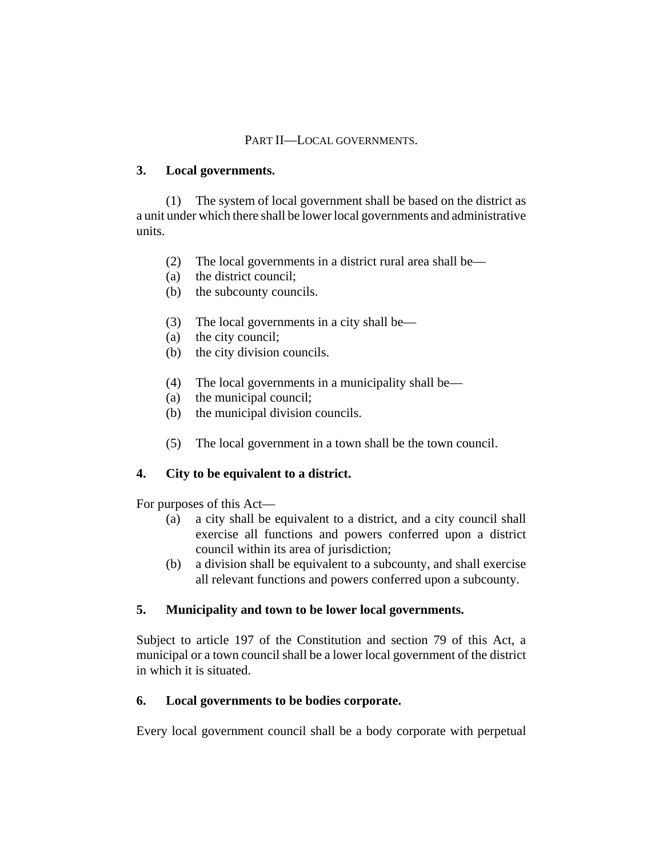## PART II—LOCAL GOVERNMENTS.

## **3. Local governments.**

(1) The system of local government shall be based on the district as a unit under which there shall be lower local governments and administrative units.

- (2) The local governments in a district rural area shall be—
- (a) the district council;
- (b) the subcounty councils.
- (3) The local governments in a city shall be—
- (a) the city council;
- (b) the city division councils.
- (4) The local governments in a municipality shall be—
- (a) the municipal council;
- (b) the municipal division councils.
- (5) The local government in a town shall be the town council.

# **4. City to be equivalent to a district.**

For purposes of this Act—

- (a) a city shall be equivalent to a district, and a city council shall exercise all functions and powers conferred upon a district council within its area of jurisdiction;
- (b) a division shall be equivalent to a subcounty, and shall exercise all relevant functions and powers conferred upon a subcounty.

# **5. Municipality and town to be lower local governments.**

Subject to article 197 of the Constitution and section 79 of this Act, a municipal or a town council shall be a lower local government of the district in which it is situated.

# **6. Local governments to be bodies corporate.**

Every local government council shall be a body corporate with perpetual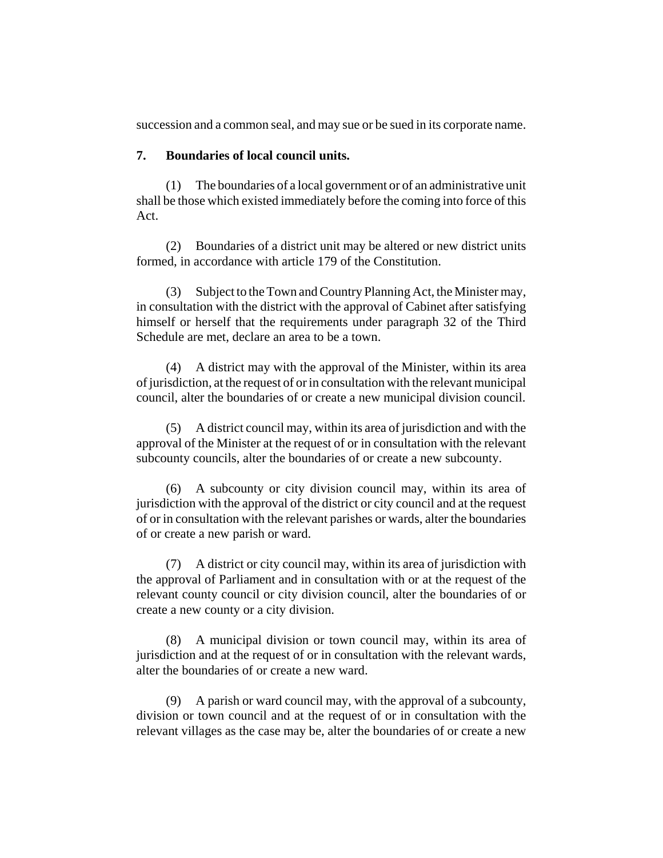succession and a common seal, and may sue or be sued in its corporate name.

## **7. Boundaries of local council units.**

(1) The boundaries of a local government or of an administrative unit shall be those which existed immediately before the coming into force of this Act.

(2) Boundaries of a district unit may be altered or new district units formed, in accordance with article 179 of the Constitution.

(3) Subject to the Town and Country Planning Act, the Minister may, in consultation with the district with the approval of Cabinet after satisfying himself or herself that the requirements under paragraph 32 of the Third Schedule are met, declare an area to be a town.

(4) A district may with the approval of the Minister, within its area of jurisdiction, at the request of or in consultation with the relevant municipal council, alter the boundaries of or create a new municipal division council.

(5) A district council may, within its area of jurisdiction and with the approval of the Minister at the request of or in consultation with the relevant subcounty councils, alter the boundaries of or create a new subcounty.

(6) A subcounty or city division council may, within its area of jurisdiction with the approval of the district or city council and at the request of or in consultation with the relevant parishes or wards, alter the boundaries of or create a new parish or ward.

(7) A district or city council may, within its area of jurisdiction with the approval of Parliament and in consultation with or at the request of the relevant county council or city division council, alter the boundaries of or create a new county or a city division.

(8) A municipal division or town council may, within its area of jurisdiction and at the request of or in consultation with the relevant wards, alter the boundaries of or create a new ward.

(9) A parish or ward council may, with the approval of a subcounty, division or town council and at the request of or in consultation with the relevant villages as the case may be, alter the boundaries of or create a new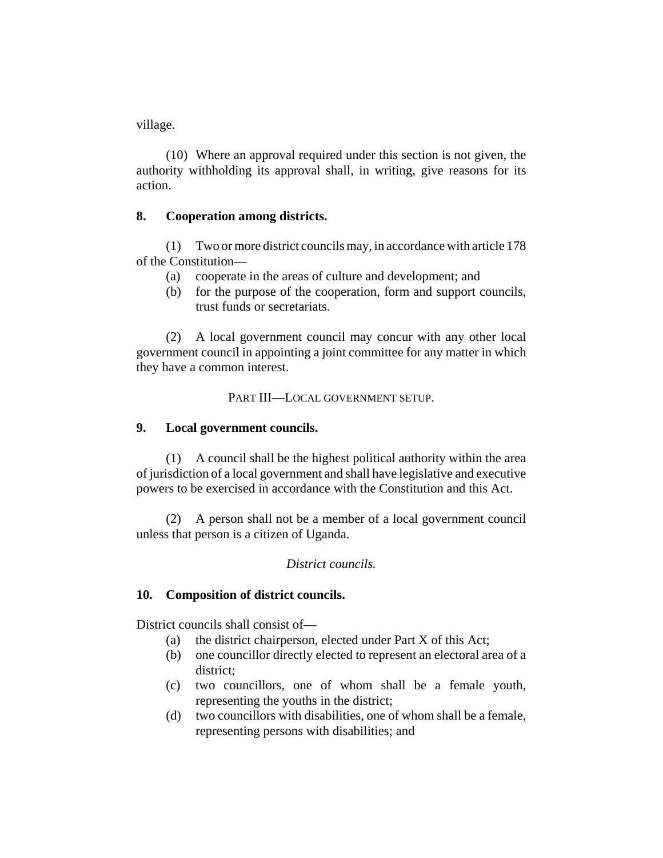village.

(10) Where an approval required under this section is not given, the authority withholding its approval shall, in writing, give reasons for its action.

# **8. Cooperation among districts.**

(1) Two or more district councils may, in accordance with article 178 of the Constitution—

- (a) cooperate in the areas of culture and development; and
- (b) for the purpose of the cooperation, form and support councils, trust funds or secretariats.

(2) A local government council may concur with any other local government council in appointing a joint committee for any matter in which they have a common interest.

PART III—LOCAL GOVERNMENT SETUP.

## **9. Local government councils.**

(1) A council shall be the highest political authority within the area of jurisdiction of a local government and shall have legislative and executive powers to be exercised in accordance with the Constitution and this Act.

(2) A person shall not be a member of a local government council unless that person is a citizen of Uganda.

# *District councils.*

# **10. Composition of district councils.**

District councils shall consist of—

- (a) the district chairperson, elected under Part X of this Act;
- (b) one councillor directly elected to represent an electoral area of a district;
- (c) two councillors, one of whom shall be a female youth, representing the youths in the district;
- (d) two councillors with disabilities, one of whom shall be a female, representing persons with disabilities; and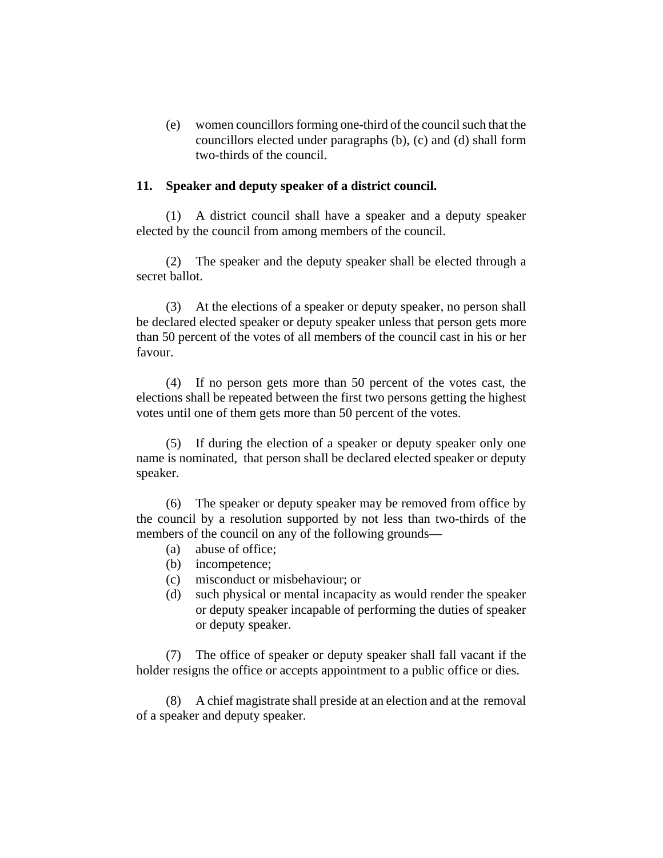(e) women councillors forming one-third of the council such that the councillors elected under paragraphs (b), (c) and (d) shall form two-thirds of the council.

### **11. Speaker and deputy speaker of a district council.**

(1) A district council shall have a speaker and a deputy speaker elected by the council from among members of the council.

(2) The speaker and the deputy speaker shall be elected through a secret ballot.

(3) At the elections of a speaker or deputy speaker, no person shall be declared elected speaker or deputy speaker unless that person gets more than 50 percent of the votes of all members of the council cast in his or her favour.

(4) If no person gets more than 50 percent of the votes cast, the elections shall be repeated between the first two persons getting the highest votes until one of them gets more than 50 percent of the votes.

(5) If during the election of a speaker or deputy speaker only one name is nominated, that person shall be declared elected speaker or deputy speaker.

(6) The speaker or deputy speaker may be removed from office by the council by a resolution supported by not less than two-thirds of the members of the council on any of the following grounds—

- (a) abuse of office;
- (b) incompetence;
- (c) misconduct or misbehaviour; or
- (d) such physical or mental incapacity as would render the speaker or deputy speaker incapable of performing the duties of speaker or deputy speaker.

(7) The office of speaker or deputy speaker shall fall vacant if the holder resigns the office or accepts appointment to a public office or dies.

(8) A chief magistrate shall preside at an election and at the removal of a speaker and deputy speaker.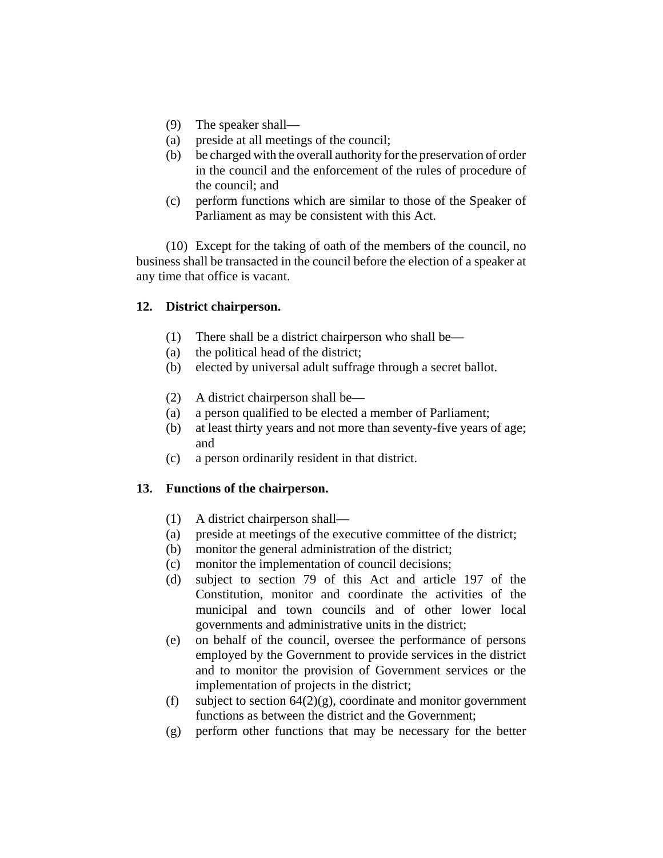- (9) The speaker shall—
- (a) preside at all meetings of the council;
- (b) be charged with the overall authority for the preservation of order in the council and the enforcement of the rules of procedure of the council; and
- (c) perform functions which are similar to those of the Speaker of Parliament as may be consistent with this Act.

(10) Except for the taking of oath of the members of the council, no business shall be transacted in the council before the election of a speaker at any time that office is vacant.

# **12. District chairperson.**

- (1) There shall be a district chairperson who shall be—
- (a) the political head of the district;
- (b) elected by universal adult suffrage through a secret ballot.
- (2) A district chairperson shall be—
- (a) a person qualified to be elected a member of Parliament;
- (b) at least thirty years and not more than seventy-five years of age; and
- (c) a person ordinarily resident in that district.

# **13. Functions of the chairperson.**

- (1) A district chairperson shall—
- (a) preside at meetings of the executive committee of the district;
- (b) monitor the general administration of the district;
- (c) monitor the implementation of council decisions;
- (d) subject to section 79 of this Act and article 197 of the Constitution, monitor and coordinate the activities of the municipal and town councils and of other lower local governments and administrative units in the district;
- (e) on behalf of the council, oversee the performance of persons employed by the Government to provide services in the district and to monitor the provision of Government services or the implementation of projects in the district;
- (f) subject to section  $64(2)(g)$ , coordinate and monitor government functions as between the district and the Government;
- (g) perform other functions that may be necessary for the better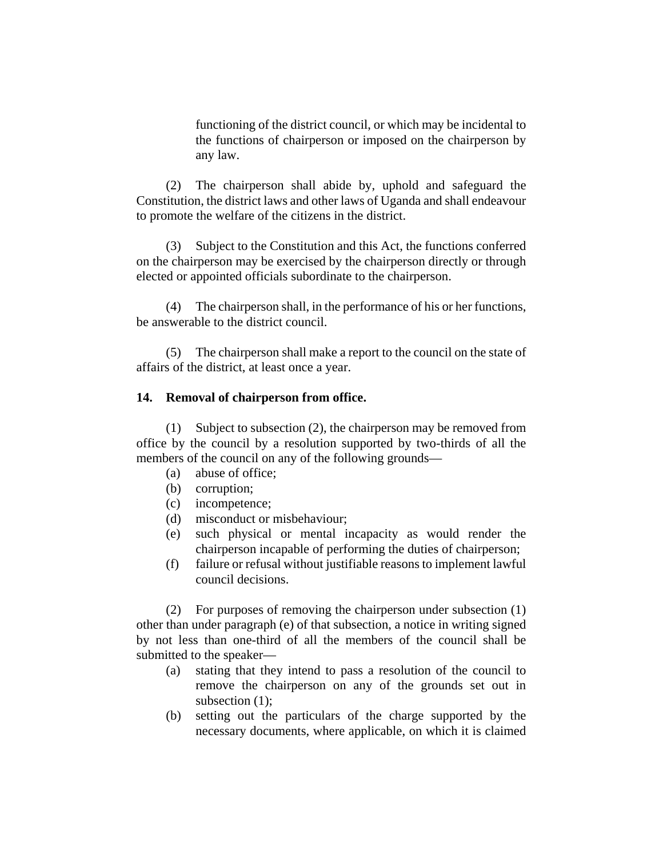functioning of the district council, or which may be incidental to the functions of chairperson or imposed on the chairperson by any law.

(2) The chairperson shall abide by, uphold and safeguard the Constitution, the district laws and other laws of Uganda and shall endeavour to promote the welfare of the citizens in the district.

(3) Subject to the Constitution and this Act, the functions conferred on the chairperson may be exercised by the chairperson directly or through elected or appointed officials subordinate to the chairperson.

(4) The chairperson shall, in the performance of his or her functions, be answerable to the district council.

(5) The chairperson shall make a report to the council on the state of affairs of the district, at least once a year.

#### **14. Removal of chairperson from office.**

(1) Subject to subsection (2), the chairperson may be removed from office by the council by a resolution supported by two-thirds of all the members of the council on any of the following grounds—

- (a) abuse of office;
- (b) corruption;
- (c) incompetence;
- (d) misconduct or misbehaviour;
- (e) such physical or mental incapacity as would render the chairperson incapable of performing the duties of chairperson;
- (f) failure or refusal without justifiable reasons to implement lawful council decisions.

(2) For purposes of removing the chairperson under subsection (1) other than under paragraph (e) of that subsection, a notice in writing signed by not less than one-third of all the members of the council shall be submitted to the speaker—

- (a) stating that they intend to pass a resolution of the council to remove the chairperson on any of the grounds set out in subsection (1);
- (b) setting out the particulars of the charge supported by the necessary documents, where applicable, on which it is claimed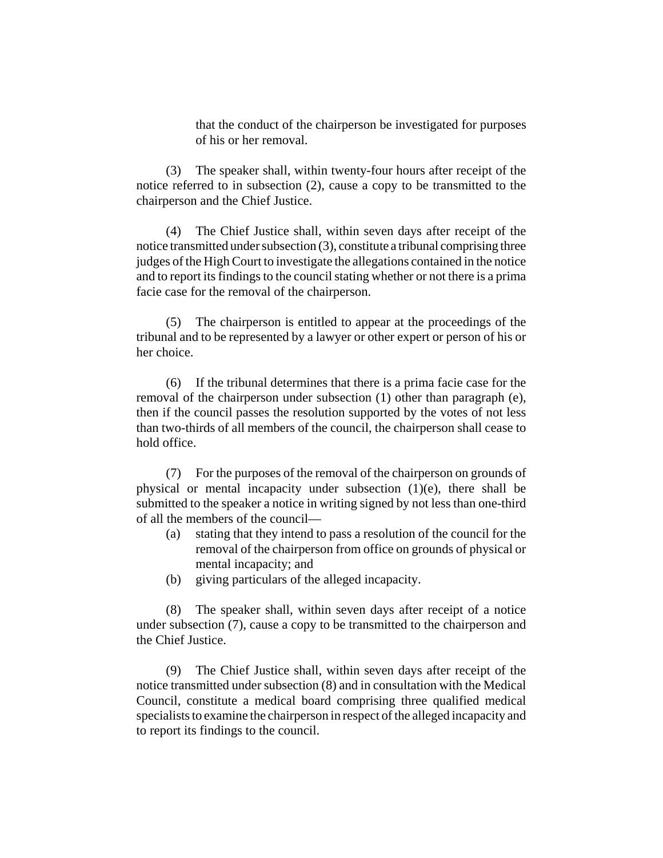that the conduct of the chairperson be investigated for purposes of his or her removal.

(3) The speaker shall, within twenty-four hours after receipt of the notice referred to in subsection (2), cause a copy to be transmitted to the chairperson and the Chief Justice.

(4) The Chief Justice shall, within seven days after receipt of the notice transmitted under subsection (3), constitute a tribunal comprising three judges of the High Court to investigate the allegations contained in the notice and to report its findings to the council stating whether or not there is a prima facie case for the removal of the chairperson.

(5) The chairperson is entitled to appear at the proceedings of the tribunal and to be represented by a lawyer or other expert or person of his or her choice.

(6) If the tribunal determines that there is a prima facie case for the removal of the chairperson under subsection (1) other than paragraph (e), then if the council passes the resolution supported by the votes of not less than two-thirds of all members of the council, the chairperson shall cease to hold office.

(7) For the purposes of the removal of the chairperson on grounds of physical or mental incapacity under subsection (1)(e), there shall be submitted to the speaker a notice in writing signed by not less than one-third of all the members of the council—

- (a) stating that they intend to pass a resolution of the council for the removal of the chairperson from office on grounds of physical or mental incapacity; and
- (b) giving particulars of the alleged incapacity.

(8) The speaker shall, within seven days after receipt of a notice under subsection (7), cause a copy to be transmitted to the chairperson and the Chief Justice.

(9) The Chief Justice shall, within seven days after receipt of the notice transmitted under subsection (8) and in consultation with the Medical Council, constitute a medical board comprising three qualified medical specialists to examine the chairperson in respect of the alleged incapacity and to report its findings to the council.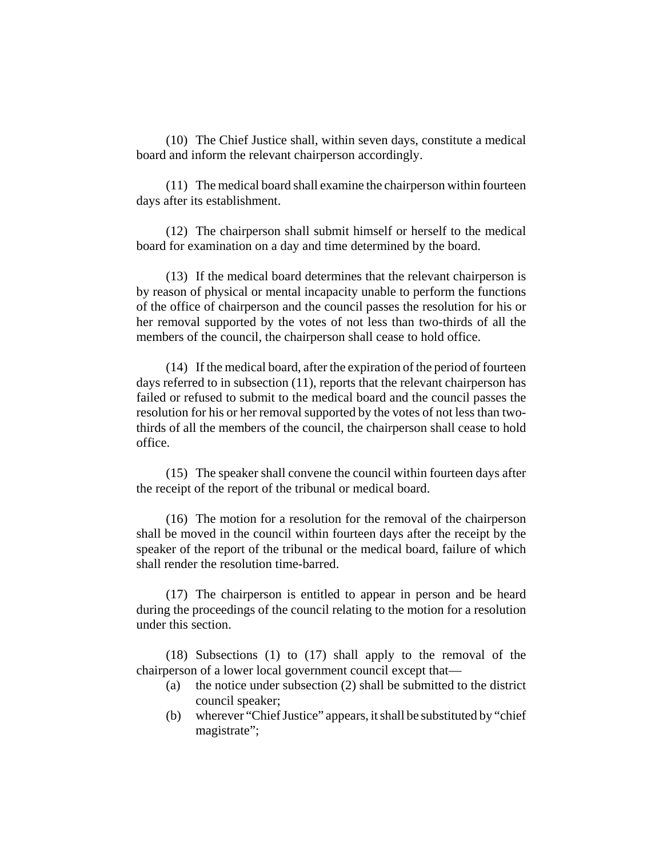(10) The Chief Justice shall, within seven days, constitute a medical board and inform the relevant chairperson accordingly.

(11) The medical board shall examine the chairperson within fourteen days after its establishment.

(12) The chairperson shall submit himself or herself to the medical board for examination on a day and time determined by the board.

(13) If the medical board determines that the relevant chairperson is by reason of physical or mental incapacity unable to perform the functions of the office of chairperson and the council passes the resolution for his or her removal supported by the votes of not less than two-thirds of all the members of the council, the chairperson shall cease to hold office.

(14) If the medical board, after the expiration of the period of fourteen days referred to in subsection (11), reports that the relevant chairperson has failed or refused to submit to the medical board and the council passes the resolution for his or her removal supported by the votes of not less than twothirds of all the members of the council, the chairperson shall cease to hold office.

(15) The speaker shall convene the council within fourteen days after the receipt of the report of the tribunal or medical board.

(16) The motion for a resolution for the removal of the chairperson shall be moved in the council within fourteen days after the receipt by the speaker of the report of the tribunal or the medical board, failure of which shall render the resolution time-barred.

(17) The chairperson is entitled to appear in person and be heard during the proceedings of the council relating to the motion for a resolution under this section.

(18) Subsections (1) to (17) shall apply to the removal of the chairperson of a lower local government council except that—

- (a) the notice under subsection (2) shall be submitted to the district council speaker;
- (b) wherever "Chief Justice" appears, it shall be substituted by "chief magistrate";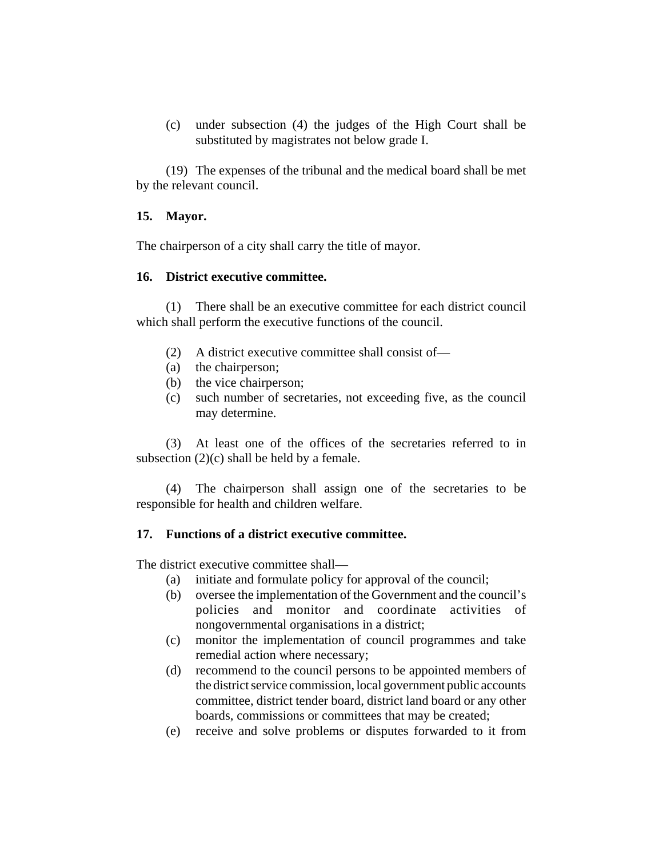(c) under subsection (4) the judges of the High Court shall be substituted by magistrates not below grade I.

(19) The expenses of the tribunal and the medical board shall be met by the relevant council.

# **15. Mayor.**

The chairperson of a city shall carry the title of mayor.

# **16. District executive committee.**

(1) There shall be an executive committee for each district council which shall perform the executive functions of the council.

- (2) A district executive committee shall consist of—
- (a) the chairperson;
- (b) the vice chairperson;
- (c) such number of secretaries, not exceeding five, as the council may determine.

(3) At least one of the offices of the secretaries referred to in subsection  $(2)(c)$  shall be held by a female.

(4) The chairperson shall assign one of the secretaries to be responsible for health and children welfare.

# **17. Functions of a district executive committee.**

The district executive committee shall—

- (a) initiate and formulate policy for approval of the council;
- (b) oversee the implementation of the Government and the council's policies and monitor and coordinate activities of nongovernmental organisations in a district;
- (c) monitor the implementation of council programmes and take remedial action where necessary;
- (d) recommend to the council persons to be appointed members of the district service commission, local government public accounts committee, district tender board, district land board or any other boards, commissions or committees that may be created;
- (e) receive and solve problems or disputes forwarded to it from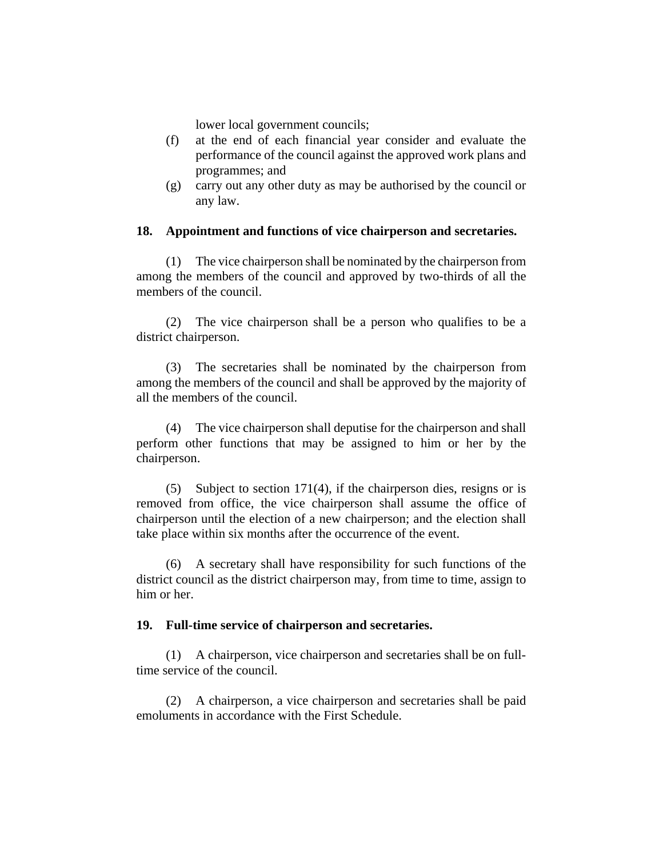lower local government councils;

- (f) at the end of each financial year consider and evaluate the performance of the council against the approved work plans and programmes; and
- (g) carry out any other duty as may be authorised by the council or any law.

## **18. Appointment and functions of vice chairperson and secretaries.**

(1) The vice chairperson shall be nominated by the chairperson from among the members of the council and approved by two-thirds of all the members of the council.

(2) The vice chairperson shall be a person who qualifies to be a district chairperson.

(3) The secretaries shall be nominated by the chairperson from among the members of the council and shall be approved by the majority of all the members of the council.

(4) The vice chairperson shall deputise for the chairperson and shall perform other functions that may be assigned to him or her by the chairperson.

(5) Subject to section 171(4), if the chairperson dies, resigns or is removed from office, the vice chairperson shall assume the office of chairperson until the election of a new chairperson; and the election shall take place within six months after the occurrence of the event.

(6) A secretary shall have responsibility for such functions of the district council as the district chairperson may, from time to time, assign to him or her.

### **19. Full-time service of chairperson and secretaries.**

(1) A chairperson, vice chairperson and secretaries shall be on fulltime service of the council.

(2) A chairperson, a vice chairperson and secretaries shall be paid emoluments in accordance with the First Schedule.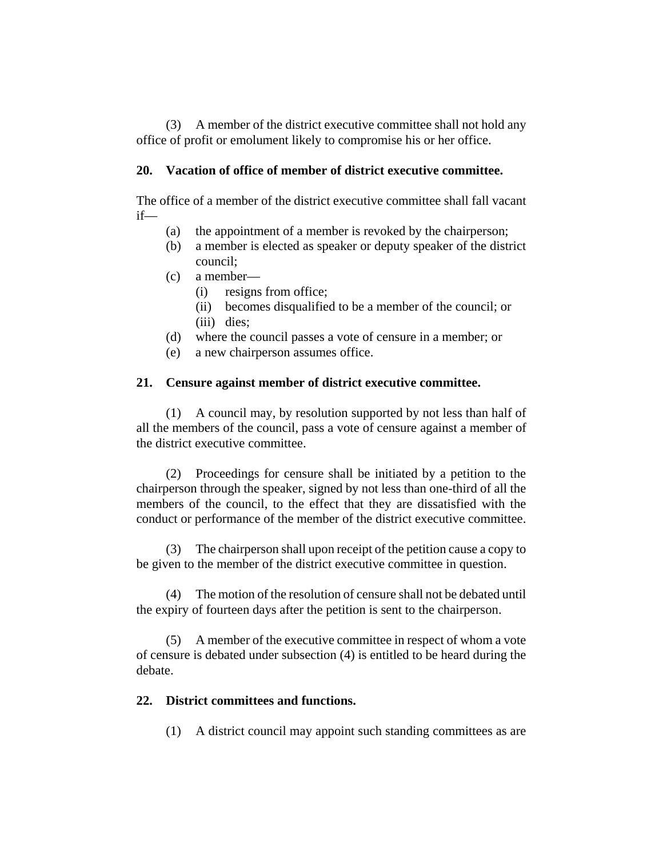(3) A member of the district executive committee shall not hold any office of profit or emolument likely to compromise his or her office.

# **20. Vacation of office of member of district executive committee.**

The office of a member of the district executive committee shall fall vacant if—

- (a) the appointment of a member is revoked by the chairperson;
- (b) a member is elected as speaker or deputy speaker of the district council;
- (c) a member—
	- (i) resigns from office;
	- (ii) becomes disqualified to be a member of the council; or (iii) dies;
- (d) where the council passes a vote of censure in a member; or
- (e) a new chairperson assumes office.

# **21. Censure against member of district executive committee.**

(1) A council may, by resolution supported by not less than half of all the members of the council, pass a vote of censure against a member of the district executive committee.

(2) Proceedings for censure shall be initiated by a petition to the chairperson through the speaker, signed by not less than one-third of all the members of the council, to the effect that they are dissatisfied with the conduct or performance of the member of the district executive committee.

(3) The chairperson shall upon receipt of the petition cause a copy to be given to the member of the district executive committee in question.

(4) The motion of the resolution of censure shall not be debated until the expiry of fourteen days after the petition is sent to the chairperson.

(5) A member of the executive committee in respect of whom a vote of censure is debated under subsection (4) is entitled to be heard during the debate.

# **22. District committees and functions.**

(1) A district council may appoint such standing committees as are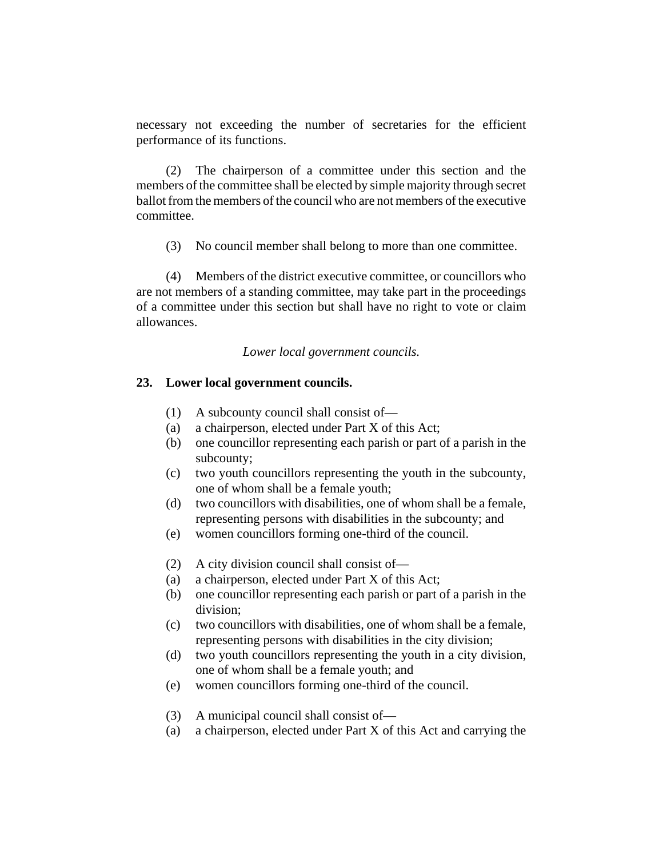necessary not exceeding the number of secretaries for the efficient performance of its functions.

(2) The chairperson of a committee under this section and the members of the committee shall be elected by simple majority through secret ballot from the members of the council who are not members of the executive committee.

(3) No council member shall belong to more than one committee.

(4) Members of the district executive committee, or councillors who are not members of a standing committee, may take part in the proceedings of a committee under this section but shall have no right to vote or claim allowances.

*Lower local government councils.*

## **23. Lower local government councils.**

- (1) A subcounty council shall consist of—
- (a) a chairperson, elected under Part X of this Act;
- (b) one councillor representing each parish or part of a parish in the subcounty;
- (c) two youth councillors representing the youth in the subcounty, one of whom shall be a female youth;
- (d) two councillors with disabilities, one of whom shall be a female, representing persons with disabilities in the subcounty; and
- (e) women councillors forming one-third of the council.
- (2) A city division council shall consist of—
- (a) a chairperson, elected under Part X of this Act;
- (b) one councillor representing each parish or part of a parish in the division;
- (c) two councillors with disabilities, one of whom shall be a female, representing persons with disabilities in the city division;
- (d) two youth councillors representing the youth in a city division, one of whom shall be a female youth; and
- (e) women councillors forming one-third of the council.
- (3) A municipal council shall consist of—
- (a) a chairperson, elected under Part X of this Act and carrying the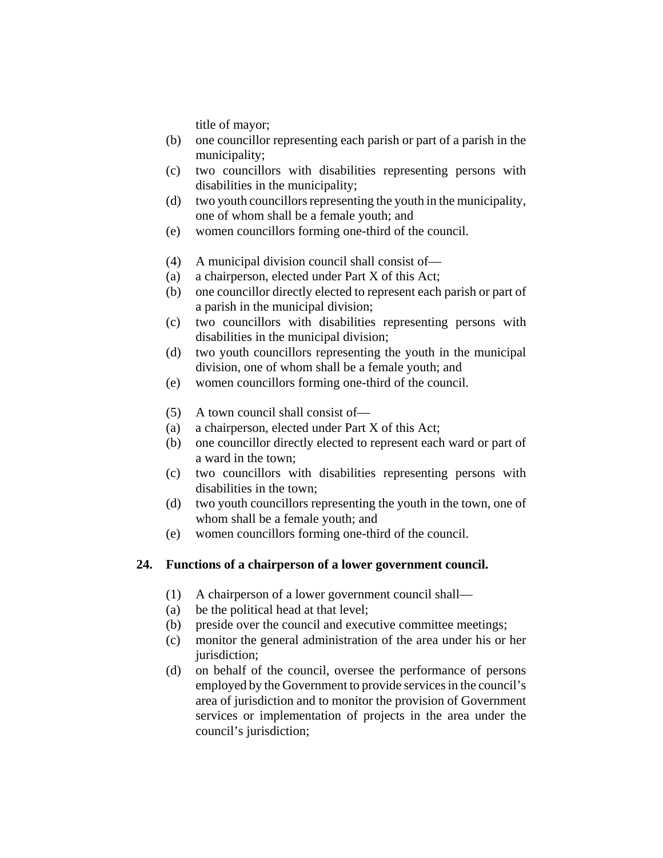title of mayor;

- (b) one councillor representing each parish or part of a parish in the municipality;
- (c) two councillors with disabilities representing persons with disabilities in the municipality;
- (d) two youth councillors representing the youth in the municipality, one of whom shall be a female youth; and
- (e) women councillors forming one-third of the council.
- (4) A municipal division council shall consist of—
- (a) a chairperson, elected under Part X of this Act;
- (b) one councillor directly elected to represent each parish or part of a parish in the municipal division;
- (c) two councillors with disabilities representing persons with disabilities in the municipal division;
- (d) two youth councillors representing the youth in the municipal division, one of whom shall be a female youth; and
- (e) women councillors forming one-third of the council.
- (5) A town council shall consist of—
- (a) a chairperson, elected under Part X of this Act;
- (b) one councillor directly elected to represent each ward or part of a ward in the town;
- (c) two councillors with disabilities representing persons with disabilities in the town;
- (d) two youth councillors representing the youth in the town, one of whom shall be a female youth; and
- (e) women councillors forming one-third of the council.

# **24. Functions of a chairperson of a lower government council.**

- (1) A chairperson of a lower government council shall—
- (a) be the political head at that level;
- (b) preside over the council and executive committee meetings;
- (c) monitor the general administration of the area under his or her jurisdiction;
- (d) on behalf of the council, oversee the performance of persons employed by the Government to provide services in the council's area of jurisdiction and to monitor the provision of Government services or implementation of projects in the area under the council's jurisdiction;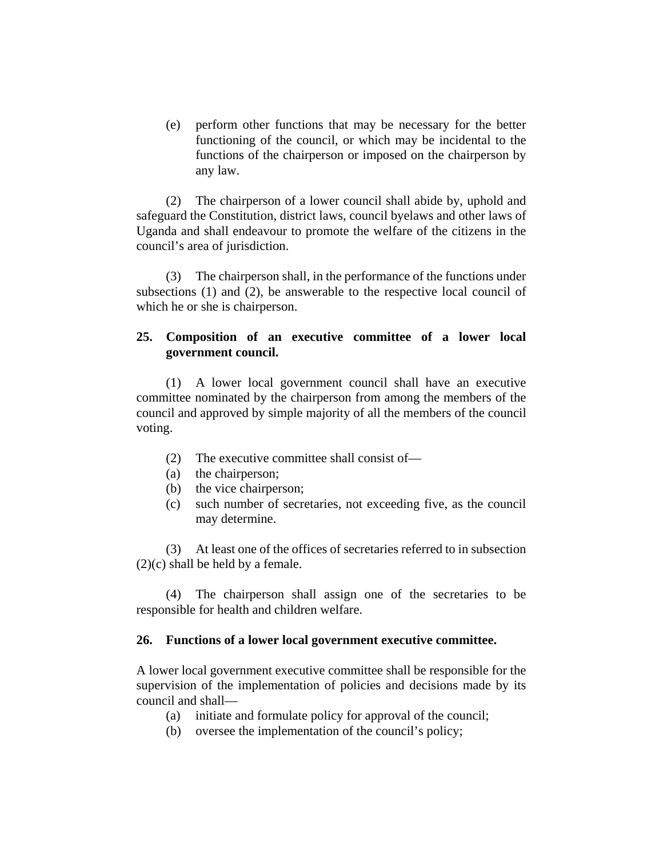(e) perform other functions that may be necessary for the better functioning of the council, or which may be incidental to the functions of the chairperson or imposed on the chairperson by any law.

(2) The chairperson of a lower council shall abide by, uphold and safeguard the Constitution, district laws, council byelaws and other laws of Uganda and shall endeavour to promote the welfare of the citizens in the council's area of jurisdiction.

(3) The chairperson shall, in the performance of the functions under subsections (1) and (2), be answerable to the respective local council of which he or she is chairperson.

# **25. Composition of an executive committee of a lower local government council.**

(1) A lower local government council shall have an executive committee nominated by the chairperson from among the members of the council and approved by simple majority of all the members of the council voting.

- (2) The executive committee shall consist of—
- (a) the chairperson;
- (b) the vice chairperson;
- (c) such number of secretaries, not exceeding five, as the council may determine.

(3) At least one of the offices of secretaries referred to in subsection (2)(c) shall be held by a female.

(4) The chairperson shall assign one of the secretaries to be responsible for health and children welfare.

### **26. Functions of a lower local government executive committee.**

A lower local government executive committee shall be responsible for the supervision of the implementation of policies and decisions made by its council and shall—

- (a) initiate and formulate policy for approval of the council;
- (b) oversee the implementation of the council's policy;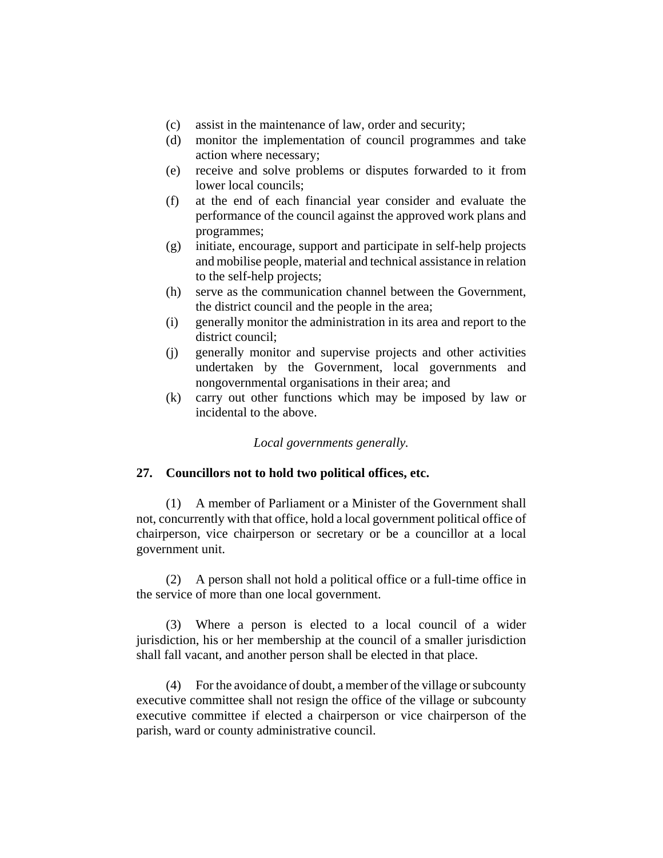- (c) assist in the maintenance of law, order and security;
- (d) monitor the implementation of council programmes and take action where necessary;
- (e) receive and solve problems or disputes forwarded to it from lower local councils;
- (f) at the end of each financial year consider and evaluate the performance of the council against the approved work plans and programmes;
- (g) initiate, encourage, support and participate in self-help projects and mobilise people, material and technical assistance in relation to the self-help projects;
- (h) serve as the communication channel between the Government, the district council and the people in the area;
- (i) generally monitor the administration in its area and report to the district council;
- (j) generally monitor and supervise projects and other activities undertaken by the Government, local governments and nongovernmental organisations in their area; and
- (k) carry out other functions which may be imposed by law or incidental to the above.

*Local governments generally.*

## **27. Councillors not to hold two political offices, etc.**

(1) A member of Parliament or a Minister of the Government shall not, concurrently with that office, hold a local government political office of chairperson, vice chairperson or secretary or be a councillor at a local government unit.

(2) A person shall not hold a political office or a full-time office in the service of more than one local government.

(3) Where a person is elected to a local council of a wider jurisdiction, his or her membership at the council of a smaller jurisdiction shall fall vacant, and another person shall be elected in that place.

(4) For the avoidance of doubt, a member of the village or subcounty executive committee shall not resign the office of the village or subcounty executive committee if elected a chairperson or vice chairperson of the parish, ward or county administrative council.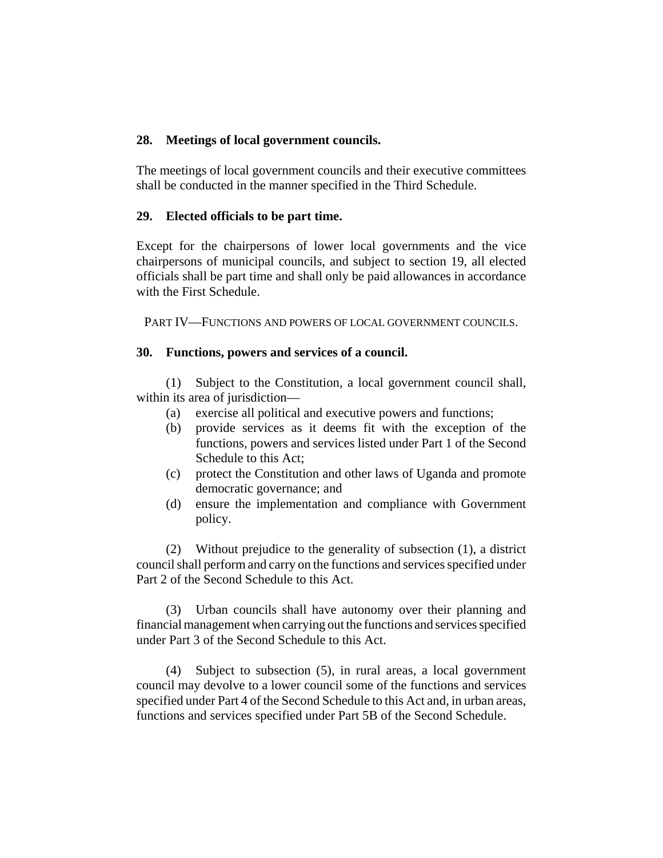# **28. Meetings of local government councils.**

The meetings of local government councils and their executive committees shall be conducted in the manner specified in the Third Schedule.

# **29. Elected officials to be part time.**

Except for the chairpersons of lower local governments and the vice chairpersons of municipal councils, and subject to section 19, all elected officials shall be part time and shall only be paid allowances in accordance with the First Schedule.

PART IV—FUNCTIONS AND POWERS OF LOCAL GOVERNMENT COUNCILS.

# **30. Functions, powers and services of a council.**

(1) Subject to the Constitution, a local government council shall, within its area of jurisdiction—

- (a) exercise all political and executive powers and functions;
- (b) provide services as it deems fit with the exception of the functions, powers and services listed under Part 1 of the Second Schedule to this Act;
- (c) protect the Constitution and other laws of Uganda and promote democratic governance; and
- (d) ensure the implementation and compliance with Government policy.

(2) Without prejudice to the generality of subsection (1), a district council shall perform and carry on the functions and services specified under Part 2 of the Second Schedule to this Act.

(3) Urban councils shall have autonomy over their planning and financial management when carrying out the functions and services specified under Part 3 of the Second Schedule to this Act.

(4) Subject to subsection (5), in rural areas, a local government council may devolve to a lower council some of the functions and services specified under Part 4 of the Second Schedule to this Act and, in urban areas, functions and services specified under Part 5B of the Second Schedule.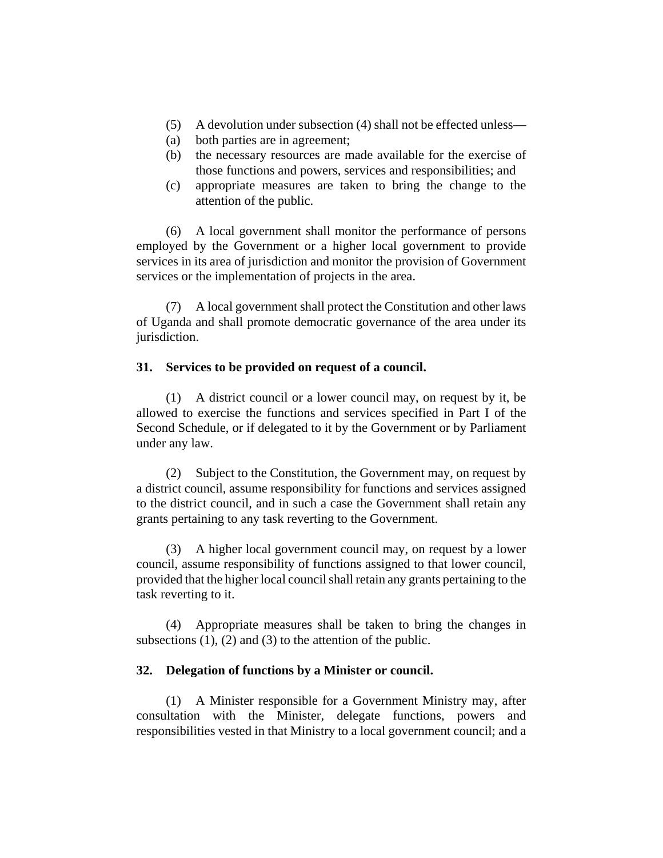- (5) A devolution under subsection (4) shall not be effected unless—
- (a) both parties are in agreement;
- (b) the necessary resources are made available for the exercise of those functions and powers, services and responsibilities; and
- (c) appropriate measures are taken to bring the change to the attention of the public.

(6) A local government shall monitor the performance of persons employed by the Government or a higher local government to provide services in its area of jurisdiction and monitor the provision of Government services or the implementation of projects in the area.

(7) A local government shall protect the Constitution and other laws of Uganda and shall promote democratic governance of the area under its jurisdiction.

# **31. Services to be provided on request of a council.**

(1) A district council or a lower council may, on request by it, be allowed to exercise the functions and services specified in Part I of the Second Schedule, or if delegated to it by the Government or by Parliament under any law.

(2) Subject to the Constitution, the Government may, on request by a district council, assume responsibility for functions and services assigned to the district council, and in such a case the Government shall retain any grants pertaining to any task reverting to the Government.

(3) A higher local government council may, on request by a lower council, assume responsibility of functions assigned to that lower council, provided that the higher local council shall retain any grants pertaining to the task reverting to it.

(4) Appropriate measures shall be taken to bring the changes in subsections  $(1)$ ,  $(2)$  and  $(3)$  to the attention of the public.

# **32. Delegation of functions by a Minister or council.**

(1) A Minister responsible for a Government Ministry may, after consultation with the Minister, delegate functions, powers and responsibilities vested in that Ministry to a local government council; and a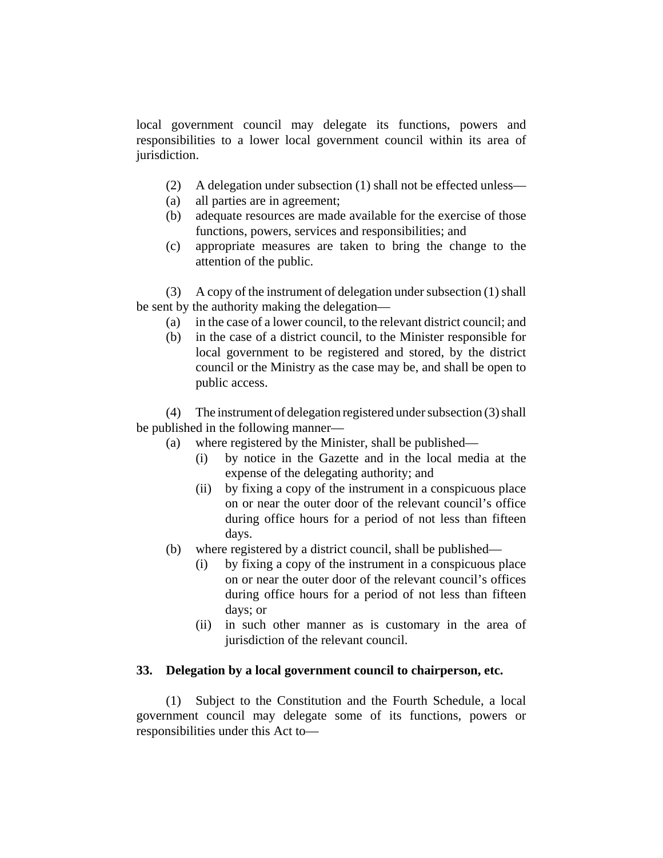local government council may delegate its functions, powers and responsibilities to a lower local government council within its area of jurisdiction.

- (2) A delegation under subsection (1) shall not be effected unless—
- (a) all parties are in agreement;
- (b) adequate resources are made available for the exercise of those functions, powers, services and responsibilities; and
- (c) appropriate measures are taken to bring the change to the attention of the public.

(3) A copy of the instrument of delegation under subsection (1) shall be sent by the authority making the delegation—

- (a) in the case of a lower council, to the relevant district council; and
- (b) in the case of a district council, to the Minister responsible for local government to be registered and stored, by the district council or the Ministry as the case may be, and shall be open to public access.

(4) The instrument of delegation registered under subsection (3) shall be published in the following manner—

(a) where registered by the Minister, shall be published—

- (i) by notice in the Gazette and in the local media at the expense of the delegating authority; and
- (ii) by fixing a copy of the instrument in a conspicuous place on or near the outer door of the relevant council's office during office hours for a period of not less than fifteen days.
- (b) where registered by a district council, shall be published—
	- (i) by fixing a copy of the instrument in a conspicuous place on or near the outer door of the relevant council's offices during office hours for a period of not less than fifteen days; or
	- (ii) in such other manner as is customary in the area of jurisdiction of the relevant council.

### **33. Delegation by a local government council to chairperson, etc.**

(1) Subject to the Constitution and the Fourth Schedule, a local government council may delegate some of its functions, powers or responsibilities under this Act to—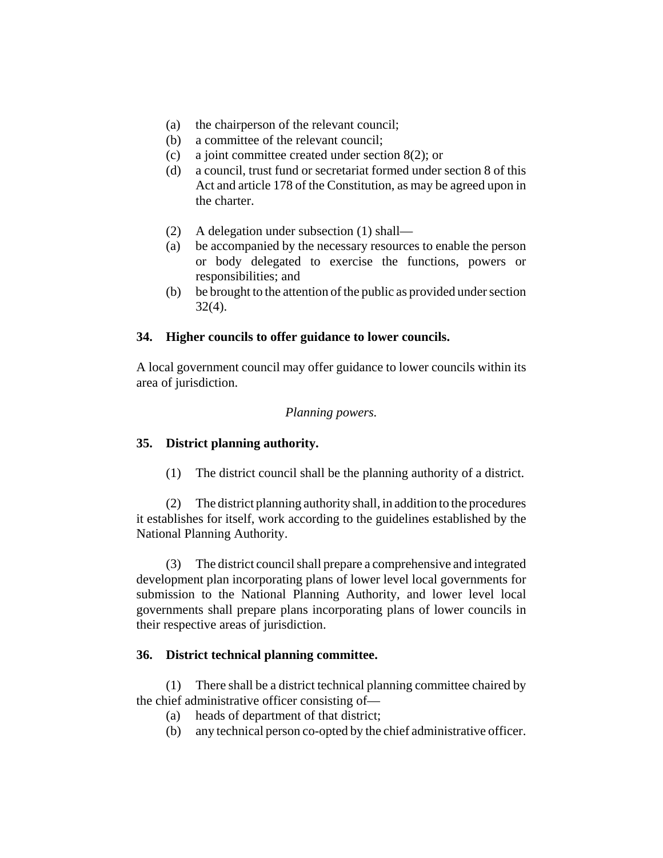- (a) the chairperson of the relevant council;
- (b) a committee of the relevant council;
- (c) a joint committee created under section 8(2); or
- (d) a council, trust fund or secretariat formed under section 8 of this Act and article 178 of the Constitution, as may be agreed upon in the charter.
- (2) A delegation under subsection (1) shall—
- (a) be accompanied by the necessary resources to enable the person or body delegated to exercise the functions, powers or responsibilities; and
- (b) be brought to the attention of the public as provided under section  $32(4)$ .

# **34. Higher councils to offer guidance to lower councils.**

A local government council may offer guidance to lower councils within its area of jurisdiction.

# *Planning powers.*

# **35. District planning authority.**

(1) The district council shall be the planning authority of a district.

(2) The district planning authority shall, in addition to the procedures it establishes for itself, work according to the guidelines established by the National Planning Authority.

(3) The district council shall prepare a comprehensive and integrated development plan incorporating plans of lower level local governments for submission to the National Planning Authority, and lower level local governments shall prepare plans incorporating plans of lower councils in their respective areas of jurisdiction.

# **36. District technical planning committee.**

(1) There shall be a district technical planning committee chaired by the chief administrative officer consisting of—

- (a) heads of department of that district;
- (b) any technical person co-opted by the chief administrative officer.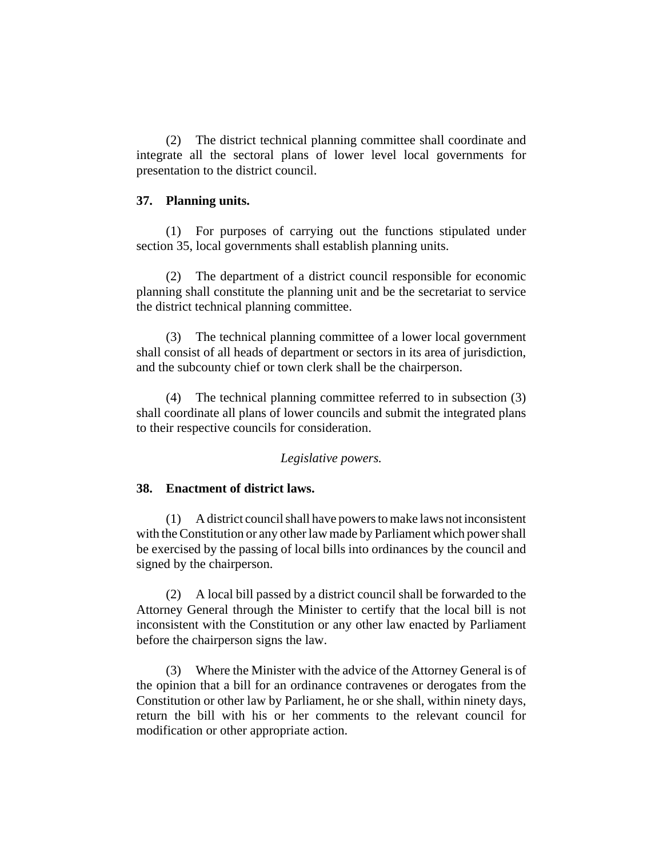(2) The district technical planning committee shall coordinate and integrate all the sectoral plans of lower level local governments for presentation to the district council.

### **37. Planning units.**

(1) For purposes of carrying out the functions stipulated under section 35, local governments shall establish planning units.

(2) The department of a district council responsible for economic planning shall constitute the planning unit and be the secretariat to service the district technical planning committee.

(3) The technical planning committee of a lower local government shall consist of all heads of department or sectors in its area of jurisdiction, and the subcounty chief or town clerk shall be the chairperson.

(4) The technical planning committee referred to in subsection (3) shall coordinate all plans of lower councils and submit the integrated plans to their respective councils for consideration.

### *Legislative powers.*

### **38. Enactment of district laws.**

(1) A district council shall have powers to make laws not inconsistent with the Constitution or any other law made by Parliament which power shall be exercised by the passing of local bills into ordinances by the council and signed by the chairperson.

(2) A local bill passed by a district council shall be forwarded to the Attorney General through the Minister to certify that the local bill is not inconsistent with the Constitution or any other law enacted by Parliament before the chairperson signs the law.

(3) Where the Minister with the advice of the Attorney General is of the opinion that a bill for an ordinance contravenes or derogates from the Constitution or other law by Parliament, he or she shall, within ninety days, return the bill with his or her comments to the relevant council for modification or other appropriate action.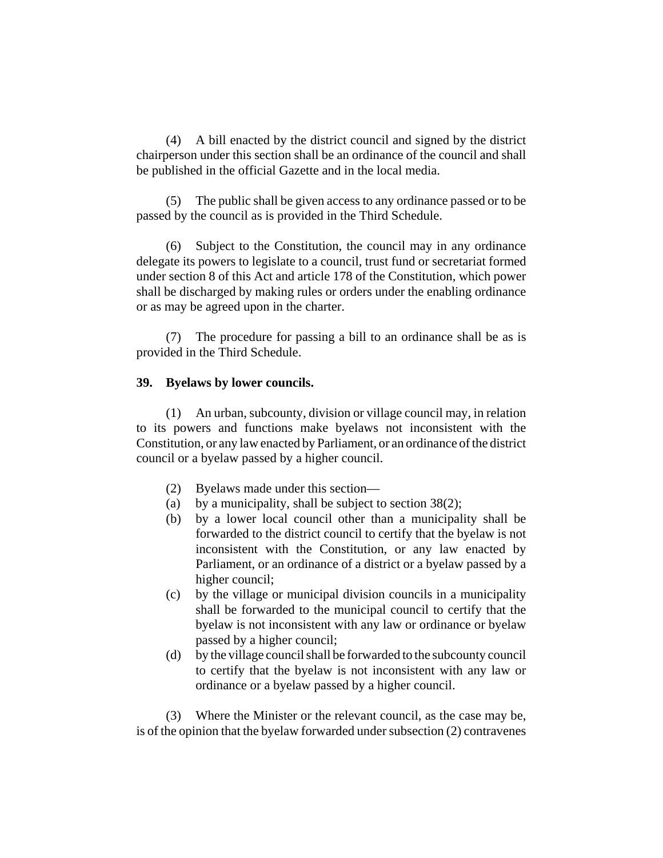(4) A bill enacted by the district council and signed by the district chairperson under this section shall be an ordinance of the council and shall be published in the official Gazette and in the local media.

(5) The public shall be given access to any ordinance passed or to be passed by the council as is provided in the Third Schedule.

(6) Subject to the Constitution, the council may in any ordinance delegate its powers to legislate to a council, trust fund or secretariat formed under section 8 of this Act and article 178 of the Constitution, which power shall be discharged by making rules or orders under the enabling ordinance or as may be agreed upon in the charter.

(7) The procedure for passing a bill to an ordinance shall be as is provided in the Third Schedule.

## **39. Byelaws by lower councils.**

(1) An urban, subcounty, division or village council may, in relation to its powers and functions make byelaws not inconsistent with the Constitution, or any law enacted by Parliament, or an ordinance of the district council or a byelaw passed by a higher council.

- (2) Byelaws made under this section—
- (a) by a municipality, shall be subject to section  $38(2)$ ;
- (b) by a lower local council other than a municipality shall be forwarded to the district council to certify that the byelaw is not inconsistent with the Constitution, or any law enacted by Parliament, or an ordinance of a district or a byelaw passed by a higher council;
- (c) by the village or municipal division councils in a municipality shall be forwarded to the municipal council to certify that the byelaw is not inconsistent with any law or ordinance or byelaw passed by a higher council;
- (d) by the village council shall be forwarded to the subcounty council to certify that the byelaw is not inconsistent with any law or ordinance or a byelaw passed by a higher council.

(3) Where the Minister or the relevant council, as the case may be, is of the opinion that the byelaw forwarded under subsection (2) contravenes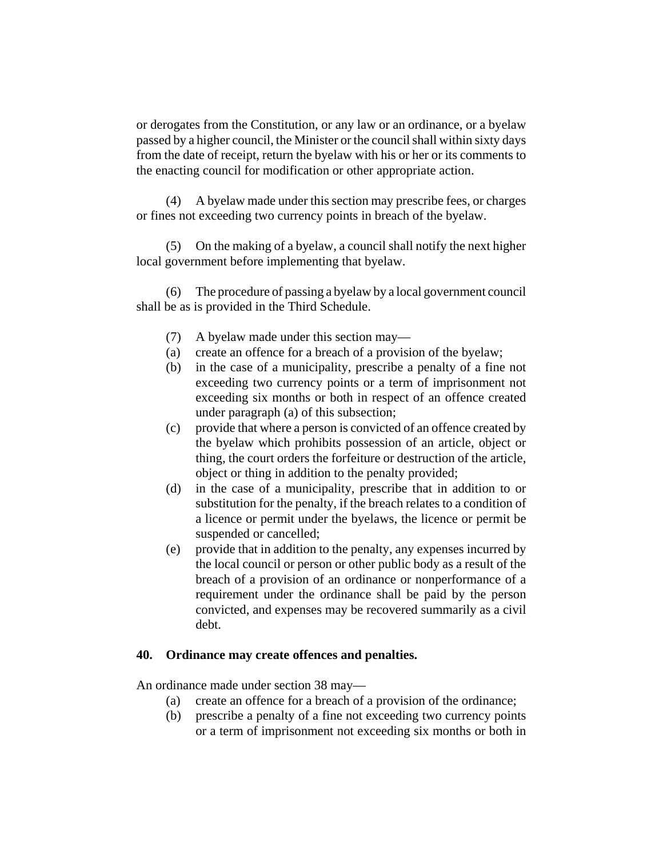or derogates from the Constitution, or any law or an ordinance, or a byelaw passed by a higher council, the Minister or the council shall within sixty days from the date of receipt, return the byelaw with his or her or its comments to the enacting council for modification or other appropriate action.

(4) A byelaw made under this section may prescribe fees, or charges or fines not exceeding two currency points in breach of the byelaw.

(5) On the making of a byelaw, a council shall notify the next higher local government before implementing that byelaw.

(6) The procedure of passing a byelaw by a local government council shall be as is provided in the Third Schedule.

- (7) A byelaw made under this section may—
- (a) create an offence for a breach of a provision of the byelaw;
- (b) in the case of a municipality, prescribe a penalty of a fine not exceeding two currency points or a term of imprisonment not exceeding six months or both in respect of an offence created under paragraph (a) of this subsection;
- (c) provide that where a person is convicted of an offence created by the byelaw which prohibits possession of an article, object or thing, the court orders the forfeiture or destruction of the article, object or thing in addition to the penalty provided;
- (d) in the case of a municipality, prescribe that in addition to or substitution for the penalty, if the breach relates to a condition of a licence or permit under the byelaws, the licence or permit be suspended or cancelled;
- (e) provide that in addition to the penalty, any expenses incurred by the local council or person or other public body as a result of the breach of a provision of an ordinance or nonperformance of a requirement under the ordinance shall be paid by the person convicted, and expenses may be recovered summarily as a civil debt.

### **40. Ordinance may create offences and penalties.**

An ordinance made under section 38 may—

- (a) create an offence for a breach of a provision of the ordinance;
- (b) prescribe a penalty of a fine not exceeding two currency points or a term of imprisonment not exceeding six months or both in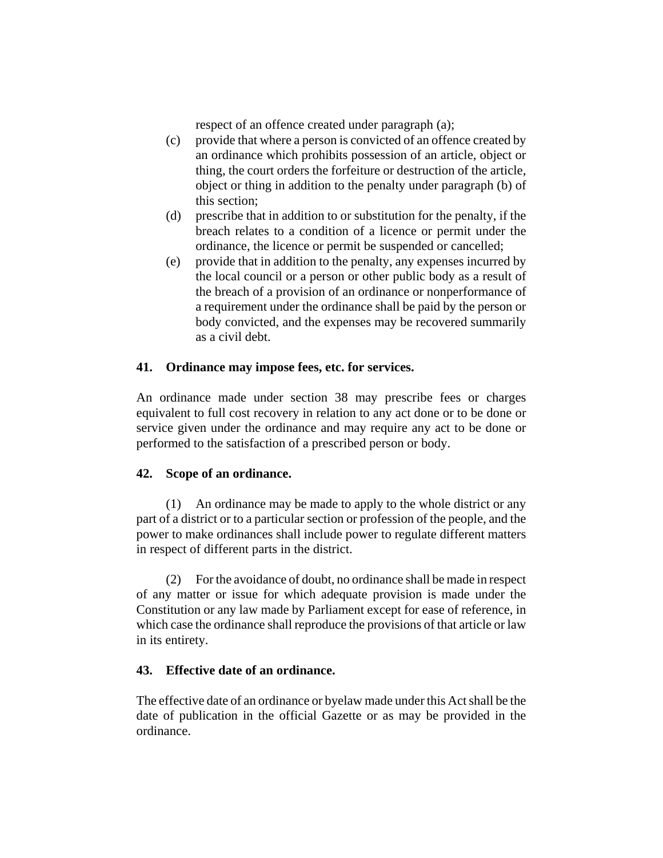respect of an offence created under paragraph (a);

- (c) provide that where a person is convicted of an offence created by an ordinance which prohibits possession of an article, object or thing, the court orders the forfeiture or destruction of the article, object or thing in addition to the penalty under paragraph (b) of this section;
- (d) prescribe that in addition to or substitution for the penalty, if the breach relates to a condition of a licence or permit under the ordinance, the licence or permit be suspended or cancelled;
- (e) provide that in addition to the penalty, any expenses incurred by the local council or a person or other public body as a result of the breach of a provision of an ordinance or nonperformance of a requirement under the ordinance shall be paid by the person or body convicted, and the expenses may be recovered summarily as a civil debt.

# **41. Ordinance may impose fees, etc. for services.**

An ordinance made under section 38 may prescribe fees or charges equivalent to full cost recovery in relation to any act done or to be done or service given under the ordinance and may require any act to be done or performed to the satisfaction of a prescribed person or body.

# **42. Scope of an ordinance.**

(1) An ordinance may be made to apply to the whole district or any part of a district or to a particular section or profession of the people, and the power to make ordinances shall include power to regulate different matters in respect of different parts in the district.

(2) For the avoidance of doubt, no ordinance shall be made in respect of any matter or issue for which adequate provision is made under the Constitution or any law made by Parliament except for ease of reference, in which case the ordinance shall reproduce the provisions of that article or law in its entirety.

# **43. Effective date of an ordinance.**

The effective date of an ordinance or byelaw made under this Act shall be the date of publication in the official Gazette or as may be provided in the ordinance.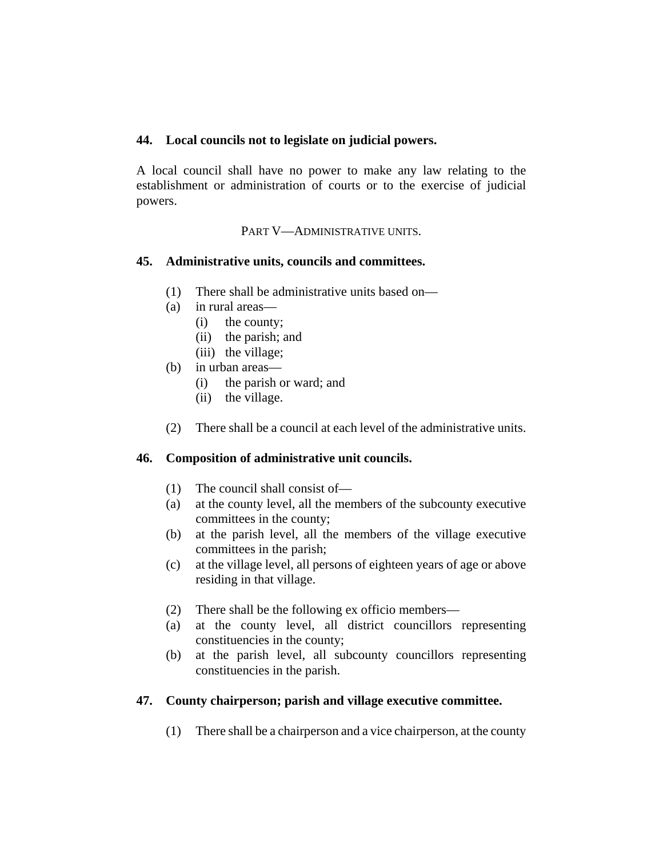## **44. Local councils not to legislate on judicial powers.**

A local council shall have no power to make any law relating to the establishment or administration of courts or to the exercise of judicial powers.

PART V—ADMINISTRATIVE UNITS.

# **45. Administrative units, councils and committees.**

- (1) There shall be administrative units based on—
- (a) in rural areas—
	- (i) the county;
	- (ii) the parish; and
	- (iii) the village:
- (b) in urban areas—
	- (i) the parish or ward; and
	- (ii) the village.
- (2) There shall be a council at each level of the administrative units.

# **46. Composition of administrative unit councils.**

- (1) The council shall consist of—
- (a) at the county level, all the members of the subcounty executive committees in the county;
- (b) at the parish level, all the members of the village executive committees in the parish;
- (c) at the village level, all persons of eighteen years of age or above residing in that village.
- (2) There shall be the following ex officio members—
- (a) at the county level, all district councillors representing constituencies in the county;
- (b) at the parish level, all subcounty councillors representing constituencies in the parish.

# **47. County chairperson; parish and village executive committee.**

(1) There shall be a chairperson and a vice chairperson, at the county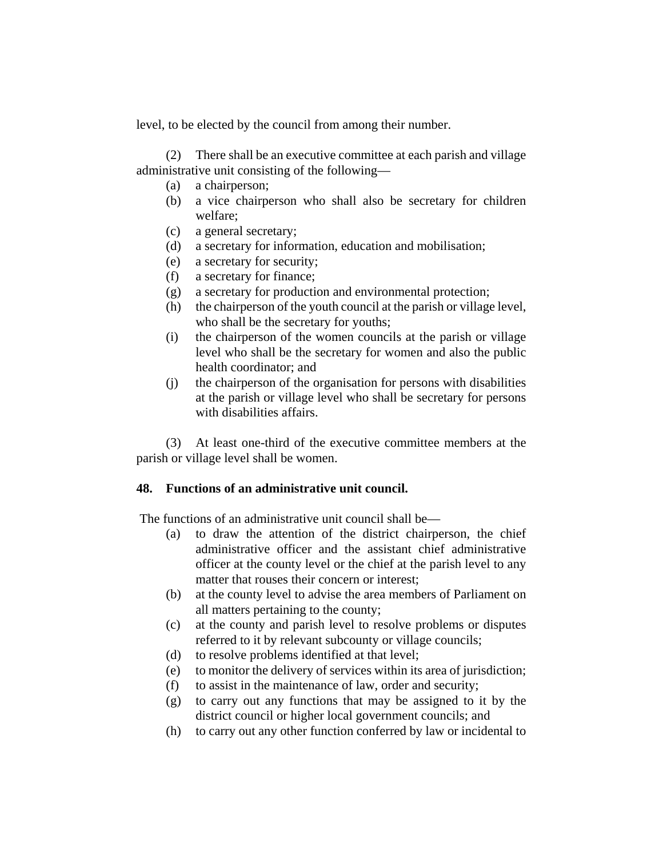level, to be elected by the council from among their number.

(2) There shall be an executive committee at each parish and village administrative unit consisting of the following—

- (a) a chairperson;
- (b) a vice chairperson who shall also be secretary for children welfare;
- (c) a general secretary;
- (d) a secretary for information, education and mobilisation;
- (e) a secretary for security;
- (f) a secretary for finance;
- (g) a secretary for production and environmental protection;
- (h) the chairperson of the youth council at the parish or village level, who shall be the secretary for youths;
- (i) the chairperson of the women councils at the parish or village level who shall be the secretary for women and also the public health coordinator; and
- (j) the chairperson of the organisation for persons with disabilities at the parish or village level who shall be secretary for persons with disabilities affairs.

(3) At least one-third of the executive committee members at the parish or village level shall be women.

# **48. Functions of an administrative unit council.**

The functions of an administrative unit council shall be—

- (a) to draw the attention of the district chairperson, the chief administrative officer and the assistant chief administrative officer at the county level or the chief at the parish level to any matter that rouses their concern or interest;
- (b) at the county level to advise the area members of Parliament on all matters pertaining to the county;
- (c) at the county and parish level to resolve problems or disputes referred to it by relevant subcounty or village councils;
- (d) to resolve problems identified at that level;
- (e) to monitor the delivery of services within its area of jurisdiction;
- (f) to assist in the maintenance of law, order and security;
- (g) to carry out any functions that may be assigned to it by the district council or higher local government councils; and
- (h) to carry out any other function conferred by law or incidental to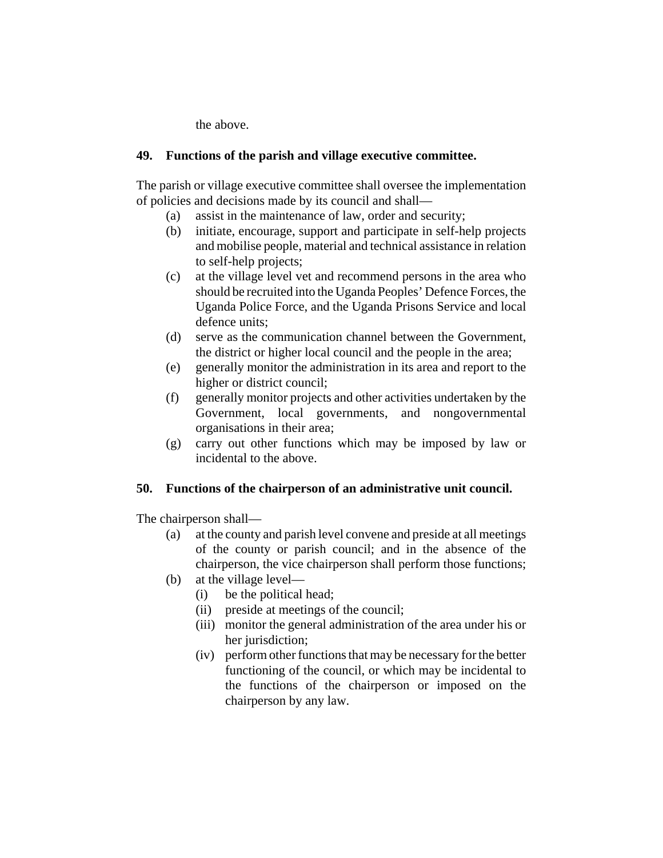the above.

# **49. Functions of the parish and village executive committee.**

The parish or village executive committee shall oversee the implementation of policies and decisions made by its council and shall—

- (a) assist in the maintenance of law, order and security;
- (b) initiate, encourage, support and participate in self-help projects and mobilise people, material and technical assistance in relation to self-help projects;
- (c) at the village level vet and recommend persons in the area who should be recruited into the Uganda Peoples' Defence Forces, the Uganda Police Force, and the Uganda Prisons Service and local defence units;
- (d) serve as the communication channel between the Government, the district or higher local council and the people in the area;
- (e) generally monitor the administration in its area and report to the higher or district council;
- (f) generally monitor projects and other activities undertaken by the Government, local governments, and nongovernmental organisations in their area;
- (g) carry out other functions which may be imposed by law or incidental to the above.

# **50. Functions of the chairperson of an administrative unit council.**

The chairperson shall—

- (a) at the county and parish level convene and preside at all meetings of the county or parish council; and in the absence of the chairperson, the vice chairperson shall perform those functions;
- (b) at the village level—
	- (i) be the political head;
	- (ii) preside at meetings of the council;
	- (iii) monitor the general administration of the area under his or her jurisdiction;
	- (iv) perform other functions that may be necessary for the better functioning of the council, or which may be incidental to the functions of the chairperson or imposed on the chairperson by any law.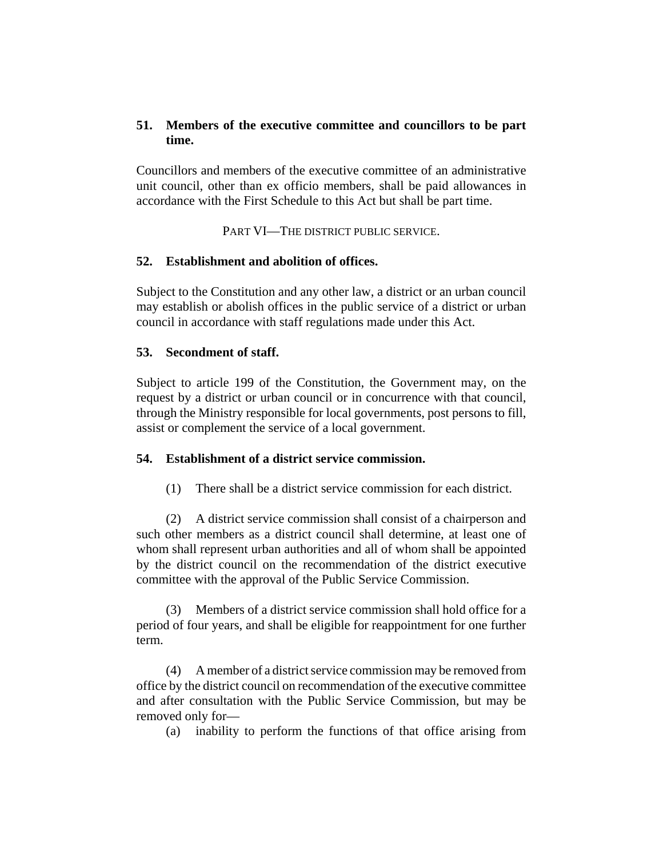# **51. Members of the executive committee and councillors to be part time.**

Councillors and members of the executive committee of an administrative unit council, other than ex officio members, shall be paid allowances in accordance with the First Schedule to this Act but shall be part time.

PART VI—THE DISTRICT PUBLIC SERVICE.

# **52. Establishment and abolition of offices.**

Subject to the Constitution and any other law, a district or an urban council may establish or abolish offices in the public service of a district or urban council in accordance with staff regulations made under this Act.

# **53. Secondment of staff.**

Subject to article 199 of the Constitution, the Government may, on the request by a district or urban council or in concurrence with that council, through the Ministry responsible for local governments, post persons to fill, assist or complement the service of a local government.

# **54. Establishment of a district service commission.**

(1) There shall be a district service commission for each district.

(2) A district service commission shall consist of a chairperson and such other members as a district council shall determine, at least one of whom shall represent urban authorities and all of whom shall be appointed by the district council on the recommendation of the district executive committee with the approval of the Public Service Commission.

(3) Members of a district service commission shall hold office for a period of four years, and shall be eligible for reappointment for one further term.

(4) A member of a district service commission may be removed from office by the district council on recommendation of the executive committee and after consultation with the Public Service Commission, but may be removed only for—

(a) inability to perform the functions of that office arising from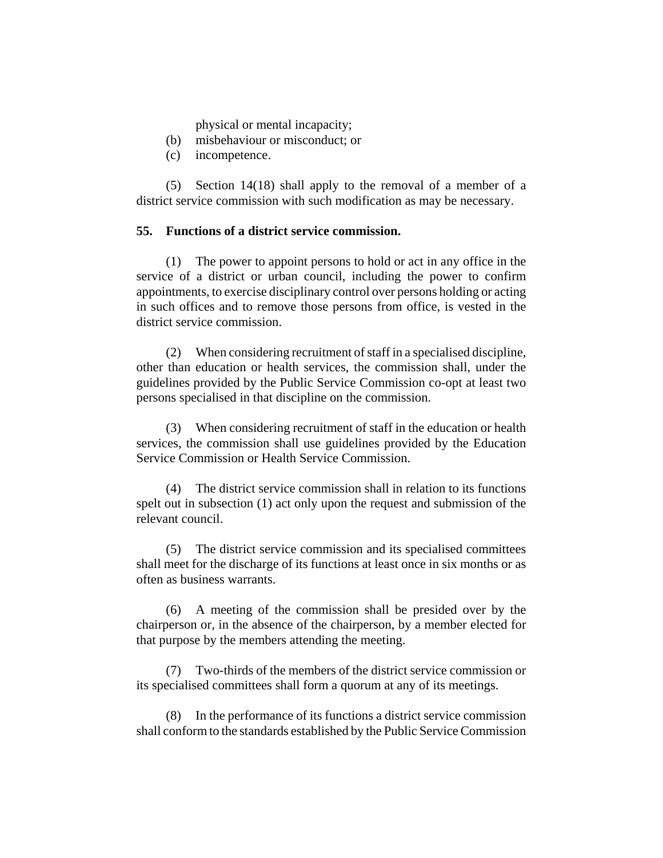physical or mental incapacity;

- (b) misbehaviour or misconduct; or
- (c) incompetence.

(5) Section 14(18) shall apply to the removal of a member of a district service commission with such modification as may be necessary.

#### **55. Functions of a district service commission.**

(1) The power to appoint persons to hold or act in any office in the service of a district or urban council, including the power to confirm appointments, to exercise disciplinary control over persons holding or acting in such offices and to remove those persons from office, is vested in the district service commission.

(2) When considering recruitment of staff in a specialised discipline, other than education or health services, the commission shall, under the guidelines provided by the Public Service Commission co-opt at least two persons specialised in that discipline on the commission.

(3) When considering recruitment of staff in the education or health services, the commission shall use guidelines provided by the Education Service Commission or Health Service Commission.

(4) The district service commission shall in relation to its functions spelt out in subsection (1) act only upon the request and submission of the relevant council.

(5) The district service commission and its specialised committees shall meet for the discharge of its functions at least once in six months or as often as business warrants.

(6) A meeting of the commission shall be presided over by the chairperson or, in the absence of the chairperson, by a member elected for that purpose by the members attending the meeting.

(7) Two-thirds of the members of the district service commission or its specialised committees shall form a quorum at any of its meetings.

(8) In the performance of its functions a district service commission shall conform to the standards established by the Public Service Commission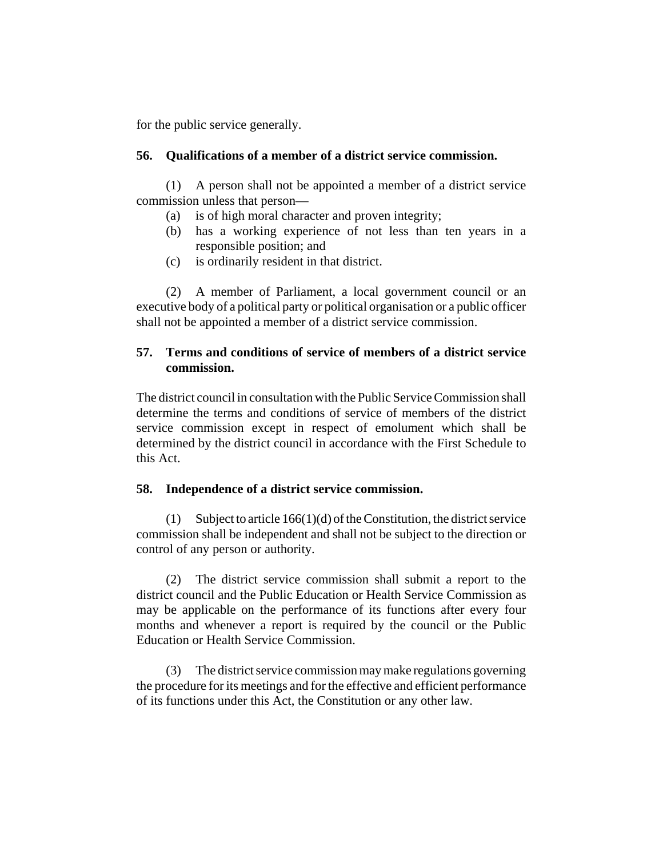for the public service generally.

#### **56. Qualifications of a member of a district service commission.**

(1) A person shall not be appointed a member of a district service commission unless that person—

- (a) is of high moral character and proven integrity;
- (b) has a working experience of not less than ten years in a responsible position; and
- (c) is ordinarily resident in that district.

(2) A member of Parliament, a local government council or an executive body of a political party or political organisation or a public officer shall not be appointed a member of a district service commission.

# **57. Terms and conditions of service of members of a district service commission.**

The district council in consultation with the Public Service Commission shall determine the terms and conditions of service of members of the district service commission except in respect of emolument which shall be determined by the district council in accordance with the First Schedule to this Act.

## **58. Independence of a district service commission.**

(1) Subject to article 166(1)(d) of the Constitution, the district service commission shall be independent and shall not be subject to the direction or control of any person or authority.

(2) The district service commission shall submit a report to the district council and the Public Education or Health Service Commission as may be applicable on the performance of its functions after every four months and whenever a report is required by the council or the Public Education or Health Service Commission.

(3) The district service commission may make regulations governing the procedure for its meetings and for the effective and efficient performance of its functions under this Act, the Constitution or any other law.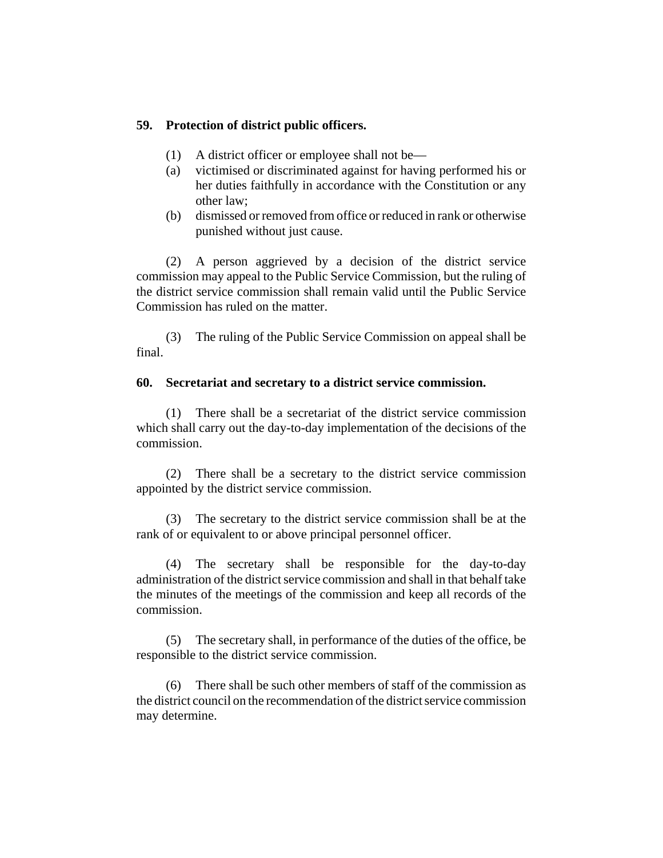### **59. Protection of district public officers.**

- (1) A district officer or employee shall not be—
- (a) victimised or discriminated against for having performed his or her duties faithfully in accordance with the Constitution or any other law;
- (b) dismissed or removed from office or reduced in rank or otherwise punished without just cause.

(2) A person aggrieved by a decision of the district service commission may appeal to the Public Service Commission, but the ruling of the district service commission shall remain valid until the Public Service Commission has ruled on the matter.

(3) The ruling of the Public Service Commission on appeal shall be final.

#### **60. Secretariat and secretary to a district service commission.**

(1) There shall be a secretariat of the district service commission which shall carry out the day-to-day implementation of the decisions of the commission.

(2) There shall be a secretary to the district service commission appointed by the district service commission.

(3) The secretary to the district service commission shall be at the rank of or equivalent to or above principal personnel officer.

(4) The secretary shall be responsible for the day-to-day administration of the district service commission and shall in that behalf take the minutes of the meetings of the commission and keep all records of the commission.

(5) The secretary shall, in performance of the duties of the office, be responsible to the district service commission.

(6) There shall be such other members of staff of the commission as the district council on the recommendation of the district service commission may determine.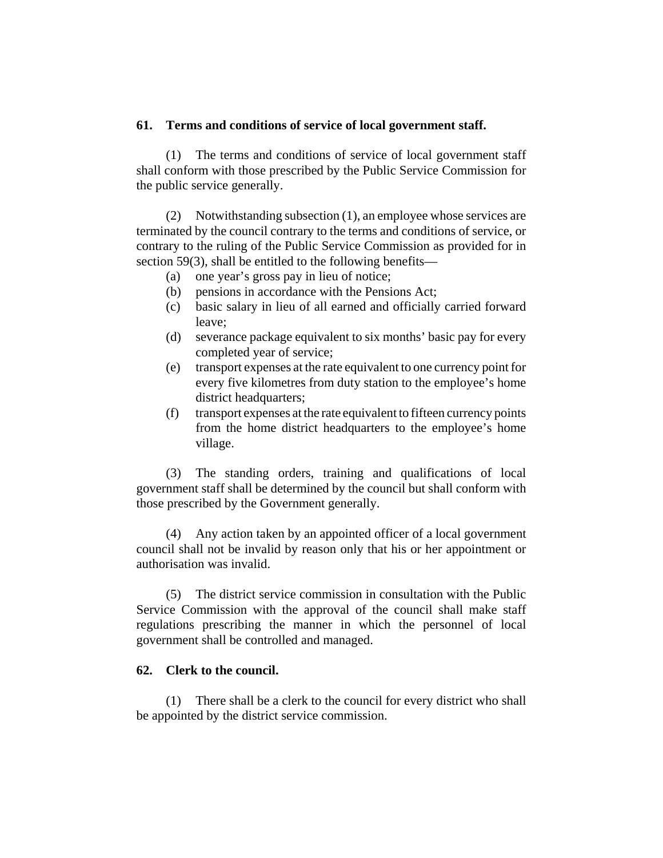#### **61. Terms and conditions of service of local government staff.**

(1) The terms and conditions of service of local government staff shall conform with those prescribed by the Public Service Commission for the public service generally.

(2) Notwithstanding subsection (1), an employee whose services are terminated by the council contrary to the terms and conditions of service, or contrary to the ruling of the Public Service Commission as provided for in section 59(3), shall be entitled to the following benefits—

- (a) one year's gross pay in lieu of notice;
- (b) pensions in accordance with the Pensions Act;
- (c) basic salary in lieu of all earned and officially carried forward leave;
- (d) severance package equivalent to six months' basic pay for every completed year of service;
- (e) transport expenses at the rate equivalent to one currency point for every five kilometres from duty station to the employee's home district headquarters;
- (f) transport expenses at the rate equivalent to fifteen currency points from the home district headquarters to the employee's home village.

(3) The standing orders, training and qualifications of local government staff shall be determined by the council but shall conform with those prescribed by the Government generally.

(4) Any action taken by an appointed officer of a local government council shall not be invalid by reason only that his or her appointment or authorisation was invalid.

(5) The district service commission in consultation with the Public Service Commission with the approval of the council shall make staff regulations prescribing the manner in which the personnel of local government shall be controlled and managed.

#### **62. Clerk to the council.**

(1) There shall be a clerk to the council for every district who shall be appointed by the district service commission.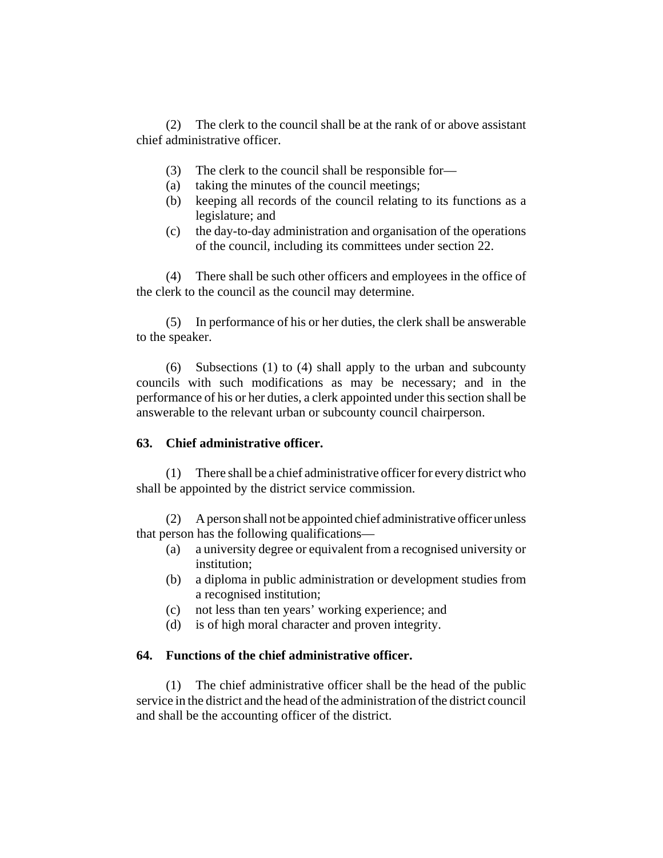(2) The clerk to the council shall be at the rank of or above assistant chief administrative officer.

- (3) The clerk to the council shall be responsible for—
- (a) taking the minutes of the council meetings;
- (b) keeping all records of the council relating to its functions as a legislature; and
- (c) the day-to-day administration and organisation of the operations of the council, including its committees under section 22.

(4) There shall be such other officers and employees in the office of the clerk to the council as the council may determine.

(5) In performance of his or her duties, the clerk shall be answerable to the speaker.

(6) Subsections (1) to (4) shall apply to the urban and subcounty councils with such modifications as may be necessary; and in the performance of his or her duties, a clerk appointed under this section shall be answerable to the relevant urban or subcounty council chairperson.

## **63. Chief administrative officer.**

(1) There shall be a chief administrative officer for every district who shall be appointed by the district service commission.

(2) A person shall not be appointed chief administrative officer unless that person has the following qualifications—

- (a) a university degree or equivalent from a recognised university or institution;
- (b) a diploma in public administration or development studies from a recognised institution;
- (c) not less than ten years' working experience; and
- (d) is of high moral character and proven integrity.

#### **64. Functions of the chief administrative officer.**

(1) The chief administrative officer shall be the head of the public service in the district and the head of the administration of the district council and shall be the accounting officer of the district.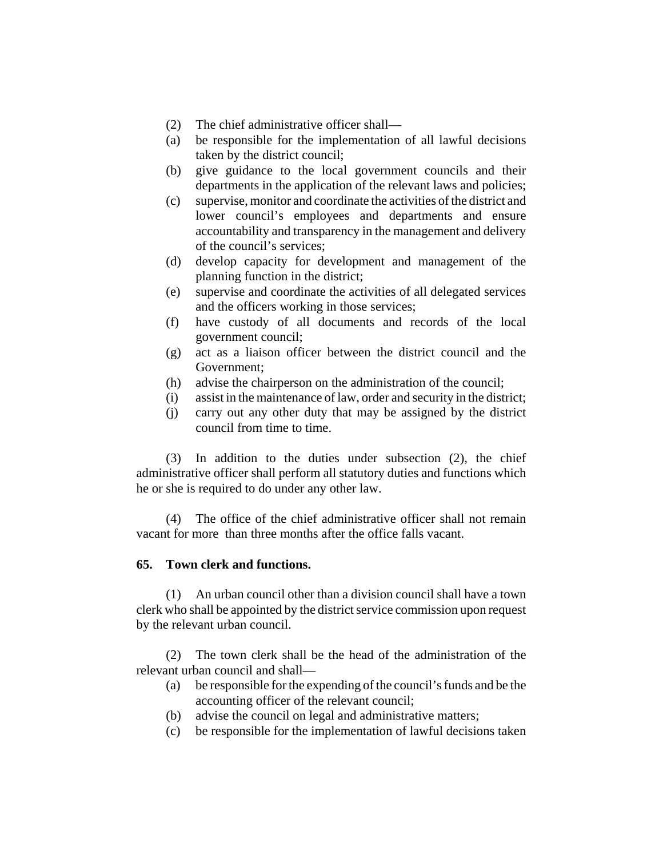- (2) The chief administrative officer shall—
- (a) be responsible for the implementation of all lawful decisions taken by the district council;
- (b) give guidance to the local government councils and their departments in the application of the relevant laws and policies;
- (c) supervise, monitor and coordinate the activities of the district and lower council's employees and departments and ensure accountability and transparency in the management and delivery of the council's services;
- (d) develop capacity for development and management of the planning function in the district;
- (e) supervise and coordinate the activities of all delegated services and the officers working in those services;
- (f) have custody of all documents and records of the local government council;
- (g) act as a liaison officer between the district council and the Government;
- (h) advise the chairperson on the administration of the council;
- (i) assist in the maintenance of law, order and security in the district;
- (j) carry out any other duty that may be assigned by the district council from time to time.

(3) In addition to the duties under subsection (2), the chief administrative officer shall perform all statutory duties and functions which he or she is required to do under any other law.

(4) The office of the chief administrative officer shall not remain vacant for more than three months after the office falls vacant.

#### **65. Town clerk and functions.**

(1) An urban council other than a division council shall have a town clerk who shall be appointed by the district service commission upon request by the relevant urban council.

(2) The town clerk shall be the head of the administration of the relevant urban council and shall—

- (a) be responsible for the expending of the council's funds and be the accounting officer of the relevant council;
- (b) advise the council on legal and administrative matters;
- (c) be responsible for the implementation of lawful decisions taken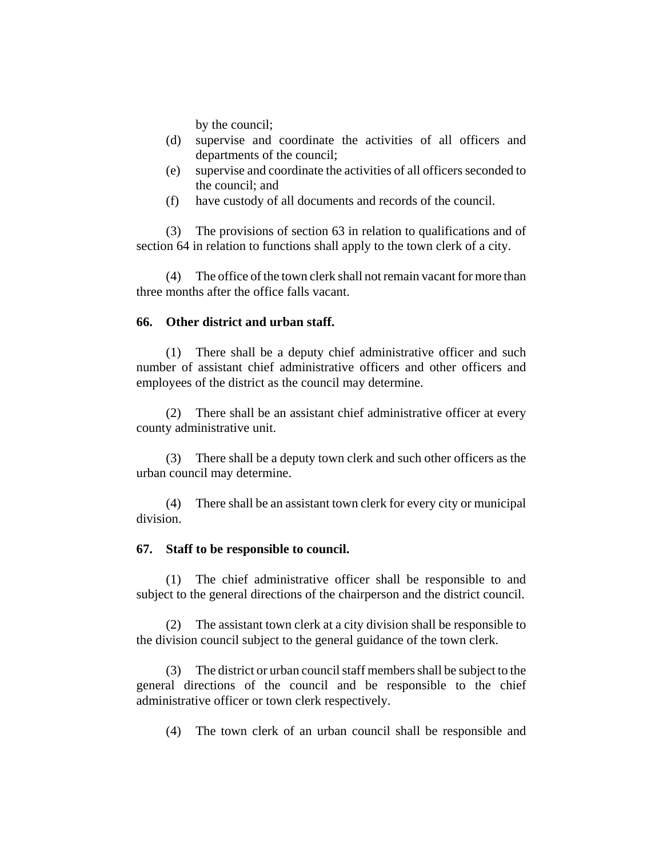by the council;

- (d) supervise and coordinate the activities of all officers and departments of the council;
- (e) supervise and coordinate the activities of all officers seconded to the council; and
- (f) have custody of all documents and records of the council.

(3) The provisions of section 63 in relation to qualifications and of section 64 in relation to functions shall apply to the town clerk of a city.

(4) The office of the town clerk shall not remain vacant for more than three months after the office falls vacant.

### **66. Other district and urban staff.**

(1) There shall be a deputy chief administrative officer and such number of assistant chief administrative officers and other officers and employees of the district as the council may determine.

(2) There shall be an assistant chief administrative officer at every county administrative unit.

(3) There shall be a deputy town clerk and such other officers as the urban council may determine.

(4) There shall be an assistant town clerk for every city or municipal division.

#### **67. Staff to be responsible to council.**

(1) The chief administrative officer shall be responsible to and subject to the general directions of the chairperson and the district council.

(2) The assistant town clerk at a city division shall be responsible to the division council subject to the general guidance of the town clerk.

(3) The district or urban council staff members shall be subject to the general directions of the council and be responsible to the chief administrative officer or town clerk respectively.

(4) The town clerk of an urban council shall be responsible and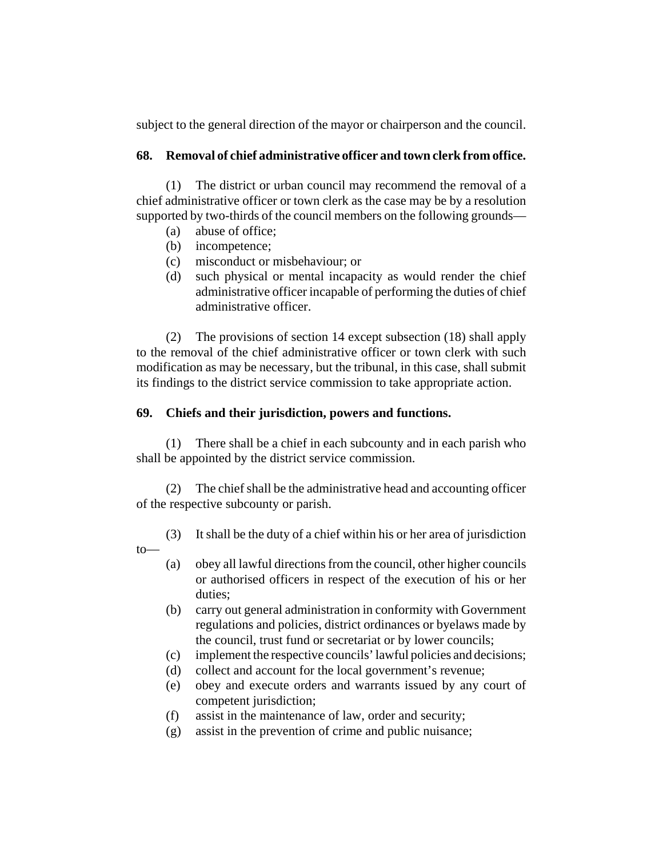subject to the general direction of the mayor or chairperson and the council.

# **68. Removal of chief administrative officer and town clerk from office.**

(1) The district or urban council may recommend the removal of a chief administrative officer or town clerk as the case may be by a resolution supported by two-thirds of the council members on the following grounds—

- (a) abuse of office;
- (b) incompetence;
- (c) misconduct or misbehaviour; or
- (d) such physical or mental incapacity as would render the chief administrative officer incapable of performing the duties of chief administrative officer.

(2) The provisions of section 14 except subsection (18) shall apply to the removal of the chief administrative officer or town clerk with such modification as may be necessary, but the tribunal, in this case, shall submit its findings to the district service commission to take appropriate action.

# **69. Chiefs and their jurisdiction, powers and functions.**

(1) There shall be a chief in each subcounty and in each parish who shall be appointed by the district service commission.

(2) The chief shall be the administrative head and accounting officer of the respective subcounty or parish.

- (3) It shall be the duty of a chief within his or her area of jurisdiction to—
	- (a) obey all lawful directions from the council, other higher councils or authorised officers in respect of the execution of his or her duties;
	- (b) carry out general administration in conformity with Government regulations and policies, district ordinances or byelaws made by the council, trust fund or secretariat or by lower councils;
	- (c) implement the respective councils' lawful policies and decisions;
	- (d) collect and account for the local government's revenue;
	- (e) obey and execute orders and warrants issued by any court of competent jurisdiction;
	- (f) assist in the maintenance of law, order and security;
	- (g) assist in the prevention of crime and public nuisance;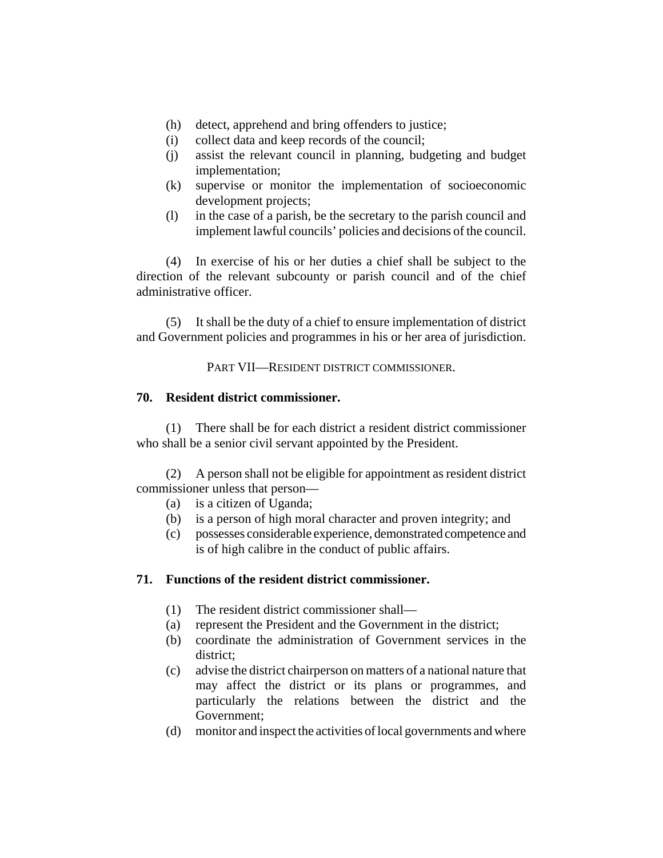- (h) detect, apprehend and bring offenders to justice;
- (i) collect data and keep records of the council;
- (j) assist the relevant council in planning, budgeting and budget implementation;
- (k) supervise or monitor the implementation of socioeconomic development projects;
- (l) in the case of a parish, be the secretary to the parish council and implement lawful councils' policies and decisions of the council.

(4) In exercise of his or her duties a chief shall be subject to the direction of the relevant subcounty or parish council and of the chief administrative officer.

(5) It shall be the duty of a chief to ensure implementation of district and Government policies and programmes in his or her area of jurisdiction.

PART VII—RESIDENT DISTRICT COMMISSIONER.

## **70. Resident district commissioner.**

(1) There shall be for each district a resident district commissioner who shall be a senior civil servant appointed by the President.

(2) A person shall not be eligible for appointment as resident district commissioner unless that person—

- (a) is a citizen of Uganda;
- (b) is a person of high moral character and proven integrity; and
- (c) possesses considerable experience, demonstrated competence and is of high calibre in the conduct of public affairs.

# **71. Functions of the resident district commissioner.**

- (1) The resident district commissioner shall—
- (a) represent the President and the Government in the district;
- (b) coordinate the administration of Government services in the district;
- (c) advise the district chairperson on matters of a national nature that may affect the district or its plans or programmes, and particularly the relations between the district and the Government;
- (d) monitor and inspect the activities of local governments and where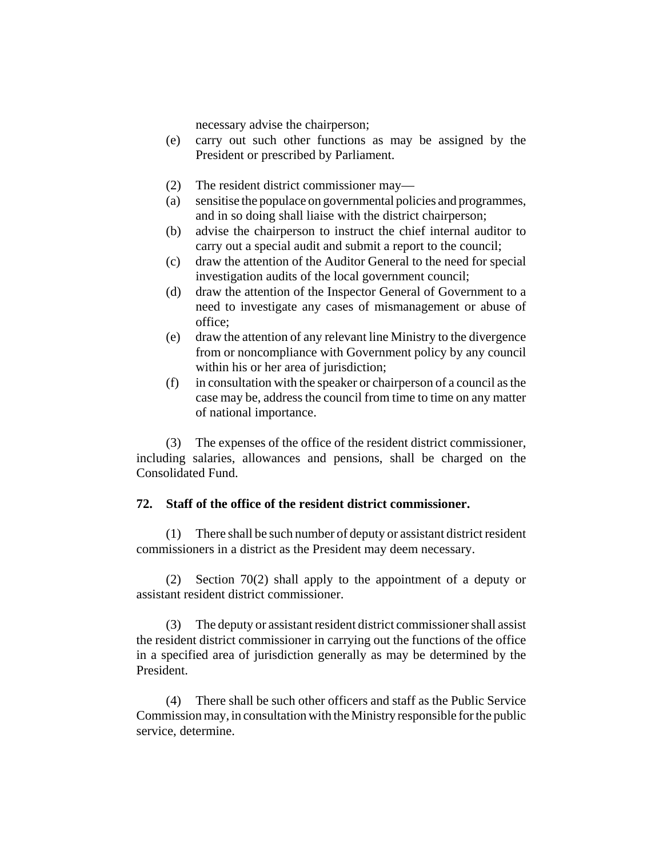necessary advise the chairperson;

- (e) carry out such other functions as may be assigned by the President or prescribed by Parliament.
- (2) The resident district commissioner may—
- (a) sensitise the populace on governmental policies and programmes, and in so doing shall liaise with the district chairperson;
- (b) advise the chairperson to instruct the chief internal auditor to carry out a special audit and submit a report to the council;
- (c) draw the attention of the Auditor General to the need for special investigation audits of the local government council;
- (d) draw the attention of the Inspector General of Government to a need to investigate any cases of mismanagement or abuse of office;
- (e) draw the attention of any relevant line Ministry to the divergence from or noncompliance with Government policy by any council within his or her area of jurisdiction;
- (f) in consultation with the speaker or chairperson of a council as the case may be, address the council from time to time on any matter of national importance.

(3) The expenses of the office of the resident district commissioner, including salaries, allowances and pensions, shall be charged on the Consolidated Fund.

## **72. Staff of the office of the resident district commissioner.**

(1) There shall be such number of deputy or assistant district resident commissioners in a district as the President may deem necessary.

(2) Section 70(2) shall apply to the appointment of a deputy or assistant resident district commissioner.

(3) The deputy or assistant resident district commissioner shall assist the resident district commissioner in carrying out the functions of the office in a specified area of jurisdiction generally as may be determined by the President.

(4) There shall be such other officers and staff as the Public Service Commission may, in consultation with the Ministry responsible for the public service, determine.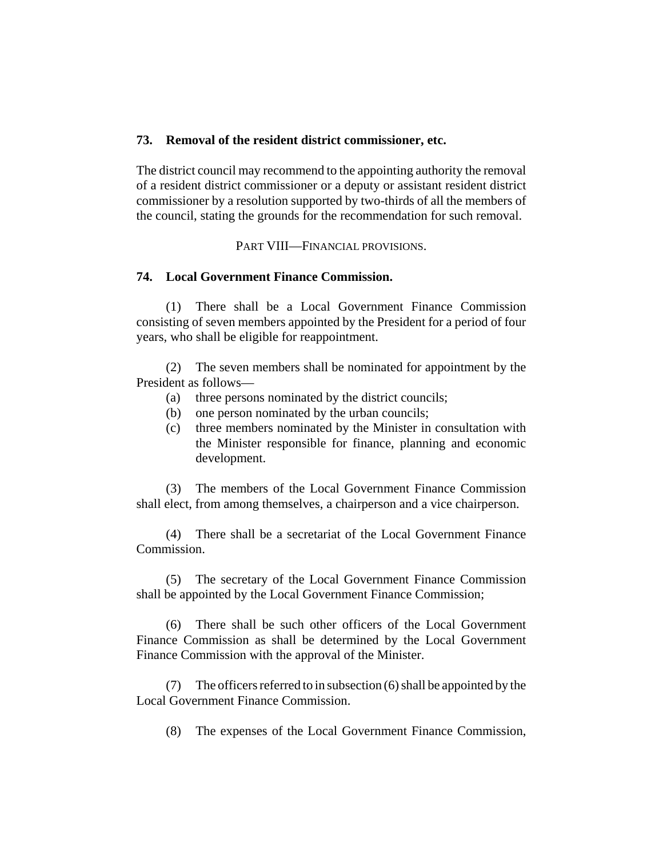#### **73. Removal of the resident district commissioner, etc.**

The district council may recommend to the appointing authority the removal of a resident district commissioner or a deputy or assistant resident district commissioner by a resolution supported by two-thirds of all the members of the council, stating the grounds for the recommendation for such removal.

PART VIII—FINANCIAL PROVISIONS.

### **74. Local Government Finance Commission.**

(1) There shall be a Local Government Finance Commission consisting of seven members appointed by the President for a period of four years, who shall be eligible for reappointment.

(2) The seven members shall be nominated for appointment by the President as follows—

- (a) three persons nominated by the district councils;
- (b) one person nominated by the urban councils;
- (c) three members nominated by the Minister in consultation with the Minister responsible for finance, planning and economic development.

(3) The members of the Local Government Finance Commission shall elect, from among themselves, a chairperson and a vice chairperson.

(4) There shall be a secretariat of the Local Government Finance Commission.

(5) The secretary of the Local Government Finance Commission shall be appointed by the Local Government Finance Commission;

(6) There shall be such other officers of the Local Government Finance Commission as shall be determined by the Local Government Finance Commission with the approval of the Minister.

(7) The officers referred to in subsection (6) shall be appointed by the Local Government Finance Commission.

(8) The expenses of the Local Government Finance Commission,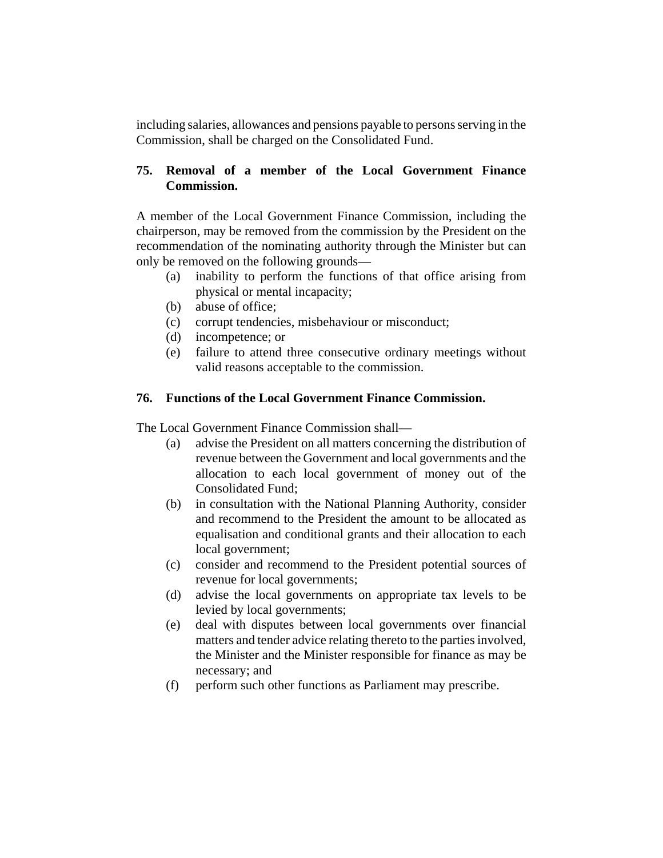including salaries, allowances and pensions payable to persons serving in the Commission, shall be charged on the Consolidated Fund.

# **75. Removal of a member of the Local Government Finance Commission.**

A member of the Local Government Finance Commission, including the chairperson, may be removed from the commission by the President on the recommendation of the nominating authority through the Minister but can only be removed on the following grounds—

- (a) inability to perform the functions of that office arising from physical or mental incapacity;
- (b) abuse of office;
- (c) corrupt tendencies, misbehaviour or misconduct;
- (d) incompetence; or
- (e) failure to attend three consecutive ordinary meetings without valid reasons acceptable to the commission.

## **76. Functions of the Local Government Finance Commission.**

The Local Government Finance Commission shall—

- (a) advise the President on all matters concerning the distribution of revenue between the Government and local governments and the allocation to each local government of money out of the Consolidated Fund;
- (b) in consultation with the National Planning Authority, consider and recommend to the President the amount to be allocated as equalisation and conditional grants and their allocation to each local government;
- (c) consider and recommend to the President potential sources of revenue for local governments;
- (d) advise the local governments on appropriate tax levels to be levied by local governments;
- (e) deal with disputes between local governments over financial matters and tender advice relating thereto to the parties involved, the Minister and the Minister responsible for finance as may be necessary; and
- (f) perform such other functions as Parliament may prescribe.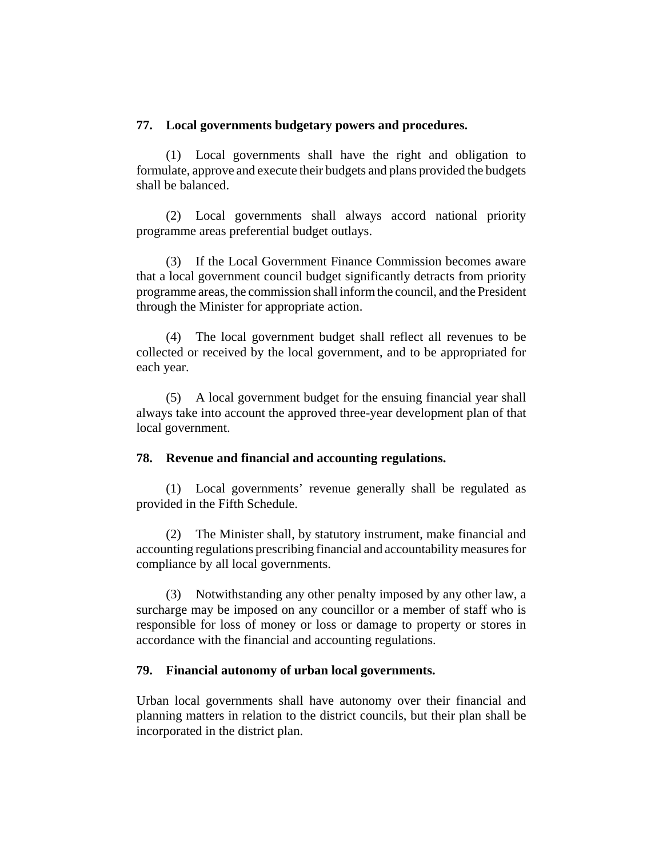### **77. Local governments budgetary powers and procedures.**

(1) Local governments shall have the right and obligation to formulate, approve and execute their budgets and plans provided the budgets shall be balanced.

(2) Local governments shall always accord national priority programme areas preferential budget outlays.

(3) If the Local Government Finance Commission becomes aware that a local government council budget significantly detracts from priority programme areas, the commission shall inform the council, and the President through the Minister for appropriate action.

(4) The local government budget shall reflect all revenues to be collected or received by the local government, and to be appropriated for each year.

(5) A local government budget for the ensuing financial year shall always take into account the approved three-year development plan of that local government.

## **78. Revenue and financial and accounting regulations.**

(1) Local governments' revenue generally shall be regulated as provided in the Fifth Schedule.

(2) The Minister shall, by statutory instrument, make financial and accounting regulations prescribing financial and accountability measures for compliance by all local governments.

(3) Notwithstanding any other penalty imposed by any other law, a surcharge may be imposed on any councillor or a member of staff who is responsible for loss of money or loss or damage to property or stores in accordance with the financial and accounting regulations.

## **79. Financial autonomy of urban local governments.**

Urban local governments shall have autonomy over their financial and planning matters in relation to the district councils, but their plan shall be incorporated in the district plan.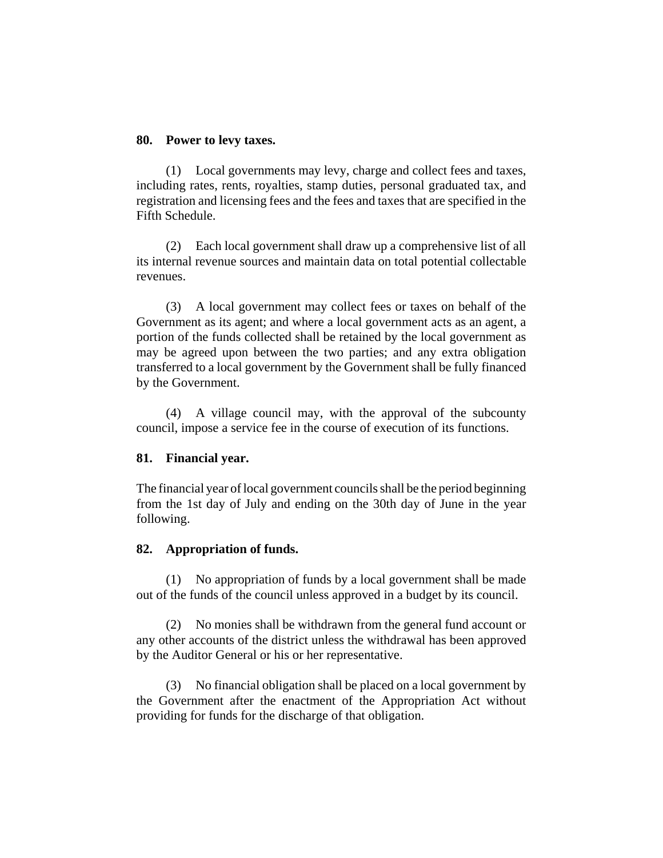#### **80. Power to levy taxes.**

(1) Local governments may levy, charge and collect fees and taxes, including rates, rents, royalties, stamp duties, personal graduated tax, and registration and licensing fees and the fees and taxes that are specified in the Fifth Schedule.

(2) Each local government shall draw up a comprehensive list of all its internal revenue sources and maintain data on total potential collectable revenues.

(3) A local government may collect fees or taxes on behalf of the Government as its agent; and where a local government acts as an agent, a portion of the funds collected shall be retained by the local government as may be agreed upon between the two parties; and any extra obligation transferred to a local government by the Government shall be fully financed by the Government.

(4) A village council may, with the approval of the subcounty council, impose a service fee in the course of execution of its functions.

#### **81. Financial year.**

The financial year of local government councils shall be the period beginning from the 1st day of July and ending on the 30th day of June in the year following.

#### **82. Appropriation of funds.**

(1) No appropriation of funds by a local government shall be made out of the funds of the council unless approved in a budget by its council.

(2) No monies shall be withdrawn from the general fund account or any other accounts of the district unless the withdrawal has been approved by the Auditor General or his or her representative.

(3) No financial obligation shall be placed on a local government by the Government after the enactment of the Appropriation Act without providing for funds for the discharge of that obligation.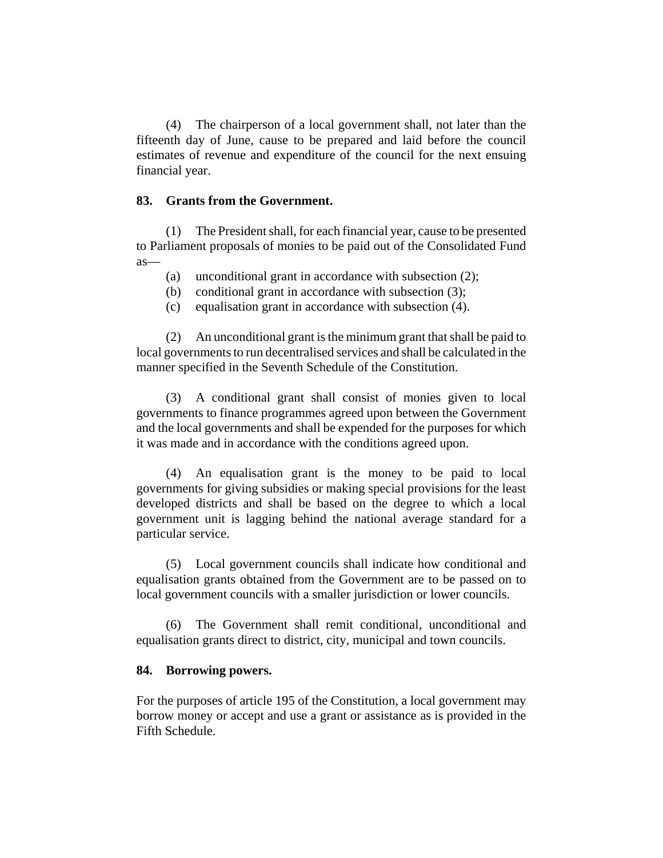(4) The chairperson of a local government shall, not later than the fifteenth day of June, cause to be prepared and laid before the council estimates of revenue and expenditure of the council for the next ensuing financial year.

#### **83. Grants from the Government.**

(1) The President shall, for each financial year, cause to be presented to Parliament proposals of monies to be paid out of the Consolidated Fund as—

- (a) unconditional grant in accordance with subsection (2);
- (b) conditional grant in accordance with subsection (3);
- (c) equalisation grant in accordance with subsection (4).

(2) An unconditional grant is the minimum grant that shall be paid to local governments to run decentralised services and shall be calculated in the manner specified in the Seventh Schedule of the Constitution.

(3) A conditional grant shall consist of monies given to local governments to finance programmes agreed upon between the Government and the local governments and shall be expended for the purposes for which it was made and in accordance with the conditions agreed upon.

(4) An equalisation grant is the money to be paid to local governments for giving subsidies or making special provisions for the least developed districts and shall be based on the degree to which a local government unit is lagging behind the national average standard for a particular service.

(5) Local government councils shall indicate how conditional and equalisation grants obtained from the Government are to be passed on to local government councils with a smaller jurisdiction or lower councils.

(6) The Government shall remit conditional, unconditional and equalisation grants direct to district, city, municipal and town councils.

#### **84. Borrowing powers.**

For the purposes of article 195 of the Constitution, a local government may borrow money or accept and use a grant or assistance as is provided in the Fifth Schedule.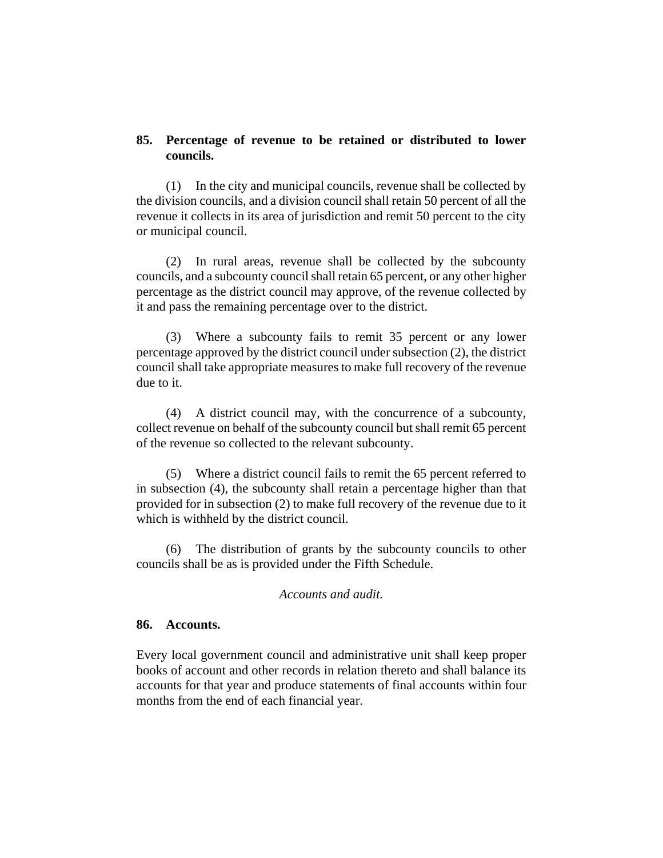### **85. Percentage of revenue to be retained or distributed to lower councils.**

(1) In the city and municipal councils, revenue shall be collected by the division councils, and a division council shall retain 50 percent of all the revenue it collects in its area of jurisdiction and remit 50 percent to the city or municipal council.

(2) In rural areas, revenue shall be collected by the subcounty councils, and a subcounty council shall retain 65 percent, or any other higher percentage as the district council may approve, of the revenue collected by it and pass the remaining percentage over to the district.

(3) Where a subcounty fails to remit 35 percent or any lower percentage approved by the district council under subsection (2), the district council shall take appropriate measures to make full recovery of the revenue due to it.

(4) A district council may, with the concurrence of a subcounty, collect revenue on behalf of the subcounty council but shall remit 65 percent of the revenue so collected to the relevant subcounty.

(5) Where a district council fails to remit the 65 percent referred to in subsection (4), the subcounty shall retain a percentage higher than that provided for in subsection (2) to make full recovery of the revenue due to it which is withheld by the district council.

(6) The distribution of grants by the subcounty councils to other councils shall be as is provided under the Fifth Schedule.

#### *Accounts and audit.*

#### **86. Accounts.**

Every local government council and administrative unit shall keep proper books of account and other records in relation thereto and shall balance its accounts for that year and produce statements of final accounts within four months from the end of each financial year.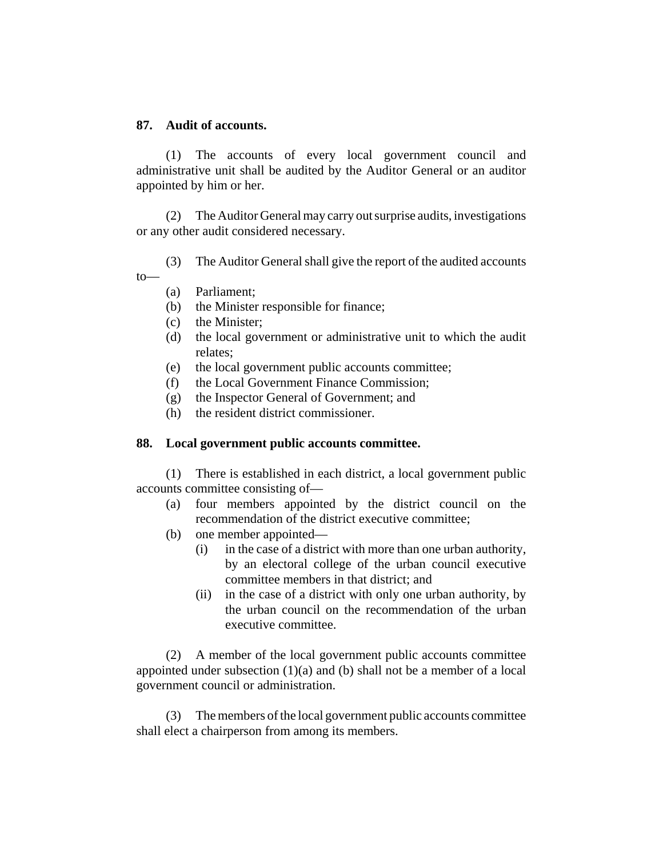### **87. Audit of accounts.**

(1) The accounts of every local government council and administrative unit shall be audited by the Auditor General or an auditor appointed by him or her.

(2) The Auditor General may carry out surprise audits, investigations or any other audit considered necessary.

(3) The Auditor General shall give the report of the audited accounts to—

- (a) Parliament;
- (b) the Minister responsible for finance;
- (c) the Minister;
- (d) the local government or administrative unit to which the audit relates;
- (e) the local government public accounts committee;
- (f) the Local Government Finance Commission;
- (g) the Inspector General of Government; and
- (h) the resident district commissioner.

## **88. Local government public accounts committee.**

(1) There is established in each district, a local government public accounts committee consisting of—

- (a) four members appointed by the district council on the recommendation of the district executive committee;
- (b) one member appointed—
	- (i) in the case of a district with more than one urban authority, by an electoral college of the urban council executive committee members in that district; and
	- (ii) in the case of a district with only one urban authority, by the urban council on the recommendation of the urban executive committee.

(2) A member of the local government public accounts committee appointed under subsection  $(1)(a)$  and  $(b)$  shall not be a member of a local government council or administration.

(3) The members of the local government public accounts committee shall elect a chairperson from among its members.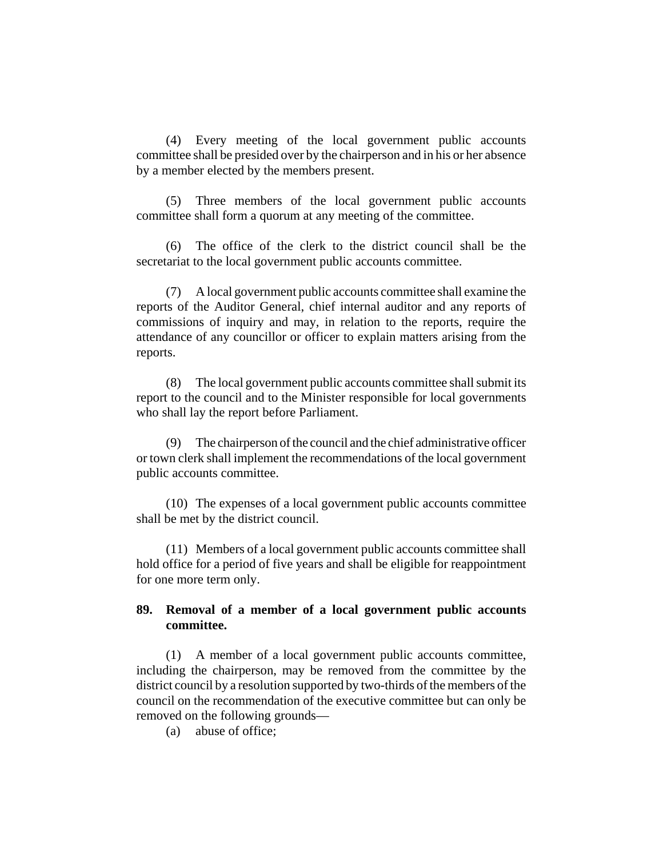(4) Every meeting of the local government public accounts committee shall be presided over by the chairperson and in his or her absence by a member elected by the members present.

(5) Three members of the local government public accounts committee shall form a quorum at any meeting of the committee.

(6) The office of the clerk to the district council shall be the secretariat to the local government public accounts committee.

(7) A local government public accounts committee shall examine the reports of the Auditor General, chief internal auditor and any reports of commissions of inquiry and may, in relation to the reports, require the attendance of any councillor or officer to explain matters arising from the reports.

(8) The local government public accounts committee shall submit its report to the council and to the Minister responsible for local governments who shall lay the report before Parliament.

(9) The chairperson of the council and the chief administrative officer or town clerk shall implement the recommendations of the local government public accounts committee.

(10) The expenses of a local government public accounts committee shall be met by the district council.

(11) Members of a local government public accounts committee shall hold office for a period of five years and shall be eligible for reappointment for one more term only.

## **89. Removal of a member of a local government public accounts committee.**

(1) A member of a local government public accounts committee, including the chairperson, may be removed from the committee by the district council by a resolution supported by two-thirds of the members of the council on the recommendation of the executive committee but can only be removed on the following grounds—

(a) abuse of office;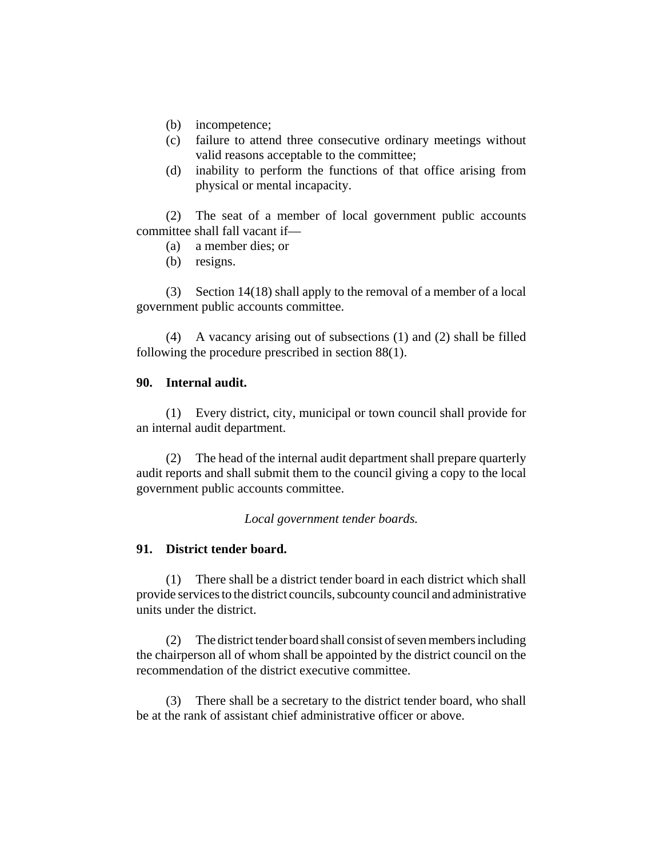- (b) incompetence;
- (c) failure to attend three consecutive ordinary meetings without valid reasons acceptable to the committee;
- (d) inability to perform the functions of that office arising from physical or mental incapacity.

(2) The seat of a member of local government public accounts committee shall fall vacant if—

- (a) a member dies; or
- (b) resigns.

(3) Section 14(18) shall apply to the removal of a member of a local government public accounts committee.

(4) A vacancy arising out of subsections (1) and (2) shall be filled following the procedure prescribed in section 88(1).

#### **90. Internal audit.**

(1) Every district, city, municipal or town council shall provide for an internal audit department.

(2) The head of the internal audit department shall prepare quarterly audit reports and shall submit them to the council giving a copy to the local government public accounts committee.

*Local government tender boards.*

## **91. District tender board.**

(1) There shall be a district tender board in each district which shall provide services to the district councils, subcounty council and administrative units under the district.

(2) The district tender board shall consist of seven members including the chairperson all of whom shall be appointed by the district council on the recommendation of the district executive committee.

(3) There shall be a secretary to the district tender board, who shall be at the rank of assistant chief administrative officer or above.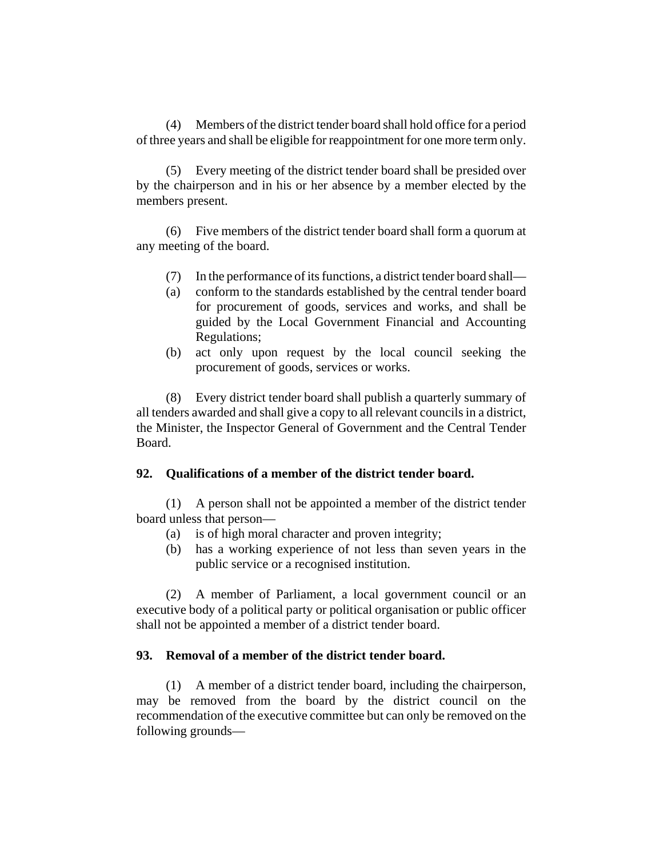(4) Members of the district tender board shall hold office for a period of three years and shall be eligible for reappointment for one more term only.

(5) Every meeting of the district tender board shall be presided over by the chairperson and in his or her absence by a member elected by the members present.

(6) Five members of the district tender board shall form a quorum at any meeting of the board.

- (7) In the performance of its functions, a district tender board shall—
- (a) conform to the standards established by the central tender board for procurement of goods, services and works, and shall be guided by the Local Government Financial and Accounting Regulations;
- (b) act only upon request by the local council seeking the procurement of goods, services or works.

(8) Every district tender board shall publish a quarterly summary of all tenders awarded and shall give a copy to all relevant councils in a district, the Minister, the Inspector General of Government and the Central Tender Board.

## **92. Qualifications of a member of the district tender board.**

(1) A person shall not be appointed a member of the district tender board unless that person—

- (a) is of high moral character and proven integrity;
- (b) has a working experience of not less than seven years in the public service or a recognised institution.

(2) A member of Parliament, a local government council or an executive body of a political party or political organisation or public officer shall not be appointed a member of a district tender board.

## **93. Removal of a member of the district tender board.**

(1) A member of a district tender board, including the chairperson, may be removed from the board by the district council on the recommendation of the executive committee but can only be removed on the following grounds—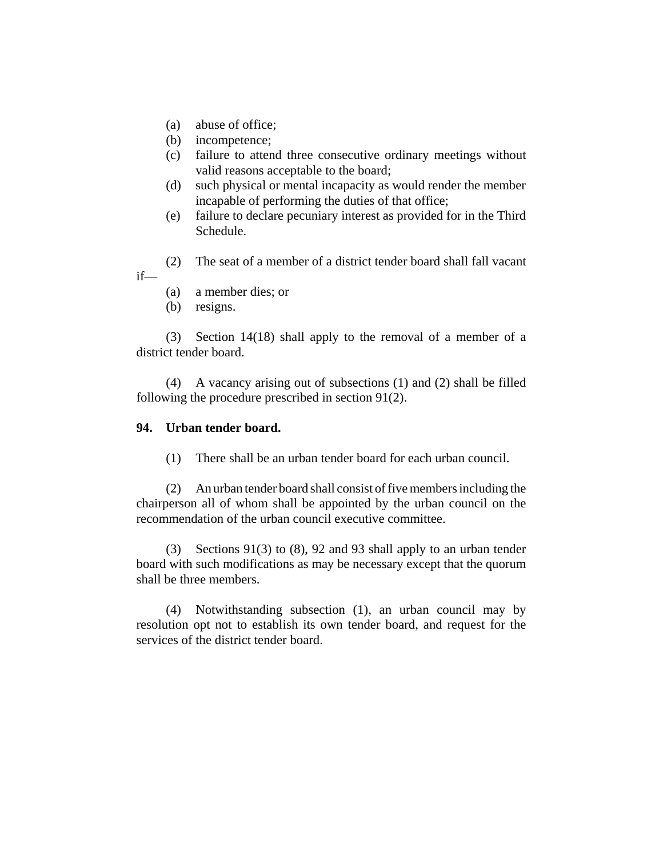- (a) abuse of office;
- (b) incompetence;
- (c) failure to attend three consecutive ordinary meetings without valid reasons acceptable to the board;
- (d) such physical or mental incapacity as would render the member incapable of performing the duties of that office;
- (e) failure to declare pecuniary interest as provided for in the Third Schedule.
- (2) The seat of a member of a district tender board shall fall vacant if—
	- (a) a member dies; or
	- (b) resigns.

(3) Section 14(18) shall apply to the removal of a member of a district tender board.

(4) A vacancy arising out of subsections (1) and (2) shall be filled following the procedure prescribed in section 91(2).

#### **94. Urban tender board.**

(1) There shall be an urban tender board for each urban council.

(2) An urban tender board shall consist of five members including the chairperson all of whom shall be appointed by the urban council on the recommendation of the urban council executive committee.

(3) Sections 91(3) to (8), 92 and 93 shall apply to an urban tender board with such modifications as may be necessary except that the quorum shall be three members.

(4) Notwithstanding subsection (1), an urban council may by resolution opt not to establish its own tender board, and request for the services of the district tender board.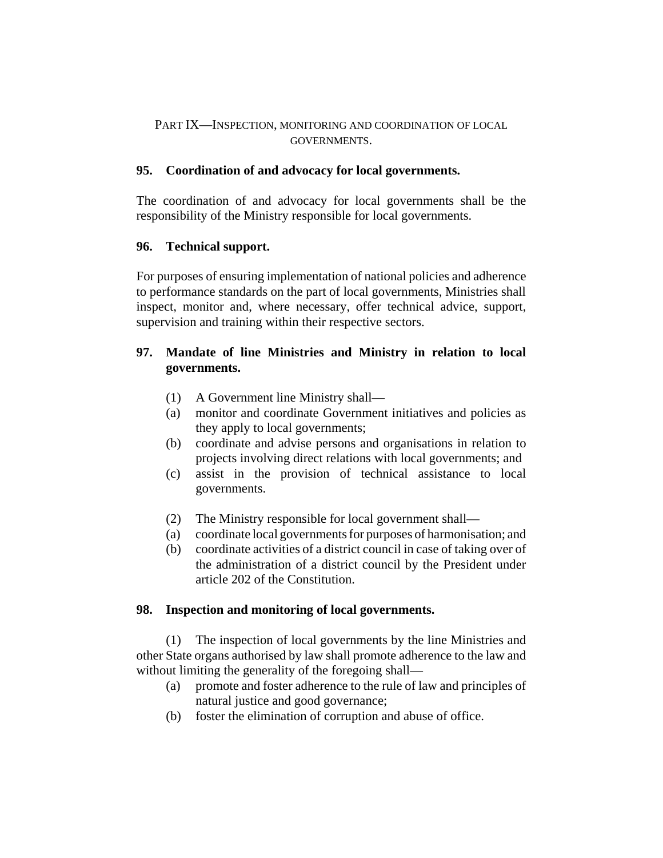# PART IX—INSPECTION, MONITORING AND COORDINATION OF LOCAL GOVERNMENTS.

# **95. Coordination of and advocacy for local governments.**

The coordination of and advocacy for local governments shall be the responsibility of the Ministry responsible for local governments.

# **96. Technical support.**

For purposes of ensuring implementation of national policies and adherence to performance standards on the part of local governments, Ministries shall inspect, monitor and, where necessary, offer technical advice, support, supervision and training within their respective sectors.

# **97. Mandate of line Ministries and Ministry in relation to local governments.**

- (1) A Government line Ministry shall—
- (a) monitor and coordinate Government initiatives and policies as they apply to local governments;
- (b) coordinate and advise persons and organisations in relation to projects involving direct relations with local governments; and
- (c) assist in the provision of technical assistance to local governments.
- (2) The Ministry responsible for local government shall—
- (a) coordinate local governments for purposes of harmonisation; and
- (b) coordinate activities of a district council in case of taking over of the administration of a district council by the President under article 202 of the Constitution.

# **98. Inspection and monitoring of local governments.**

(1) The inspection of local governments by the line Ministries and other State organs authorised by law shall promote adherence to the law and without limiting the generality of the foregoing shall—

- (a) promote and foster adherence to the rule of law and principles of natural justice and good governance;
- (b) foster the elimination of corruption and abuse of office.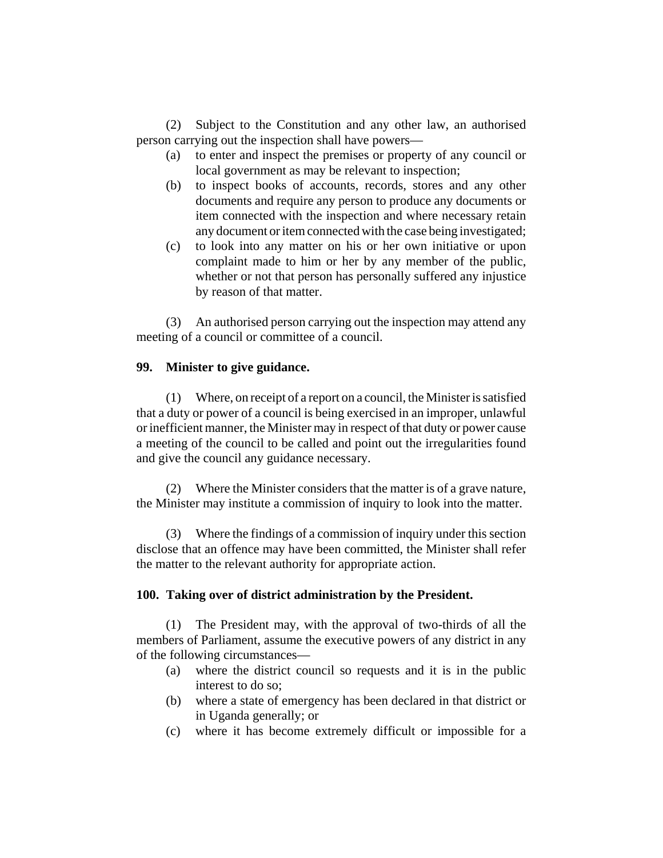(2) Subject to the Constitution and any other law, an authorised person carrying out the inspection shall have powers—

- (a) to enter and inspect the premises or property of any council or local government as may be relevant to inspection;
- (b) to inspect books of accounts, records, stores and any other documents and require any person to produce any documents or item connected with the inspection and where necessary retain any document or item connected with the case being investigated;
- (c) to look into any matter on his or her own initiative or upon complaint made to him or her by any member of the public, whether or not that person has personally suffered any injustice by reason of that matter.

(3) An authorised person carrying out the inspection may attend any meeting of a council or committee of a council.

### **99. Minister to give guidance.**

(1) Where, on receipt of a report on a council, the Minister is satisfied that a duty or power of a council is being exercised in an improper, unlawful or inefficient manner, the Minister may in respect of that duty or power cause a meeting of the council to be called and point out the irregularities found and give the council any guidance necessary.

(2) Where the Minister considers that the matter is of a grave nature, the Minister may institute a commission of inquiry to look into the matter.

(3) Where the findings of a commission of inquiry under this section disclose that an offence may have been committed, the Minister shall refer the matter to the relevant authority for appropriate action.

#### **100. Taking over of district administration by the President.**

(1) The President may, with the approval of two-thirds of all the members of Parliament, assume the executive powers of any district in any of the following circumstances—

- (a) where the district council so requests and it is in the public interest to do so;
- (b) where a state of emergency has been declared in that district or in Uganda generally; or
- (c) where it has become extremely difficult or impossible for a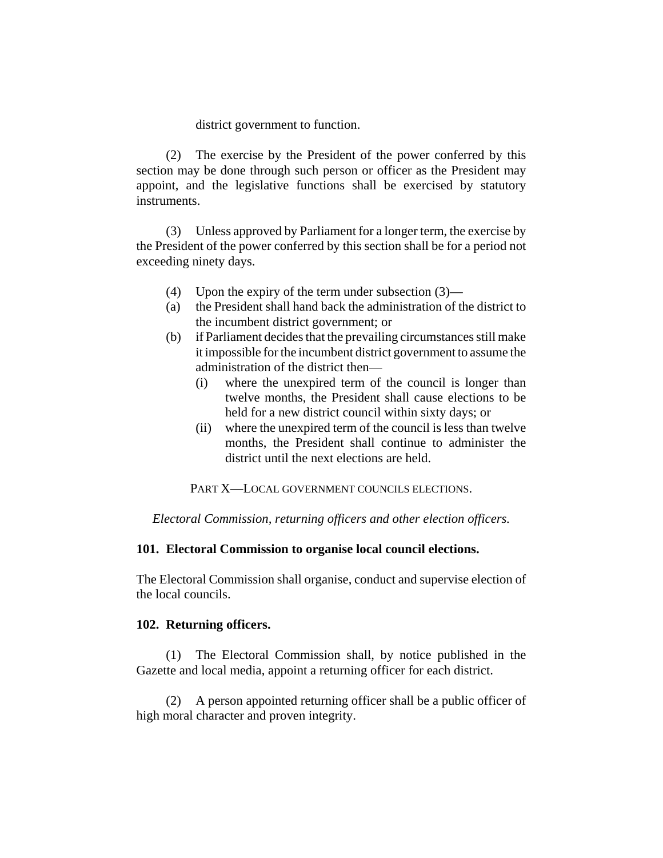district government to function.

(2) The exercise by the President of the power conferred by this section may be done through such person or officer as the President may appoint, and the legislative functions shall be exercised by statutory instruments.

(3) Unless approved by Parliament for a longer term, the exercise by the President of the power conferred by this section shall be for a period not exceeding ninety days.

- (4) Upon the expiry of the term under subsection (3)—
- (a) the President shall hand back the administration of the district to the incumbent district government; or
- (b) if Parliament decides that the prevailing circumstances still make it impossible for the incumbent district government to assume the administration of the district then—
	- (i) where the unexpired term of the council is longer than twelve months, the President shall cause elections to be held for a new district council within sixty days; or
	- (ii) where the unexpired term of the council is less than twelve months, the President shall continue to administer the district until the next elections are held.

PART X—LOCAL GOVERNMENT COUNCILS ELECTIONS.

*Electoral Commission, returning officers and other election officers.*

#### **101. Electoral Commission to organise local council elections.**

The Electoral Commission shall organise, conduct and supervise election of the local councils.

#### **102. Returning officers.**

(1) The Electoral Commission shall, by notice published in the Gazette and local media, appoint a returning officer for each district.

(2) A person appointed returning officer shall be a public officer of high moral character and proven integrity.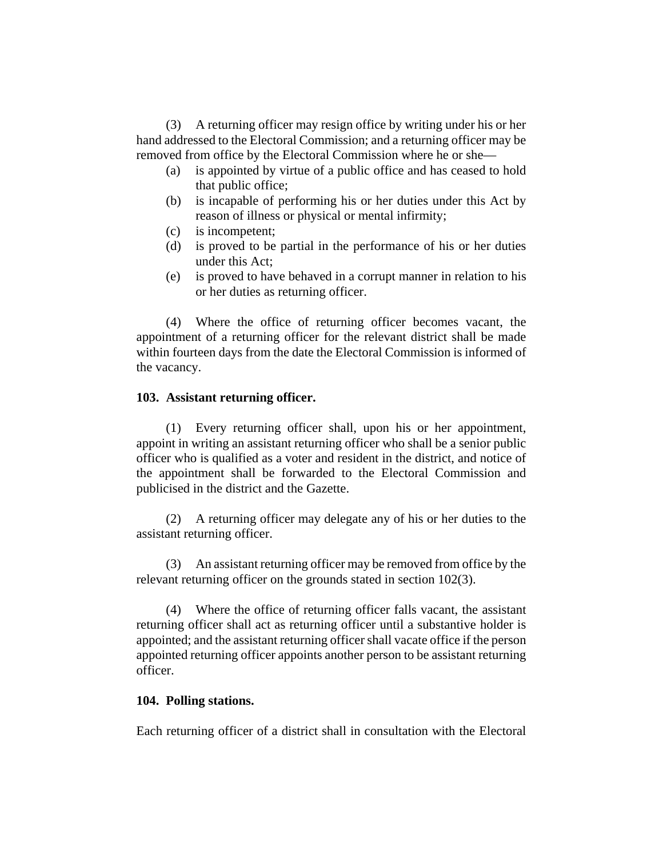(3) A returning officer may resign office by writing under his or her hand addressed to the Electoral Commission; and a returning officer may be removed from office by the Electoral Commission where he or she—

- (a) is appointed by virtue of a public office and has ceased to hold that public office;
- (b) is incapable of performing his or her duties under this Act by reason of illness or physical or mental infirmity;
- (c) is incompetent;
- (d) is proved to be partial in the performance of his or her duties under this Act;
- (e) is proved to have behaved in a corrupt manner in relation to his or her duties as returning officer.

(4) Where the office of returning officer becomes vacant, the appointment of a returning officer for the relevant district shall be made within fourteen days from the date the Electoral Commission is informed of the vacancy.

## **103. Assistant returning officer.**

(1) Every returning officer shall, upon his or her appointment, appoint in writing an assistant returning officer who shall be a senior public officer who is qualified as a voter and resident in the district, and notice of the appointment shall be forwarded to the Electoral Commission and publicised in the district and the Gazette.

(2) A returning officer may delegate any of his or her duties to the assistant returning officer.

(3) An assistant returning officer may be removed from office by the relevant returning officer on the grounds stated in section 102(3).

(4) Where the office of returning officer falls vacant, the assistant returning officer shall act as returning officer until a substantive holder is appointed; and the assistant returning officer shall vacate office if the person appointed returning officer appoints another person to be assistant returning officer.

## **104. Polling stations.**

Each returning officer of a district shall in consultation with the Electoral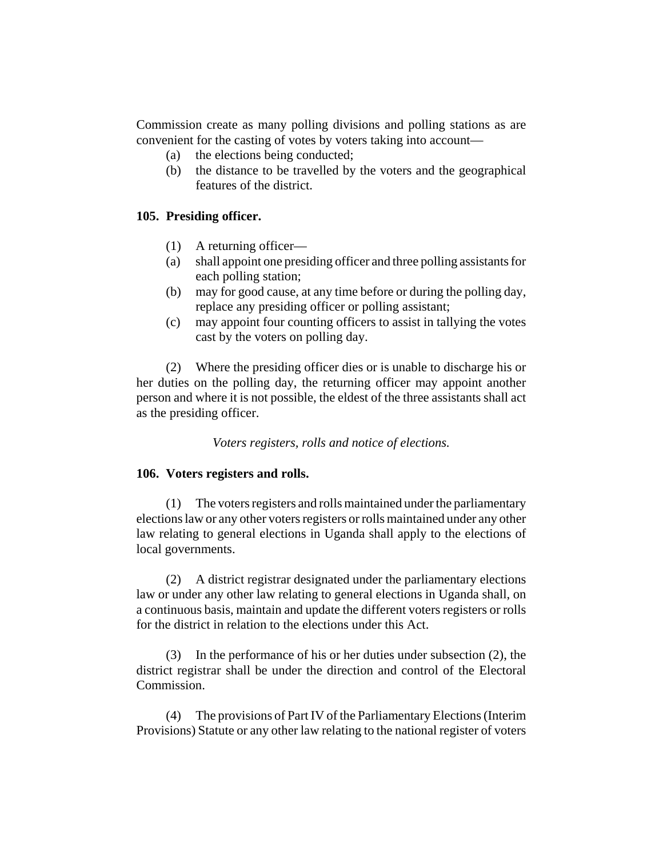Commission create as many polling divisions and polling stations as are convenient for the casting of votes by voters taking into account—

- (a) the elections being conducted;
- (b) the distance to be travelled by the voters and the geographical features of the district.

# **105. Presiding officer.**

- (1) A returning officer—
- (a) shall appoint one presiding officer and three polling assistants for each polling station;
- (b) may for good cause, at any time before or during the polling day, replace any presiding officer or polling assistant;
- (c) may appoint four counting officers to assist in tallying the votes cast by the voters on polling day.

(2) Where the presiding officer dies or is unable to discharge his or her duties on the polling day, the returning officer may appoint another person and where it is not possible, the eldest of the three assistants shall act as the presiding officer.

*Voters registers, rolls and notice of elections.*

## **106. Voters registers and rolls.**

(1) The voters registers and rolls maintained under the parliamentary elections law or any other voters registers or rolls maintained under any other law relating to general elections in Uganda shall apply to the elections of local governments.

(2) A district registrar designated under the parliamentary elections law or under any other law relating to general elections in Uganda shall, on a continuous basis, maintain and update the different voters registers or rolls for the district in relation to the elections under this Act.

(3) In the performance of his or her duties under subsection (2), the district registrar shall be under the direction and control of the Electoral Commission.

(4) The provisions of Part IV of the Parliamentary Elections (Interim Provisions) Statute or any other law relating to the national register of voters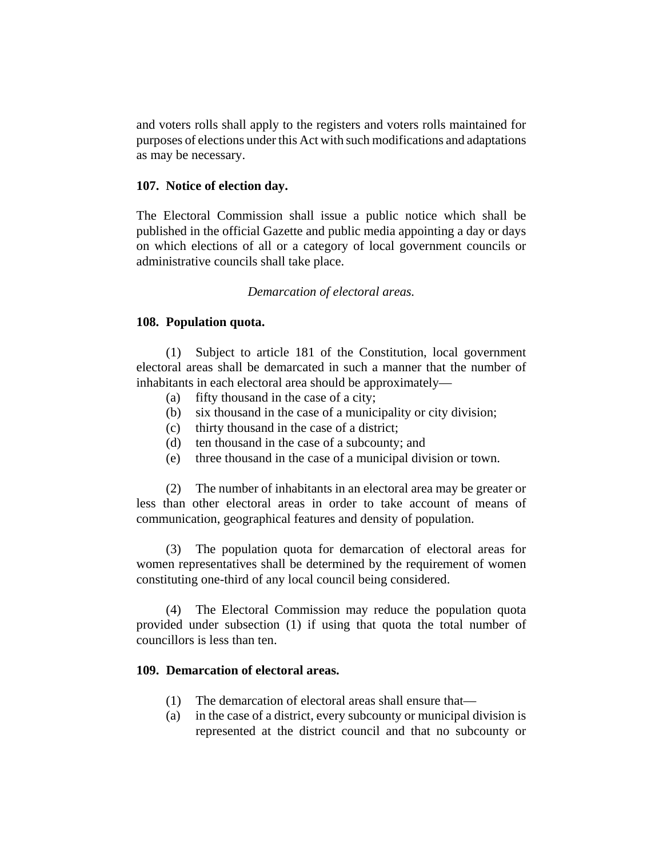and voters rolls shall apply to the registers and voters rolls maintained for purposes of elections under this Act with such modifications and adaptations as may be necessary.

#### **107. Notice of election day.**

The Electoral Commission shall issue a public notice which shall be published in the official Gazette and public media appointing a day or days on which elections of all or a category of local government councils or administrative councils shall take place.

### *Demarcation of electoral areas.*

### **108. Population quota.**

(1) Subject to article 181 of the Constitution, local government electoral areas shall be demarcated in such a manner that the number of inhabitants in each electoral area should be approximately—

- (a) fifty thousand in the case of a city;
- (b) six thousand in the case of a municipality or city division;
- (c) thirty thousand in the case of a district;
- (d) ten thousand in the case of a subcounty; and
- (e) three thousand in the case of a municipal division or town.

(2) The number of inhabitants in an electoral area may be greater or less than other electoral areas in order to take account of means of communication, geographical features and density of population.

(3) The population quota for demarcation of electoral areas for women representatives shall be determined by the requirement of women constituting one-third of any local council being considered.

(4) The Electoral Commission may reduce the population quota provided under subsection (1) if using that quota the total number of councillors is less than ten.

#### **109. Demarcation of electoral areas.**

- (1) The demarcation of electoral areas shall ensure that—
- (a) in the case of a district, every subcounty or municipal division is represented at the district council and that no subcounty or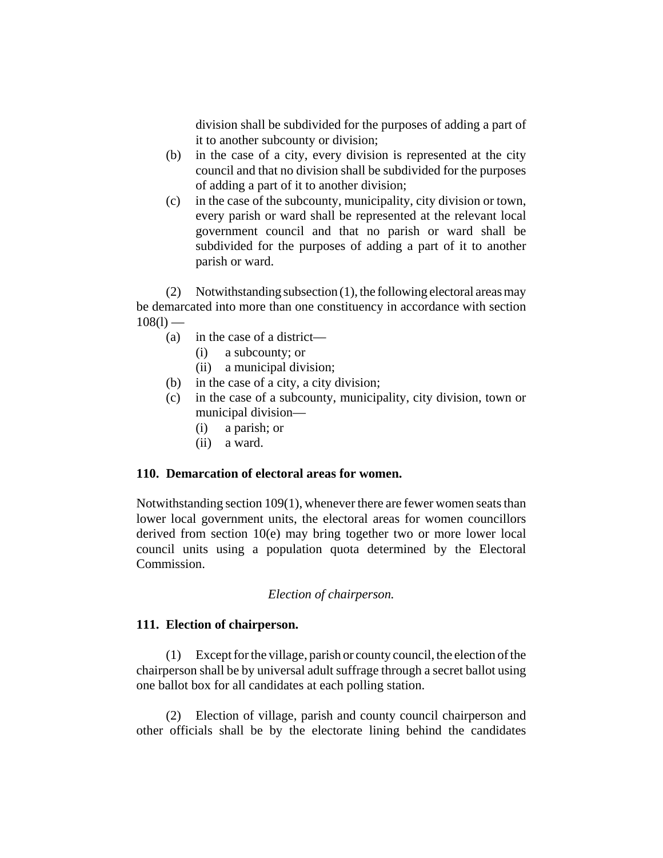division shall be subdivided for the purposes of adding a part of it to another subcounty or division;

- (b) in the case of a city, every division is represented at the city council and that no division shall be subdivided for the purposes of adding a part of it to another division;
- (c) in the case of the subcounty, municipality, city division or town, every parish or ward shall be represented at the relevant local government council and that no parish or ward shall be subdivided for the purposes of adding a part of it to another parish or ward.

(2) Notwithstanding subsection (1), the following electoral areas may be demarcated into more than one constituency in accordance with section  $108(1)$  —

- (a) in the case of a district—
	- (i) a subcounty; or
	- (ii) a municipal division;
- (b) in the case of a city, a city division;
- (c) in the case of a subcounty, municipality, city division, town or municipal division—
	- (i) a parish; or
	- (ii) a ward.

#### **110. Demarcation of electoral areas for women.**

Notwithstanding section 109(1), whenever there are fewer women seats than lower local government units, the electoral areas for women councillors derived from section 10(e) may bring together two or more lower local council units using a population quota determined by the Electoral Commission.

## *Election of chairperson.*

#### **111. Election of chairperson.**

(1) Except for the village, parish or county council, the election of the chairperson shall be by universal adult suffrage through a secret ballot using one ballot box for all candidates at each polling station.

(2) Election of village, parish and county council chairperson and other officials shall be by the electorate lining behind the candidates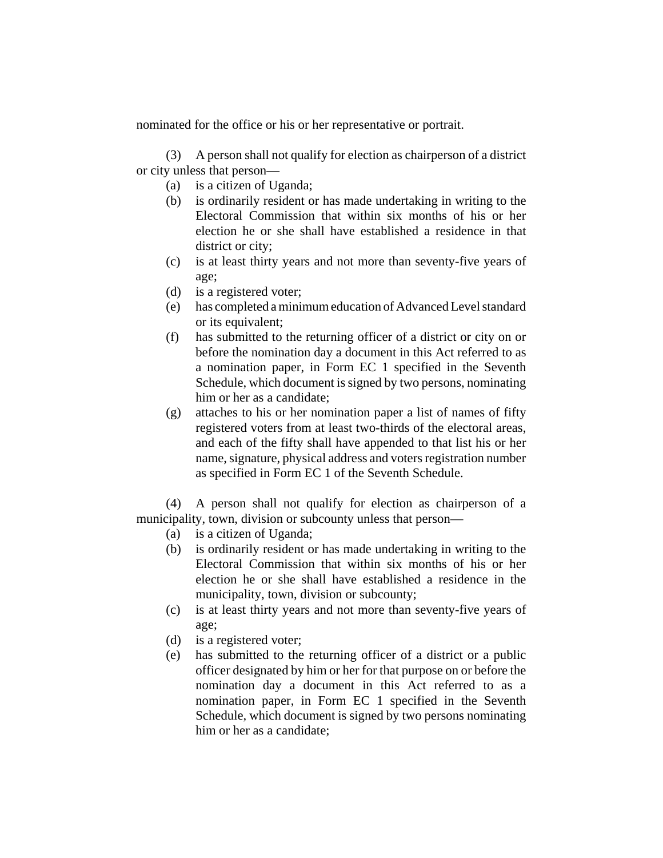nominated for the office or his or her representative or portrait.

(3) A person shall not qualify for election as chairperson of a district or city unless that person—

- (a) is a citizen of Uganda;
- (b) is ordinarily resident or has made undertaking in writing to the Electoral Commission that within six months of his or her election he or she shall have established a residence in that district or city;
- (c) is at least thirty years and not more than seventy-five years of age;
- (d) is a registered voter;
- (e) has completed a minimum education of Advanced Level standard or its equivalent;
- (f) has submitted to the returning officer of a district or city on or before the nomination day a document in this Act referred to as a nomination paper, in Form EC 1 specified in the Seventh Schedule, which document is signed by two persons, nominating him or her as a candidate;
- (g) attaches to his or her nomination paper a list of names of fifty registered voters from at least two-thirds of the electoral areas, and each of the fifty shall have appended to that list his or her name, signature, physical address and voters registration number as specified in Form EC 1 of the Seventh Schedule.

(4) A person shall not qualify for election as chairperson of a municipality, town, division or subcounty unless that person—

- (a) is a citizen of Uganda;
- (b) is ordinarily resident or has made undertaking in writing to the Electoral Commission that within six months of his or her election he or she shall have established a residence in the municipality, town, division or subcounty;
- (c) is at least thirty years and not more than seventy-five years of age;
- (d) is a registered voter;
- (e) has submitted to the returning officer of a district or a public officer designated by him or her for that purpose on or before the nomination day a document in this Act referred to as a nomination paper, in Form EC 1 specified in the Seventh Schedule, which document is signed by two persons nominating him or her as a candidate;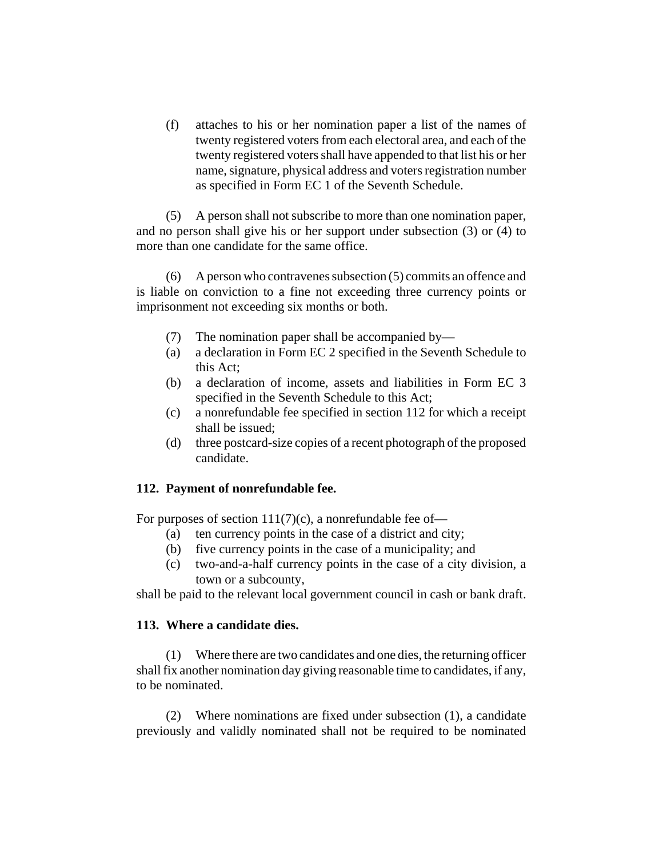(f) attaches to his or her nomination paper a list of the names of twenty registered voters from each electoral area, and each of the twenty registered voters shall have appended to that list his or her name, signature, physical address and voters registration number as specified in Form EC 1 of the Seventh Schedule.

(5) A person shall not subscribe to more than one nomination paper, and no person shall give his or her support under subsection (3) or (4) to more than one candidate for the same office.

(6) A person who contravenes subsection (5) commits an offence and is liable on conviction to a fine not exceeding three currency points or imprisonment not exceeding six months or both.

- (7) The nomination paper shall be accompanied by—
- (a) a declaration in Form EC 2 specified in the Seventh Schedule to this Act;
- (b) a declaration of income, assets and liabilities in Form EC 3 specified in the Seventh Schedule to this Act;
- (c) a nonrefundable fee specified in section 112 for which a receipt shall be issued;
- (d) three postcard-size copies of a recent photograph of the proposed candidate.

## **112. Payment of nonrefundable fee.**

For purposes of section  $111(7)(c)$ , a nonrefundable fee of-

- (a) ten currency points in the case of a district and city;
- (b) five currency points in the case of a municipality; and
- (c) two-and-a-half currency points in the case of a city division, a town or a subcounty,

shall be paid to the relevant local government council in cash or bank draft.

## **113. Where a candidate dies.**

(1) Where there are two candidates and one dies, the returning officer shall fix another nomination day giving reasonable time to candidates, if any, to be nominated.

(2) Where nominations are fixed under subsection (1), a candidate previously and validly nominated shall not be required to be nominated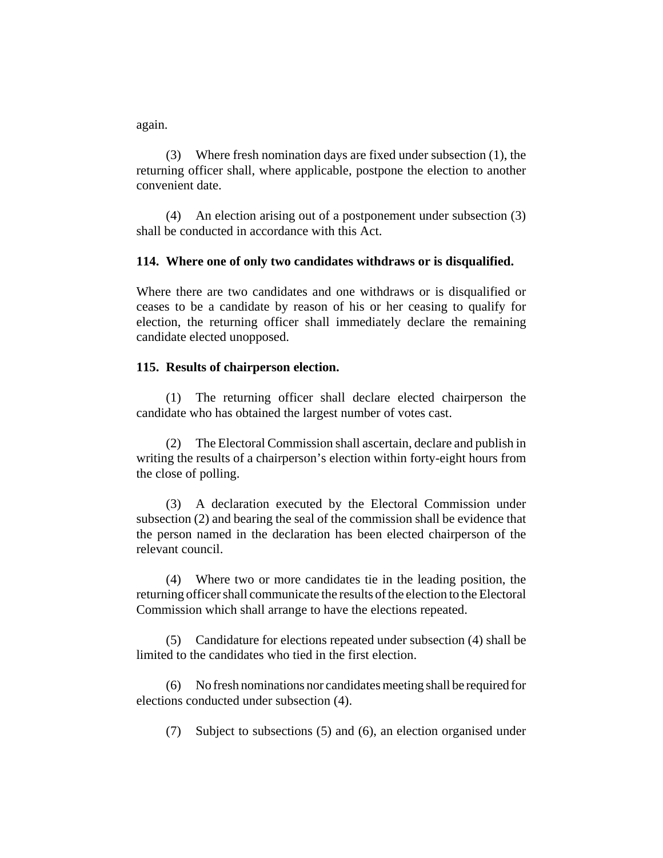again.

(3) Where fresh nomination days are fixed under subsection (1), the returning officer shall, where applicable, postpone the election to another convenient date.

(4) An election arising out of a postponement under subsection (3) shall be conducted in accordance with this Act.

### **114. Where one of only two candidates withdraws or is disqualified.**

Where there are two candidates and one withdraws or is disqualified or ceases to be a candidate by reason of his or her ceasing to qualify for election, the returning officer shall immediately declare the remaining candidate elected unopposed.

### **115. Results of chairperson election.**

(1) The returning officer shall declare elected chairperson the candidate who has obtained the largest number of votes cast.

(2) The Electoral Commission shall ascertain, declare and publish in writing the results of a chairperson's election within forty-eight hours from the close of polling.

(3) A declaration executed by the Electoral Commission under subsection (2) and bearing the seal of the commission shall be evidence that the person named in the declaration has been elected chairperson of the relevant council.

(4) Where two or more candidates tie in the leading position, the returning officer shall communicate the results of the election to the Electoral Commission which shall arrange to have the elections repeated.

(5) Candidature for elections repeated under subsection (4) shall be limited to the candidates who tied in the first election.

(6) No fresh nominations nor candidates meeting shall be required for elections conducted under subsection (4).

(7) Subject to subsections (5) and (6), an election organised under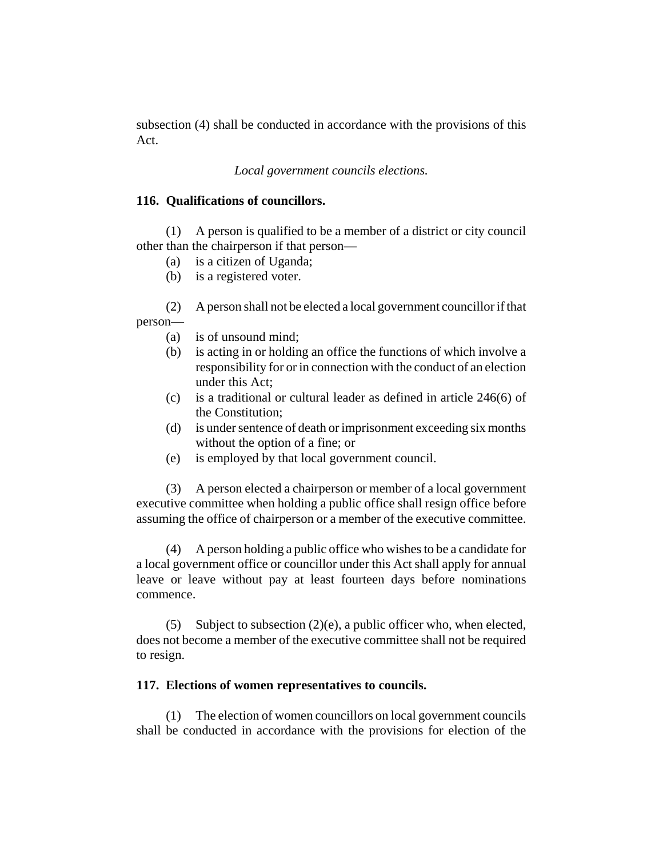subsection (4) shall be conducted in accordance with the provisions of this Act.

## *Local government councils elections.*

### **116. Qualifications of councillors.**

(1) A person is qualified to be a member of a district or city council other than the chairperson if that person—

- (a) is a citizen of Uganda;
- (b) is a registered voter.

(2) A person shall not be elected a local government councillor if that person—

- (a) is of unsound mind;
- (b) is acting in or holding an office the functions of which involve a responsibility for or in connection with the conduct of an election under this Act;
- (c) is a traditional or cultural leader as defined in article 246(6) of the Constitution;
- (d) is under sentence of death or imprisonment exceeding six months without the option of a fine; or
- (e) is employed by that local government council.

(3) A person elected a chairperson or member of a local government executive committee when holding a public office shall resign office before assuming the office of chairperson or a member of the executive committee.

(4) A person holding a public office who wishes to be a candidate for a local government office or councillor under this Act shall apply for annual leave or leave without pay at least fourteen days before nominations commence.

(5) Subject to subsection (2)(e), a public officer who, when elected, does not become a member of the executive committee shall not be required to resign.

## **117. Elections of women representatives to councils.**

(1) The election of women councillors on local government councils shall be conducted in accordance with the provisions for election of the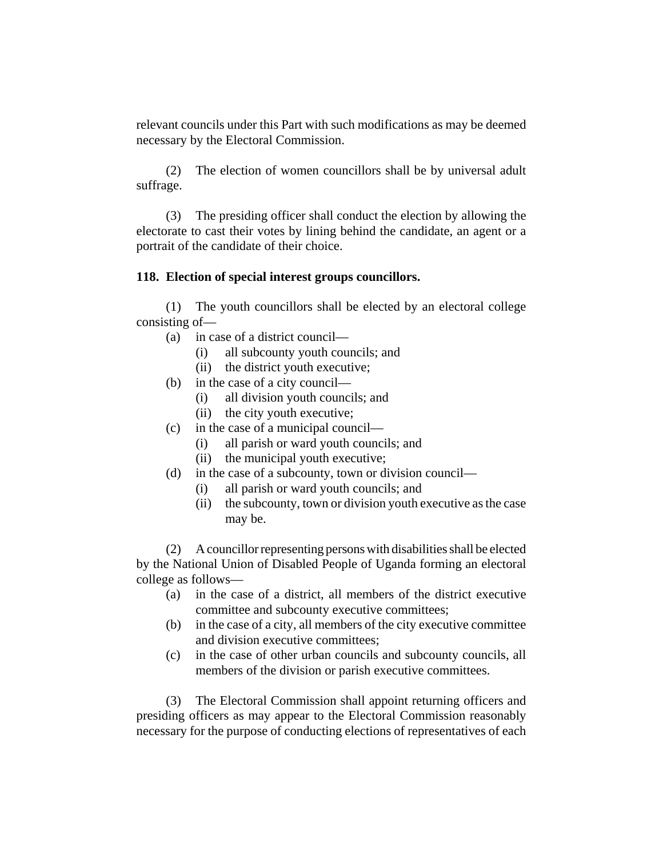relevant councils under this Part with such modifications as may be deemed necessary by the Electoral Commission.

(2) The election of women councillors shall be by universal adult suffrage.

(3) The presiding officer shall conduct the election by allowing the electorate to cast their votes by lining behind the candidate, an agent or a portrait of the candidate of their choice.

## **118. Election of special interest groups councillors.**

(1) The youth councillors shall be elected by an electoral college consisting of—

- (a) in case of a district council—
	- (i) all subcounty youth councils; and
	- (ii) the district youth executive;
- (b) in the case of a city council—
	- (i) all division youth councils; and
	- (ii) the city youth executive;
- (c) in the case of a municipal council—
	- (i) all parish or ward youth councils; and
	- (ii) the municipal youth executive;
- (d) in the case of a subcounty, town or division council—
	- (i) all parish or ward youth councils; and
	- (ii) the subcounty, town or division youth executive as the case may be.

(2) A councillor representing persons with disabilities shall be elected by the National Union of Disabled People of Uganda forming an electoral college as follows—

- (a) in the case of a district, all members of the district executive committee and subcounty executive committees;
- (b) in the case of a city, all members of the city executive committee and division executive committees;
- (c) in the case of other urban councils and subcounty councils, all members of the division or parish executive committees.

(3) The Electoral Commission shall appoint returning officers and presiding officers as may appear to the Electoral Commission reasonably necessary for the purpose of conducting elections of representatives of each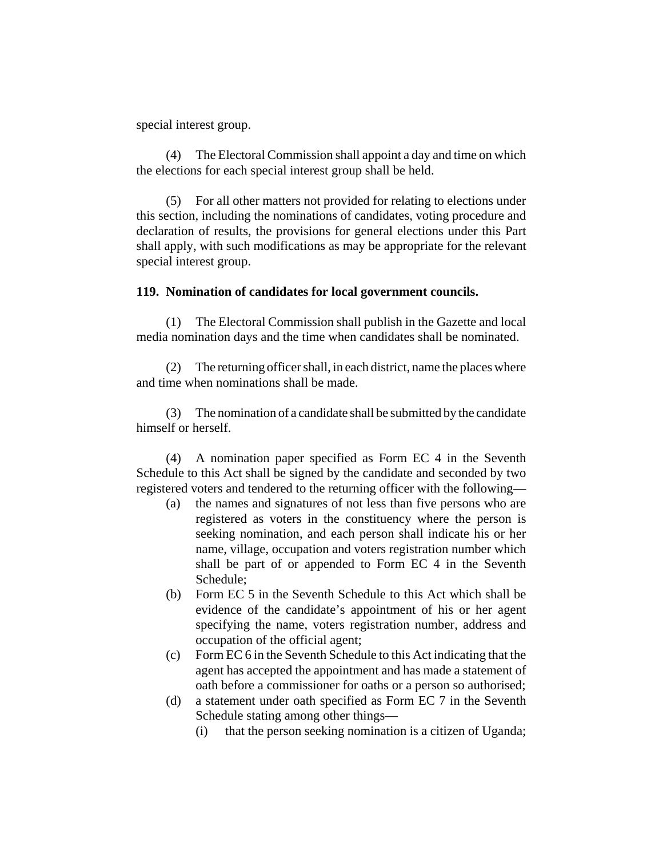special interest group.

(4) The Electoral Commission shall appoint a day and time on which the elections for each special interest group shall be held.

(5) For all other matters not provided for relating to elections under this section, including the nominations of candidates, voting procedure and declaration of results, the provisions for general elections under this Part shall apply, with such modifications as may be appropriate for the relevant special interest group.

#### **119. Nomination of candidates for local government councils.**

(1) The Electoral Commission shall publish in the Gazette and local media nomination days and the time when candidates shall be nominated.

(2) The returning officer shall, in each district, name the places where and time when nominations shall be made.

(3) The nomination of a candidate shall be submitted by the candidate himself or herself.

(4) A nomination paper specified as Form EC 4 in the Seventh Schedule to this Act shall be signed by the candidate and seconded by two registered voters and tendered to the returning officer with the following—

- (a) the names and signatures of not less than five persons who are registered as voters in the constituency where the person is seeking nomination, and each person shall indicate his or her name, village, occupation and voters registration number which shall be part of or appended to Form EC 4 in the Seventh Schedule;
- (b) Form EC 5 in the Seventh Schedule to this Act which shall be evidence of the candidate's appointment of his or her agent specifying the name, voters registration number, address and occupation of the official agent;
- (c) Form EC 6 in the Seventh Schedule to this Act indicating that the agent has accepted the appointment and has made a statement of oath before a commissioner for oaths or a person so authorised;
- (d) a statement under oath specified as Form EC 7 in the Seventh Schedule stating among other things—
	- (i) that the person seeking nomination is a citizen of Uganda;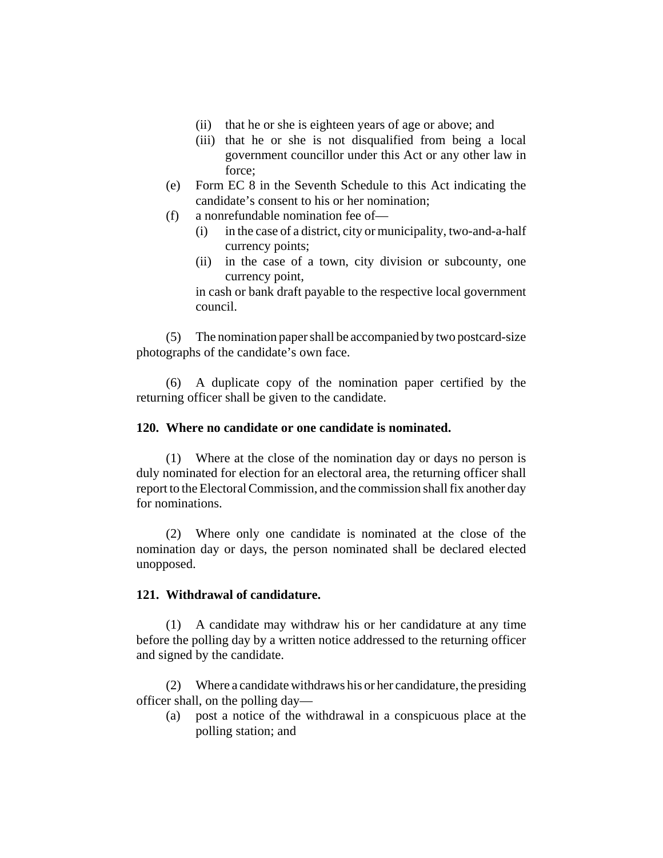- (ii) that he or she is eighteen years of age or above; and
- (iii) that he or she is not disqualified from being a local government councillor under this Act or any other law in force;
- (e) Form EC 8 in the Seventh Schedule to this Act indicating the candidate's consent to his or her nomination;
- (f) a nonrefundable nomination fee of—
	- (i) in the case of a district, city or municipality, two-and-a-half currency points;
	- (ii) in the case of a town, city division or subcounty, one currency point,

in cash or bank draft payable to the respective local government council.

(5) The nomination paper shall be accompanied by two postcard-size photographs of the candidate's own face.

(6) A duplicate copy of the nomination paper certified by the returning officer shall be given to the candidate.

### **120. Where no candidate or one candidate is nominated.**

(1) Where at the close of the nomination day or days no person is duly nominated for election for an electoral area, the returning officer shall report to the Electoral Commission, and the commission shall fix another day for nominations.

(2) Where only one candidate is nominated at the close of the nomination day or days, the person nominated shall be declared elected unopposed.

#### **121. Withdrawal of candidature.**

(1) A candidate may withdraw his or her candidature at any time before the polling day by a written notice addressed to the returning officer and signed by the candidate.

(2) Where a candidate withdraws his or her candidature, the presiding officer shall, on the polling day—

(a) post a notice of the withdrawal in a conspicuous place at the polling station; and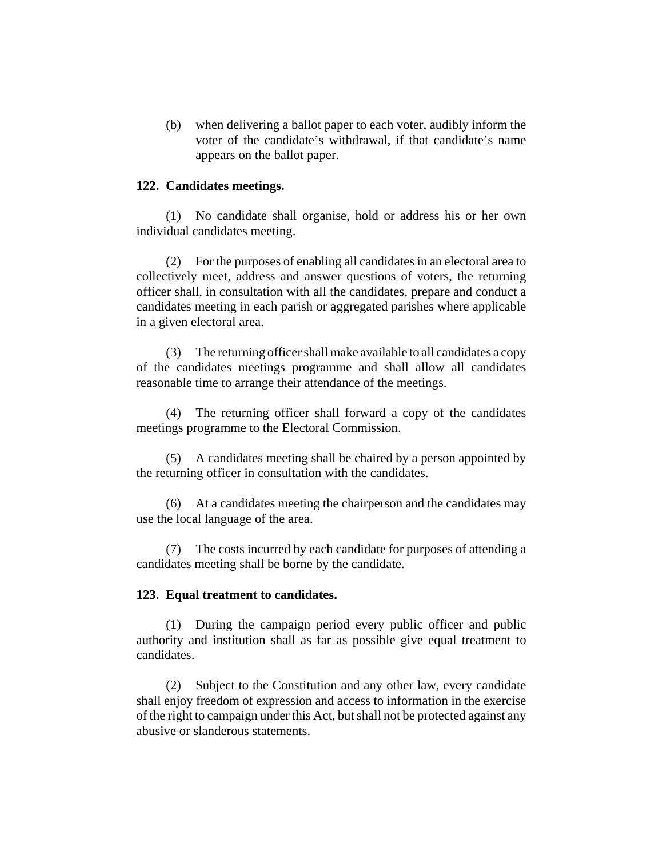(b) when delivering a ballot paper to each voter, audibly inform the voter of the candidate's withdrawal, if that candidate's name appears on the ballot paper.

#### **122. Candidates meetings.**

(1) No candidate shall organise, hold or address his or her own individual candidates meeting.

(2) For the purposes of enabling all candidates in an electoral area to collectively meet, address and answer questions of voters, the returning officer shall, in consultation with all the candidates, prepare and conduct a candidates meeting in each parish or aggregated parishes where applicable in a given electoral area.

(3) The returning officer shall make available to all candidates a copy of the candidates meetings programme and shall allow all candidates reasonable time to arrange their attendance of the meetings.

(4) The returning officer shall forward a copy of the candidates meetings programme to the Electoral Commission.

(5) A candidates meeting shall be chaired by a person appointed by the returning officer in consultation with the candidates.

(6) At a candidates meeting the chairperson and the candidates may use the local language of the area.

(7) The costs incurred by each candidate for purposes of attending a candidates meeting shall be borne by the candidate.

#### **123. Equal treatment to candidates.**

(1) During the campaign period every public officer and public authority and institution shall as far as possible give equal treatment to candidates.

(2) Subject to the Constitution and any other law, every candidate shall enjoy freedom of expression and access to information in the exercise of the right to campaign under this Act, but shall not be protected against any abusive or slanderous statements.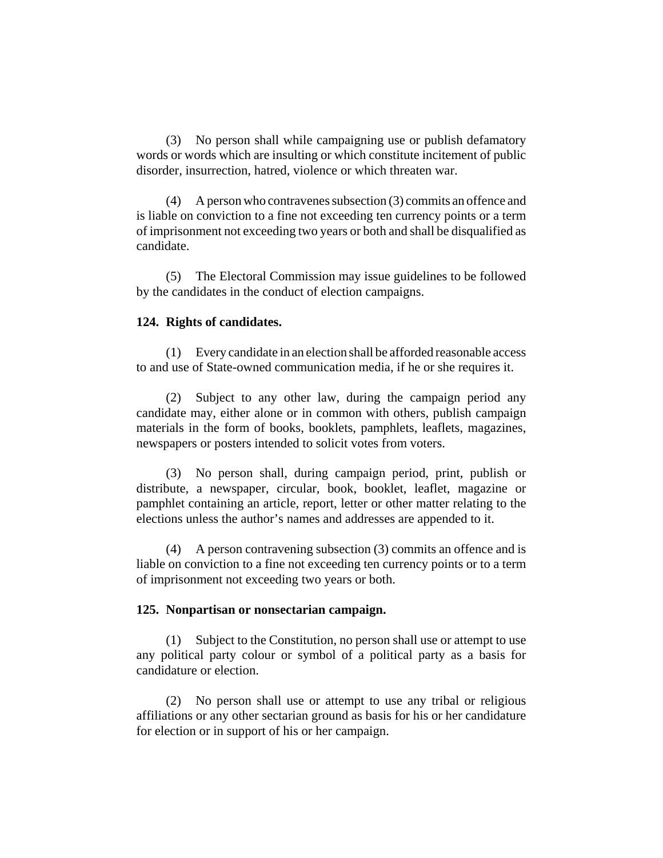(3) No person shall while campaigning use or publish defamatory words or words which are insulting or which constitute incitement of public disorder, insurrection, hatred, violence or which threaten war.

(4) A person who contravenes subsection (3) commits an offence and is liable on conviction to a fine not exceeding ten currency points or a term of imprisonment not exceeding two years or both and shall be disqualified as candidate.

(5) The Electoral Commission may issue guidelines to be followed by the candidates in the conduct of election campaigns.

### **124. Rights of candidates.**

(1) Every candidate in an election shall be afforded reasonable access to and use of State-owned communication media, if he or she requires it.

(2) Subject to any other law, during the campaign period any candidate may, either alone or in common with others, publish campaign materials in the form of books, booklets, pamphlets, leaflets, magazines, newspapers or posters intended to solicit votes from voters.

(3) No person shall, during campaign period, print, publish or distribute, a newspaper, circular, book, booklet, leaflet, magazine or pamphlet containing an article, report, letter or other matter relating to the elections unless the author's names and addresses are appended to it.

(4) A person contravening subsection (3) commits an offence and is liable on conviction to a fine not exceeding ten currency points or to a term of imprisonment not exceeding two years or both.

#### **125. Nonpartisan or nonsectarian campaign.**

(1) Subject to the Constitution, no person shall use or attempt to use any political party colour or symbol of a political party as a basis for candidature or election.

(2) No person shall use or attempt to use any tribal or religious affiliations or any other sectarian ground as basis for his or her candidature for election or in support of his or her campaign.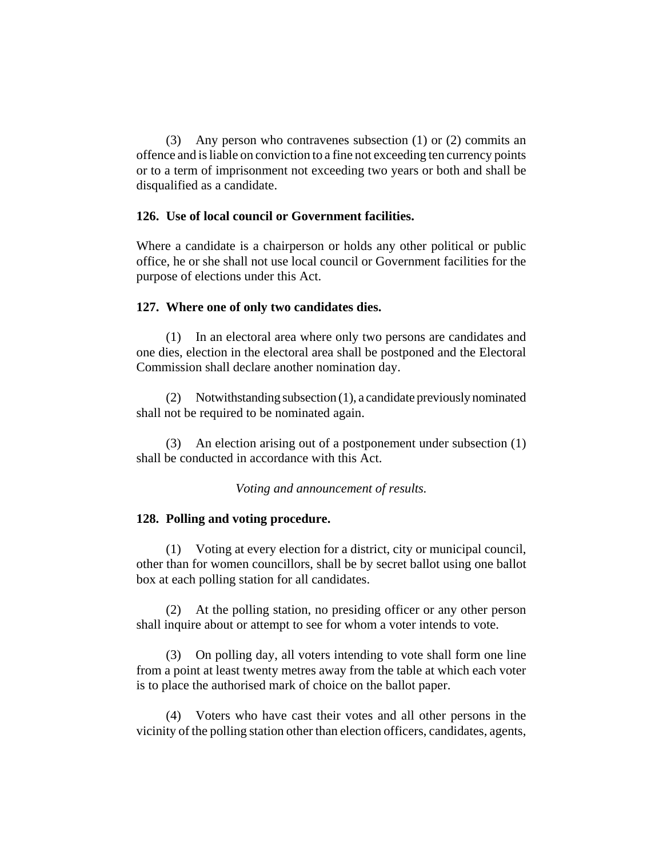(3) Any person who contravenes subsection (1) or (2) commits an offence and is liable on conviction to a fine not exceeding ten currency points or to a term of imprisonment not exceeding two years or both and shall be disqualified as a candidate.

### **126. Use of local council or Government facilities.**

Where a candidate is a chairperson or holds any other political or public office, he or she shall not use local council or Government facilities for the purpose of elections under this Act.

#### **127. Where one of only two candidates dies.**

(1) In an electoral area where only two persons are candidates and one dies, election in the electoral area shall be postponed and the Electoral Commission shall declare another nomination day.

(2) Notwithstanding subsection (1), a candidate previously nominated shall not be required to be nominated again.

(3) An election arising out of a postponement under subsection (1) shall be conducted in accordance with this Act.

*Voting and announcement of results.*

### **128. Polling and voting procedure.**

(1) Voting at every election for a district, city or municipal council, other than for women councillors, shall be by secret ballot using one ballot box at each polling station for all candidates.

(2) At the polling station, no presiding officer or any other person shall inquire about or attempt to see for whom a voter intends to vote.

(3) On polling day, all voters intending to vote shall form one line from a point at least twenty metres away from the table at which each voter is to place the authorised mark of choice on the ballot paper.

(4) Voters who have cast their votes and all other persons in the vicinity of the polling station other than election officers, candidates, agents,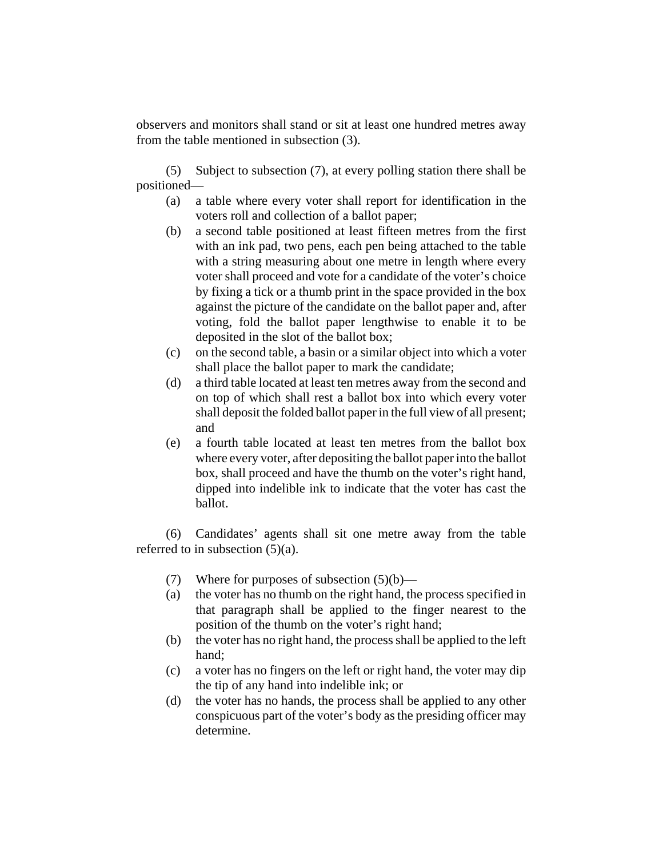observers and monitors shall stand or sit at least one hundred metres away from the table mentioned in subsection (3).

(5) Subject to subsection (7), at every polling station there shall be positioned—

- (a) a table where every voter shall report for identification in the voters roll and collection of a ballot paper;
- (b) a second table positioned at least fifteen metres from the first with an ink pad, two pens, each pen being attached to the table with a string measuring about one metre in length where every voter shall proceed and vote for a candidate of the voter's choice by fixing a tick or a thumb print in the space provided in the box against the picture of the candidate on the ballot paper and, after voting, fold the ballot paper lengthwise to enable it to be deposited in the slot of the ballot box;
- (c) on the second table, a basin or a similar object into which a voter shall place the ballot paper to mark the candidate;
- (d) a third table located at least ten metres away from the second and on top of which shall rest a ballot box into which every voter shall deposit the folded ballot paper in the full view of all present; and
- (e) a fourth table located at least ten metres from the ballot box where every voter, after depositing the ballot paper into the ballot box, shall proceed and have the thumb on the voter's right hand, dipped into indelible ink to indicate that the voter has cast the ballot.

(6) Candidates' agents shall sit one metre away from the table referred to in subsection (5)(a).

- (7) Where for purposes of subsection  $(5)(b)$ —
- (a) the voter has no thumb on the right hand, the process specified in that paragraph shall be applied to the finger nearest to the position of the thumb on the voter's right hand;
- (b) the voter has no right hand, the process shall be applied to the left hand;
- (c) a voter has no fingers on the left or right hand, the voter may dip the tip of any hand into indelible ink; or
- (d) the voter has no hands, the process shall be applied to any other conspicuous part of the voter's body as the presiding officer may determine.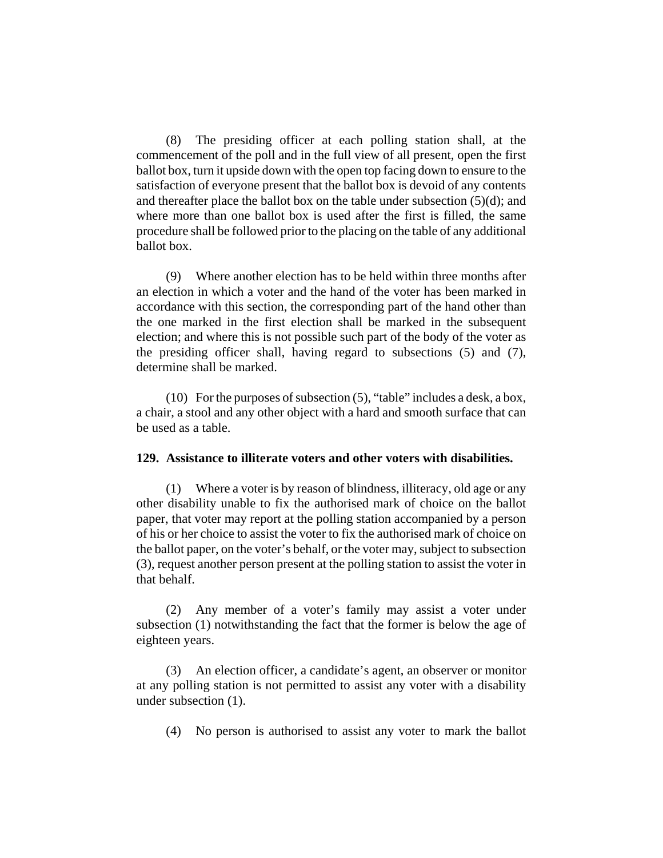(8) The presiding officer at each polling station shall, at the commencement of the poll and in the full view of all present, open the first ballot box, turn it upside down with the open top facing down to ensure to the satisfaction of everyone present that the ballot box is devoid of any contents and thereafter place the ballot box on the table under subsection  $(5)(d)$ ; and where more than one ballot box is used after the first is filled, the same procedure shall be followed prior to the placing on the table of any additional ballot box.

(9) Where another election has to be held within three months after an election in which a voter and the hand of the voter has been marked in accordance with this section, the corresponding part of the hand other than the one marked in the first election shall be marked in the subsequent election; and where this is not possible such part of the body of the voter as the presiding officer shall, having regard to subsections (5) and (7), determine shall be marked.

(10) For the purposes of subsection (5), "table" includes a desk, a box, a chair, a stool and any other object with a hard and smooth surface that can be used as a table.

#### **129. Assistance to illiterate voters and other voters with disabilities.**

(1) Where a voter is by reason of blindness, illiteracy, old age or any other disability unable to fix the authorised mark of choice on the ballot paper, that voter may report at the polling station accompanied by a person of his or her choice to assist the voter to fix the authorised mark of choice on the ballot paper, on the voter's behalf, or the voter may, subject to subsection (3), request another person present at the polling station to assist the voter in that behalf.

(2) Any member of a voter's family may assist a voter under subsection (1) notwithstanding the fact that the former is below the age of eighteen years.

(3) An election officer, a candidate's agent, an observer or monitor at any polling station is not permitted to assist any voter with a disability under subsection (1).

(4) No person is authorised to assist any voter to mark the ballot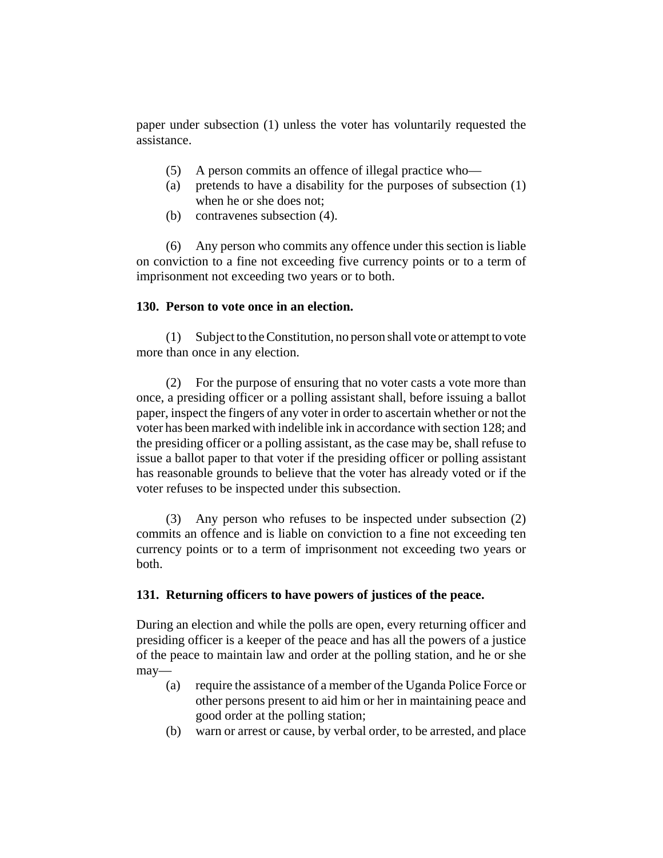paper under subsection (1) unless the voter has voluntarily requested the assistance.

- (5) A person commits an offence of illegal practice who—
- (a) pretends to have a disability for the purposes of subsection (1) when he or she does not;
- (b) contravenes subsection (4).

(6) Any person who commits any offence under this section is liable on conviction to a fine not exceeding five currency points or to a term of imprisonment not exceeding two years or to both.

### **130. Person to vote once in an election.**

(1) Subject to the Constitution, no person shall vote or attempt to vote more than once in any election.

(2) For the purpose of ensuring that no voter casts a vote more than once, a presiding officer or a polling assistant shall, before issuing a ballot paper, inspect the fingers of any voter in order to ascertain whether or not the voter has been marked with indelible ink in accordance with section 128; and the presiding officer or a polling assistant, as the case may be, shall refuse to issue a ballot paper to that voter if the presiding officer or polling assistant has reasonable grounds to believe that the voter has already voted or if the voter refuses to be inspected under this subsection.

(3) Any person who refuses to be inspected under subsection (2) commits an offence and is liable on conviction to a fine not exceeding ten currency points or to a term of imprisonment not exceeding two years or both.

## **131. Returning officers to have powers of justices of the peace.**

During an election and while the polls are open, every returning officer and presiding officer is a keeper of the peace and has all the powers of a justice of the peace to maintain law and order at the polling station, and he or she may—

- (a) require the assistance of a member of the Uganda Police Force or other persons present to aid him or her in maintaining peace and good order at the polling station;
- (b) warn or arrest or cause, by verbal order, to be arrested, and place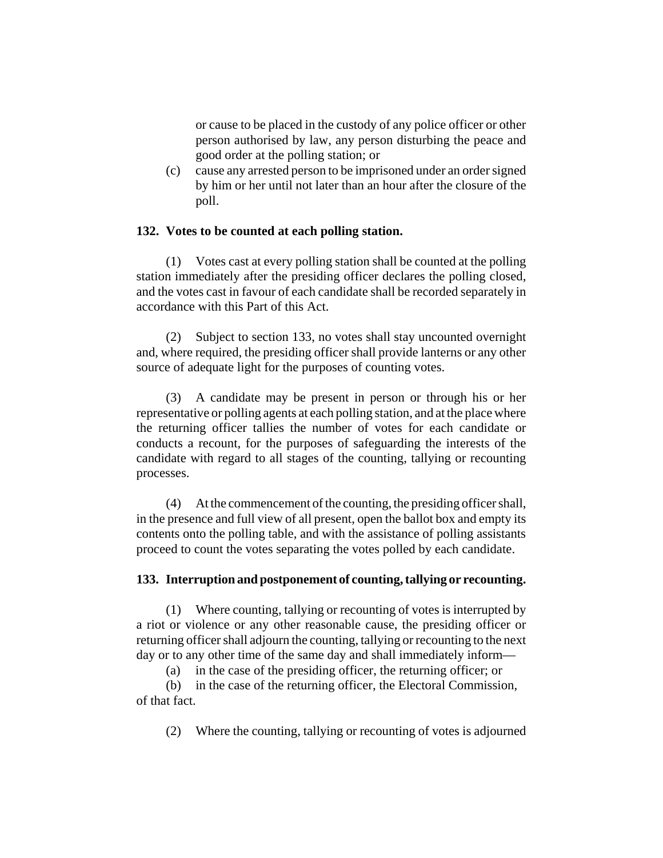or cause to be placed in the custody of any police officer or other person authorised by law, any person disturbing the peace and good order at the polling station; or

(c) cause any arrested person to be imprisoned under an order signed by him or her until not later than an hour after the closure of the poll.

### **132. Votes to be counted at each polling station.**

(1) Votes cast at every polling station shall be counted at the polling station immediately after the presiding officer declares the polling closed, and the votes cast in favour of each candidate shall be recorded separately in accordance with this Part of this Act.

(2) Subject to section 133, no votes shall stay uncounted overnight and, where required, the presiding officer shall provide lanterns or any other source of adequate light for the purposes of counting votes.

(3) A candidate may be present in person or through his or her representative or polling agents at each polling station, and at the place where the returning officer tallies the number of votes for each candidate or conducts a recount, for the purposes of safeguarding the interests of the candidate with regard to all stages of the counting, tallying or recounting processes.

(4) At the commencement of the counting, the presiding officer shall, in the presence and full view of all present, open the ballot box and empty its contents onto the polling table, and with the assistance of polling assistants proceed to count the votes separating the votes polled by each candidate.

#### **133. Interruption and postponement of counting, tallying or recounting.**

(1) Where counting, tallying or recounting of votes is interrupted by a riot or violence or any other reasonable cause, the presiding officer or returning officer shall adjourn the counting, tallying or recounting to the next day or to any other time of the same day and shall immediately inform—

(a) in the case of the presiding officer, the returning officer; or

(b) in the case of the returning officer, the Electoral Commission, of that fact.

(2) Where the counting, tallying or recounting of votes is adjourned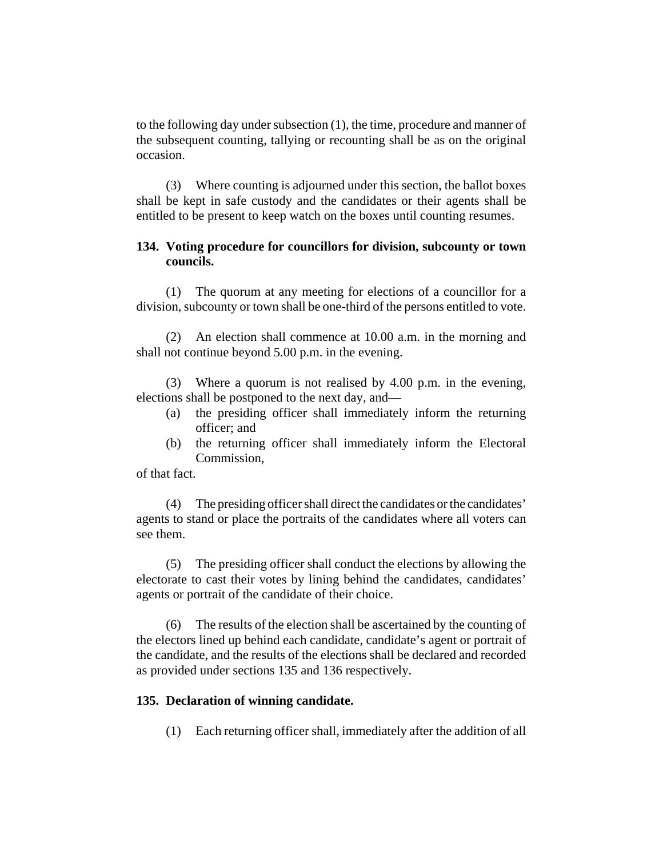to the following day under subsection (1), the time, procedure and manner of the subsequent counting, tallying or recounting shall be as on the original occasion.

(3) Where counting is adjourned under this section, the ballot boxes shall be kept in safe custody and the candidates or their agents shall be entitled to be present to keep watch on the boxes until counting resumes.

## **134. Voting procedure for councillors for division, subcounty or town councils.**

(1) The quorum at any meeting for elections of a councillor for a division, subcounty or town shall be one-third of the persons entitled to vote.

(2) An election shall commence at 10.00 a.m. in the morning and shall not continue beyond 5.00 p.m. in the evening.

(3) Where a quorum is not realised by 4.00 p.m. in the evening, elections shall be postponed to the next day, and—

- (a) the presiding officer shall immediately inform the returning officer; and
- (b) the returning officer shall immediately inform the Electoral Commission,

of that fact.

(4) The presiding officer shall direct the candidates or the candidates' agents to stand or place the portraits of the candidates where all voters can see them.

(5) The presiding officer shall conduct the elections by allowing the electorate to cast their votes by lining behind the candidates, candidates' agents or portrait of the candidate of their choice.

(6) The results of the election shall be ascertained by the counting of the electors lined up behind each candidate, candidate's agent or portrait of the candidate, and the results of the elections shall be declared and recorded as provided under sections 135 and 136 respectively.

### **135. Declaration of winning candidate.**

(1) Each returning officer shall, immediately after the addition of all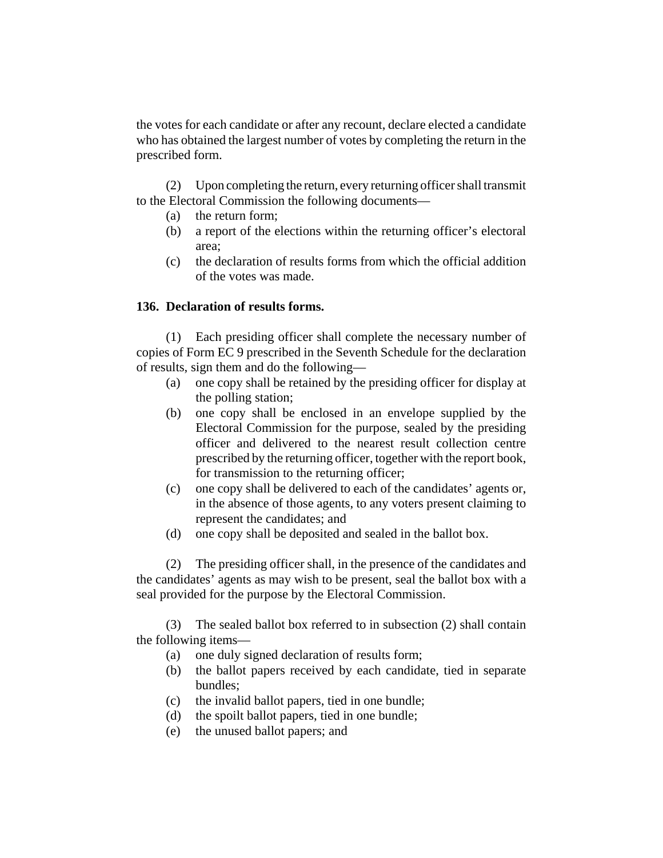the votes for each candidate or after any recount, declare elected a candidate who has obtained the largest number of votes by completing the return in the prescribed form.

(2) Upon completing the return, every returning officer shall transmit to the Electoral Commission the following documents—

- (a) the return form;
- (b) a report of the elections within the returning officer's electoral area;
- (c) the declaration of results forms from which the official addition of the votes was made.

# **136. Declaration of results forms.**

(1) Each presiding officer shall complete the necessary number of copies of Form EC 9 prescribed in the Seventh Schedule for the declaration of results, sign them and do the following—

- (a) one copy shall be retained by the presiding officer for display at the polling station;
- (b) one copy shall be enclosed in an envelope supplied by the Electoral Commission for the purpose, sealed by the presiding officer and delivered to the nearest result collection centre prescribed by the returning officer, together with the report book, for transmission to the returning officer;
- (c) one copy shall be delivered to each of the candidates' agents or, in the absence of those agents, to any voters present claiming to represent the candidates; and
- (d) one copy shall be deposited and sealed in the ballot box.

(2) The presiding officer shall, in the presence of the candidates and the candidates' agents as may wish to be present, seal the ballot box with a seal provided for the purpose by the Electoral Commission.

(3) The sealed ballot box referred to in subsection (2) shall contain the following items—

- (a) one duly signed declaration of results form;
- (b) the ballot papers received by each candidate, tied in separate bundles;
- (c) the invalid ballot papers, tied in one bundle;
- (d) the spoilt ballot papers, tied in one bundle;
- (e) the unused ballot papers; and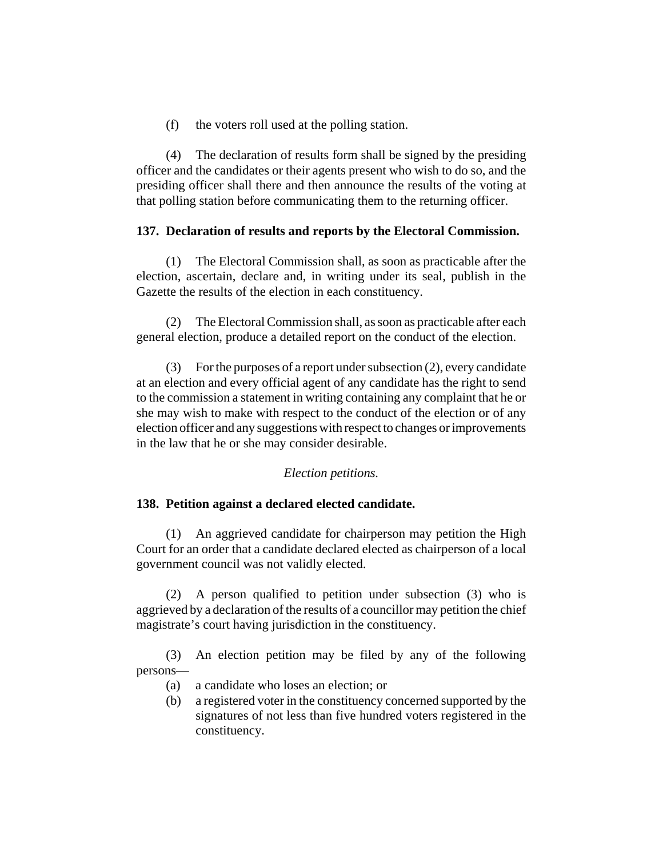(f) the voters roll used at the polling station.

(4) The declaration of results form shall be signed by the presiding officer and the candidates or their agents present who wish to do so, and the presiding officer shall there and then announce the results of the voting at that polling station before communicating them to the returning officer.

## **137. Declaration of results and reports by the Electoral Commission.**

(1) The Electoral Commission shall, as soon as practicable after the election, ascertain, declare and, in writing under its seal, publish in the Gazette the results of the election in each constituency.

(2) The Electoral Commission shall, as soon as practicable after each general election, produce a detailed report on the conduct of the election.

(3) For the purposes of a report under subsection (2), every candidate at an election and every official agent of any candidate has the right to send to the commission a statement in writing containing any complaint that he or she may wish to make with respect to the conduct of the election or of any election officer and any suggestions with respect to changes or improvements in the law that he or she may consider desirable.

## *Election petitions.*

### **138. Petition against a declared elected candidate.**

(1) An aggrieved candidate for chairperson may petition the High Court for an order that a candidate declared elected as chairperson of a local government council was not validly elected.

(2) A person qualified to petition under subsection (3) who is aggrieved by a declaration of the results of a councillor may petition the chief magistrate's court having jurisdiction in the constituency.

(3) An election petition may be filed by any of the following persons—

- (a) a candidate who loses an election; or
- (b) a registered voter in the constituency concerned supported by the signatures of not less than five hundred voters registered in the constituency.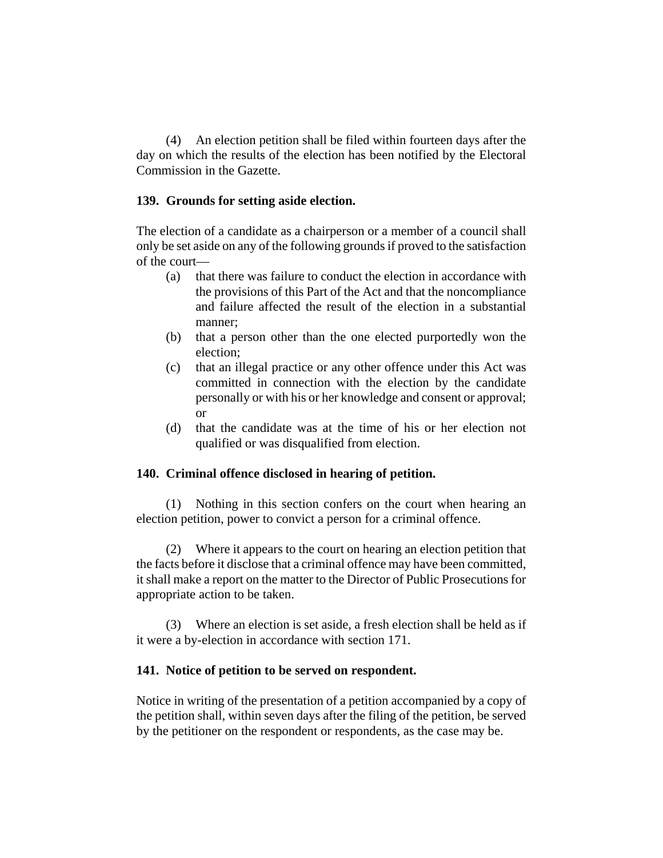(4) An election petition shall be filed within fourteen days after the day on which the results of the election has been notified by the Electoral Commission in the Gazette.

### **139. Grounds for setting aside election.**

The election of a candidate as a chairperson or a member of a council shall only be set aside on any of the following grounds if proved to the satisfaction of the court—

- (a) that there was failure to conduct the election in accordance with the provisions of this Part of the Act and that the noncompliance and failure affected the result of the election in a substantial manner;
- (b) that a person other than the one elected purportedly won the election;
- (c) that an illegal practice or any other offence under this Act was committed in connection with the election by the candidate personally or with his or her knowledge and consent or approval; or
- (d) that the candidate was at the time of his or her election not qualified or was disqualified from election.

## **140. Criminal offence disclosed in hearing of petition.**

(1) Nothing in this section confers on the court when hearing an election petition, power to convict a person for a criminal offence.

(2) Where it appears to the court on hearing an election petition that the facts before it disclose that a criminal offence may have been committed, it shall make a report on the matter to the Director of Public Prosecutions for appropriate action to be taken.

(3) Where an election is set aside, a fresh election shall be held as if it were a by-election in accordance with section 171.

### **141. Notice of petition to be served on respondent.**

Notice in writing of the presentation of a petition accompanied by a copy of the petition shall, within seven days after the filing of the petition, be served by the petitioner on the respondent or respondents, as the case may be.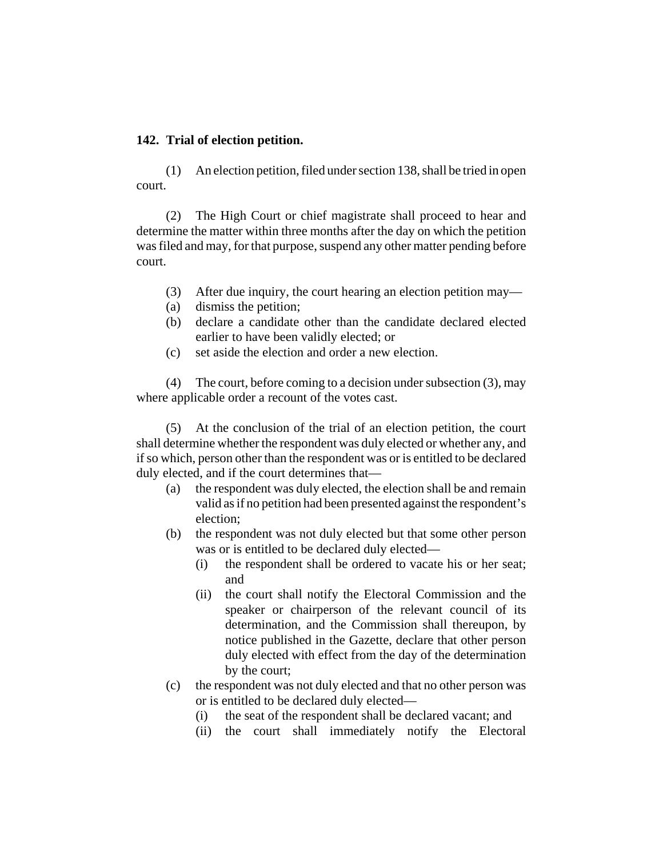### **142. Trial of election petition.**

(1) An election petition, filed under section 138, shall be tried in open court.

(2) The High Court or chief magistrate shall proceed to hear and determine the matter within three months after the day on which the petition was filed and may, for that purpose, suspend any other matter pending before court.

- (3) After due inquiry, the court hearing an election petition may—
- (a) dismiss the petition;
- (b) declare a candidate other than the candidate declared elected earlier to have been validly elected; or
- (c) set aside the election and order a new election.

(4) The court, before coming to a decision under subsection (3), may where applicable order a recount of the votes cast.

(5) At the conclusion of the trial of an election petition, the court shall determine whether the respondent was duly elected or whether any, and if so which, person other than the respondent was or is entitled to be declared duly elected, and if the court determines that—

- (a) the respondent was duly elected, the election shall be and remain valid as if no petition had been presented against the respondent's election;
- (b) the respondent was not duly elected but that some other person was or is entitled to be declared duly elected—
	- (i) the respondent shall be ordered to vacate his or her seat; and
	- (ii) the court shall notify the Electoral Commission and the speaker or chairperson of the relevant council of its determination, and the Commission shall thereupon, by notice published in the Gazette, declare that other person duly elected with effect from the day of the determination by the court;
- (c) the respondent was not duly elected and that no other person was or is entitled to be declared duly elected—
	- (i) the seat of the respondent shall be declared vacant; and
	- (ii) the court shall immediately notify the Electoral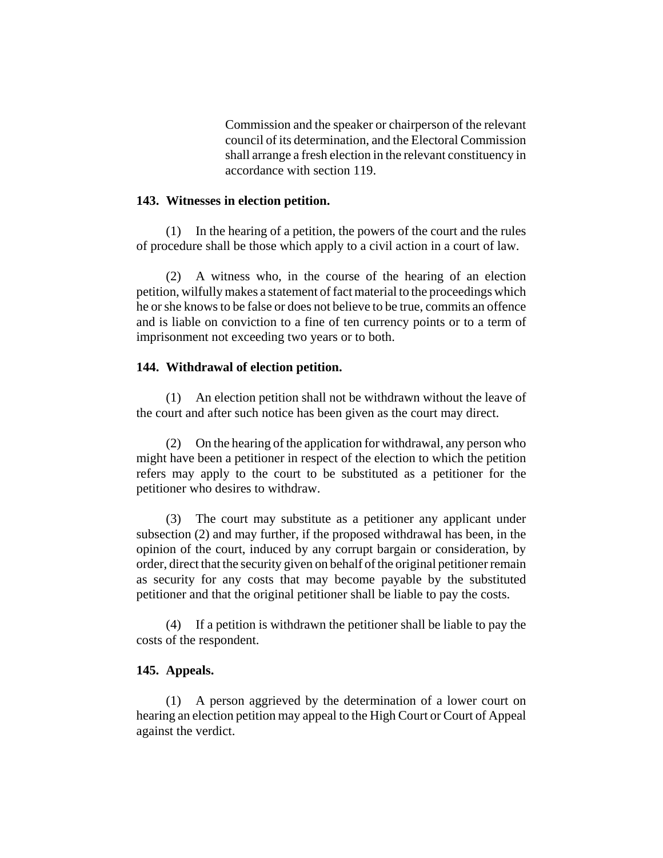Commission and the speaker or chairperson of the relevant council of its determination, and the Electoral Commission shall arrange a fresh election in the relevant constituency in accordance with section 119.

#### **143. Witnesses in election petition.**

(1) In the hearing of a petition, the powers of the court and the rules of procedure shall be those which apply to a civil action in a court of law.

(2) A witness who, in the course of the hearing of an election petition, wilfully makes a statement of fact material to the proceedings which he or she knows to be false or does not believe to be true, commits an offence and is liable on conviction to a fine of ten currency points or to a term of imprisonment not exceeding two years or to both.

#### **144. Withdrawal of election petition.**

(1) An election petition shall not be withdrawn without the leave of the court and after such notice has been given as the court may direct.

(2) On the hearing of the application for withdrawal, any person who might have been a petitioner in respect of the election to which the petition refers may apply to the court to be substituted as a petitioner for the petitioner who desires to withdraw.

(3) The court may substitute as a petitioner any applicant under subsection (2) and may further, if the proposed withdrawal has been, in the opinion of the court, induced by any corrupt bargain or consideration, by order, direct that the security given on behalf of the original petitioner remain as security for any costs that may become payable by the substituted petitioner and that the original petitioner shall be liable to pay the costs.

(4) If a petition is withdrawn the petitioner shall be liable to pay the costs of the respondent.

#### **145. Appeals.**

(1) A person aggrieved by the determination of a lower court on hearing an election petition may appeal to the High Court or Court of Appeal against the verdict.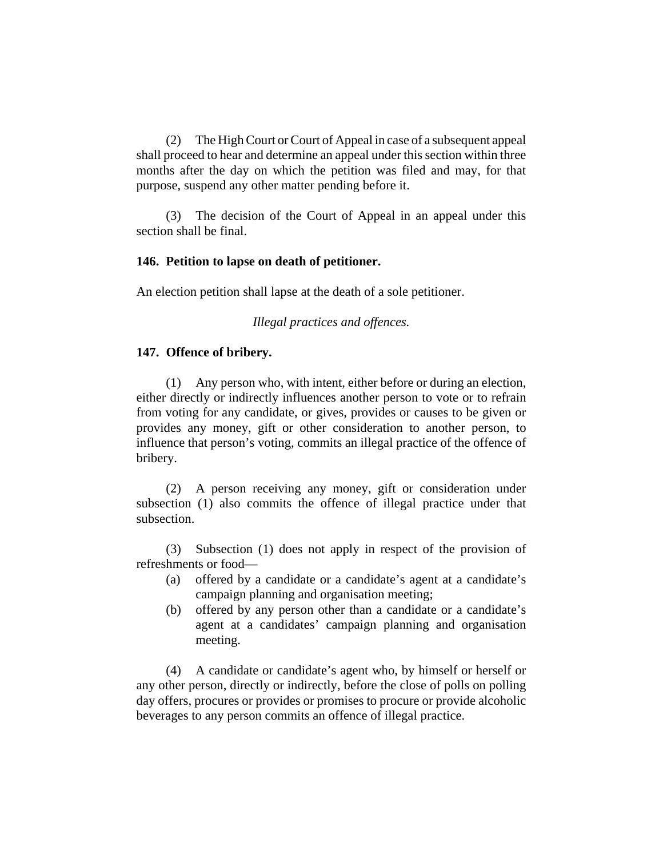(2) The High Court or Court of Appeal in case of a subsequent appeal shall proceed to hear and determine an appeal under this section within three months after the day on which the petition was filed and may, for that purpose, suspend any other matter pending before it.

(3) The decision of the Court of Appeal in an appeal under this section shall be final.

### **146. Petition to lapse on death of petitioner.**

An election petition shall lapse at the death of a sole petitioner.

*Illegal practices and offences.*

### **147. Offence of bribery.**

(1) Any person who, with intent, either before or during an election, either directly or indirectly influences another person to vote or to refrain from voting for any candidate, or gives, provides or causes to be given or provides any money, gift or other consideration to another person, to influence that person's voting, commits an illegal practice of the offence of bribery.

(2) A person receiving any money, gift or consideration under subsection (1) also commits the offence of illegal practice under that subsection.

(3) Subsection (1) does not apply in respect of the provision of refreshments or food—

- (a) offered by a candidate or a candidate's agent at a candidate's campaign planning and organisation meeting;
- (b) offered by any person other than a candidate or a candidate's agent at a candidates' campaign planning and organisation meeting.

(4) A candidate or candidate's agent who, by himself or herself or any other person, directly or indirectly, before the close of polls on polling day offers, procures or provides or promises to procure or provide alcoholic beverages to any person commits an offence of illegal practice.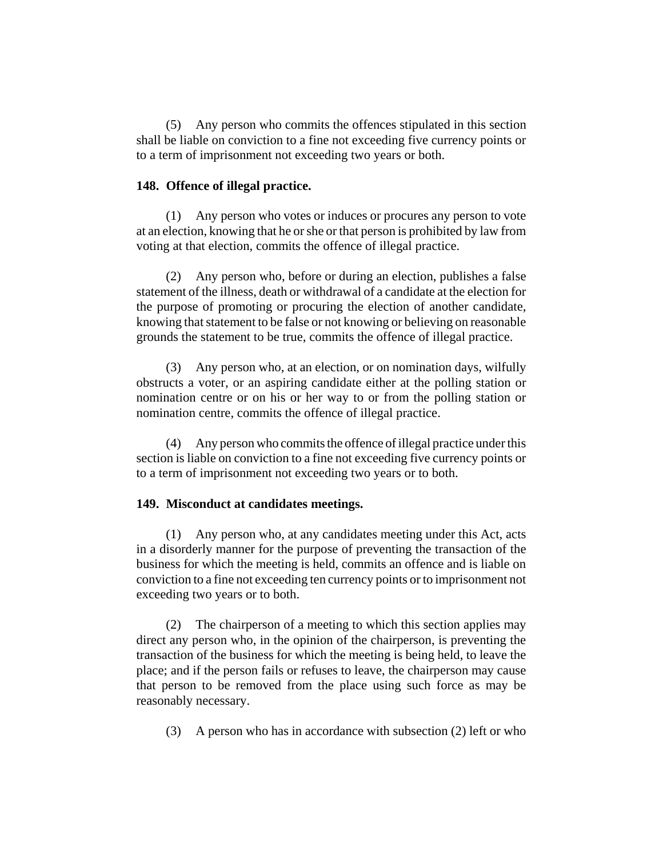(5) Any person who commits the offences stipulated in this section shall be liable on conviction to a fine not exceeding five currency points or to a term of imprisonment not exceeding two years or both.

#### **148. Offence of illegal practice.**

(1) Any person who votes or induces or procures any person to vote at an election, knowing that he or she or that person is prohibited by law from voting at that election, commits the offence of illegal practice.

(2) Any person who, before or during an election, publishes a false statement of the illness, death or withdrawal of a candidate at the election for the purpose of promoting or procuring the election of another candidate, knowing that statement to be false or not knowing or believing on reasonable grounds the statement to be true, commits the offence of illegal practice.

(3) Any person who, at an election, or on nomination days, wilfully obstructs a voter, or an aspiring candidate either at the polling station or nomination centre or on his or her way to or from the polling station or nomination centre, commits the offence of illegal practice.

(4) Any person who commits the offence of illegal practice under this section is liable on conviction to a fine not exceeding five currency points or to a term of imprisonment not exceeding two years or to both.

#### **149. Misconduct at candidates meetings.**

(1) Any person who, at any candidates meeting under this Act, acts in a disorderly manner for the purpose of preventing the transaction of the business for which the meeting is held, commits an offence and is liable on conviction to a fine not exceeding ten currency points or to imprisonment not exceeding two years or to both.

(2) The chairperson of a meeting to which this section applies may direct any person who, in the opinion of the chairperson, is preventing the transaction of the business for which the meeting is being held, to leave the place; and if the person fails or refuses to leave, the chairperson may cause that person to be removed from the place using such force as may be reasonably necessary.

(3) A person who has in accordance with subsection (2) left or who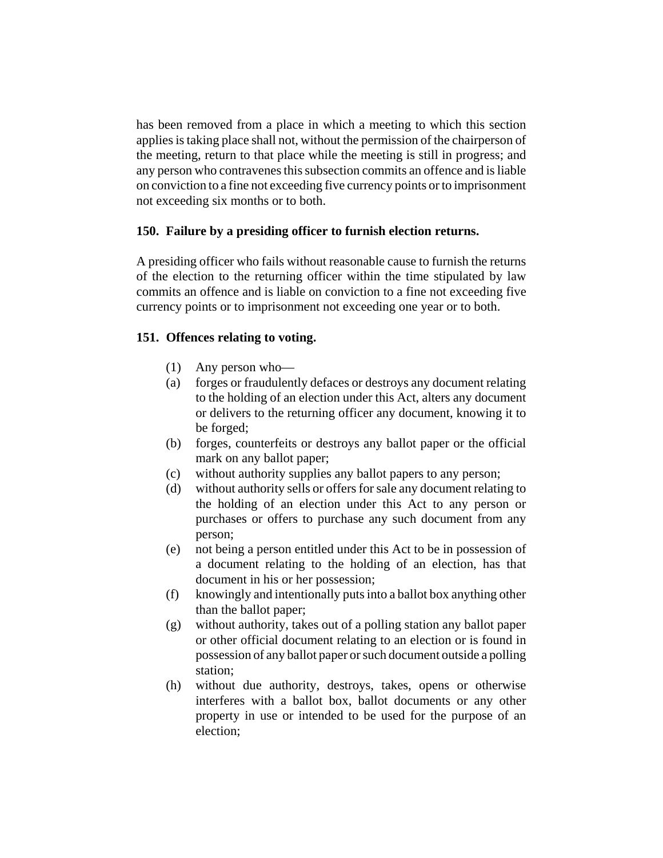has been removed from a place in which a meeting to which this section applies is taking place shall not, without the permission of the chairperson of the meeting, return to that place while the meeting is still in progress; and any person who contravenes this subsection commits an offence and is liable on conviction to a fine not exceeding five currency points or to imprisonment not exceeding six months or to both.

# **150. Failure by a presiding officer to furnish election returns.**

A presiding officer who fails without reasonable cause to furnish the returns of the election to the returning officer within the time stipulated by law commits an offence and is liable on conviction to a fine not exceeding five currency points or to imprisonment not exceeding one year or to both.

# **151. Offences relating to voting.**

- (1) Any person who—
- (a) forges or fraudulently defaces or destroys any document relating to the holding of an election under this Act, alters any document or delivers to the returning officer any document, knowing it to be forged;
- (b) forges, counterfeits or destroys any ballot paper or the official mark on any ballot paper;
- (c) without authority supplies any ballot papers to any person;
- (d) without authority sells or offers for sale any document relating to the holding of an election under this Act to any person or purchases or offers to purchase any such document from any person;
- (e) not being a person entitled under this Act to be in possession of a document relating to the holding of an election, has that document in his or her possession;
- (f) knowingly and intentionally puts into a ballot box anything other than the ballot paper;
- (g) without authority, takes out of a polling station any ballot paper or other official document relating to an election or is found in possession of any ballot paper or such document outside a polling station;
- (h) without due authority, destroys, takes, opens or otherwise interferes with a ballot box, ballot documents or any other property in use or intended to be used for the purpose of an election;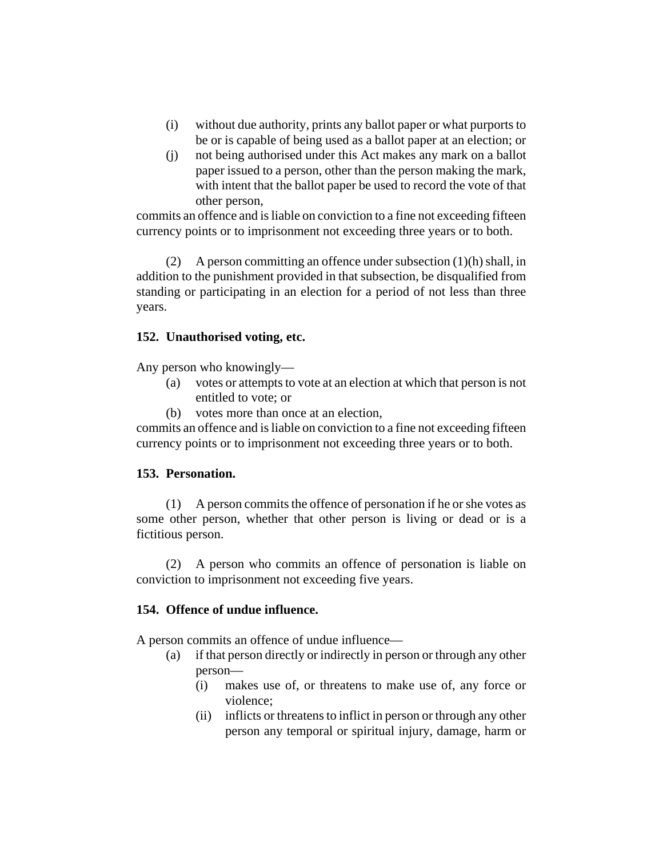- (i) without due authority, prints any ballot paper or what purports to be or is capable of being used as a ballot paper at an election; or
- (j) not being authorised under this Act makes any mark on a ballot paper issued to a person, other than the person making the mark, with intent that the ballot paper be used to record the vote of that other person,

commits an offence and is liable on conviction to a fine not exceeding fifteen currency points or to imprisonment not exceeding three years or to both.

(2) A person committing an offence under subsection (1)(h) shall, in addition to the punishment provided in that subsection, be disqualified from standing or participating in an election for a period of not less than three years.

# **152. Unauthorised voting, etc.**

Any person who knowingly—

- (a) votes or attempts to vote at an election at which that person is not entitled to vote; or
- (b) votes more than once at an election,

commits an offence and is liable on conviction to a fine not exceeding fifteen currency points or to imprisonment not exceeding three years or to both.

# **153. Personation.**

(1) A person commits the offence of personation if he or she votes as some other person, whether that other person is living or dead or is a fictitious person.

(2) A person who commits an offence of personation is liable on conviction to imprisonment not exceeding five years.

## **154. Offence of undue influence.**

A person commits an offence of undue influence—

- (a) if that person directly or indirectly in person or through any other person—
	- (i) makes use of, or threatens to make use of, any force or violence;
	- (ii) inflicts or threatens to inflict in person or through any other person any temporal or spiritual injury, damage, harm or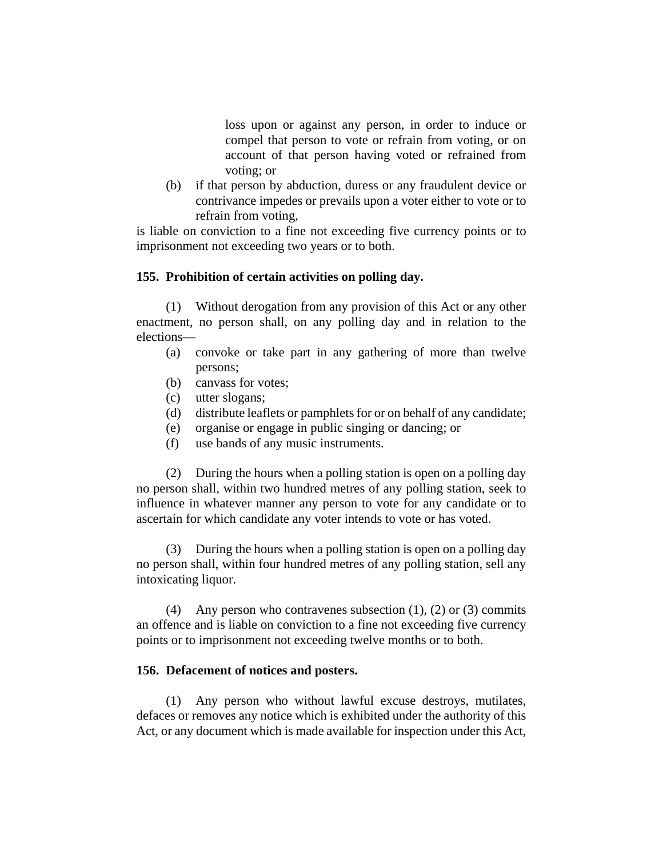loss upon or against any person, in order to induce or compel that person to vote or refrain from voting, or on account of that person having voted or refrained from voting; or

(b) if that person by abduction, duress or any fraudulent device or contrivance impedes or prevails upon a voter either to vote or to refrain from voting,

is liable on conviction to a fine not exceeding five currency points or to imprisonment not exceeding two years or to both.

### **155. Prohibition of certain activities on polling day.**

(1) Without derogation from any provision of this Act or any other enactment, no person shall, on any polling day and in relation to the elections—

- (a) convoke or take part in any gathering of more than twelve persons;
- (b) canvass for votes;
- (c) utter slogans;
- (d) distribute leaflets or pamphlets for or on behalf of any candidate;
- (e) organise or engage in public singing or dancing; or
- (f) use bands of any music instruments.

(2) During the hours when a polling station is open on a polling day no person shall, within two hundred metres of any polling station, seek to influence in whatever manner any person to vote for any candidate or to ascertain for which candidate any voter intends to vote or has voted.

(3) During the hours when a polling station is open on a polling day no person shall, within four hundred metres of any polling station, sell any intoxicating liquor.

(4) Any person who contravenes subsection  $(1)$ ,  $(2)$  or  $(3)$  commits an offence and is liable on conviction to a fine not exceeding five currency points or to imprisonment not exceeding twelve months or to both.

### **156. Defacement of notices and posters.**

(1) Any person who without lawful excuse destroys, mutilates, defaces or removes any notice which is exhibited under the authority of this Act, or any document which is made available for inspection under this Act,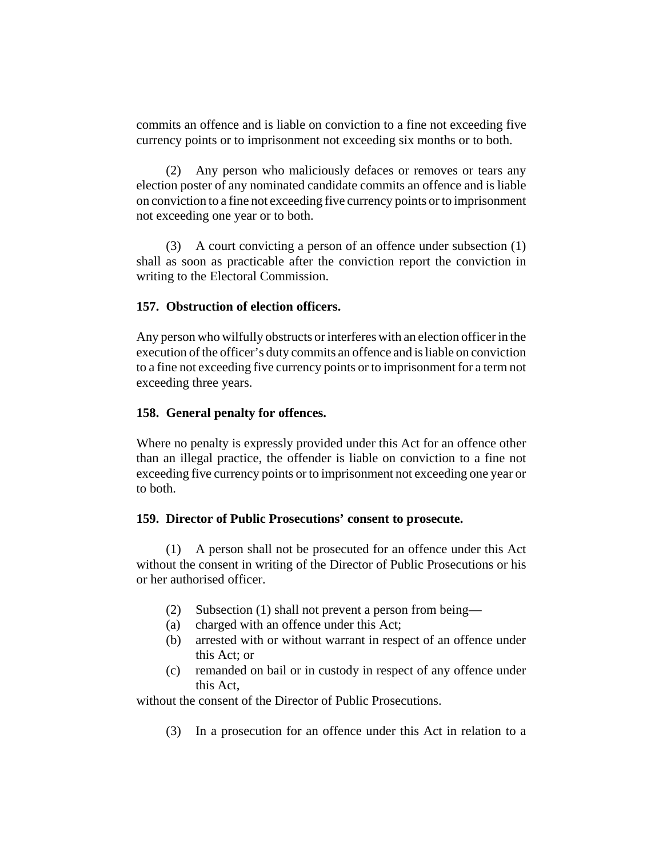commits an offence and is liable on conviction to a fine not exceeding five currency points or to imprisonment not exceeding six months or to both.

(2) Any person who maliciously defaces or removes or tears any election poster of any nominated candidate commits an offence and is liable on conviction to a fine not exceeding five currency points or to imprisonment not exceeding one year or to both.

(3) A court convicting a person of an offence under subsection (1) shall as soon as practicable after the conviction report the conviction in writing to the Electoral Commission.

# **157. Obstruction of election officers.**

Any person who wilfully obstructs or interferes with an election officer in the execution of the officer's duty commits an offence and is liable on conviction to a fine not exceeding five currency points or to imprisonment for a term not exceeding three years.

## **158. General penalty for offences.**

Where no penalty is expressly provided under this Act for an offence other than an illegal practice, the offender is liable on conviction to a fine not exceeding five currency points or to imprisonment not exceeding one year or to both.

## **159. Director of Public Prosecutions' consent to prosecute.**

(1) A person shall not be prosecuted for an offence under this Act without the consent in writing of the Director of Public Prosecutions or his or her authorised officer.

- (2) Subsection (1) shall not prevent a person from being—
- (a) charged with an offence under this Act;
- (b) arrested with or without warrant in respect of an offence under this Act; or
- (c) remanded on bail or in custody in respect of any offence under this Act,

without the consent of the Director of Public Prosecutions.

(3) In a prosecution for an offence under this Act in relation to a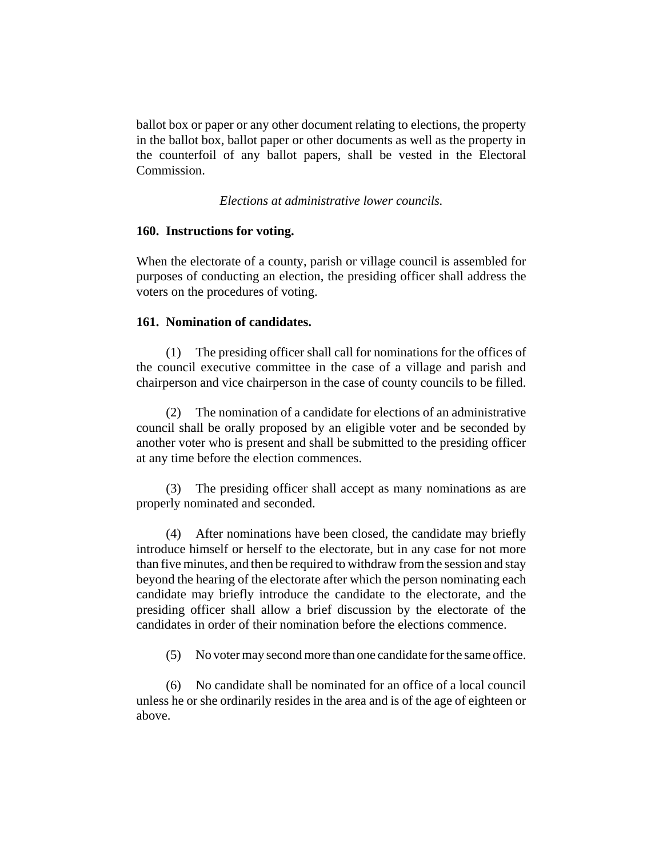ballot box or paper or any other document relating to elections, the property in the ballot box, ballot paper or other documents as well as the property in the counterfoil of any ballot papers, shall be vested in the Electoral Commission.

### *Elections at administrative lower councils.*

#### **160. Instructions for voting.**

When the electorate of a county, parish or village council is assembled for purposes of conducting an election, the presiding officer shall address the voters on the procedures of voting.

### **161. Nomination of candidates.**

(1) The presiding officer shall call for nominations for the offices of the council executive committee in the case of a village and parish and chairperson and vice chairperson in the case of county councils to be filled.

(2) The nomination of a candidate for elections of an administrative council shall be orally proposed by an eligible voter and be seconded by another voter who is present and shall be submitted to the presiding officer at any time before the election commences.

(3) The presiding officer shall accept as many nominations as are properly nominated and seconded.

(4) After nominations have been closed, the candidate may briefly introduce himself or herself to the electorate, but in any case for not more than five minutes, and then be required to withdraw from the session and stay beyond the hearing of the electorate after which the person nominating each candidate may briefly introduce the candidate to the electorate, and the presiding officer shall allow a brief discussion by the electorate of the candidates in order of their nomination before the elections commence.

(5) No voter may second more than one candidate for the same office.

(6) No candidate shall be nominated for an office of a local council unless he or she ordinarily resides in the area and is of the age of eighteen or above.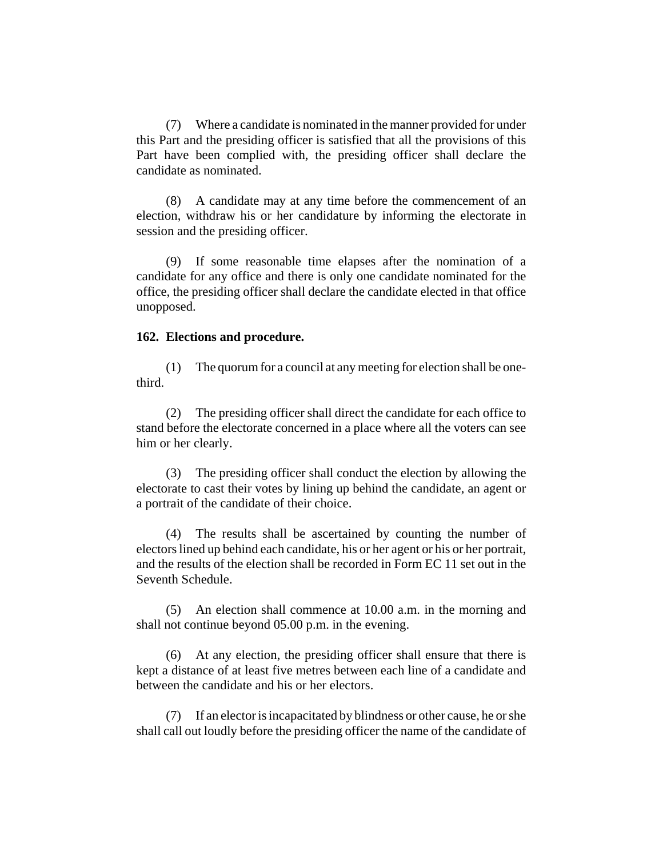(7) Where a candidate is nominated in the manner provided for under this Part and the presiding officer is satisfied that all the provisions of this Part have been complied with, the presiding officer shall declare the candidate as nominated.

(8) A candidate may at any time before the commencement of an election, withdraw his or her candidature by informing the electorate in session and the presiding officer.

(9) If some reasonable time elapses after the nomination of a candidate for any office and there is only one candidate nominated for the office, the presiding officer shall declare the candidate elected in that office unopposed.

#### **162. Elections and procedure.**

(1) The quorum for a council at any meeting for election shall be onethird.

(2) The presiding officer shall direct the candidate for each office to stand before the electorate concerned in a place where all the voters can see him or her clearly.

(3) The presiding officer shall conduct the election by allowing the electorate to cast their votes by lining up behind the candidate, an agent or a portrait of the candidate of their choice.

(4) The results shall be ascertained by counting the number of electors lined up behind each candidate, his or her agent or his or her portrait, and the results of the election shall be recorded in Form EC 11 set out in the Seventh Schedule.

(5) An election shall commence at 10.00 a.m. in the morning and shall not continue beyond 05.00 p.m. in the evening.

(6) At any election, the presiding officer shall ensure that there is kept a distance of at least five metres between each line of a candidate and between the candidate and his or her electors.

(7) If an elector is incapacitated by blindness or other cause, he or she shall call out loudly before the presiding officer the name of the candidate of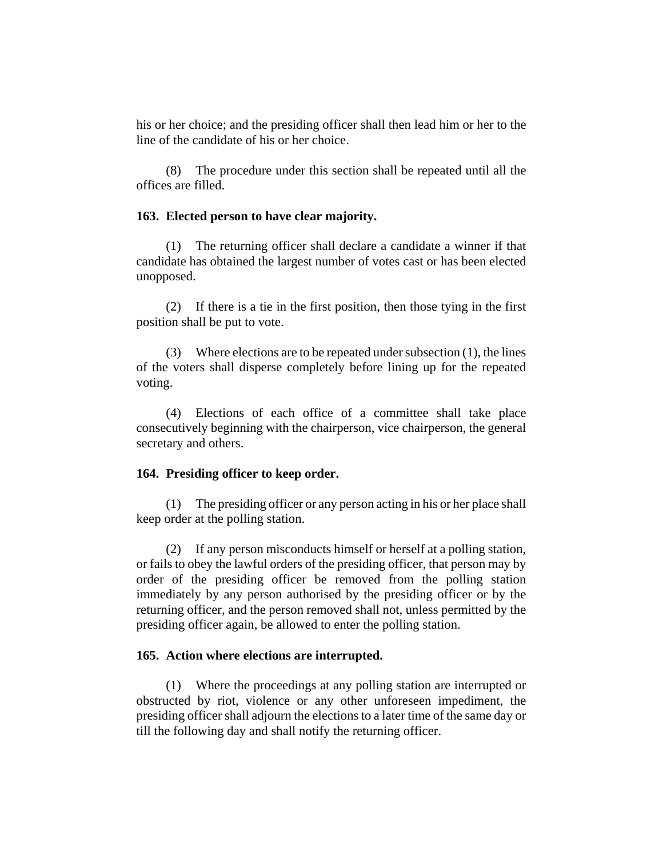his or her choice; and the presiding officer shall then lead him or her to the line of the candidate of his or her choice.

(8) The procedure under this section shall be repeated until all the offices are filled.

#### **163. Elected person to have clear majority.**

(1) The returning officer shall declare a candidate a winner if that candidate has obtained the largest number of votes cast or has been elected unopposed.

(2) If there is a tie in the first position, then those tying in the first position shall be put to vote.

(3) Where elections are to be repeated under subsection  $(1)$ , the lines of the voters shall disperse completely before lining up for the repeated voting.

(4) Elections of each office of a committee shall take place consecutively beginning with the chairperson, vice chairperson, the general secretary and others.

#### **164. Presiding officer to keep order.**

(1) The presiding officer or any person acting in his or her place shall keep order at the polling station.

(2) If any person misconducts himself or herself at a polling station, or fails to obey the lawful orders of the presiding officer, that person may by order of the presiding officer be removed from the polling station immediately by any person authorised by the presiding officer or by the returning officer, and the person removed shall not, unless permitted by the presiding officer again, be allowed to enter the polling station.

#### **165. Action where elections are interrupted.**

(1) Where the proceedings at any polling station are interrupted or obstructed by riot, violence or any other unforeseen impediment, the presiding officer shall adjourn the elections to a later time of the same day or till the following day and shall notify the returning officer.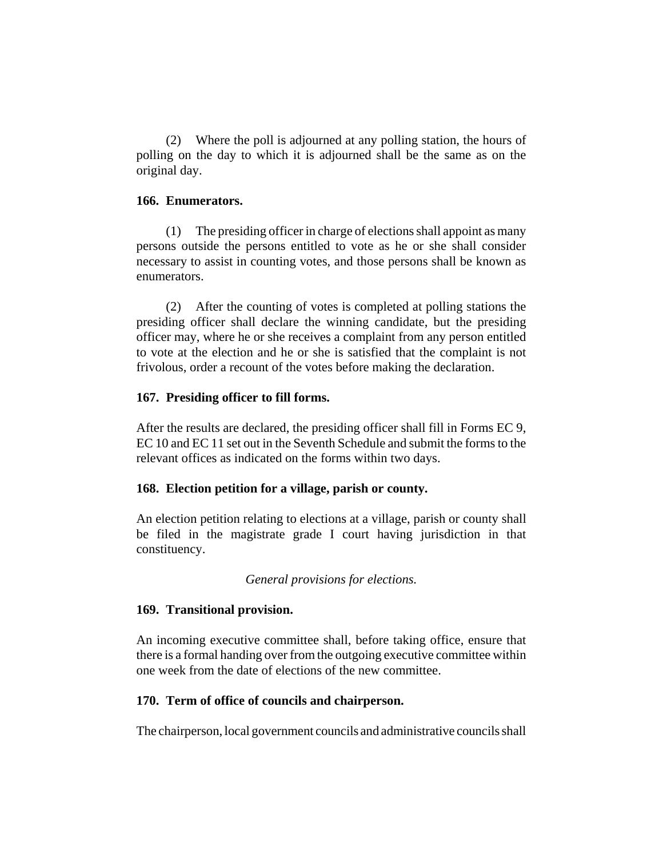(2) Where the poll is adjourned at any polling station, the hours of polling on the day to which it is adjourned shall be the same as on the original day.

### **166. Enumerators.**

(1) The presiding officer in charge of elections shall appoint as many persons outside the persons entitled to vote as he or she shall consider necessary to assist in counting votes, and those persons shall be known as enumerators.

(2) After the counting of votes is completed at polling stations the presiding officer shall declare the winning candidate, but the presiding officer may, where he or she receives a complaint from any person entitled to vote at the election and he or she is satisfied that the complaint is not frivolous, order a recount of the votes before making the declaration.

## **167. Presiding officer to fill forms.**

After the results are declared, the presiding officer shall fill in Forms EC 9, EC 10 and EC 11 set out in the Seventh Schedule and submit the forms to the relevant offices as indicated on the forms within two days.

## **168. Election petition for a village, parish or county.**

An election petition relating to elections at a village, parish or county shall be filed in the magistrate grade I court having jurisdiction in that constituency.

*General provisions for elections.*

## **169. Transitional provision.**

An incoming executive committee shall, before taking office, ensure that there is a formal handing over from the outgoing executive committee within one week from the date of elections of the new committee.

# **170. Term of office of councils and chairperson.**

The chairperson, local government councils and administrative councils shall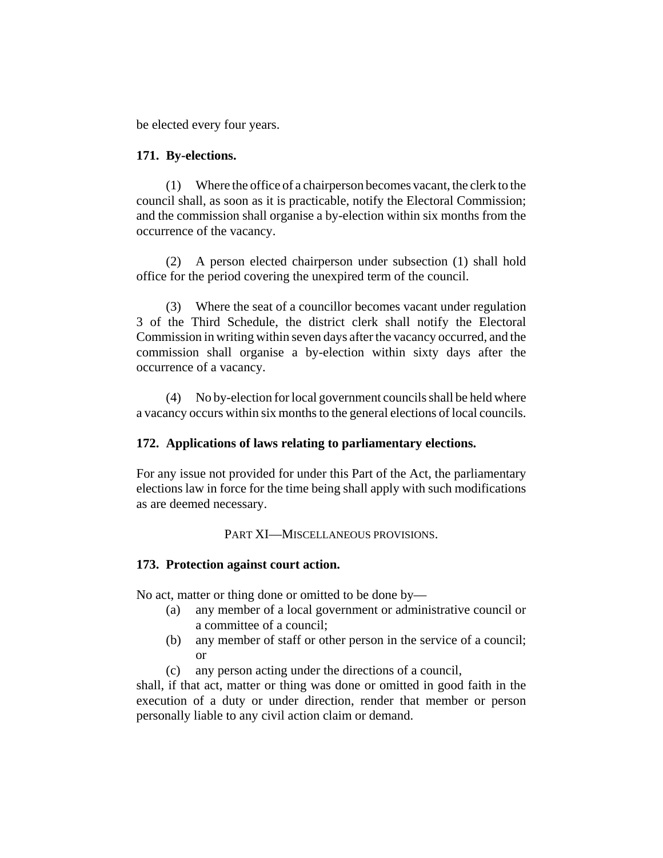be elected every four years.

### **171. By-elections.**

(1) Where the office of a chairperson becomes vacant, the clerk to the council shall, as soon as it is practicable, notify the Electoral Commission; and the commission shall organise a by-election within six months from the occurrence of the vacancy.

(2) A person elected chairperson under subsection (1) shall hold office for the period covering the unexpired term of the council.

(3) Where the seat of a councillor becomes vacant under regulation 3 of the Third Schedule, the district clerk shall notify the Electoral Commission in writing within seven days after the vacancy occurred, and the commission shall organise a by-election within sixty days after the occurrence of a vacancy.

(4) No by-election for local government councils shall be held where a vacancy occurs within six months to the general elections of local councils.

## **172. Applications of laws relating to parliamentary elections.**

For any issue not provided for under this Part of the Act, the parliamentary elections law in force for the time being shall apply with such modifications as are deemed necessary.

## PART XI—MISCELLANEOUS PROVISIONS.

## **173. Protection against court action.**

No act, matter or thing done or omitted to be done by—

- (a) any member of a local government or administrative council or a committee of a council;
- (b) any member of staff or other person in the service of a council; or
- (c) any person acting under the directions of a council,

shall, if that act, matter or thing was done or omitted in good faith in the execution of a duty or under direction, render that member or person personally liable to any civil action claim or demand.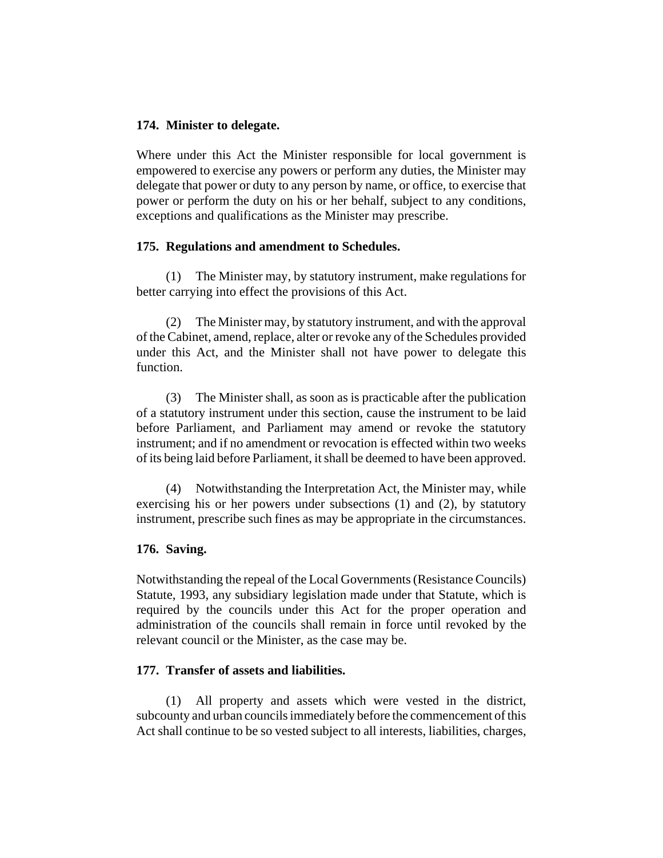### **174. Minister to delegate.**

Where under this Act the Minister responsible for local government is empowered to exercise any powers or perform any duties, the Minister may delegate that power or duty to any person by name, or office, to exercise that power or perform the duty on his or her behalf, subject to any conditions, exceptions and qualifications as the Minister may prescribe.

### **175. Regulations and amendment to Schedules.**

(1) The Minister may, by statutory instrument, make regulations for better carrying into effect the provisions of this Act.

(2) The Minister may, by statutory instrument, and with the approval of the Cabinet, amend, replace, alter or revoke any of the Schedules provided under this Act, and the Minister shall not have power to delegate this function.

(3) The Minister shall, as soon as is practicable after the publication of a statutory instrument under this section, cause the instrument to be laid before Parliament, and Parliament may amend or revoke the statutory instrument; and if no amendment or revocation is effected within two weeks of its being laid before Parliament, it shall be deemed to have been approved.

(4) Notwithstanding the Interpretation Act, the Minister may, while exercising his or her powers under subsections (1) and (2), by statutory instrument, prescribe such fines as may be appropriate in the circumstances.

### **176. Saving.**

Notwithstanding the repeal of the Local Governments (Resistance Councils) Statute, 1993, any subsidiary legislation made under that Statute, which is required by the councils under this Act for the proper operation and administration of the councils shall remain in force until revoked by the relevant council or the Minister, as the case may be.

### **177. Transfer of assets and liabilities.**

(1) All property and assets which were vested in the district, subcounty and urban councils immediately before the commencement of this Act shall continue to be so vested subject to all interests, liabilities, charges,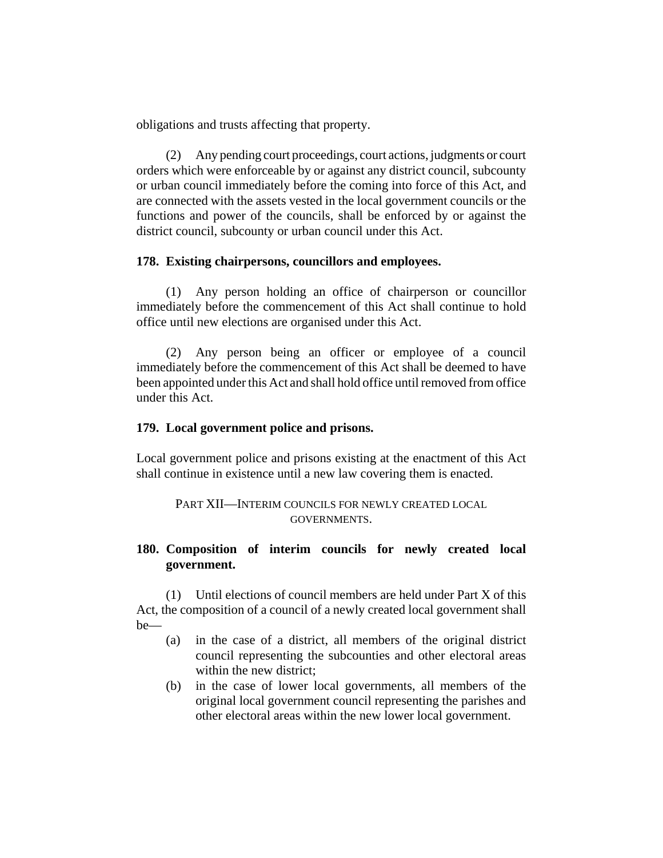obligations and trusts affecting that property.

(2) Any pending court proceedings, court actions, judgments or court orders which were enforceable by or against any district council, subcounty or urban council immediately before the coming into force of this Act, and are connected with the assets vested in the local government councils or the functions and power of the councils, shall be enforced by or against the district council, subcounty or urban council under this Act.

### **178. Existing chairpersons, councillors and employees.**

(1) Any person holding an office of chairperson or councillor immediately before the commencement of this Act shall continue to hold office until new elections are organised under this Act.

(2) Any person being an officer or employee of a council immediately before the commencement of this Act shall be deemed to have been appointed under this Act and shall hold office until removed from office under this Act.

### **179. Local government police and prisons.**

Local government police and prisons existing at the enactment of this Act shall continue in existence until a new law covering them is enacted.

PART XII—INTERIM COUNCILS FOR NEWLY CREATED LOCAL GOVERNMENTS.

# **180. Composition of interim councils for newly created local government.**

(1) Until elections of council members are held under Part X of this Act, the composition of a council of a newly created local government shall be—

- (a) in the case of a district, all members of the original district council representing the subcounties and other electoral areas within the new district;
- (b) in the case of lower local governments, all members of the original local government council representing the parishes and other electoral areas within the new lower local government.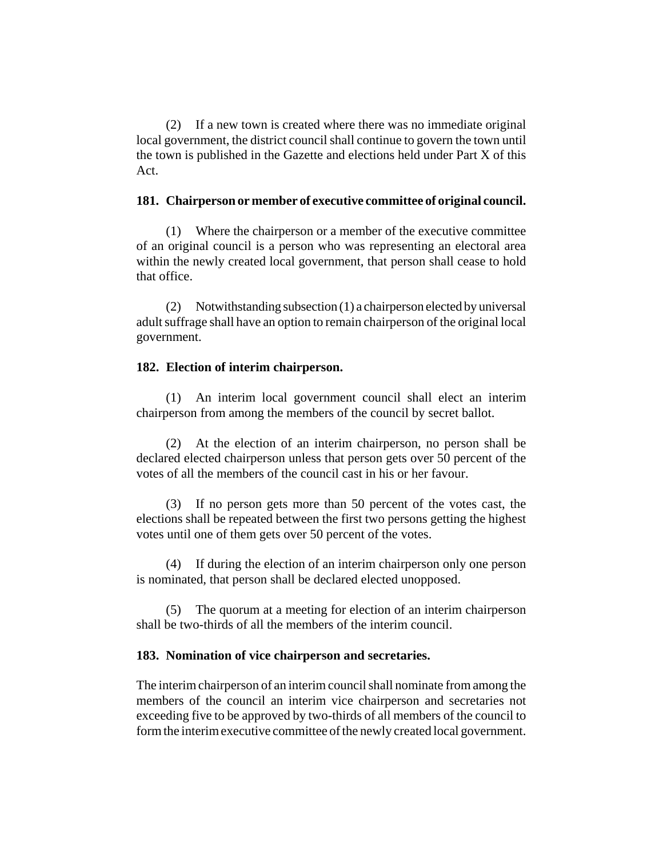(2) If a new town is created where there was no immediate original local government, the district council shall continue to govern the town until the town is published in the Gazette and elections held under Part X of this Act.

### **181. Chairperson or member of executive committee of original council.**

(1) Where the chairperson or a member of the executive committee of an original council is a person who was representing an electoral area within the newly created local government, that person shall cease to hold that office.

(2) Notwithstanding subsection (1) a chairperson elected by universal adult suffrage shall have an option to remain chairperson of the original local government.

## **182. Election of interim chairperson.**

(1) An interim local government council shall elect an interim chairperson from among the members of the council by secret ballot.

(2) At the election of an interim chairperson, no person shall be declared elected chairperson unless that person gets over 50 percent of the votes of all the members of the council cast in his or her favour.

(3) If no person gets more than 50 percent of the votes cast, the elections shall be repeated between the first two persons getting the highest votes until one of them gets over 50 percent of the votes.

(4) If during the election of an interim chairperson only one person is nominated, that person shall be declared elected unopposed.

(5) The quorum at a meeting for election of an interim chairperson shall be two-thirds of all the members of the interim council.

## **183. Nomination of vice chairperson and secretaries.**

The interim chairperson of an interim council shall nominate from among the members of the council an interim vice chairperson and secretaries not exceeding five to be approved by two-thirds of all members of the council to form the interim executive committee of the newly created local government.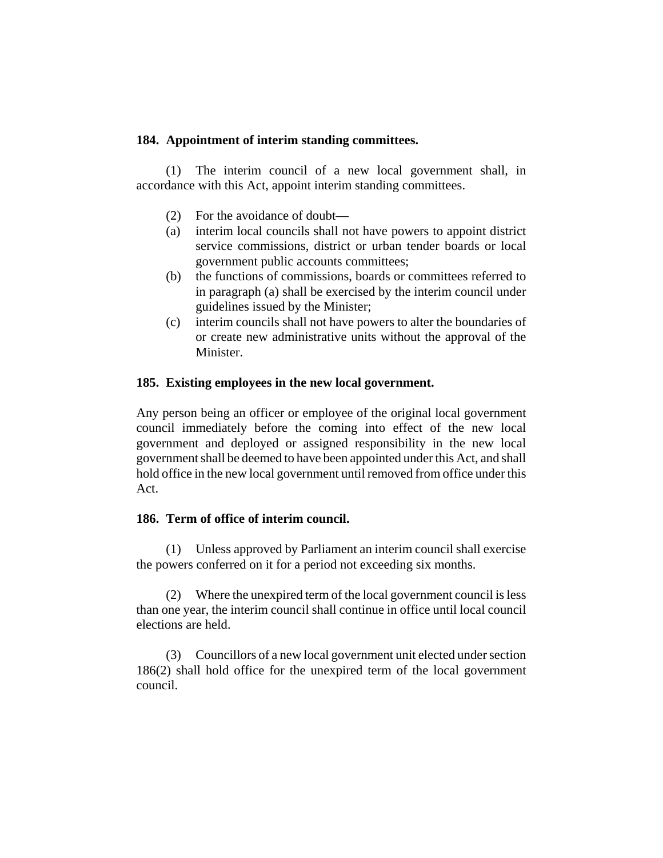### **184. Appointment of interim standing committees.**

(1) The interim council of a new local government shall, in accordance with this Act, appoint interim standing committees.

- (2) For the avoidance of doubt—
- (a) interim local councils shall not have powers to appoint district service commissions, district or urban tender boards or local government public accounts committees;
- (b) the functions of commissions, boards or committees referred to in paragraph (a) shall be exercised by the interim council under guidelines issued by the Minister;
- (c) interim councils shall not have powers to alter the boundaries of or create new administrative units without the approval of the Minister.

### **185. Existing employees in the new local government.**

Any person being an officer or employee of the original local government council immediately before the coming into effect of the new local government and deployed or assigned responsibility in the new local government shall be deemed to have been appointed under this Act, and shall hold office in the new local government until removed from office under this Act.

### **186. Term of office of interim council.**

(1) Unless approved by Parliament an interim council shall exercise the powers conferred on it for a period not exceeding six months.

(2) Where the unexpired term of the local government council is less than one year, the interim council shall continue in office until local council elections are held.

(3) Councillors of a new local government unit elected under section 186(2) shall hold office for the unexpired term of the local government council.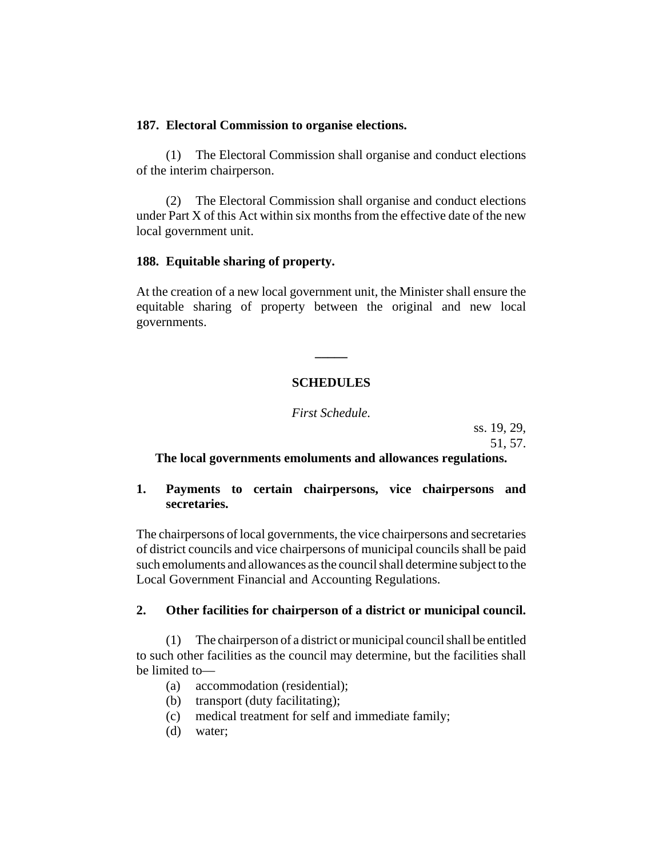### **187. Electoral Commission to organise elections.**

(1) The Electoral Commission shall organise and conduct elections of the interim chairperson.

(2) The Electoral Commission shall organise and conduct elections under Part X of this Act within six months from the effective date of the new local government unit.

### **188. Equitable sharing of property.**

At the creation of a new local government unit, the Minister shall ensure the equitable sharing of property between the original and new local governments.

# **SCHEDULES**

**\_\_\_\_\_**

*First Schedule.*

ss. 19, 29,

51, 57.

## **The local governments emoluments and allowances regulations.**

## **1. Payments to certain chairpersons, vice chairpersons and secretaries.**

The chairpersons of local governments, the vice chairpersons and secretaries of district councils and vice chairpersons of municipal councils shall be paid such emoluments and allowances as the council shall determine subject to the Local Government Financial and Accounting Regulations.

## **2. Other facilities for chairperson of a district or municipal council.**

(1) The chairperson of a district or municipal council shall be entitled to such other facilities as the council may determine, but the facilities shall be limited to—

- (a) accommodation (residential);
- (b) transport (duty facilitating);
- (c) medical treatment for self and immediate family;
- (d) water;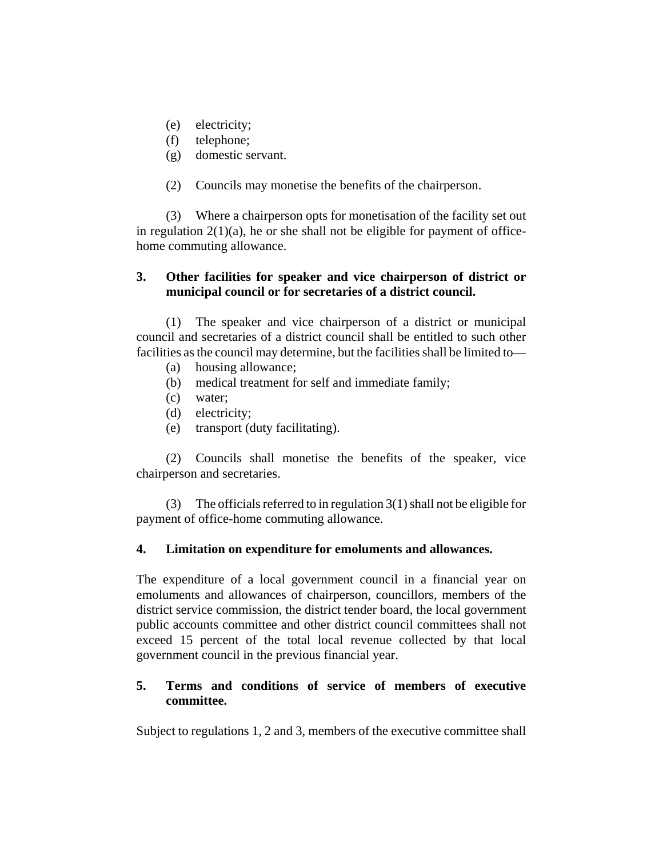- (e) electricity;
- (f) telephone;
- (g) domestic servant.
- (2) Councils may monetise the benefits of the chairperson.

(3) Where a chairperson opts for monetisation of the facility set out in regulation  $2(1)(a)$ , he or she shall not be eligible for payment of officehome commuting allowance.

# **3. Other facilities for speaker and vice chairperson of district or municipal council or for secretaries of a district council.**

(1) The speaker and vice chairperson of a district or municipal council and secretaries of a district council shall be entitled to such other facilities as the council may determine, but the facilities shall be limited to—

- (a) housing allowance;
- (b) medical treatment for self and immediate family;
- (c) water;
- (d) electricity;
- (e) transport (duty facilitating).

(2) Councils shall monetise the benefits of the speaker, vice chairperson and secretaries.

(3) The officials referred to in regulation  $3(1)$  shall not be eligible for payment of office-home commuting allowance.

# **4. Limitation on expenditure for emoluments and allowances.**

The expenditure of a local government council in a financial year on emoluments and allowances of chairperson, councillors, members of the district service commission, the district tender board, the local government public accounts committee and other district council committees shall not exceed 15 percent of the total local revenue collected by that local government council in the previous financial year.

# **5. Terms and conditions of service of members of executive committee.**

Subject to regulations 1, 2 and 3, members of the executive committee shall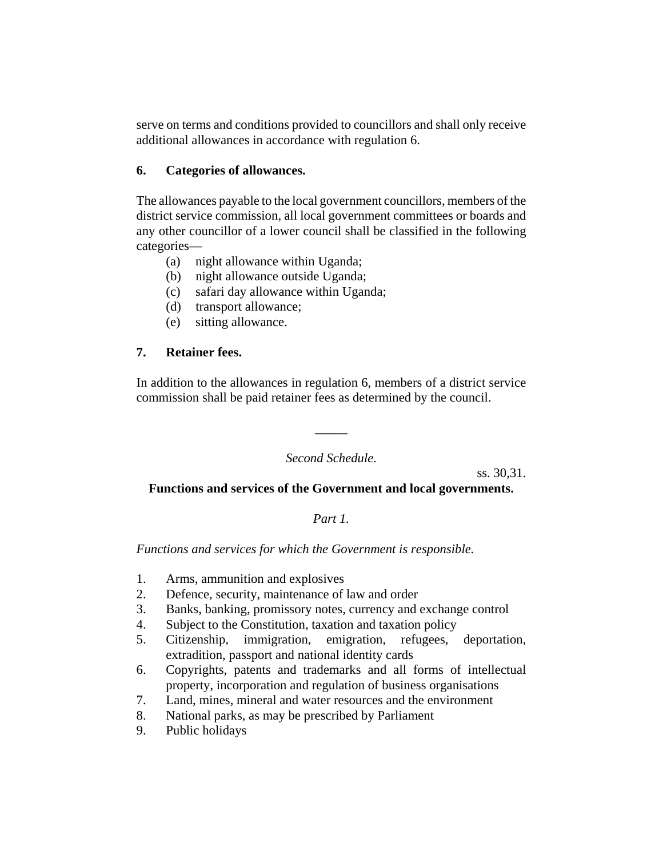serve on terms and conditions provided to councillors and shall only receive additional allowances in accordance with regulation 6.

# **6. Categories of allowances.**

The allowances payable to the local government councillors, members of the district service commission, all local government committees or boards and any other councillor of a lower council shall be classified in the following categories—

- (a) night allowance within Uganda;
- (b) night allowance outside Uganda;
- (c) safari day allowance within Uganda;
- (d) transport allowance;
- (e) sitting allowance.

# **7. Retainer fees.**

In addition to the allowances in regulation 6, members of a district service commission shall be paid retainer fees as determined by the council.

## *Second Schedule.*

**\_\_\_\_\_**

ss. 30,31.

# **Functions and services of the Government and local governments.**

# *Part 1.*

*Functions and services for which the Government is responsible.*

- 1. Arms, ammunition and explosives
- 2. Defence, security, maintenance of law and order
- 3. Banks, banking, promissory notes, currency and exchange control
- 4. Subject to the Constitution, taxation and taxation policy
- 5. Citizenship, immigration, emigration, refugees, deportation, extradition, passport and national identity cards
- 6. Copyrights, patents and trademarks and all forms of intellectual property, incorporation and regulation of business organisations
- 7. Land, mines, mineral and water resources and the environment
- 8. National parks, as may be prescribed by Parliament
- 9. Public holidays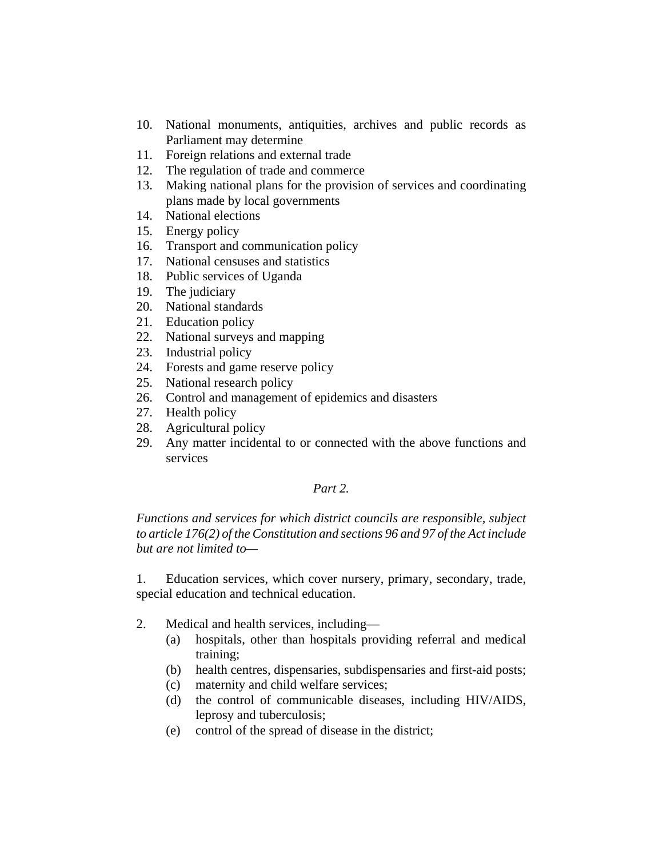- 10. National monuments, antiquities, archives and public records as Parliament may determine
- 11. Foreign relations and external trade
- 12. The regulation of trade and commerce
- 13. Making national plans for the provision of services and coordinating plans made by local governments
- 14. National elections
- 15. Energy policy
- 16. Transport and communication policy
- 17. National censuses and statistics
- 18. Public services of Uganda
- 19. The judiciary
- 20. National standards
- 21. Education policy
- 22. National surveys and mapping
- 23. Industrial policy
- 24. Forests and game reserve policy
- 25. National research policy
- 26. Control and management of epidemics and disasters
- 27. Health policy
- 28. Agricultural policy
- 29. Any matter incidental to or connected with the above functions and services

## *Part 2.*

*Functions and services for which district councils are responsible, subject to article 176(2) of the Constitution and sections 96 and 97 of the Act include but are not limited to—*

1. Education services, which cover nursery, primary, secondary, trade, special education and technical education.

- 2. Medical and health services, including—
	- (a) hospitals, other than hospitals providing referral and medical training;
	- (b) health centres, dispensaries, subdispensaries and first-aid posts;
	- (c) maternity and child welfare services;
	- (d) the control of communicable diseases, including HIV/AIDS, leprosy and tuberculosis;
	- (e) control of the spread of disease in the district;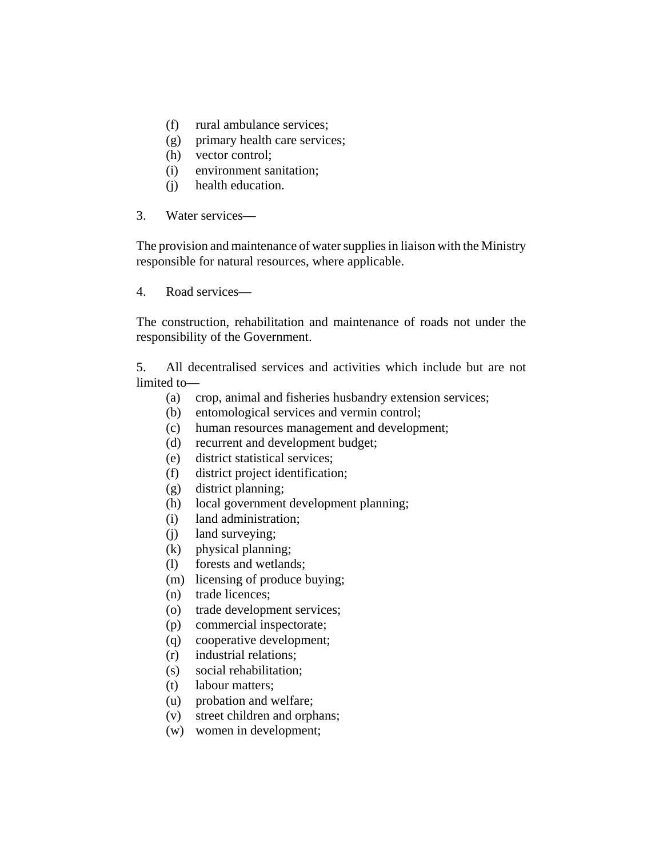- (f) rural ambulance services;
- (g) primary health care services;
- (h) vector control;
- (i) environment sanitation;
- (j) health education.
- 3. Water services—

The provision and maintenance of water supplies in liaison with the Ministry responsible for natural resources, where applicable.

4. Road services—

The construction, rehabilitation and maintenance of roads not under the responsibility of the Government.

5. All decentralised services and activities which include but are not limited to—

- (a) crop, animal and fisheries husbandry extension services;
- (b) entomological services and vermin control;
- (c) human resources management and development;
- (d) recurrent and development budget;
- (e) district statistical services;
- (f) district project identification;
- (g) district planning;
- (h) local government development planning;
- (i) land administration;
- (j) land surveying;
- (k) physical planning;
- (l) forests and wetlands;
- (m) licensing of produce buying;
- (n) trade licences;
- (o) trade development services;
- (p) commercial inspectorate;
- (q) cooperative development;
- (r) industrial relations;
- (s) social rehabilitation;
- (t) labour matters;
- (u) probation and welfare;
- (v) street children and orphans;
- (w) women in development;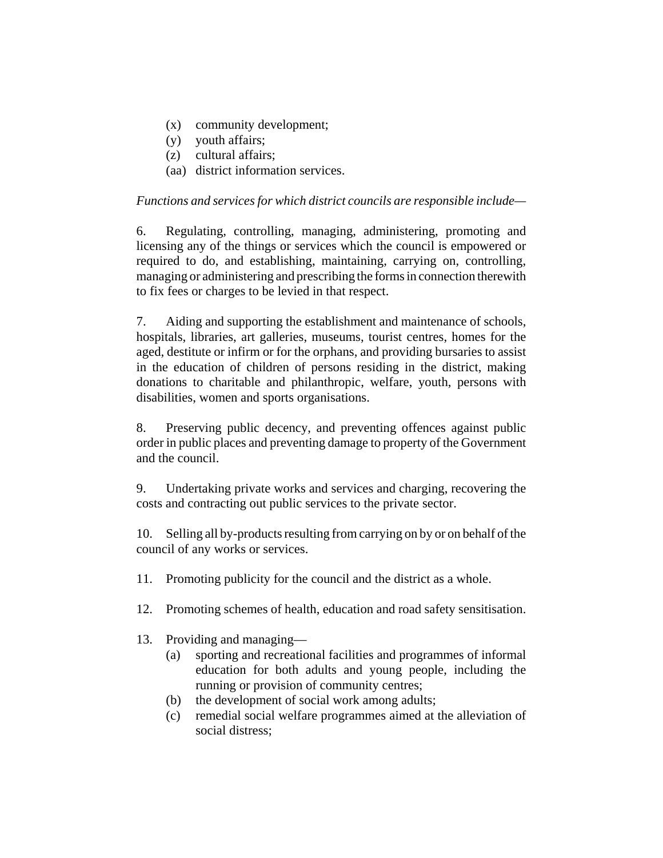- (x) community development;
- (y) youth affairs;
- (z) cultural affairs;
- (aa) district information services.

## *Functions and services for which district councils are responsible include—*

6. Regulating, controlling, managing, administering, promoting and licensing any of the things or services which the council is empowered or required to do, and establishing, maintaining, carrying on, controlling, managing or administering and prescribing the forms in connection therewith to fix fees or charges to be levied in that respect.

7. Aiding and supporting the establishment and maintenance of schools, hospitals, libraries, art galleries, museums, tourist centres, homes for the aged, destitute or infirm or for the orphans, and providing bursaries to assist in the education of children of persons residing in the district, making donations to charitable and philanthropic, welfare, youth, persons with disabilities, women and sports organisations.

8. Preserving public decency, and preventing offences against public order in public places and preventing damage to property of the Government and the council.

9. Undertaking private works and services and charging, recovering the costs and contracting out public services to the private sector.

10. Selling all by-products resulting from carrying on by or on behalf of the council of any works or services.

- 11. Promoting publicity for the council and the district as a whole.
- 12. Promoting schemes of health, education and road safety sensitisation.
- 13. Providing and managing—
	- (a) sporting and recreational facilities and programmes of informal education for both adults and young people, including the running or provision of community centres;
	- (b) the development of social work among adults;
	- (c) remedial social welfare programmes aimed at the alleviation of social distress;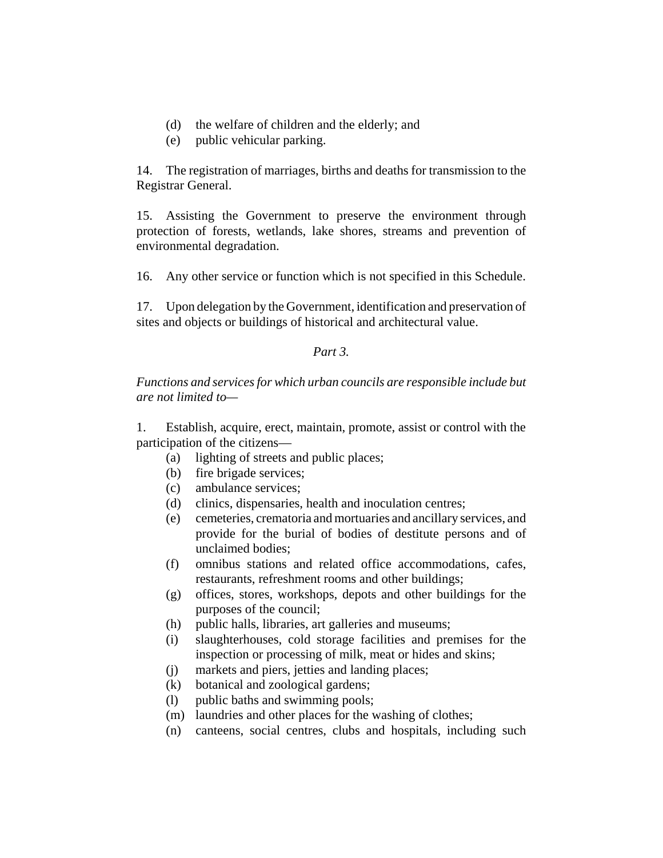- (d) the welfare of children and the elderly; and
- (e) public vehicular parking.

14. The registration of marriages, births and deaths for transmission to the Registrar General.

15. Assisting the Government to preserve the environment through protection of forests, wetlands, lake shores, streams and prevention of environmental degradation.

16. Any other service or function which is not specified in this Schedule.

17. Upon delegation by the Government, identification and preservation of sites and objects or buildings of historical and architectural value.

### *Part 3.*

## *Functions and services for which urban councils are responsible include but are not limited to—*

1. Establish, acquire, erect, maintain, promote, assist or control with the participation of the citizens—

- (a) lighting of streets and public places;
- (b) fire brigade services;
- (c) ambulance services;
- (d) clinics, dispensaries, health and inoculation centres;
- (e) cemeteries, crematoria and mortuaries and ancillary services, and provide for the burial of bodies of destitute persons and of unclaimed bodies;
- (f) omnibus stations and related office accommodations, cafes, restaurants, refreshment rooms and other buildings;
- (g) offices, stores, workshops, depots and other buildings for the purposes of the council;
- (h) public halls, libraries, art galleries and museums;
- (i) slaughterhouses, cold storage facilities and premises for the inspection or processing of milk, meat or hides and skins;
- (j) markets and piers, jetties and landing places;
- (k) botanical and zoological gardens;
- (l) public baths and swimming pools;
- (m) laundries and other places for the washing of clothes;
- (n) canteens, social centres, clubs and hospitals, including such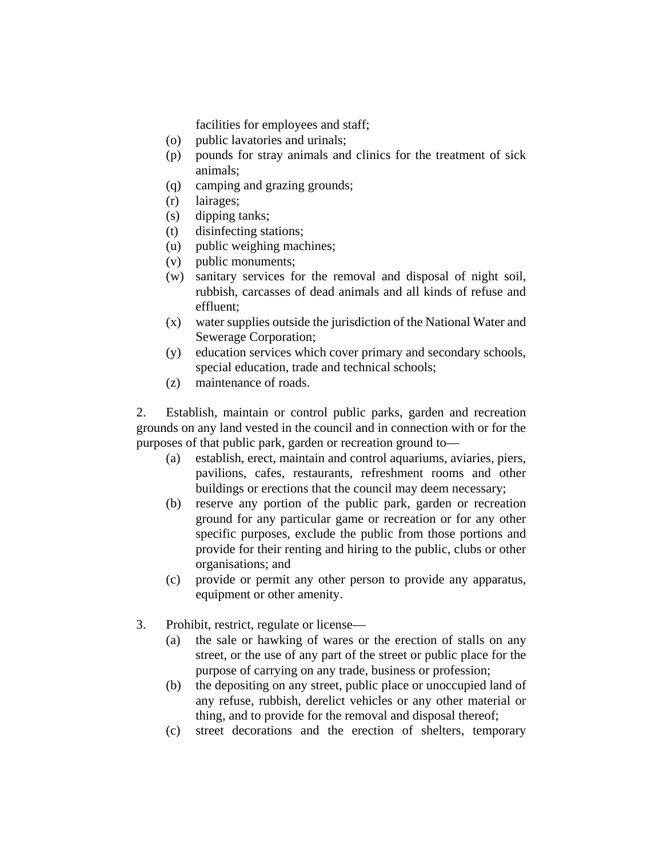facilities for employees and staff;

- (o) public lavatories and urinals;
- (p) pounds for stray animals and clinics for the treatment of sick animals;
- (q) camping and grazing grounds;
- (r) lairages;
- (s) dipping tanks;
- (t) disinfecting stations;
- (u) public weighing machines;
- (v) public monuments;
- (w) sanitary services for the removal and disposal of night soil, rubbish, carcasses of dead animals and all kinds of refuse and effluent;
- (x) water supplies outside the jurisdiction of the National Water and Sewerage Corporation;
- (y) education services which cover primary and secondary schools, special education, trade and technical schools;
- (z) maintenance of roads.

2. Establish, maintain or control public parks, garden and recreation grounds on any land vested in the council and in connection with or for the purposes of that public park, garden or recreation ground to—

- (a) establish, erect, maintain and control aquariums, aviaries, piers, pavilions, cafes, restaurants, refreshment rooms and other buildings or erections that the council may deem necessary;
- (b) reserve any portion of the public park, garden or recreation ground for any particular game or recreation or for any other specific purposes, exclude the public from those portions and provide for their renting and hiring to the public, clubs or other organisations; and
- (c) provide or permit any other person to provide any apparatus, equipment or other amenity.
- 3. Prohibit, restrict, regulate or license—
	- (a) the sale or hawking of wares or the erection of stalls on any street, or the use of any part of the street or public place for the purpose of carrying on any trade, business or profession;
	- (b) the depositing on any street, public place or unoccupied land of any refuse, rubbish, derelict vehicles or any other material or thing, and to provide for the removal and disposal thereof;
	- (c) street decorations and the erection of shelters, temporary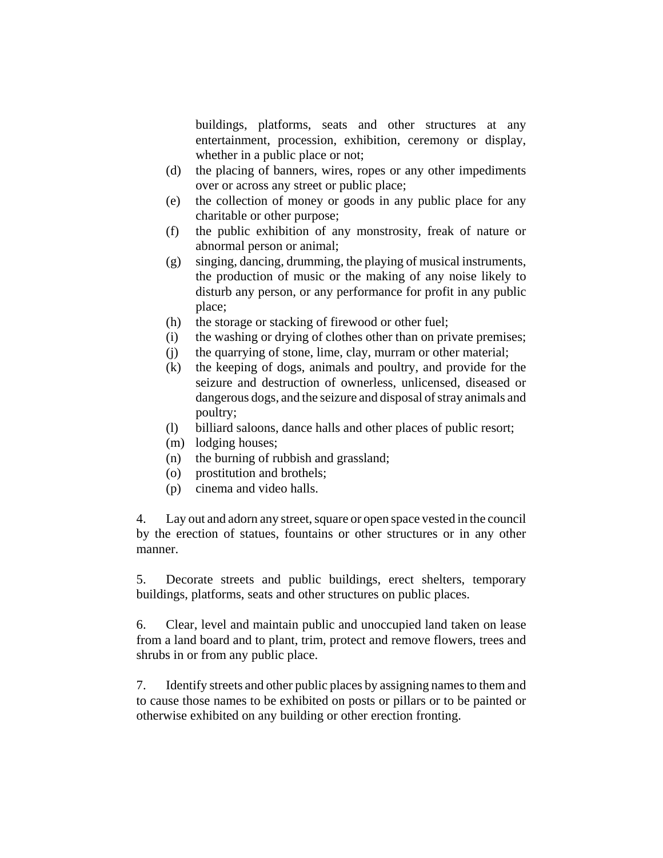buildings, platforms, seats and other structures at any entertainment, procession, exhibition, ceremony or display, whether in a public place or not;

- (d) the placing of banners, wires, ropes or any other impediments over or across any street or public place;
- (e) the collection of money or goods in any public place for any charitable or other purpose;
- (f) the public exhibition of any monstrosity, freak of nature or abnormal person or animal;
- (g) singing, dancing, drumming, the playing of musical instruments, the production of music or the making of any noise likely to disturb any person, or any performance for profit in any public place;
- (h) the storage or stacking of firewood or other fuel;
- (i) the washing or drying of clothes other than on private premises;
- (j) the quarrying of stone, lime, clay, murram or other material;
- (k) the keeping of dogs, animals and poultry, and provide for the seizure and destruction of ownerless, unlicensed, diseased or dangerous dogs, and the seizure and disposal of stray animals and poultry;
- (l) billiard saloons, dance halls and other places of public resort;
- (m) lodging houses;
- (n) the burning of rubbish and grassland;
- (o) prostitution and brothels;
- (p) cinema and video halls.

4. Lay out and adorn any street, square or open space vested in the council by the erection of statues, fountains or other structures or in any other manner.

5. Decorate streets and public buildings, erect shelters, temporary buildings, platforms, seats and other structures on public places.

6. Clear, level and maintain public and unoccupied land taken on lease from a land board and to plant, trim, protect and remove flowers, trees and shrubs in or from any public place.

7. Identify streets and other public places by assigning names to them and to cause those names to be exhibited on posts or pillars or to be painted or otherwise exhibited on any building or other erection fronting.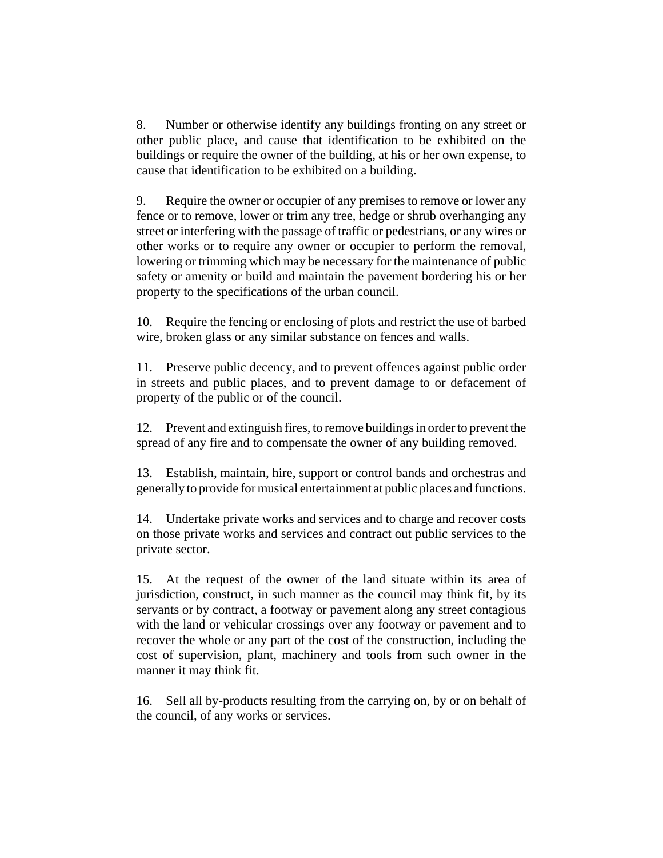8. Number or otherwise identify any buildings fronting on any street or other public place, and cause that identification to be exhibited on the buildings or require the owner of the building, at his or her own expense, to cause that identification to be exhibited on a building.

9. Require the owner or occupier of any premises to remove or lower any fence or to remove, lower or trim any tree, hedge or shrub overhanging any street or interfering with the passage of traffic or pedestrians, or any wires or other works or to require any owner or occupier to perform the removal, lowering or trimming which may be necessary for the maintenance of public safety or amenity or build and maintain the pavement bordering his or her property to the specifications of the urban council.

10. Require the fencing or enclosing of plots and restrict the use of barbed wire, broken glass or any similar substance on fences and walls.

11. Preserve public decency, and to prevent offences against public order in streets and public places, and to prevent damage to or defacement of property of the public or of the council.

12. Prevent and extinguish fires, to remove buildings in order to prevent the spread of any fire and to compensate the owner of any building removed.

13. Establish, maintain, hire, support or control bands and orchestras and generally to provide for musical entertainment at public places and functions.

14. Undertake private works and services and to charge and recover costs on those private works and services and contract out public services to the private sector.

15. At the request of the owner of the land situate within its area of jurisdiction, construct, in such manner as the council may think fit, by its servants or by contract, a footway or pavement along any street contagious with the land or vehicular crossings over any footway or pavement and to recover the whole or any part of the cost of the construction, including the cost of supervision, plant, machinery and tools from such owner in the manner it may think fit.

16. Sell all by-products resulting from the carrying on, by or on behalf of the council, of any works or services.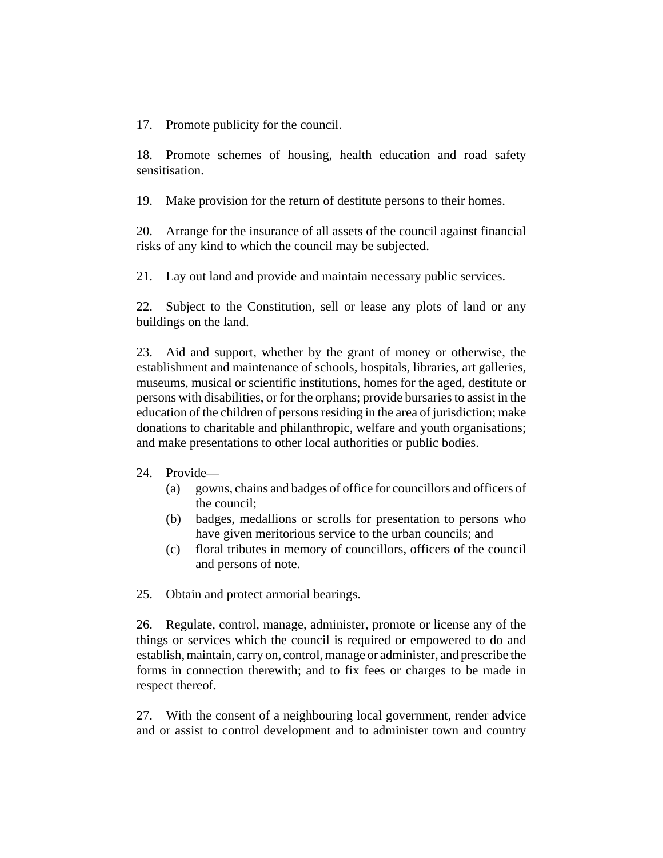17. Promote publicity for the council.

18. Promote schemes of housing, health education and road safety sensitisation.

19. Make provision for the return of destitute persons to their homes.

20. Arrange for the insurance of all assets of the council against financial risks of any kind to which the council may be subjected.

21. Lay out land and provide and maintain necessary public services.

22. Subject to the Constitution, sell or lease any plots of land or any buildings on the land.

23. Aid and support, whether by the grant of money or otherwise, the establishment and maintenance of schools, hospitals, libraries, art galleries, museums, musical or scientific institutions, homes for the aged, destitute or persons with disabilities, or for the orphans; provide bursaries to assist in the education of the children of persons residing in the area of jurisdiction; make donations to charitable and philanthropic, welfare and youth organisations; and make presentations to other local authorities or public bodies.

#### 24. Provide—

- (a) gowns, chains and badges of office for councillors and officers of the council;
- (b) badges, medallions or scrolls for presentation to persons who have given meritorious service to the urban councils; and
- (c) floral tributes in memory of councillors, officers of the council and persons of note.

25. Obtain and protect armorial bearings.

26. Regulate, control, manage, administer, promote or license any of the things or services which the council is required or empowered to do and establish, maintain, carry on, control, manage or administer, and prescribe the forms in connection therewith; and to fix fees or charges to be made in respect thereof.

27. With the consent of a neighbouring local government, render advice and or assist to control development and to administer town and country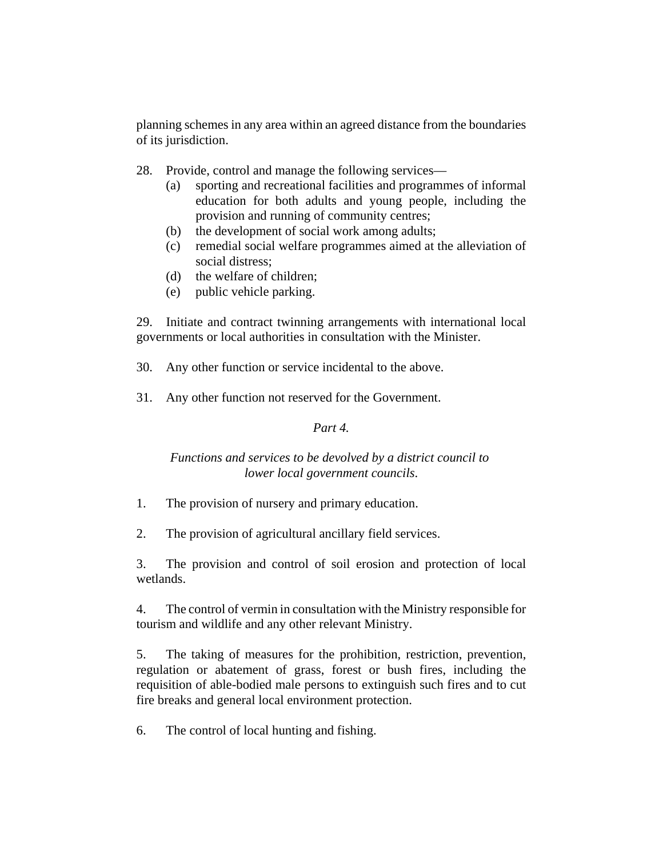planning schemes in any area within an agreed distance from the boundaries of its jurisdiction.

- 28. Provide, control and manage the following services—
	- (a) sporting and recreational facilities and programmes of informal education for both adults and young people, including the provision and running of community centres;
	- (b) the development of social work among adults;
	- (c) remedial social welfare programmes aimed at the alleviation of social distress;
	- (d) the welfare of children;
	- (e) public vehicle parking.

29. Initiate and contract twinning arrangements with international local governments or local authorities in consultation with the Minister.

30. Any other function or service incidental to the above.

31. Any other function not reserved for the Government.

# *Part 4.*

# *Functions and services to be devolved by a district council to lower local government councils*.

- 1. The provision of nursery and primary education.
- 2. The provision of agricultural ancillary field services.

3. The provision and control of soil erosion and protection of local wetlands.

4. The control of vermin in consultation with the Ministry responsible for tourism and wildlife and any other relevant Ministry.

5. The taking of measures for the prohibition, restriction, prevention, regulation or abatement of grass, forest or bush fires, including the requisition of able-bodied male persons to extinguish such fires and to cut fire breaks and general local environment protection.

6. The control of local hunting and fishing.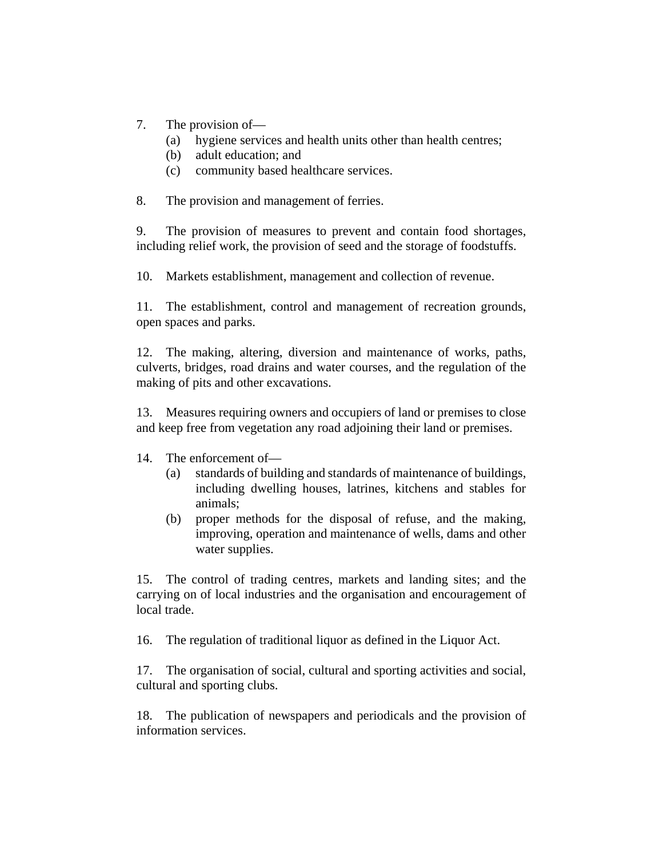- 7. The provision of—
	- (a) hygiene services and health units other than health centres;
	- (b) adult education; and
	- (c) community based healthcare services.

8. The provision and management of ferries.

9. The provision of measures to prevent and contain food shortages, including relief work, the provision of seed and the storage of foodstuffs.

10. Markets establishment, management and collection of revenue.

11. The establishment, control and management of recreation grounds, open spaces and parks.

12. The making, altering, diversion and maintenance of works, paths, culverts, bridges, road drains and water courses, and the regulation of the making of pits and other excavations.

13. Measures requiring owners and occupiers of land or premises to close and keep free from vegetation any road adjoining their land or premises.

- 14. The enforcement of—
	- (a) standards of building and standards of maintenance of buildings, including dwelling houses, latrines, kitchens and stables for animals;
	- (b) proper methods for the disposal of refuse, and the making, improving, operation and maintenance of wells, dams and other water supplies.

15. The control of trading centres, markets and landing sites; and the carrying on of local industries and the organisation and encouragement of local trade.

16. The regulation of traditional liquor as defined in the Liquor Act.

17. The organisation of social, cultural and sporting activities and social, cultural and sporting clubs.

18. The publication of newspapers and periodicals and the provision of information services.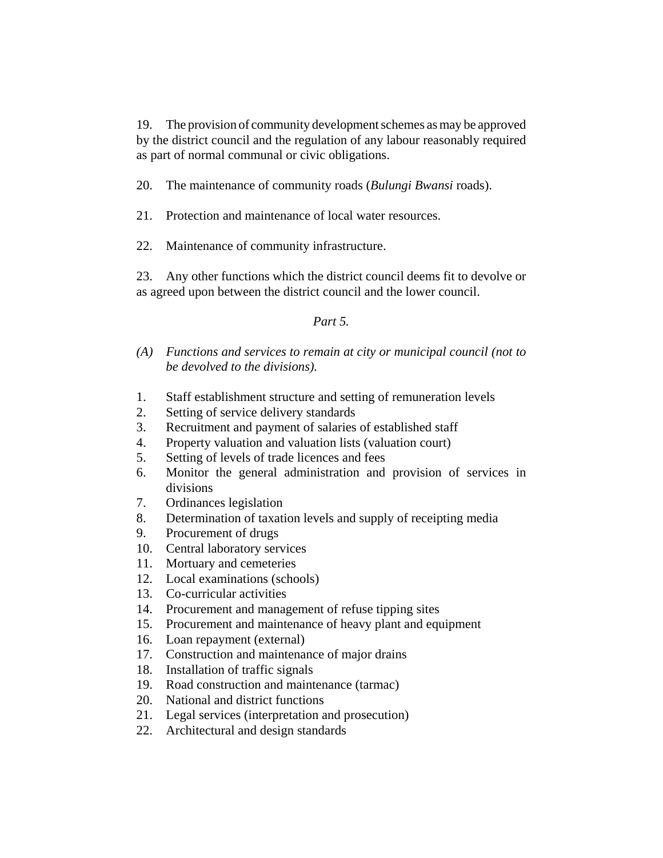19. The provision of community development schemes as may be approved by the district council and the regulation of any labour reasonably required as part of normal communal or civic obligations.

20. The maintenance of community roads (*Bulungi Bwansi* roads).

21. Protection and maintenance of local water resources.

22. Maintenance of community infrastructure.

23. Any other functions which the district council deems fit to devolve or as agreed upon between the district council and the lower council.

# *Part 5.*

- *(A) Functions and services to remain at city or municipal council (not to be devolved to the divisions).*
- 1. Staff establishment structure and setting of remuneration levels
- 2. Setting of service delivery standards
- 3. Recruitment and payment of salaries of established staff
- 4. Property valuation and valuation lists (valuation court)
- 5. Setting of levels of trade licences and fees
- 6. Monitor the general administration and provision of services in divisions
- 7. Ordinances legislation
- 8. Determination of taxation levels and supply of receipting media
- 9. Procurement of drugs
- 10. Central laboratory services
- 11. Mortuary and cemeteries
- 12. Local examinations (schools)
- 13. Co-curricular activities
- 14. Procurement and management of refuse tipping sites
- 15. Procurement and maintenance of heavy plant and equipment
- 16. Loan repayment (external)
- 17. Construction and maintenance of major drains
- 18. Installation of traffic signals
- 19. Road construction and maintenance (tarmac)
- 20. National and district functions
- 21. Legal services (interpretation and prosecution)
- 22. Architectural and design standards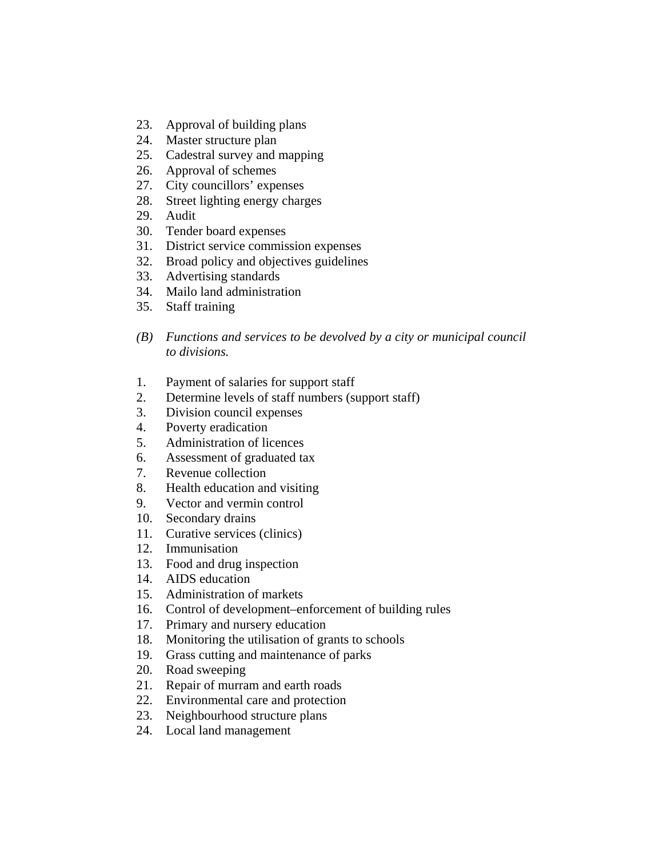- 23. Approval of building plans
- 24. Master structure plan
- 25. Cadestral survey and mapping
- 26. Approval of schemes
- 27. City councillors' expenses
- 28. Street lighting energy charges
- 29. Audit
- 30. Tender board expenses
- 31. District service commission expenses
- 32. Broad policy and objectives guidelines
- 33. Advertising standards
- 34. Mailo land administration
- 35. Staff training
- *(B) Functions and services to be devolved by a city or municipal council to divisions.*
- 1. Payment of salaries for support staff
- 2. Determine levels of staff numbers (support staff)
- 3. Division council expenses
- 4. Poverty eradication
- 5. Administration of licences
- 6. Assessment of graduated tax
- 7. Revenue collection
- 8. Health education and visiting
- 9. Vector and vermin control
- 10. Secondary drains
- 11. Curative services (clinics)
- 12. Immunisation
- 13. Food and drug inspection
- 14. AIDS education
- 15. Administration of markets
- 16. Control of development–enforcement of building rules
- 17. Primary and nursery education
- 18. Monitoring the utilisation of grants to schools
- 19. Grass cutting and maintenance of parks
- 20. Road sweeping
- 21. Repair of murram and earth roads
- 22. Environmental care and protection
- 23. Neighbourhood structure plans
- 24. Local land management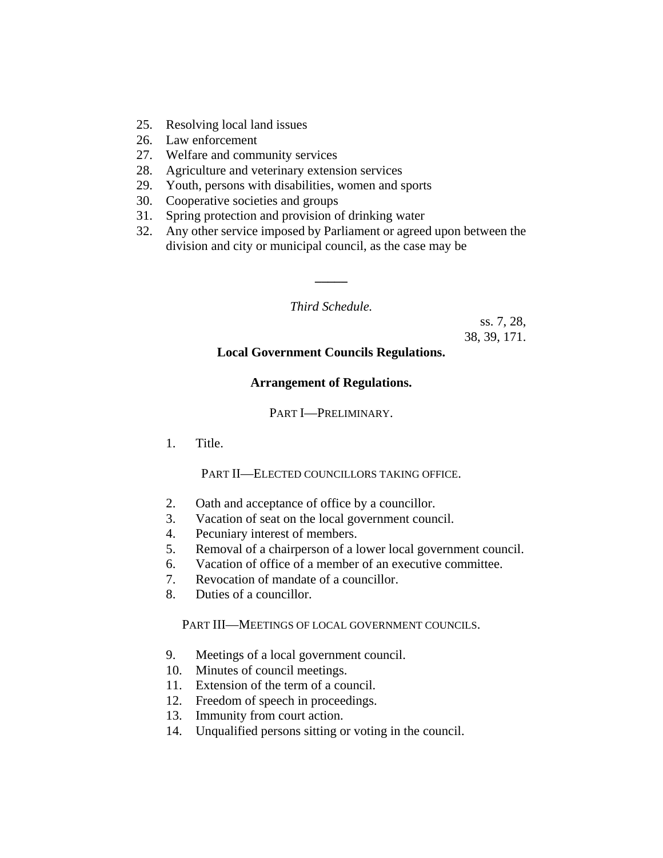- 25. Resolving local land issues
- 26. Law enforcement
- 27. Welfare and community services
- 28. Agriculture and veterinary extension services
- 29. Youth, persons with disabilities, women and sports
- 30. Cooperative societies and groups
- 31. Spring protection and provision of drinking water
- 32. Any other service imposed by Parliament or agreed upon between the division and city or municipal council, as the case may be

*Third Schedule.*

**\_\_\_\_\_**

ss. 7, 28, 38, 39, 171.

## **Local Government Councils Regulations.**

#### **Arrangement of Regulations.**

PART I—PRELIMINARY.

1. Title.

#### PART II—ELECTED COUNCILLORS TAKING OFFICE.

- 2. Oath and acceptance of office by a councillor.
- 3. Vacation of seat on the local government council.
- 4. Pecuniary interest of members.
- 5. Removal of a chairperson of a lower local government council.
- 6. Vacation of office of a member of an executive committee.
- 7. Revocation of mandate of a councillor.
- 8. Duties of a councillor.

#### PART III—MEETINGS OF LOCAL GOVERNMENT COUNCILS.

- 9. Meetings of a local government council.
- 10. Minutes of council meetings.
- 11. Extension of the term of a council.
- 12. Freedom of speech in proceedings.
- 13. Immunity from court action.
- 14. Unqualified persons sitting or voting in the council.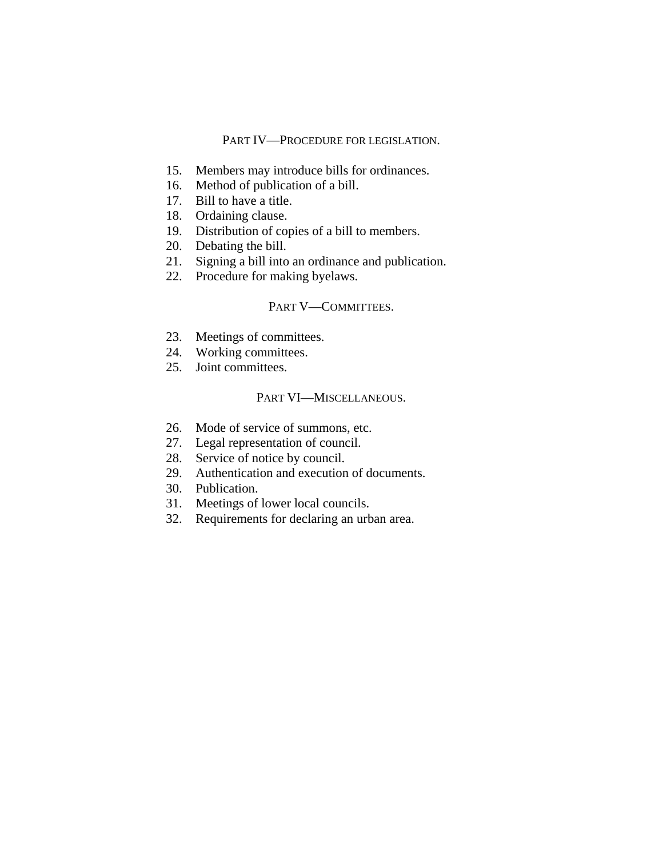#### PART IV—PROCEDURE FOR LEGISLATION.

- 15. Members may introduce bills for ordinances.
- 16. Method of publication of a bill.
- 17. Bill to have a title.
- 18. Ordaining clause.
- 19. Distribution of copies of a bill to members.
- 20. Debating the bill.
- 21. Signing a bill into an ordinance and publication.
- 22. Procedure for making byelaws.

# PART V-COMMITTEES.

- 23. Meetings of committees.
- 24. Working committees.
- 25. Joint committees.

#### PART VI—MISCELLANEOUS.

- 26. Mode of service of summons, etc.
- 27. Legal representation of council.
- 28. Service of notice by council.
- 29. Authentication and execution of documents.
- 30. Publication.
- 31. Meetings of lower local councils.
- 32. Requirements for declaring an urban area.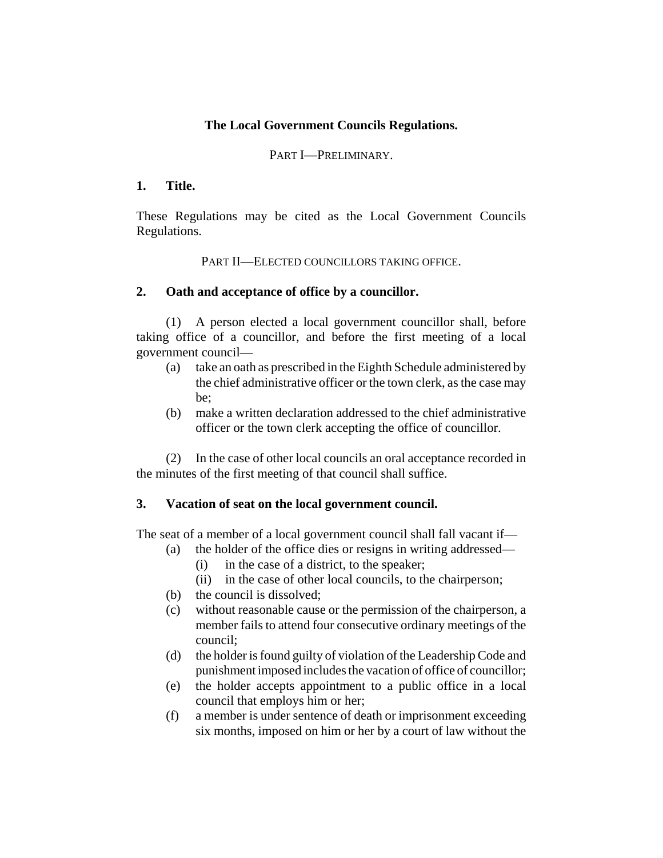# **The Local Government Councils Regulations.**

## PART I—PRELIMINARY.

## **1. Title.**

These Regulations may be cited as the Local Government Councils Regulations.

## PART II—ELECTED COUNCILLORS TAKING OFFICE.

## **2. Oath and acceptance of office by a councillor.**

(1) A person elected a local government councillor shall, before taking office of a councillor, and before the first meeting of a local government council—

- (a) take an oath as prescribed in the Eighth Schedule administered by the chief administrative officer or the town clerk, as the case may be;
- (b) make a written declaration addressed to the chief administrative officer or the town clerk accepting the office of councillor.

(2) In the case of other local councils an oral acceptance recorded in the minutes of the first meeting of that council shall suffice.

## **3. Vacation of seat on the local government council.**

The seat of a member of a local government council shall fall vacant if—

- (a) the holder of the office dies or resigns in writing addressed—
	- (i) in the case of a district, to the speaker;
	- (ii) in the case of other local councils, to the chairperson;
- (b) the council is dissolved;
- (c) without reasonable cause or the permission of the chairperson, a member fails to attend four consecutive ordinary meetings of the council;
- (d) the holder is found guilty of violation of the Leadership Code and punishment imposed includes the vacation of office of councillor;
- (e) the holder accepts appointment to a public office in a local council that employs him or her;
- (f) a member is under sentence of death or imprisonment exceeding six months, imposed on him or her by a court of law without the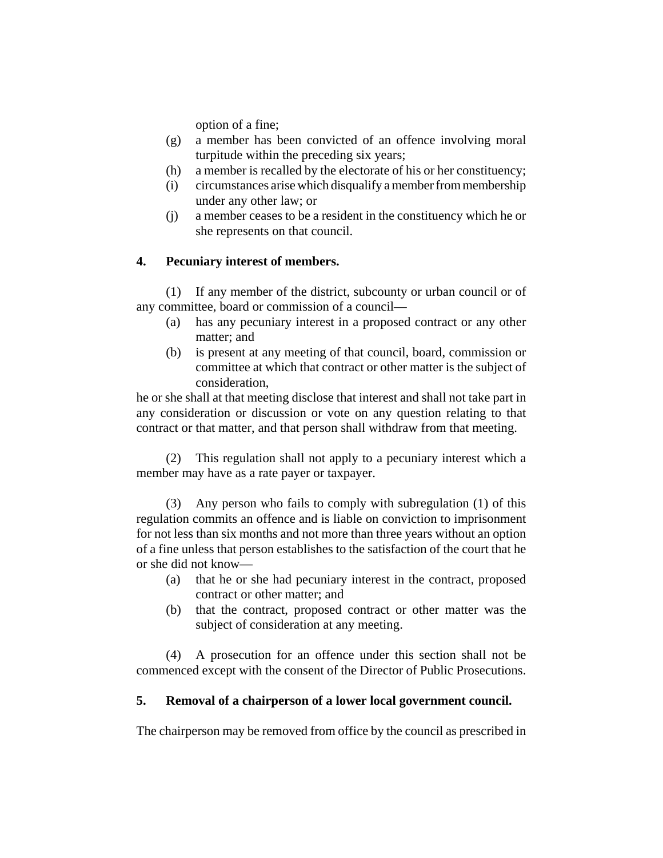option of a fine;

- (g) a member has been convicted of an offence involving moral turpitude within the preceding six years;
- (h) a member is recalled by the electorate of his or her constituency;
- (i) circumstances arise which disqualify a member from membership under any other law; or
- (j) a member ceases to be a resident in the constituency which he or she represents on that council.

## **4. Pecuniary interest of members.**

(1) If any member of the district, subcounty or urban council or of any committee, board or commission of a council—

- (a) has any pecuniary interest in a proposed contract or any other matter; and
- (b) is present at any meeting of that council, board, commission or committee at which that contract or other matter is the subject of consideration,

he or she shall at that meeting disclose that interest and shall not take part in any consideration or discussion or vote on any question relating to that contract or that matter, and that person shall withdraw from that meeting.

(2) This regulation shall not apply to a pecuniary interest which a member may have as a rate payer or taxpayer.

(3) Any person who fails to comply with subregulation (1) of this regulation commits an offence and is liable on conviction to imprisonment for not less than six months and not more than three years without an option of a fine unless that person establishes to the satisfaction of the court that he or she did not know—

- (a) that he or she had pecuniary interest in the contract, proposed contract or other matter; and
- (b) that the contract, proposed contract or other matter was the subject of consideration at any meeting.

(4) A prosecution for an offence under this section shall not be commenced except with the consent of the Director of Public Prosecutions.

## **5. Removal of a chairperson of a lower local government council.**

The chairperson may be removed from office by the council as prescribed in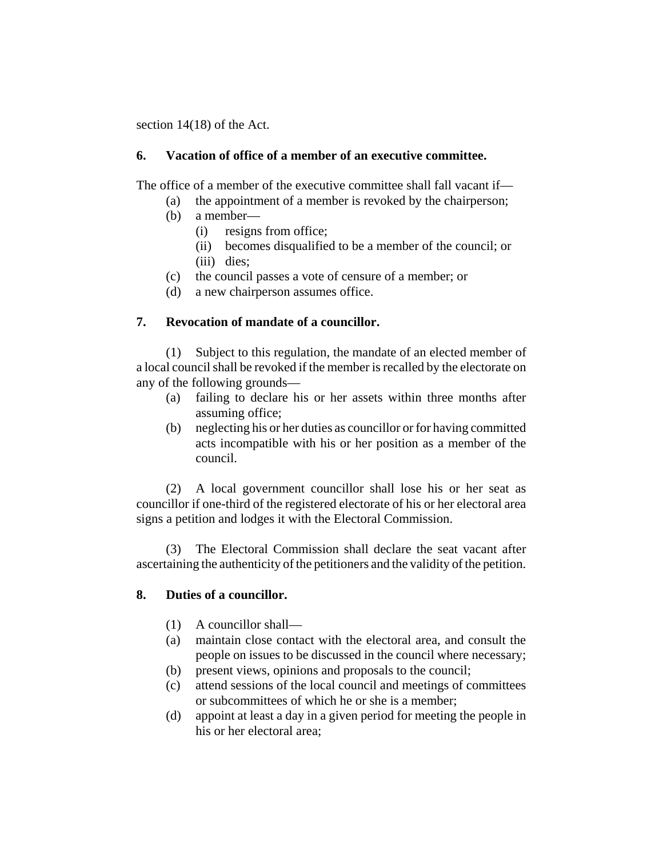section 14(18) of the Act.

## **6. Vacation of office of a member of an executive committee.**

The office of a member of the executive committee shall fall vacant if—

- (a) the appointment of a member is revoked by the chairperson;
- (b) a member—
	- (i) resigns from office;
	- (ii) becomes disqualified to be a member of the council; or (iii) dies;
- (c) the council passes a vote of censure of a member; or
- (d) a new chairperson assumes office.

# **7. Revocation of mandate of a councillor.**

(1) Subject to this regulation, the mandate of an elected member of a local council shall be revoked if the member is recalled by the electorate on any of the following grounds—

- (a) failing to declare his or her assets within three months after assuming office;
- (b) neglecting his or her duties as councillor or for having committed acts incompatible with his or her position as a member of the council.

(2) A local government councillor shall lose his or her seat as councillor if one-third of the registered electorate of his or her electoral area signs a petition and lodges it with the Electoral Commission.

(3) The Electoral Commission shall declare the seat vacant after ascertaining the authenticity of the petitioners and the validity of the petition.

## **8. Duties of a councillor.**

- (1) A councillor shall—
- (a) maintain close contact with the electoral area, and consult the people on issues to be discussed in the council where necessary;
- (b) present views, opinions and proposals to the council;
- (c) attend sessions of the local council and meetings of committees or subcommittees of which he or she is a member;
- (d) appoint at least a day in a given period for meeting the people in his or her electoral area;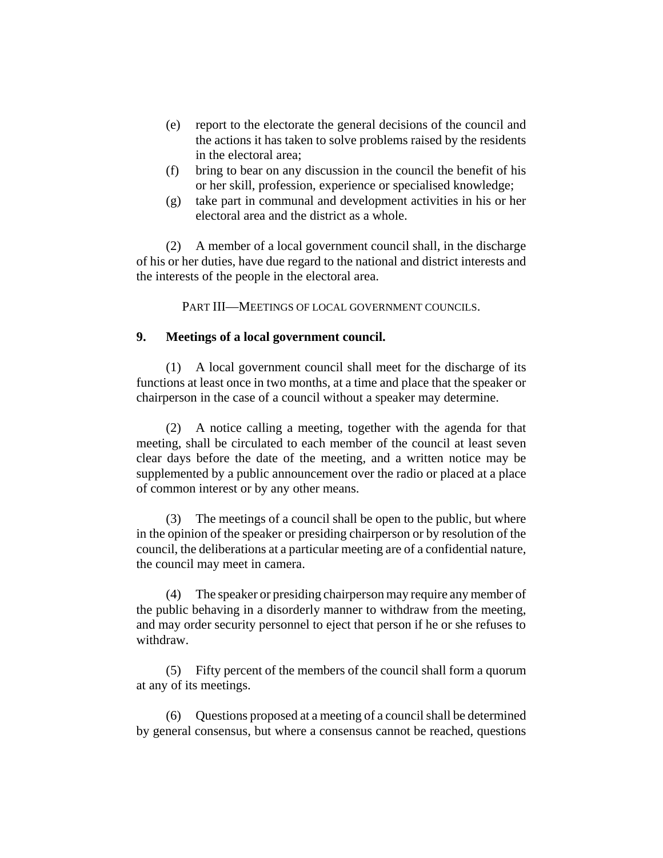- (e) report to the electorate the general decisions of the council and the actions it has taken to solve problems raised by the residents in the electoral area;
- (f) bring to bear on any discussion in the council the benefit of his or her skill, profession, experience or specialised knowledge;
- (g) take part in communal and development activities in his or her electoral area and the district as a whole.

(2) A member of a local government council shall, in the discharge of his or her duties, have due regard to the national and district interests and the interests of the people in the electoral area.

PART III—MEETINGS OF LOCAL GOVERNMENT COUNCILS.

## **9. Meetings of a local government council.**

(1) A local government council shall meet for the discharge of its functions at least once in two months, at a time and place that the speaker or chairperson in the case of a council without a speaker may determine.

(2) A notice calling a meeting, together with the agenda for that meeting, shall be circulated to each member of the council at least seven clear days before the date of the meeting, and a written notice may be supplemented by a public announcement over the radio or placed at a place of common interest or by any other means.

(3) The meetings of a council shall be open to the public, but where in the opinion of the speaker or presiding chairperson or by resolution of the council, the deliberations at a particular meeting are of a confidential nature, the council may meet in camera.

(4) The speaker or presiding chairperson may require any member of the public behaving in a disorderly manner to withdraw from the meeting, and may order security personnel to eject that person if he or she refuses to withdraw.

(5) Fifty percent of the members of the council shall form a quorum at any of its meetings.

(6) Questions proposed at a meeting of a council shall be determined by general consensus, but where a consensus cannot be reached, questions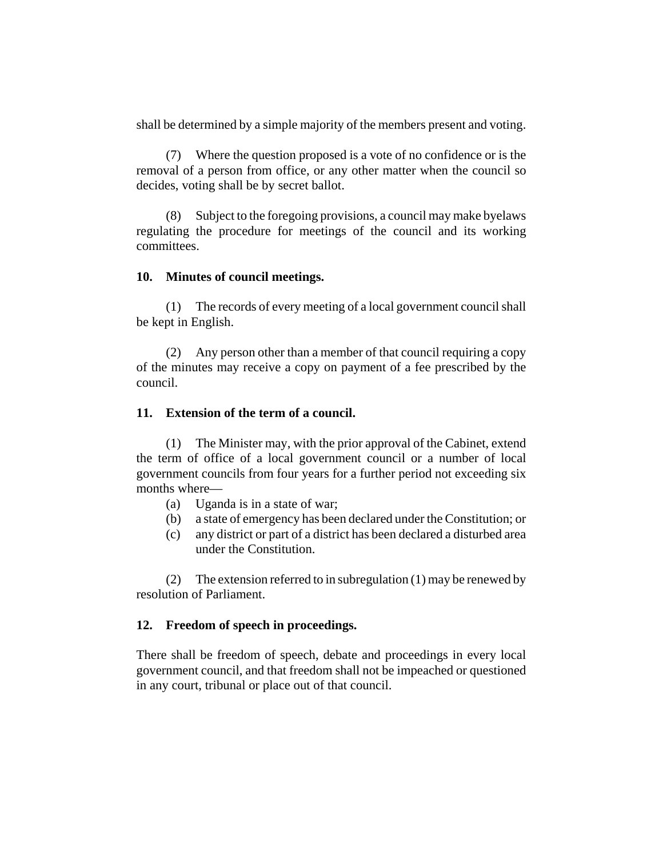shall be determined by a simple majority of the members present and voting.

(7) Where the question proposed is a vote of no confidence or is the removal of a person from office, or any other matter when the council so decides, voting shall be by secret ballot.

(8) Subject to the foregoing provisions, a council may make byelaws regulating the procedure for meetings of the council and its working committees.

## **10. Minutes of council meetings.**

(1) The records of every meeting of a local government council shall be kept in English.

(2) Any person other than a member of that council requiring a copy of the minutes may receive a copy on payment of a fee prescribed by the council.

## **11. Extension of the term of a council.**

(1) The Minister may, with the prior approval of the Cabinet, extend the term of office of a local government council or a number of local government councils from four years for a further period not exceeding six months where—

- (a) Uganda is in a state of war;
- (b) a state of emergency has been declared under the Constitution; or
- (c) any district or part of a district has been declared a disturbed area under the Constitution.

(2) The extension referred to in subregulation (1) may be renewed by resolution of Parliament.

## **12. Freedom of speech in proceedings.**

There shall be freedom of speech, debate and proceedings in every local government council, and that freedom shall not be impeached or questioned in any court, tribunal or place out of that council.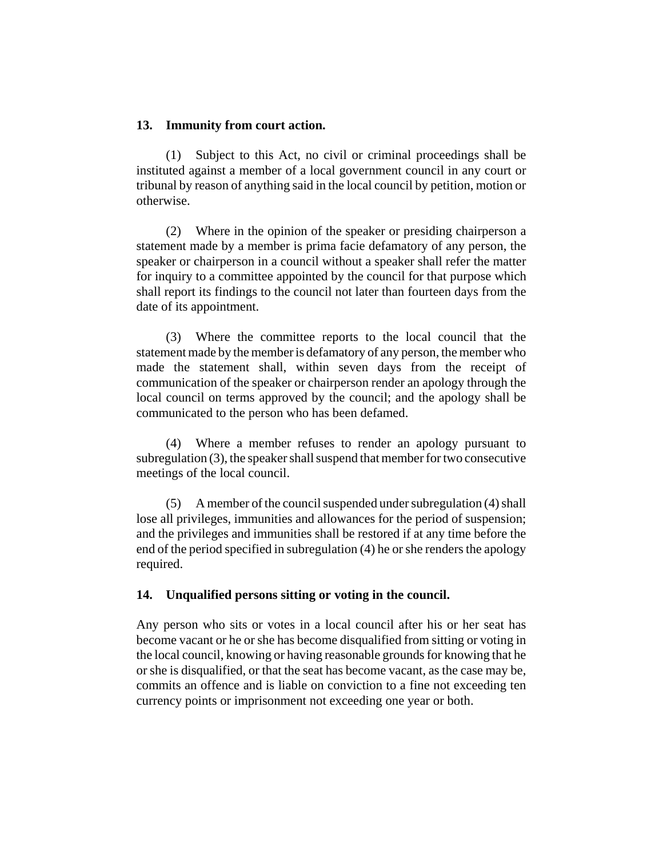#### **13. Immunity from court action.**

(1) Subject to this Act, no civil or criminal proceedings shall be instituted against a member of a local government council in any court or tribunal by reason of anything said in the local council by petition, motion or otherwise.

(2) Where in the opinion of the speaker or presiding chairperson a statement made by a member is prima facie defamatory of any person, the speaker or chairperson in a council without a speaker shall refer the matter for inquiry to a committee appointed by the council for that purpose which shall report its findings to the council not later than fourteen days from the date of its appointment.

(3) Where the committee reports to the local council that the statement made by the member is defamatory of any person, the member who made the statement shall, within seven days from the receipt of communication of the speaker or chairperson render an apology through the local council on terms approved by the council; and the apology shall be communicated to the person who has been defamed.

(4) Where a member refuses to render an apology pursuant to subregulation (3), the speaker shall suspend that member for two consecutive meetings of the local council.

(5) A member of the council suspended under subregulation (4) shall lose all privileges, immunities and allowances for the period of suspension; and the privileges and immunities shall be restored if at any time before the end of the period specified in subregulation (4) he or she renders the apology required.

#### **14. Unqualified persons sitting or voting in the council.**

Any person who sits or votes in a local council after his or her seat has become vacant or he or she has become disqualified from sitting or voting in the local council, knowing or having reasonable grounds for knowing that he or she is disqualified, or that the seat has become vacant, as the case may be, commits an offence and is liable on conviction to a fine not exceeding ten currency points or imprisonment not exceeding one year or both.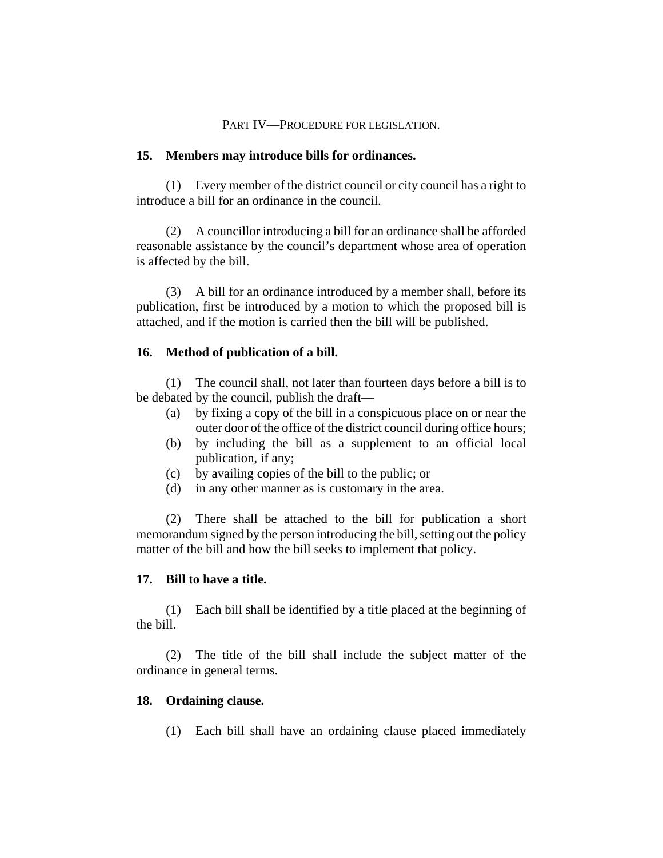#### PART IV—PROCEDURE FOR LEGISLATION.

#### **15. Members may introduce bills for ordinances.**

(1) Every member of the district council or city council has a right to introduce a bill for an ordinance in the council.

(2) A councillor introducing a bill for an ordinance shall be afforded reasonable assistance by the council's department whose area of operation is affected by the bill.

(3) A bill for an ordinance introduced by a member shall, before its publication, first be introduced by a motion to which the proposed bill is attached, and if the motion is carried then the bill will be published.

#### **16. Method of publication of a bill.**

(1) The council shall, not later than fourteen days before a bill is to be debated by the council, publish the draft—

- (a) by fixing a copy of the bill in a conspicuous place on or near the outer door of the office of the district council during office hours;
- (b) by including the bill as a supplement to an official local publication, if any;
- (c) by availing copies of the bill to the public; or
- (d) in any other manner as is customary in the area.

(2) There shall be attached to the bill for publication a short memorandum signed by the person introducing the bill, setting out the policy matter of the bill and how the bill seeks to implement that policy.

#### **17. Bill to have a title.**

(1) Each bill shall be identified by a title placed at the beginning of the bill.

(2) The title of the bill shall include the subject matter of the ordinance in general terms.

#### **18. Ordaining clause.**

(1) Each bill shall have an ordaining clause placed immediately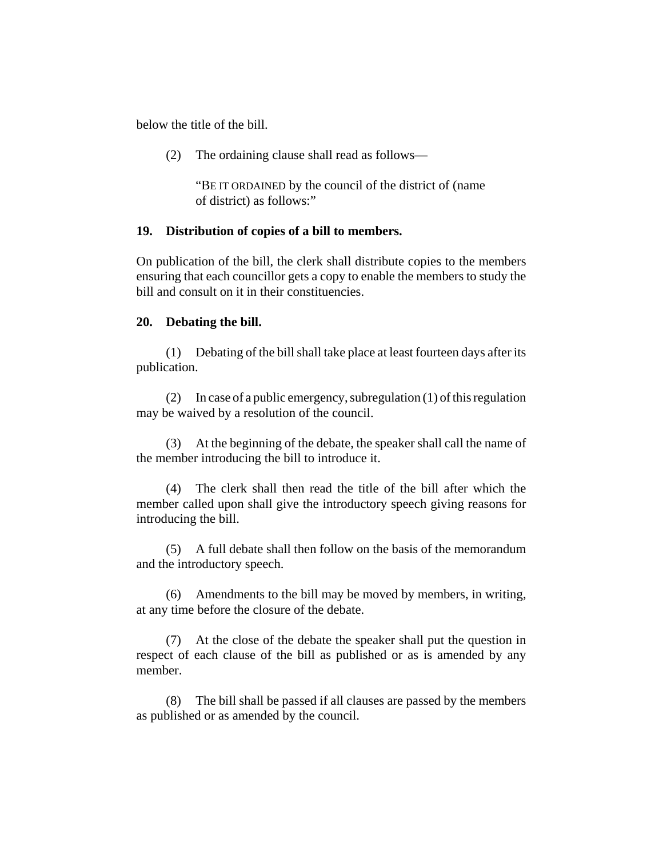below the title of the bill.

(2) The ordaining clause shall read as follows—

"BE IT ORDAINED by the council of the district of (name of district) as follows:"

## **19. Distribution of copies of a bill to members.**

On publication of the bill, the clerk shall distribute copies to the members ensuring that each councillor gets a copy to enable the members to study the bill and consult on it in their constituencies.

## **20. Debating the bill.**

(1) Debating of the bill shall take place at least fourteen days after its publication.

(2) In case of a public emergency, subregulation (1) of this regulation may be waived by a resolution of the council.

(3) At the beginning of the debate, the speaker shall call the name of the member introducing the bill to introduce it.

(4) The clerk shall then read the title of the bill after which the member called upon shall give the introductory speech giving reasons for introducing the bill.

(5) A full debate shall then follow on the basis of the memorandum and the introductory speech.

(6) Amendments to the bill may be moved by members, in writing, at any time before the closure of the debate.

(7) At the close of the debate the speaker shall put the question in respect of each clause of the bill as published or as is amended by any member.

(8) The bill shall be passed if all clauses are passed by the members as published or as amended by the council.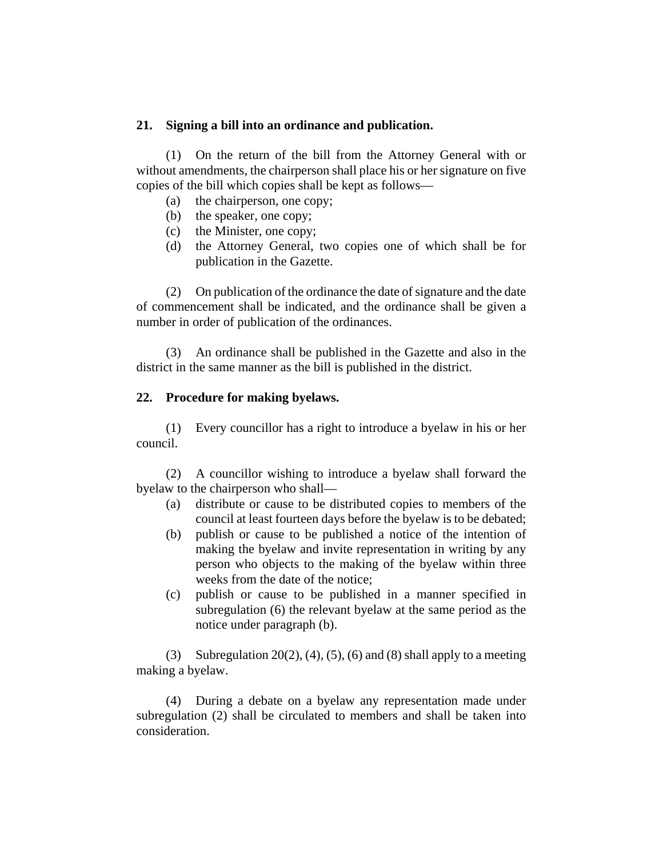## **21. Signing a bill into an ordinance and publication.**

(1) On the return of the bill from the Attorney General with or without amendments, the chairperson shall place his or her signature on five copies of the bill which copies shall be kept as follows—

- (a) the chairperson, one copy;
- (b) the speaker, one copy;
- (c) the Minister, one copy;
- (d) the Attorney General, two copies one of which shall be for publication in the Gazette.

(2) On publication of the ordinance the date of signature and the date of commencement shall be indicated, and the ordinance shall be given a number in order of publication of the ordinances.

(3) An ordinance shall be published in the Gazette and also in the district in the same manner as the bill is published in the district.

#### **22. Procedure for making byelaws.**

(1) Every councillor has a right to introduce a byelaw in his or her council.

(2) A councillor wishing to introduce a byelaw shall forward the byelaw to the chairperson who shall—

- (a) distribute or cause to be distributed copies to members of the council at least fourteen days before the byelaw is to be debated;
- (b) publish or cause to be published a notice of the intention of making the byelaw and invite representation in writing by any person who objects to the making of the byelaw within three weeks from the date of the notice;
- (c) publish or cause to be published in a manner specified in subregulation (6) the relevant byelaw at the same period as the notice under paragraph (b).

(3) Subregulation 20(2), (4), (5), (6) and (8) shall apply to a meeting making a byelaw.

(4) During a debate on a byelaw any representation made under subregulation (2) shall be circulated to members and shall be taken into consideration.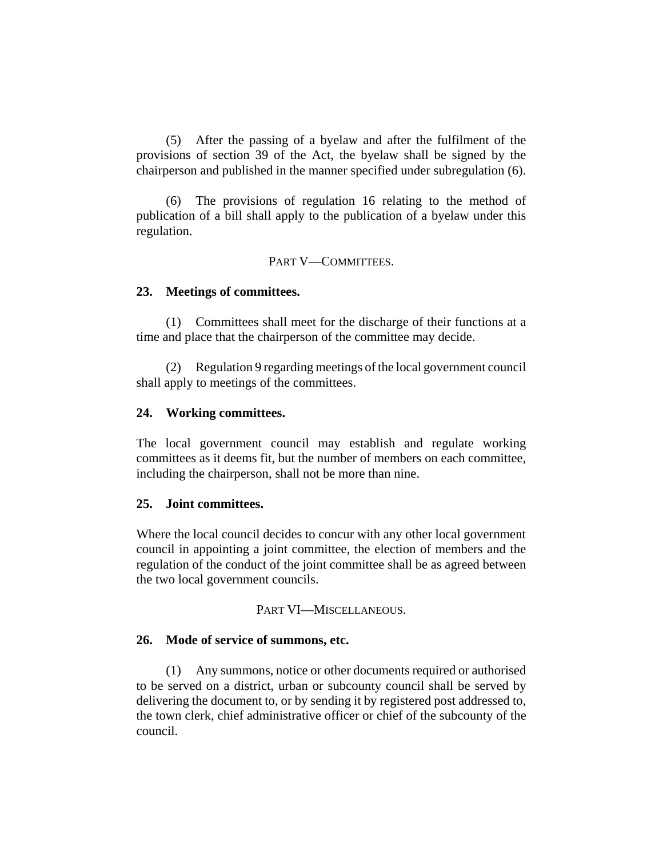(5) After the passing of a byelaw and after the fulfilment of the provisions of section 39 of the Act, the byelaw shall be signed by the chairperson and published in the manner specified under subregulation (6).

(6) The provisions of regulation 16 relating to the method of publication of a bill shall apply to the publication of a byelaw under this regulation.

PART V-COMMITTEES.

## **23. Meetings of committees.**

(1) Committees shall meet for the discharge of their functions at a time and place that the chairperson of the committee may decide.

(2) Regulation 9 regarding meetings of the local government council shall apply to meetings of the committees.

## **24. Working committees.**

The local government council may establish and regulate working committees as it deems fit, but the number of members on each committee, including the chairperson, shall not be more than nine.

## **25. Joint committees.**

Where the local council decides to concur with any other local government council in appointing a joint committee, the election of members and the regulation of the conduct of the joint committee shall be as agreed between the two local government councils.

#### PART VI—MISCELLANEOUS.

## **26. Mode of service of summons, etc.**

(1) Any summons, notice or other documents required or authorised to be served on a district, urban or subcounty council shall be served by delivering the document to, or by sending it by registered post addressed to, the town clerk, chief administrative officer or chief of the subcounty of the council.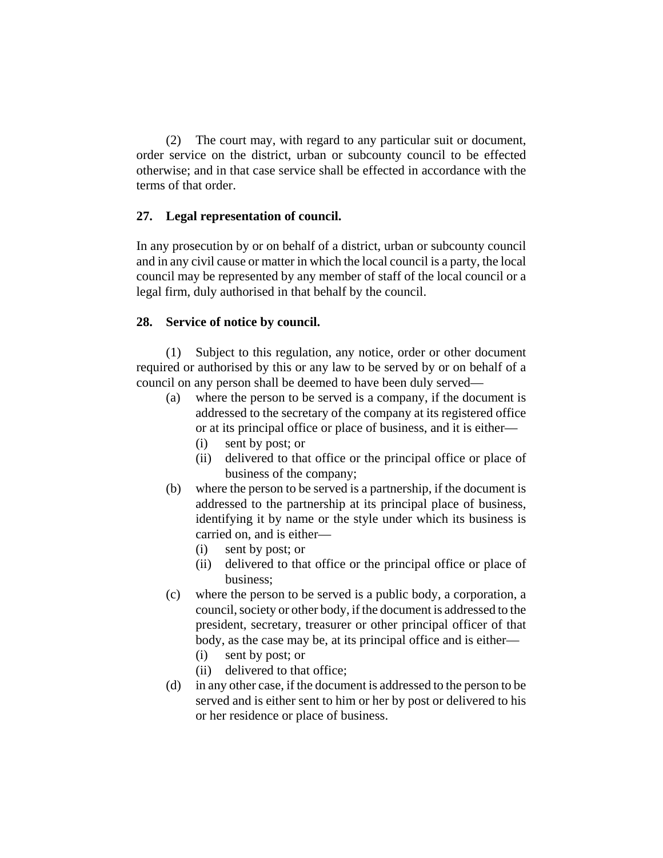(2) The court may, with regard to any particular suit or document, order service on the district, urban or subcounty council to be effected otherwise; and in that case service shall be effected in accordance with the terms of that order.

## **27. Legal representation of council.**

In any prosecution by or on behalf of a district, urban or subcounty council and in any civil cause or matter in which the local council is a party, the local council may be represented by any member of staff of the local council or a legal firm, duly authorised in that behalf by the council.

## **28. Service of notice by council.**

(1) Subject to this regulation, any notice, order or other document required or authorised by this or any law to be served by or on behalf of a council on any person shall be deemed to have been duly served—

- (a) where the person to be served is a company, if the document is addressed to the secretary of the company at its registered office or at its principal office or place of business, and it is either—
	- (i) sent by post; or
	- (ii) delivered to that office or the principal office or place of business of the company;
- (b) where the person to be served is a partnership, if the document is addressed to the partnership at its principal place of business, identifying it by name or the style under which its business is carried on, and is either—
	- (i) sent by post; or
	- (ii) delivered to that office or the principal office or place of business;
- (c) where the person to be served is a public body, a corporation, a council, society or other body, if the document is addressed to the president, secretary, treasurer or other principal officer of that body, as the case may be, at its principal office and is either—
	- (i) sent by post; or
	- (ii) delivered to that office;
- (d) in any other case, if the document is addressed to the person to be served and is either sent to him or her by post or delivered to his or her residence or place of business.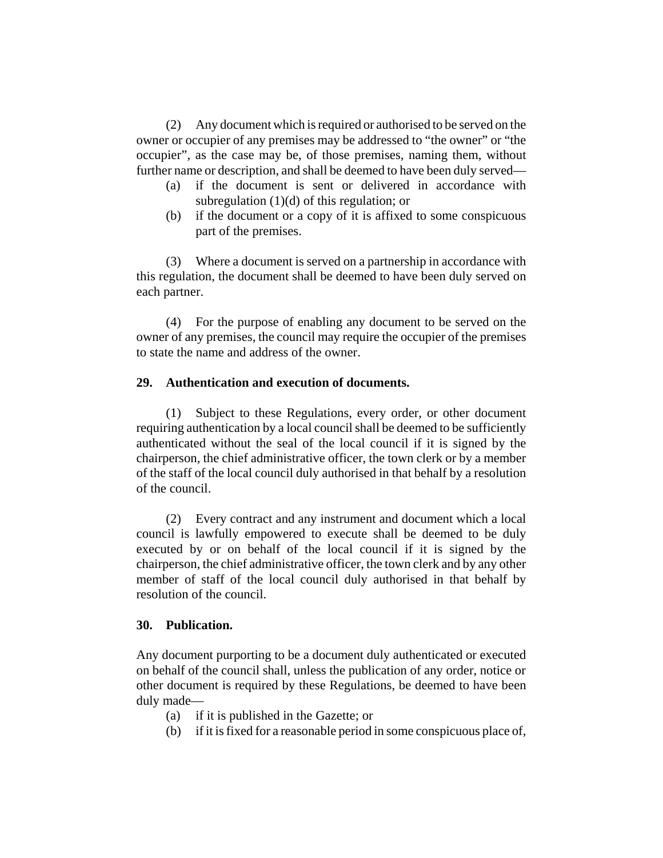(2) Any document which is required or authorised to be served on the owner or occupier of any premises may be addressed to "the owner" or "the occupier", as the case may be, of those premises, naming them, without further name or description, and shall be deemed to have been duly served—

- (a) if the document is sent or delivered in accordance with subregulation (1)(d) of this regulation; or
- (b) if the document or a copy of it is affixed to some conspicuous part of the premises.

(3) Where a document is served on a partnership in accordance with this regulation, the document shall be deemed to have been duly served on each partner.

(4) For the purpose of enabling any document to be served on the owner of any premises, the council may require the occupier of the premises to state the name and address of the owner.

## **29. Authentication and execution of documents.**

(1) Subject to these Regulations, every order, or other document requiring authentication by a local council shall be deemed to be sufficiently authenticated without the seal of the local council if it is signed by the chairperson, the chief administrative officer, the town clerk or by a member of the staff of the local council duly authorised in that behalf by a resolution of the council.

(2) Every contract and any instrument and document which a local council is lawfully empowered to execute shall be deemed to be duly executed by or on behalf of the local council if it is signed by the chairperson, the chief administrative officer, the town clerk and by any other member of staff of the local council duly authorised in that behalf by resolution of the council.

#### **30. Publication.**

Any document purporting to be a document duly authenticated or executed on behalf of the council shall, unless the publication of any order, notice or other document is required by these Regulations, be deemed to have been duly made—

- (a) if it is published in the Gazette; or
- (b) if it is fixed for a reasonable period in some conspicuous place of,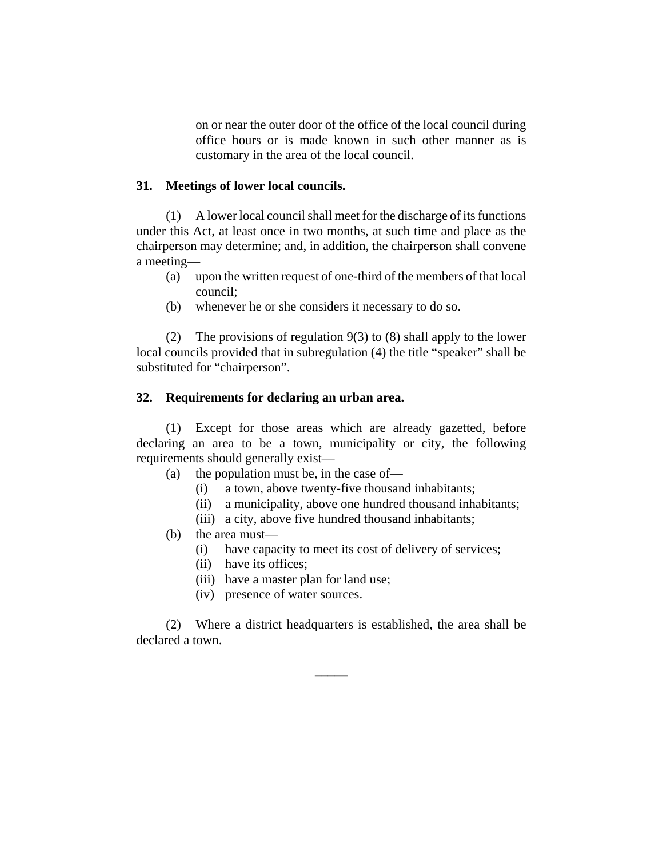on or near the outer door of the office of the local council during office hours or is made known in such other manner as is customary in the area of the local council.

#### **31. Meetings of lower local councils.**

(1) A lower local council shall meet for the discharge of its functions under this Act, at least once in two months, at such time and place as the chairperson may determine; and, in addition, the chairperson shall convene a meeting—

- (a) upon the written request of one-third of the members of that local council;
- (b) whenever he or she considers it necessary to do so.

(2) The provisions of regulation 9(3) to (8) shall apply to the lower local councils provided that in subregulation (4) the title "speaker" shall be substituted for "chairperson".

#### **32. Requirements for declaring an urban area.**

(1) Except for those areas which are already gazetted, before declaring an area to be a town, municipality or city, the following requirements should generally exist—

- (a) the population must be, in the case of—
	- (i) a town, above twenty-five thousand inhabitants;
	- (ii) a municipality, above one hundred thousand inhabitants;
	- (iii) a city, above five hundred thousand inhabitants;
- (b) the area must—
	- (i) have capacity to meet its cost of delivery of services;
	- (ii) have its offices;
	- (iii) have a master plan for land use;
	- (iv) presence of water sources.

(2) Where a district headquarters is established, the area shall be declared a town.

**\_\_\_\_\_**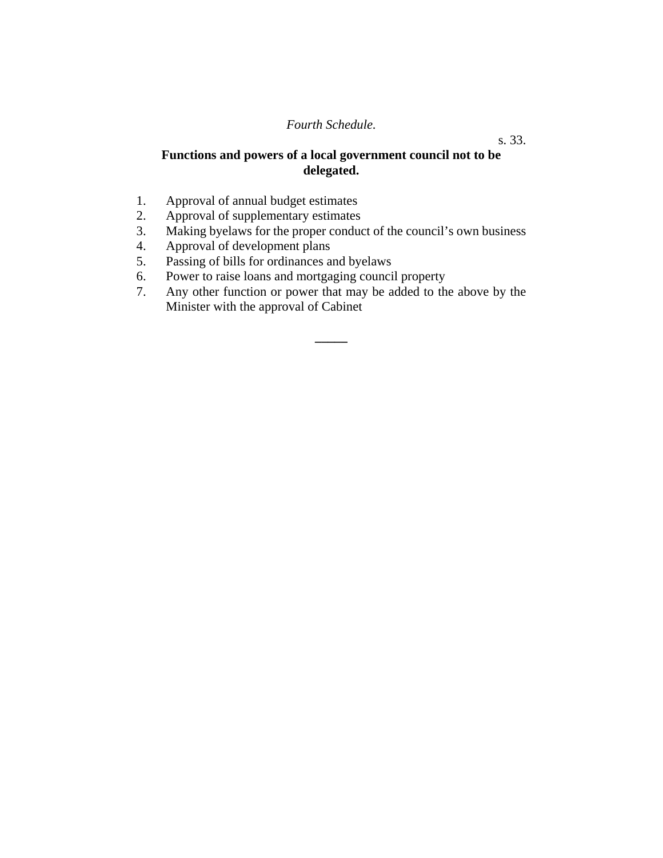# *Fourth Schedule.*

# **Functions and powers of a local government council not to be delegated.**

- 1. Approval of annual budget estimates
- 2. Approval of supplementary estimates
- 3. Making byelaws for the proper conduct of the council's own business
- 4. Approval of development plans
- 5. Passing of bills for ordinances and byelaws
- 6. Power to raise loans and mortgaging council property
- 7. Any other function or power that may be added to the above by the Minister with the approval of Cabinet

**\_\_\_\_\_**

s. 33.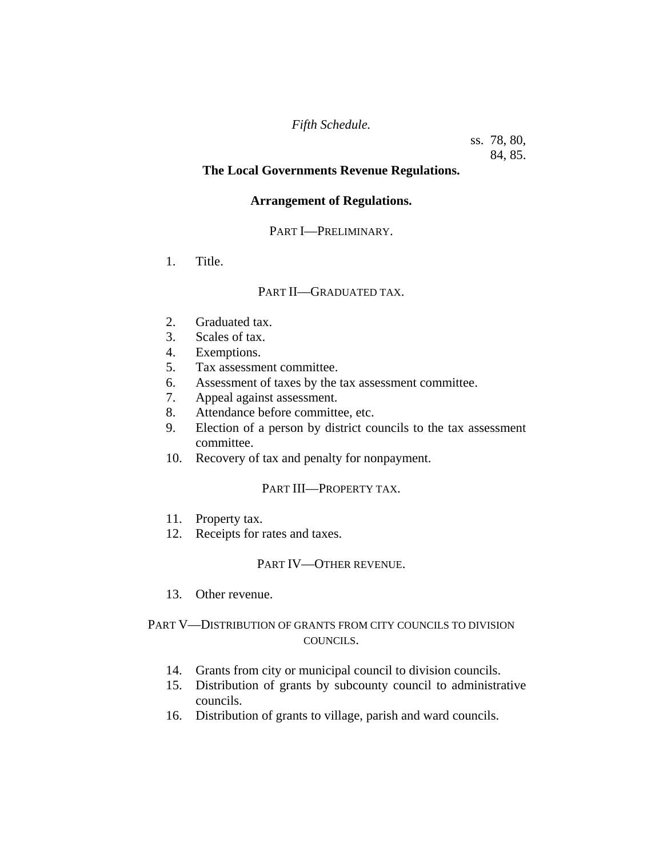## *Fifth Schedule.*

ss. 78, 80, 84, 85.

## **The Local Governments Revenue Regulations.**

## **Arrangement of Regulations.**

## PART I—PRELIMINARY.

1. Title.

## PART II—GRADUATED TAX.

- 2. Graduated tax.
- 3. Scales of tax.
- 4. Exemptions.
- 5. Tax assessment committee.
- 6. Assessment of taxes by the tax assessment committee.
- 7. Appeal against assessment.
- 8. Attendance before committee, etc.
- 9. Election of a person by district councils to the tax assessment committee.
- 10. Recovery of tax and penalty for nonpayment.

## PART III—PROPERTY TAX.

- 11. Property tax.
- 12. Receipts for rates and taxes.

#### PART IV—OTHER REVENUE.

13. Other revenue.

## PART V—DISTRIBUTION OF GRANTS FROM CITY COUNCILS TO DIVISION COUNCILS.

- 14. Grants from city or municipal council to division councils.
- 15. Distribution of grants by subcounty council to administrative councils.
- 16. Distribution of grants to village, parish and ward councils.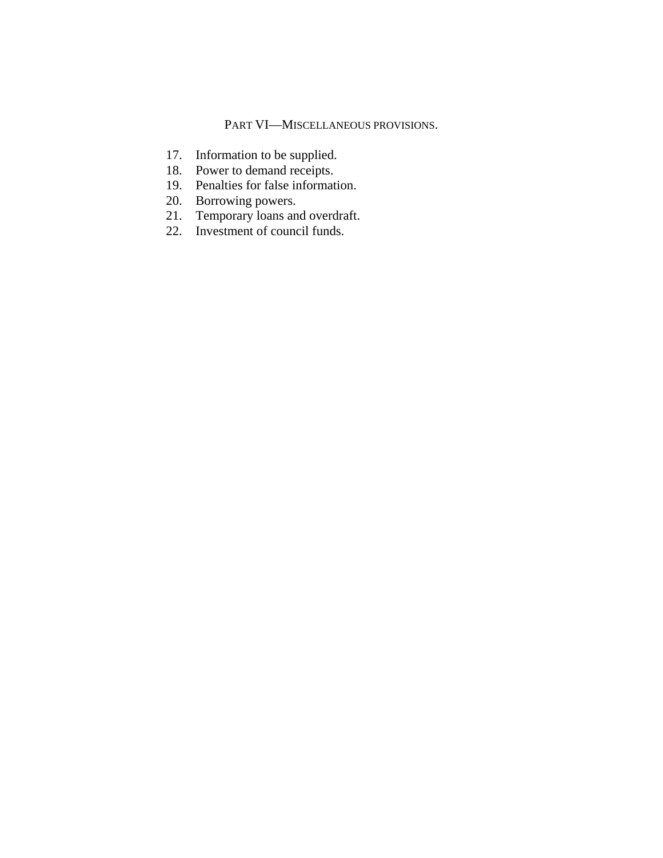## PART VI—MISCELLANEOUS PROVISIONS.

- 17. Information to be supplied.
- 18. Power to demand receipts.
- 19. Penalties for false information.
- 20. Borrowing powers.
- 21. Temporary loans and overdraft.
- 22. Investment of council funds.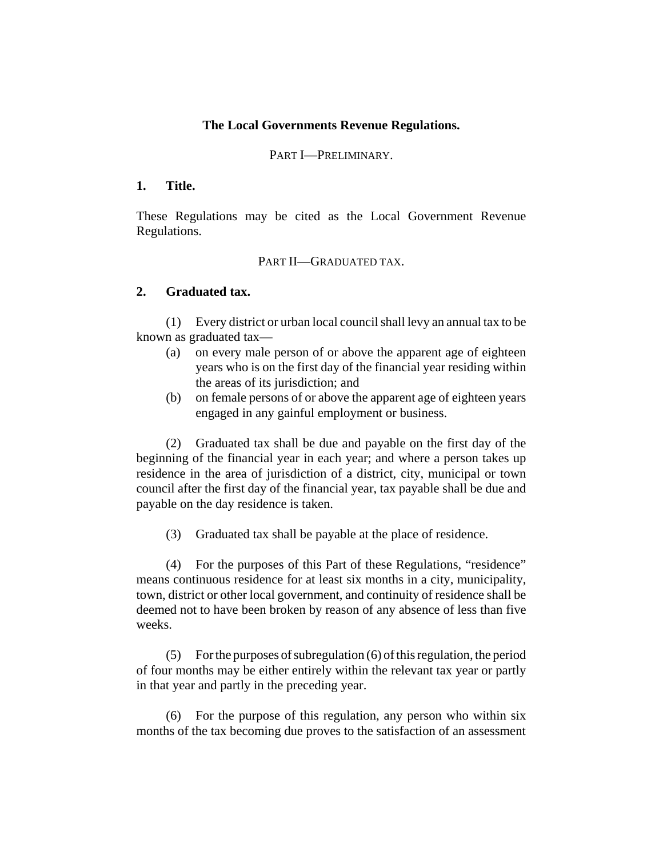## **The Local Governments Revenue Regulations.**

#### PART I—PRELIMINARY.

#### **1. Title.**

These Regulations may be cited as the Local Government Revenue Regulations.

#### PART II—GRADUATED TAX.

#### **2. Graduated tax.**

(1) Every district or urban local council shall levy an annual tax to be known as graduated tax—

- (a) on every male person of or above the apparent age of eighteen years who is on the first day of the financial year residing within the areas of its jurisdiction; and
- (b) on female persons of or above the apparent age of eighteen years engaged in any gainful employment or business.

(2) Graduated tax shall be due and payable on the first day of the beginning of the financial year in each year; and where a person takes up residence in the area of jurisdiction of a district, city, municipal or town council after the first day of the financial year, tax payable shall be due and payable on the day residence is taken.

(3) Graduated tax shall be payable at the place of residence.

(4) For the purposes of this Part of these Regulations, "residence" means continuous residence for at least six months in a city, municipality, town, district or other local government, and continuity of residence shall be deemed not to have been broken by reason of any absence of less than five weeks.

(5) For the purposes of subregulation (6) of this regulation, the period of four months may be either entirely within the relevant tax year or partly in that year and partly in the preceding year.

(6) For the purpose of this regulation, any person who within six months of the tax becoming due proves to the satisfaction of an assessment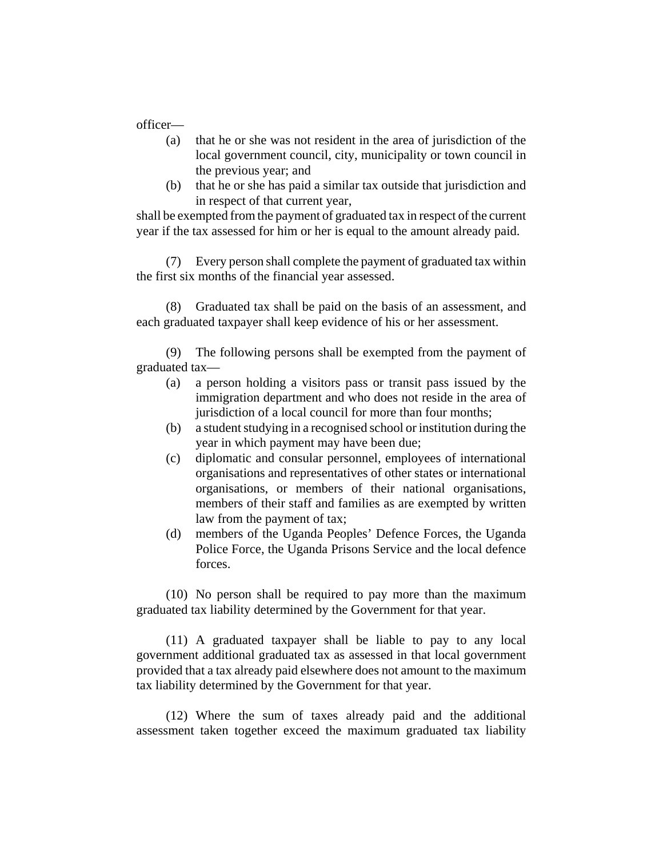officer—

- (a) that he or she was not resident in the area of jurisdiction of the local government council, city, municipality or town council in the previous year; and
- (b) that he or she has paid a similar tax outside that jurisdiction and in respect of that current year,

shall be exempted from the payment of graduated tax in respect of the current year if the tax assessed for him or her is equal to the amount already paid.

(7) Every person shall complete the payment of graduated tax within the first six months of the financial year assessed.

(8) Graduated tax shall be paid on the basis of an assessment, and each graduated taxpayer shall keep evidence of his or her assessment.

(9) The following persons shall be exempted from the payment of graduated tax—

- (a) a person holding a visitors pass or transit pass issued by the immigration department and who does not reside in the area of jurisdiction of a local council for more than four months;
- (b) a student studying in a recognised school or institution during the year in which payment may have been due;
- (c) diplomatic and consular personnel, employees of international organisations and representatives of other states or international organisations, or members of their national organisations, members of their staff and families as are exempted by written law from the payment of tax;
- (d) members of the Uganda Peoples' Defence Forces, the Uganda Police Force, the Uganda Prisons Service and the local defence forces.

(10) No person shall be required to pay more than the maximum graduated tax liability determined by the Government for that year.

(11) A graduated taxpayer shall be liable to pay to any local government additional graduated tax as assessed in that local government provided that a tax already paid elsewhere does not amount to the maximum tax liability determined by the Government for that year.

(12) Where the sum of taxes already paid and the additional assessment taken together exceed the maximum graduated tax liability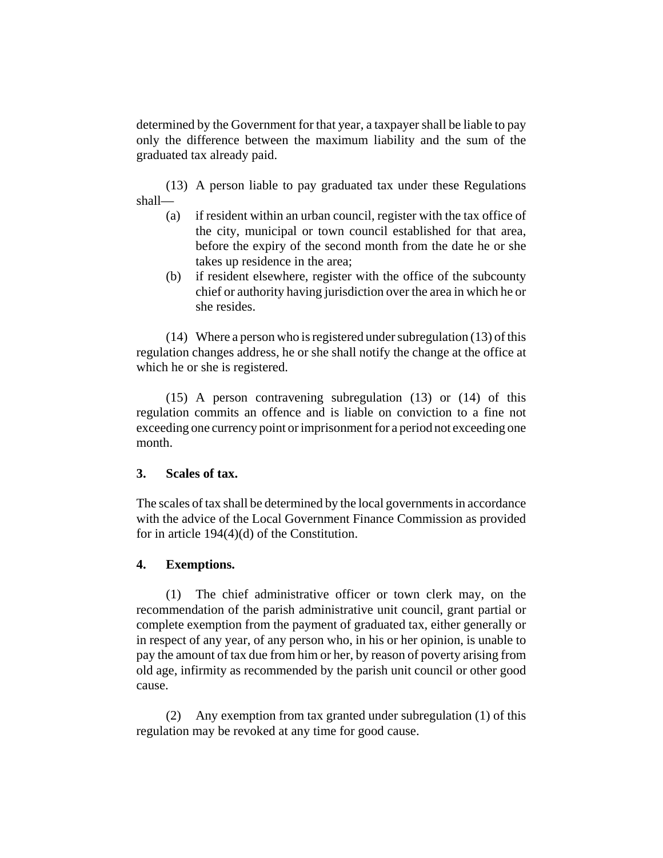determined by the Government for that year, a taxpayer shall be liable to pay only the difference between the maximum liability and the sum of the graduated tax already paid.

(13) A person liable to pay graduated tax under these Regulations shall—

- (a) if resident within an urban council, register with the tax office of the city, municipal or town council established for that area, before the expiry of the second month from the date he or she takes up residence in the area;
- (b) if resident elsewhere, register with the office of the subcounty chief or authority having jurisdiction over the area in which he or she resides.

(14) Where a person who is registered under subregulation (13) of this regulation changes address, he or she shall notify the change at the office at which he or she is registered.

(15) A person contravening subregulation (13) or (14) of this regulation commits an offence and is liable on conviction to a fine not exceeding one currency point or imprisonment for a period not exceeding one month.

## **3. Scales of tax.**

The scales of tax shall be determined by the local governments in accordance with the advice of the Local Government Finance Commission as provided for in article 194(4)(d) of the Constitution.

## **4. Exemptions.**

(1) The chief administrative officer or town clerk may, on the recommendation of the parish administrative unit council, grant partial or complete exemption from the payment of graduated tax, either generally or in respect of any year, of any person who, in his or her opinion, is unable to pay the amount of tax due from him or her, by reason of poverty arising from old age, infirmity as recommended by the parish unit council or other good cause.

(2) Any exemption from tax granted under subregulation (1) of this regulation may be revoked at any time for good cause.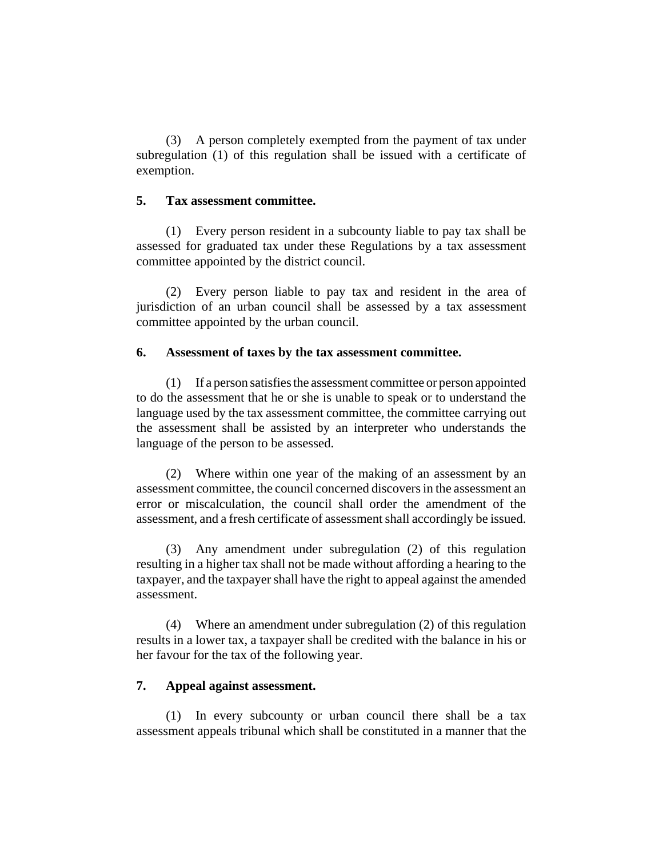(3) A person completely exempted from the payment of tax under subregulation (1) of this regulation shall be issued with a certificate of exemption.

#### **5. Tax assessment committee.**

(1) Every person resident in a subcounty liable to pay tax shall be assessed for graduated tax under these Regulations by a tax assessment committee appointed by the district council.

(2) Every person liable to pay tax and resident in the area of jurisdiction of an urban council shall be assessed by a tax assessment committee appointed by the urban council.

#### **6. Assessment of taxes by the tax assessment committee.**

(1) If a person satisfies the assessment committee or person appointed to do the assessment that he or she is unable to speak or to understand the language used by the tax assessment committee, the committee carrying out the assessment shall be assisted by an interpreter who understands the language of the person to be assessed.

(2) Where within one year of the making of an assessment by an assessment committee, the council concerned discovers in the assessment an error or miscalculation, the council shall order the amendment of the assessment, and a fresh certificate of assessment shall accordingly be issued.

(3) Any amendment under subregulation (2) of this regulation resulting in a higher tax shall not be made without affording a hearing to the taxpayer, and the taxpayer shall have the right to appeal against the amended assessment.

(4) Where an amendment under subregulation (2) of this regulation results in a lower tax, a taxpayer shall be credited with the balance in his or her favour for the tax of the following year.

# **7. Appeal against assessment.**

(1) In every subcounty or urban council there shall be a tax assessment appeals tribunal which shall be constituted in a manner that the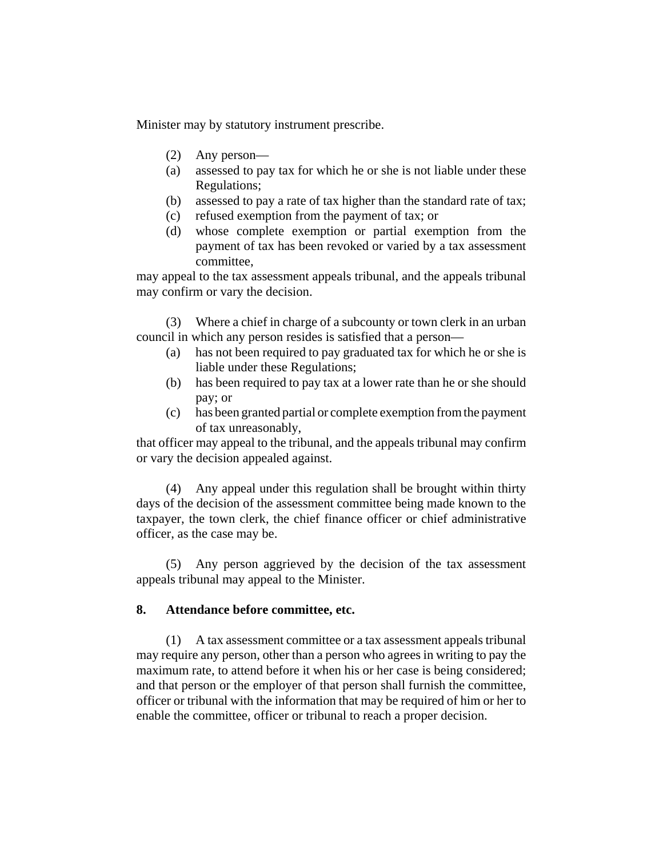Minister may by statutory instrument prescribe.

- (2) Any person—
- (a) assessed to pay tax for which he or she is not liable under these Regulations;
- (b) assessed to pay a rate of tax higher than the standard rate of tax;
- (c) refused exemption from the payment of tax; or
- (d) whose complete exemption or partial exemption from the payment of tax has been revoked or varied by a tax assessment committee,

may appeal to the tax assessment appeals tribunal, and the appeals tribunal may confirm or vary the decision.

(3) Where a chief in charge of a subcounty or town clerk in an urban council in which any person resides is satisfied that a person—

- (a) has not been required to pay graduated tax for which he or she is liable under these Regulations;
- (b) has been required to pay tax at a lower rate than he or she should pay; or
- (c) has been granted partial or complete exemption from the payment of tax unreasonably,

that officer may appeal to the tribunal, and the appeals tribunal may confirm or vary the decision appealed against.

(4) Any appeal under this regulation shall be brought within thirty days of the decision of the assessment committee being made known to the taxpayer, the town clerk, the chief finance officer or chief administrative officer, as the case may be.

(5) Any person aggrieved by the decision of the tax assessment appeals tribunal may appeal to the Minister.

## **8. Attendance before committee, etc.**

(1) A tax assessment committee or a tax assessment appeals tribunal may require any person, other than a person who agrees in writing to pay the maximum rate, to attend before it when his or her case is being considered; and that person or the employer of that person shall furnish the committee, officer or tribunal with the information that may be required of him or her to enable the committee, officer or tribunal to reach a proper decision.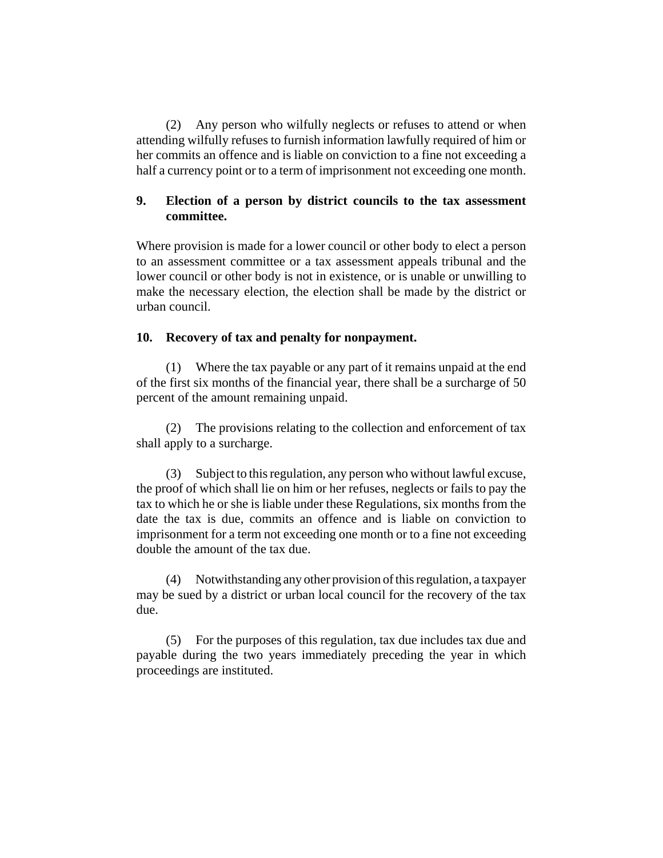(2) Any person who wilfully neglects or refuses to attend or when attending wilfully refuses to furnish information lawfully required of him or her commits an offence and is liable on conviction to a fine not exceeding a half a currency point or to a term of imprisonment not exceeding one month.

# **9. Election of a person by district councils to the tax assessment committee.**

Where provision is made for a lower council or other body to elect a person to an assessment committee or a tax assessment appeals tribunal and the lower council or other body is not in existence, or is unable or unwilling to make the necessary election, the election shall be made by the district or urban council.

## **10. Recovery of tax and penalty for nonpayment.**

(1) Where the tax payable or any part of it remains unpaid at the end of the first six months of the financial year, there shall be a surcharge of 50 percent of the amount remaining unpaid.

(2) The provisions relating to the collection and enforcement of tax shall apply to a surcharge.

(3) Subject to this regulation, any person who without lawful excuse, the proof of which shall lie on him or her refuses, neglects or fails to pay the tax to which he or she is liable under these Regulations, six months from the date the tax is due, commits an offence and is liable on conviction to imprisonment for a term not exceeding one month or to a fine not exceeding double the amount of the tax due.

(4) Notwithstanding any other provision of this regulation, a taxpayer may be sued by a district or urban local council for the recovery of the tax due.

(5) For the purposes of this regulation, tax due includes tax due and payable during the two years immediately preceding the year in which proceedings are instituted.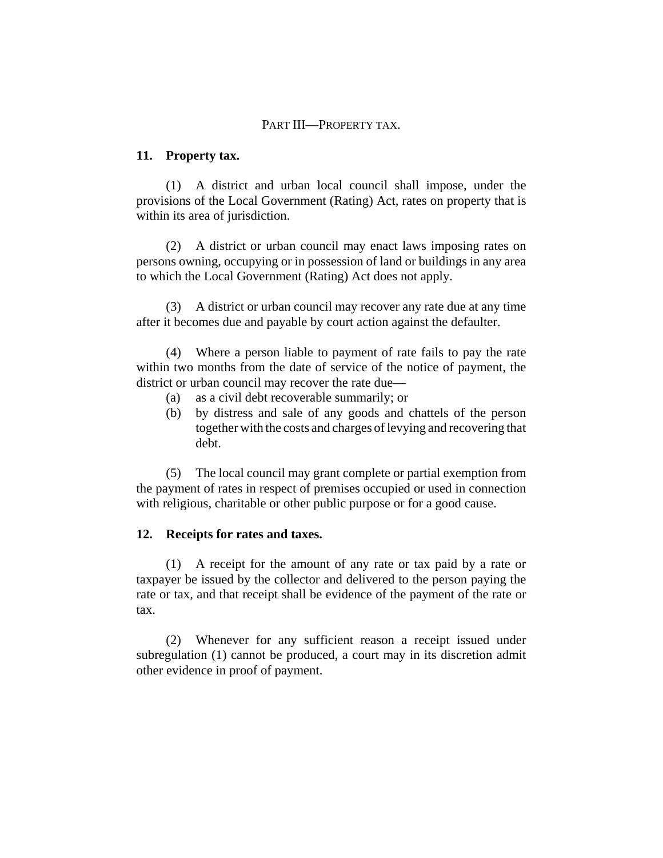## PART III—PROPERTY TAX.

#### **11. Property tax.**

(1) A district and urban local council shall impose, under the provisions of the Local Government (Rating) Act, rates on property that is within its area of jurisdiction.

(2) A district or urban council may enact laws imposing rates on persons owning, occupying or in possession of land or buildings in any area to which the Local Government (Rating) Act does not apply.

(3) A district or urban council may recover any rate due at any time after it becomes due and payable by court action against the defaulter.

(4) Where a person liable to payment of rate fails to pay the rate within two months from the date of service of the notice of payment, the district or urban council may recover the rate due—

- (a) as a civil debt recoverable summarily; or
- (b) by distress and sale of any goods and chattels of the person together with the costs and charges of levying and recovering that debt.

(5) The local council may grant complete or partial exemption from the payment of rates in respect of premises occupied or used in connection with religious, charitable or other public purpose or for a good cause.

#### **12. Receipts for rates and taxes.**

(1) A receipt for the amount of any rate or tax paid by a rate or taxpayer be issued by the collector and delivered to the person paying the rate or tax, and that receipt shall be evidence of the payment of the rate or tax.

(2) Whenever for any sufficient reason a receipt issued under subregulation (1) cannot be produced, a court may in its discretion admit other evidence in proof of payment.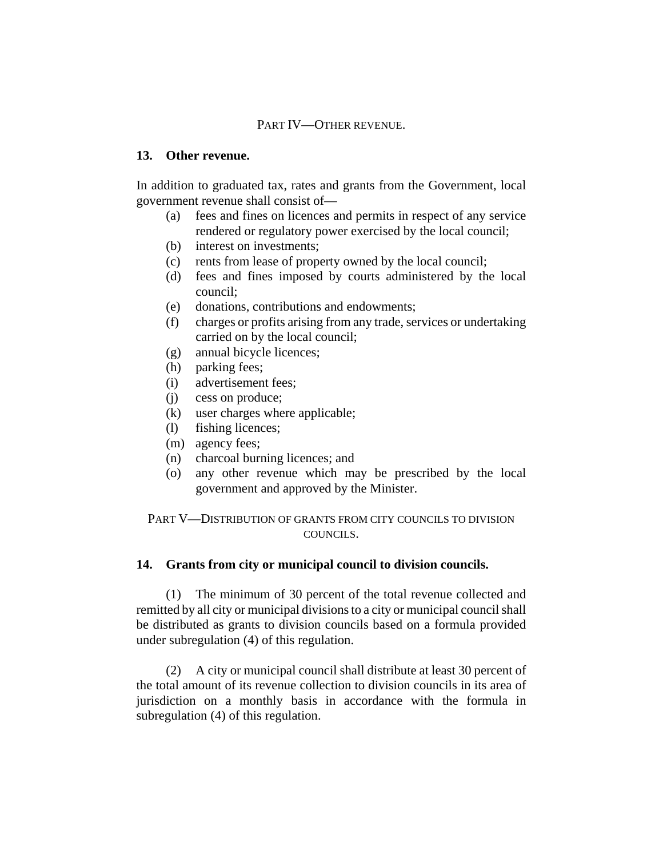## PART IV—OTHER REVENUE.

#### **13. Other revenue.**

In addition to graduated tax, rates and grants from the Government, local government revenue shall consist of—

- (a) fees and fines on licences and permits in respect of any service rendered or regulatory power exercised by the local council;
- (b) interest on investments;
- (c) rents from lease of property owned by the local council;
- (d) fees and fines imposed by courts administered by the local council;
- (e) donations, contributions and endowments;
- (f) charges or profits arising from any trade, services or undertaking carried on by the local council;
- (g) annual bicycle licences;
- (h) parking fees;
- (i) advertisement fees;
- (j) cess on produce;
- (k) user charges where applicable;
- (l) fishing licences;
- (m) agency fees;
- (n) charcoal burning licences; and
- (o) any other revenue which may be prescribed by the local government and approved by the Minister.

PART V—DISTRIBUTION OF GRANTS FROM CITY COUNCILS TO DIVISION COUNCILS.

#### **14. Grants from city or municipal council to division councils.**

(1) The minimum of 30 percent of the total revenue collected and remitted by all city or municipal divisions to a city or municipal council shall be distributed as grants to division councils based on a formula provided under subregulation (4) of this regulation.

(2) A city or municipal council shall distribute at least 30 percent of the total amount of its revenue collection to division councils in its area of jurisdiction on a monthly basis in accordance with the formula in subregulation (4) of this regulation.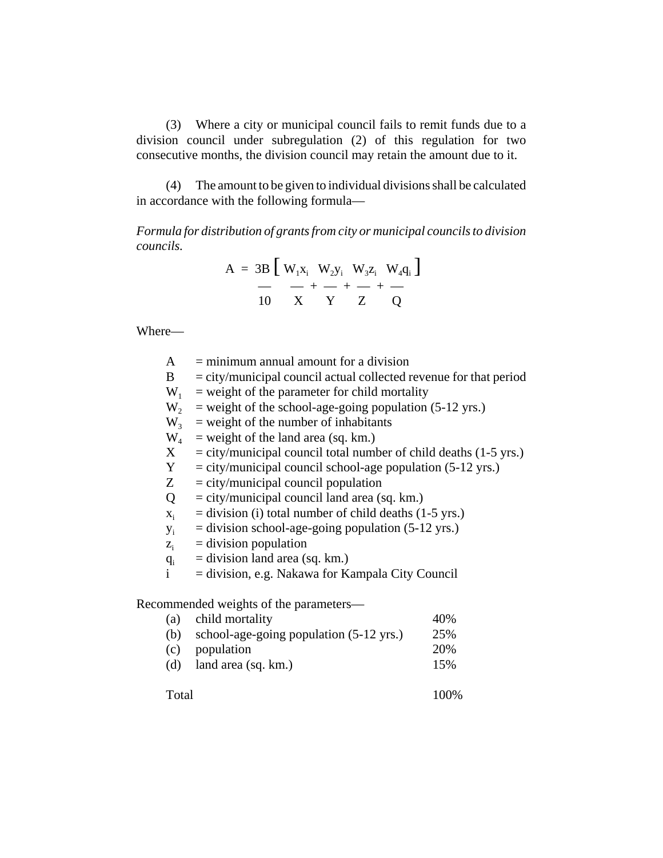(3) Where a city or municipal council fails to remit funds due to a division council under subregulation (2) of this regulation for two consecutive months, the division council may retain the amount due to it.

(4) The amount to be given to individual divisions shall be calculated in accordance with the following formula—

*Formula for distribution of grants from city or municipal councils to division councils.*

$$
A = 3B \left[ W_1 X_i W_2 Y_i W_3 Z_i W_4 Q_i \right]
$$
  

$$
- + - + - + -
$$
  

$$
10 \qquad X \qquad Y \qquad Z \qquad Q
$$

Where—

| A              | $=$ minimum annual amount for a division                            |
|----------------|---------------------------------------------------------------------|
| B              | $=$ city/municipal council actual collected revenue for that period |
| $W_1$          | $=$ weight of the parameter for child mortality                     |
| $W_{2}$        | $=$ weight of the school-age-going population (5-12 yrs.)           |
| W <sub>3</sub> | $=$ weight of the number of inhabitants                             |
| $W_4$          | $=$ weight of the land area (sq. km.)                               |
| $X_{-}$        | $=$ city/municipal council total number of child deaths (1-5 yrs.)  |
| Y              | $=$ city/municipal council school-age population (5-12 yrs.)        |
| Z              | $=$ city/municipal council population                               |
| Q              | $=$ city/municipal council land area (sq. km.)                      |
| $X_i$          | $=$ division (i) total number of child deaths (1-5 yrs.)            |
| $y_i$          | $=$ division school-age-going population (5-12 yrs.)                |
| $Z_i$          | $=$ division population                                             |
| $q_i$          | $=$ division land area (sq. km.)                                    |
| $\mathbf{i}$   | $=$ division, e.g. Nakawa for Kampala City Council                  |
|                | Recommended weights of the parameters—                              |
|                | $\sqrt{2}$                                                          |

|     | (a) child mortality                     | 40% |
|-----|-----------------------------------------|-----|
| (b) | school-age-going population (5-12 yrs.) | 25% |
|     | (c) population                          | 20% |
| (d) | land area (sq. km.)                     | 15% |

Total 100%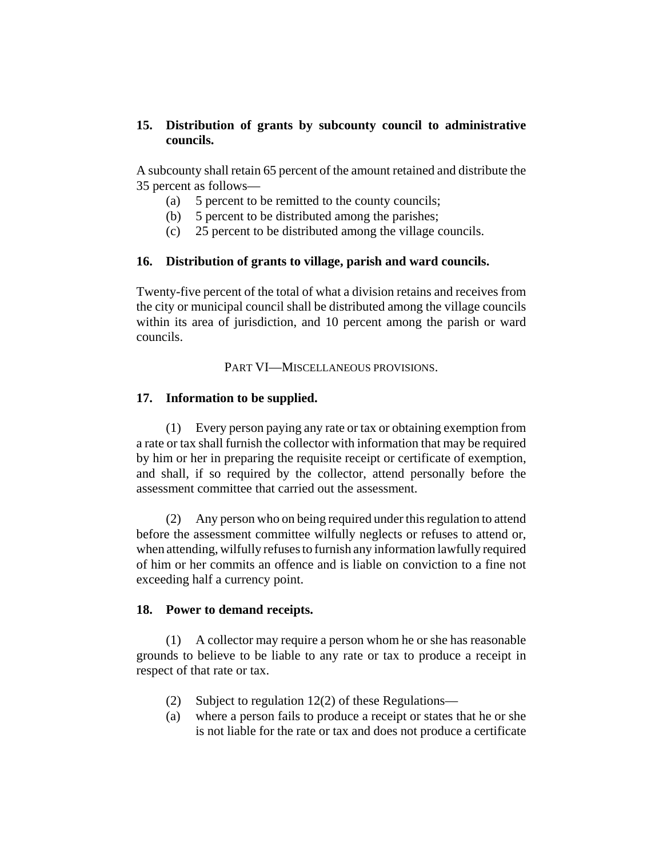# **15. Distribution of grants by subcounty council to administrative councils.**

A subcounty shall retain 65 percent of the amount retained and distribute the 35 percent as follows—

- (a) 5 percent to be remitted to the county councils;
- (b) 5 percent to be distributed among the parishes;
- (c) 25 percent to be distributed among the village councils.

# **16. Distribution of grants to village, parish and ward councils.**

Twenty-five percent of the total of what a division retains and receives from the city or municipal council shall be distributed among the village councils within its area of jurisdiction, and 10 percent among the parish or ward councils.

## PART VI—MISCELLANEOUS PROVISIONS.

# **17. Information to be supplied.**

(1) Every person paying any rate or tax or obtaining exemption from a rate or tax shall furnish the collector with information that may be required by him or her in preparing the requisite receipt or certificate of exemption, and shall, if so required by the collector, attend personally before the assessment committee that carried out the assessment.

(2) Any person who on being required under this regulation to attend before the assessment committee wilfully neglects or refuses to attend or, when attending, wilfully refuses to furnish any information lawfully required of him or her commits an offence and is liable on conviction to a fine not exceeding half a currency point.

## **18. Power to demand receipts.**

(1) A collector may require a person whom he or she has reasonable grounds to believe to be liable to any rate or tax to produce a receipt in respect of that rate or tax.

- (2) Subject to regulation 12(2) of these Regulations—
- (a) where a person fails to produce a receipt or states that he or she is not liable for the rate or tax and does not produce a certificate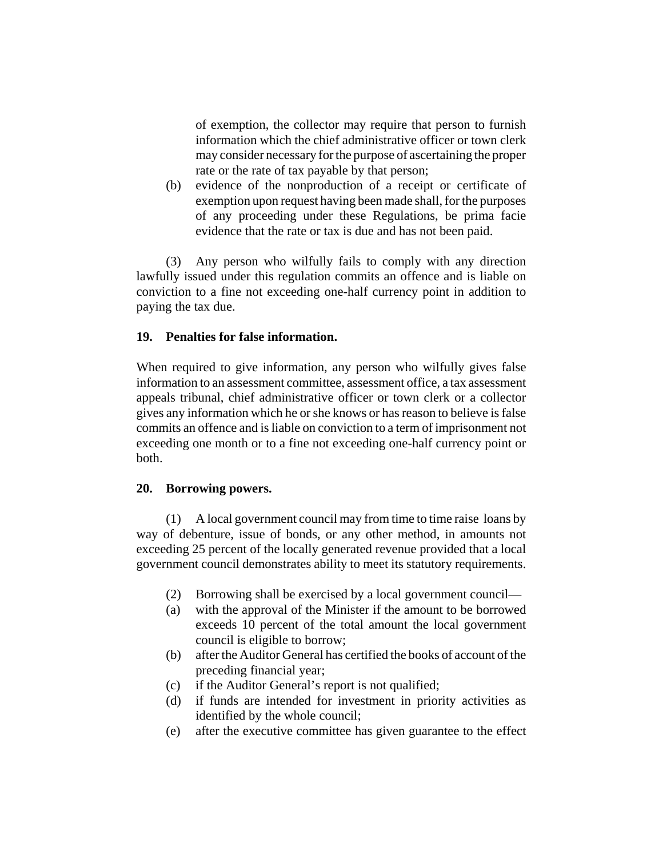of exemption, the collector may require that person to furnish information which the chief administrative officer or town clerk may consider necessary for the purpose of ascertaining the proper rate or the rate of tax payable by that person;

(b) evidence of the nonproduction of a receipt or certificate of exemption upon request having been made shall, for the purposes of any proceeding under these Regulations, be prima facie evidence that the rate or tax is due and has not been paid.

(3) Any person who wilfully fails to comply with any direction lawfully issued under this regulation commits an offence and is liable on conviction to a fine not exceeding one-half currency point in addition to paying the tax due.

## **19. Penalties for false information.**

When required to give information, any person who wilfully gives false information to an assessment committee, assessment office, a tax assessment appeals tribunal, chief administrative officer or town clerk or a collector gives any information which he or she knows or has reason to believe is false commits an offence and is liable on conviction to a term of imprisonment not exceeding one month or to a fine not exceeding one-half currency point or both.

#### **20. Borrowing powers.**

(1) A local government council may from time to time raise loans by way of debenture, issue of bonds, or any other method, in amounts not exceeding 25 percent of the locally generated revenue provided that a local government council demonstrates ability to meet its statutory requirements.

- (2) Borrowing shall be exercised by a local government council—
- (a) with the approval of the Minister if the amount to be borrowed exceeds 10 percent of the total amount the local government council is eligible to borrow;
- (b) after the Auditor General has certified the books of account of the preceding financial year;
- (c) if the Auditor General's report is not qualified;
- (d) if funds are intended for investment in priority activities as identified by the whole council;
- (e) after the executive committee has given guarantee to the effect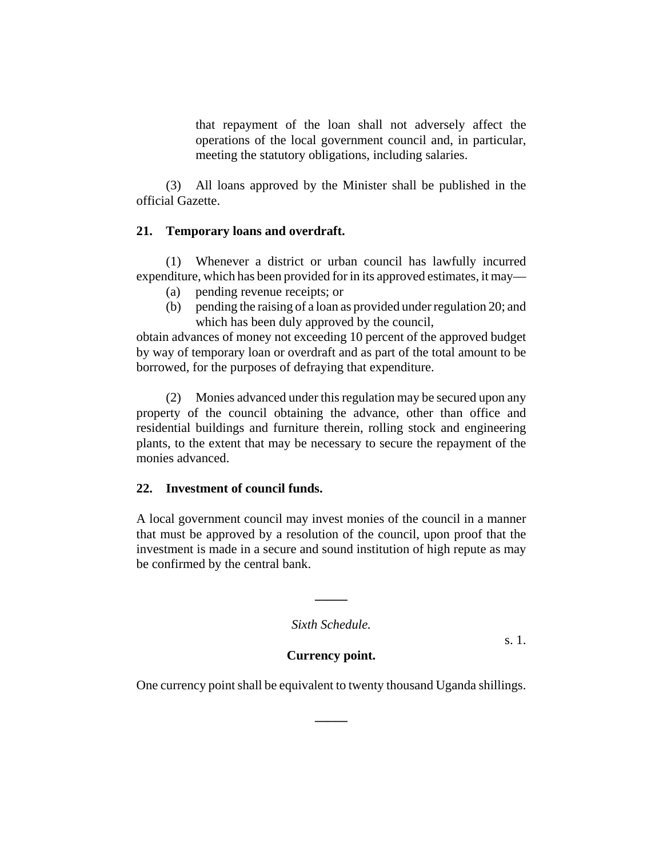that repayment of the loan shall not adversely affect the operations of the local government council and, in particular, meeting the statutory obligations, including salaries.

(3) All loans approved by the Minister shall be published in the official Gazette.

#### **21. Temporary loans and overdraft.**

(1) Whenever a district or urban council has lawfully incurred expenditure, which has been provided for in its approved estimates, it may—

- (a) pending revenue receipts; or
- (b) pending the raising of a loan as provided under regulation 20; and which has been duly approved by the council,

obtain advances of money not exceeding 10 percent of the approved budget by way of temporary loan or overdraft and as part of the total amount to be borrowed, for the purposes of defraying that expenditure.

(2) Monies advanced under this regulation may be secured upon any property of the council obtaining the advance, other than office and residential buildings and furniture therein, rolling stock and engineering plants, to the extent that may be necessary to secure the repayment of the monies advanced.

#### **22. Investment of council funds.**

A local government council may invest monies of the council in a manner that must be approved by a resolution of the council, upon proof that the investment is made in a secure and sound institution of high repute as may be confirmed by the central bank.

*Sixth Schedule.*

**\_\_\_\_\_**

s. 1.

#### **Currency point.**

One currency point shall be equivalent to twenty thousand Uganda shillings.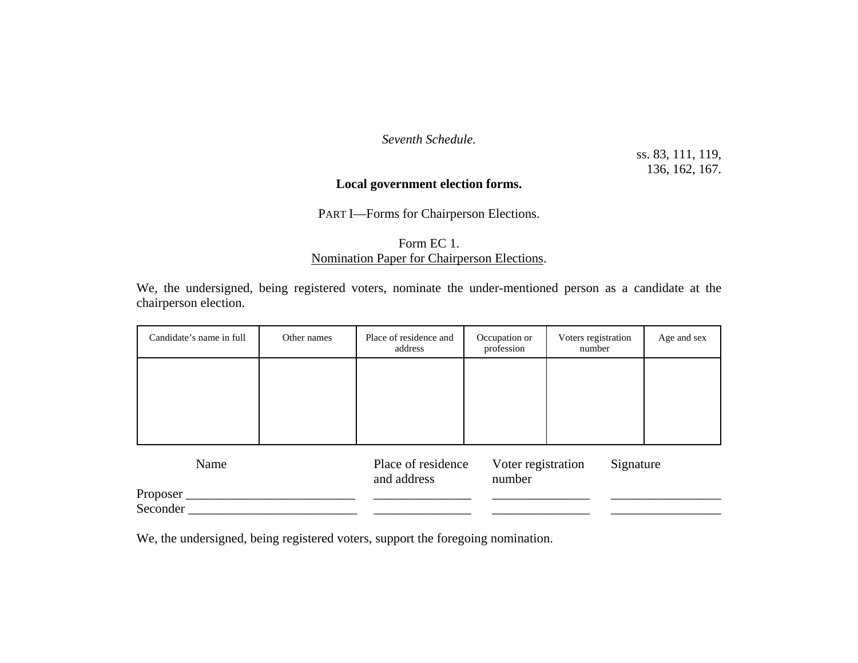*Seventh Schedule.*

ss. 83, 111, 119, 136, 162, 167.

### **Local government election forms.**

PART I—Forms for Chairperson Elections.

### Form EC 1. Nomination Paper for Chairperson Elections.

We, the undersigned, being registered voters, nominate the under-mentioned person as a candidate at the chairperson election.

| Candidate's name in full | Other names | Place of residence and<br>address | Occupation or<br>profession  | Voters registration<br>number | Age and sex |
|--------------------------|-------------|-----------------------------------|------------------------------|-------------------------------|-------------|
|                          |             |                                   |                              |                               |             |
|                          |             |                                   |                              |                               |             |
|                          |             |                                   |                              |                               |             |
| Name                     |             | Place of residence<br>and address | Voter registration<br>number | Signature                     |             |
| Proposer                 |             |                                   |                              |                               |             |
| Seconder                 |             |                                   |                              |                               |             |

We, the undersigned, being registered voters, support the foregoing nomination.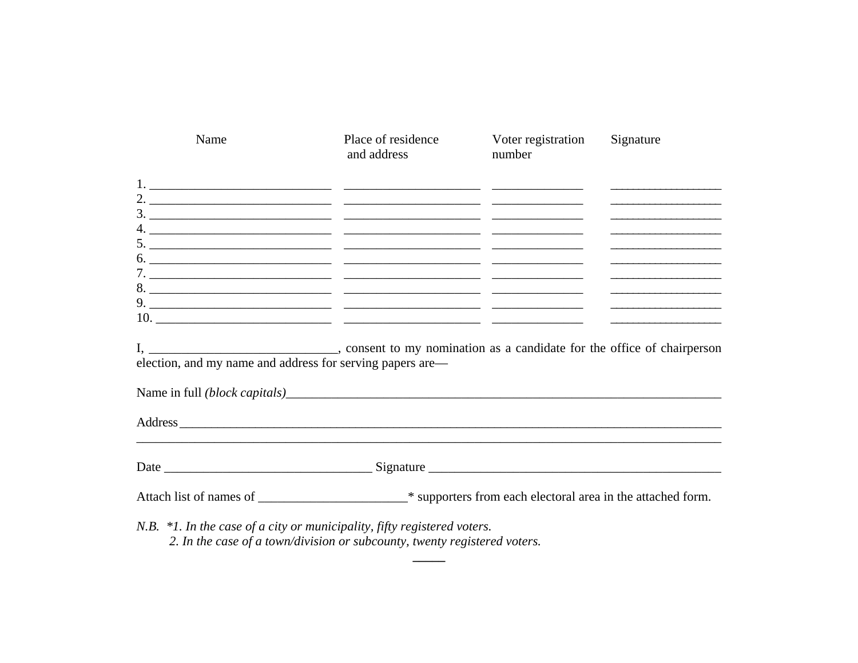| Name                                                                                                                                                                   | Place of residence<br>and address | Voter registration<br>number | Signature                                                   |
|------------------------------------------------------------------------------------------------------------------------------------------------------------------------|-----------------------------------|------------------------------|-------------------------------------------------------------|
|                                                                                                                                                                        |                                   |                              |                                                             |
|                                                                                                                                                                        |                                   |                              | the control of the control of the control of the control of |
|                                                                                                                                                                        |                                   |                              | the control of the control of the control of the            |
|                                                                                                                                                                        |                                   |                              |                                                             |
|                                                                                                                                                                        |                                   |                              |                                                             |
| I, _______________________________, consent to my nomination as a candidate for the office of chairperson<br>election, and my name and address for serving papers are— |                                   |                              |                                                             |
|                                                                                                                                                                        |                                   |                              |                                                             |
| Address                                                                                                                                                                |                                   |                              |                                                             |
|                                                                                                                                                                        |                                   |                              |                                                             |
|                                                                                                                                                                        |                                   |                              |                                                             |
| N.B. $*1$ . In the case of a city or municipality, fifty registered voters.                                                                                            |                                   |                              |                                                             |

 $\overline{\phantom{0}}$ 

 $\overline{\phantom{0}}$ 

2. In the case of a town/division or subcounty, twenty registered voters.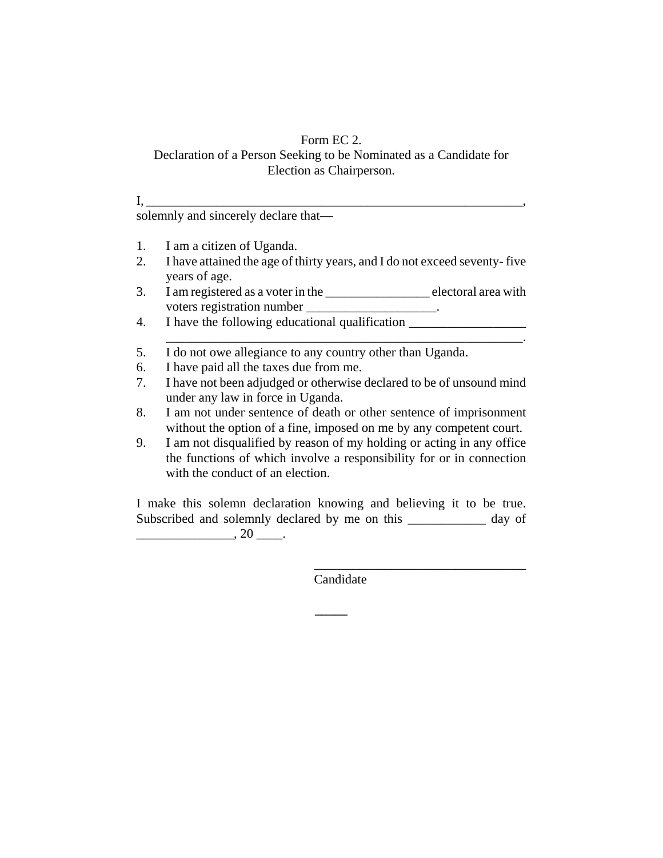### Form EC 2.

### Declaration of a Person Seeking to be Nominated as a Candidate for Election as Chairperson.

solemnly and sincerely declare that—

1. I am a citizen of Uganda.

 $\mathbf{I}, \Box$ 

- 2. I have attained the age of thirty years, and I do not exceed seventy- five years of age.
- 3. I am registered as a voter in the \_\_\_\_\_\_\_\_\_\_\_\_\_\_\_\_ electoral area with voters registration number \_\_\_\_\_\_\_\_\_\_\_\_\_\_\_\_\_\_\_\_.
- 4. I have the following educational qualification

\_\_\_\_\_\_\_\_\_\_\_\_\_\_\_\_\_\_\_\_\_\_\_\_\_\_\_\_\_\_\_\_\_\_\_\_\_\_\_\_\_\_\_\_\_\_\_\_\_\_\_\_\_\_\_.

- 5. I do not owe allegiance to any country other than Uganda.
- 6. I have paid all the taxes due from me.
- 7. I have not been adjudged or otherwise declared to be of unsound mind under any law in force in Uganda.
- 8. I am not under sentence of death or other sentence of imprisonment without the option of a fine, imposed on me by any competent court.
- 9. I am not disqualified by reason of my holding or acting in any office the functions of which involve a responsibility for or in connection with the conduct of an election.

I make this solemn declaration knowing and believing it to be true. Subscribed and solemnly declared by me on this \_\_\_\_\_\_\_\_\_\_\_ day of  $\frac{1}{20}$  , 20  $\frac{1}{20}$ .

Candidate

**\_\_\_\_\_**

\_\_\_\_\_\_\_\_\_\_\_\_\_\_\_\_\_\_\_\_\_\_\_\_\_\_\_\_\_\_\_\_\_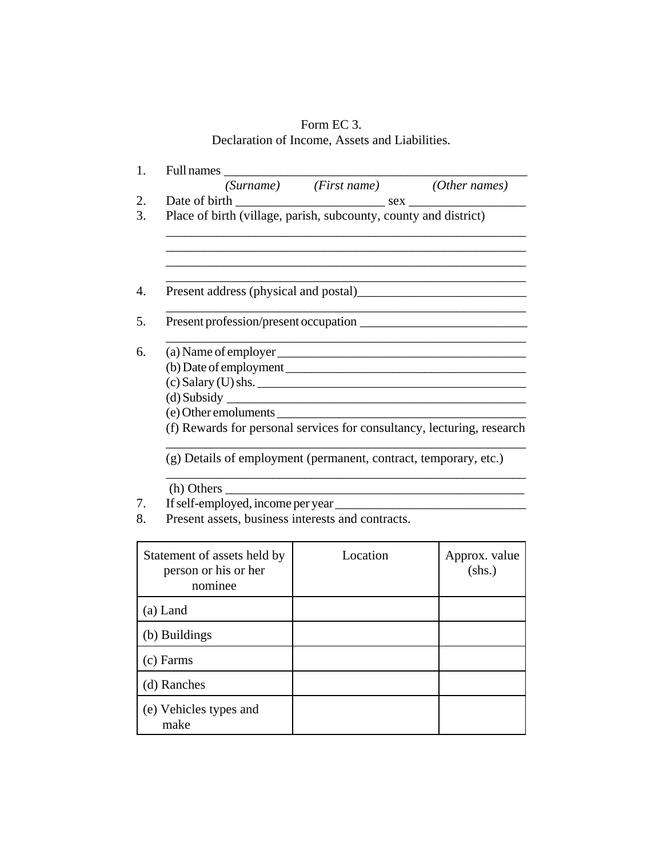# Form EC 3. Declaration of Income, Assets and Liabilities.

| 1. | Full names                                                             |                                                                                                                       |                         |
|----|------------------------------------------------------------------------|-----------------------------------------------------------------------------------------------------------------------|-------------------------|
|    |                                                                        | (Surname) (First name) (Other names)                                                                                  |                         |
| 2. |                                                                        |                                                                                                                       |                         |
| 3. | Place of birth (village, parish, subcounty, county and district)       |                                                                                                                       |                         |
|    |                                                                        |                                                                                                                       |                         |
| 4. |                                                                        |                                                                                                                       |                         |
| 5. |                                                                        |                                                                                                                       |                         |
| 6. |                                                                        |                                                                                                                       |                         |
|    |                                                                        |                                                                                                                       |                         |
|    | $(c)$ Salary (U) shs.                                                  |                                                                                                                       |                         |
|    |                                                                        |                                                                                                                       |                         |
|    | (e) Other emoluments                                                   |                                                                                                                       |                         |
|    | (f) Rewards for personal services for consultancy, lecturing, research |                                                                                                                       |                         |
|    | (g) Details of employment (permanent, contract, temporary, etc.)       |                                                                                                                       |                         |
|    | (h) Others                                                             | <u> 1980 - Johann Stoff, disk foar it ferskearre fan it ferskearre fan it ferskearre fan it ferskearre fan it fer</u> |                         |
| 7. | If self-employed, income per year                                      |                                                                                                                       |                         |
| 8. | Present assets, business interests and contracts.                      |                                                                                                                       |                         |
|    | Statement of assets held by<br>person or his or her<br>nominee         | Location                                                                                                              | Approx. value<br>$Ans.$ |
|    | $(a)$ Land                                                             |                                                                                                                       |                         |
|    | (b) Buildings                                                          |                                                                                                                       |                         |
|    | (c) Farms                                                              |                                                                                                                       |                         |
|    | (d) Ranches                                                            |                                                                                                                       |                         |
|    | (e) Vehicles types and<br>make                                         |                                                                                                                       |                         |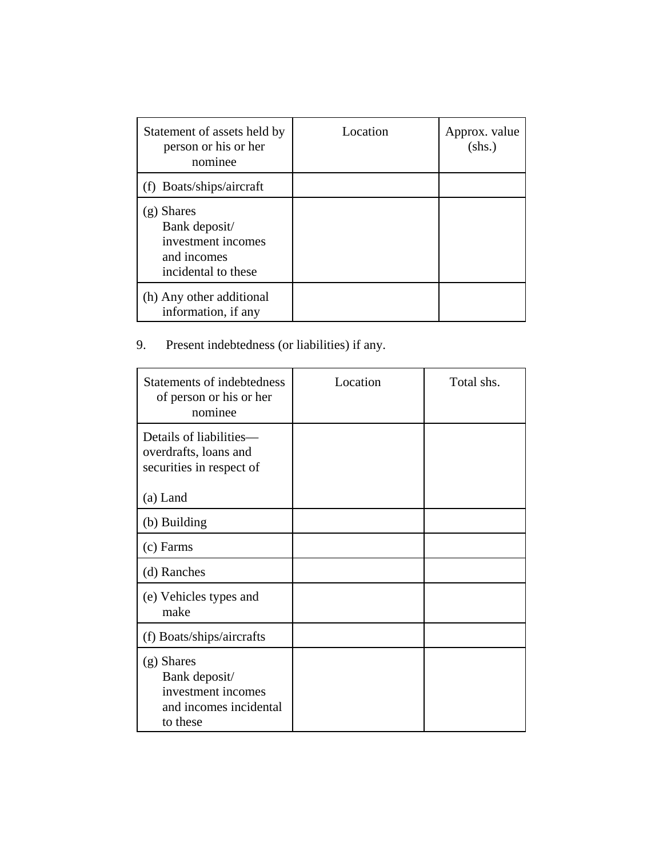| Statement of assets held by<br>person or his or her<br>nominee                                    | Location | Approx. value<br>$(shs.)$ |
|---------------------------------------------------------------------------------------------------|----------|---------------------------|
| Boats/ships/aircraft                                                                              |          |                           |
| <b>Shares</b><br>(g)<br>Bank deposit/<br>investment incomes<br>and incomes<br>incidental to these |          |                           |
| (h) Any other additional<br>information, if any                                                   |          |                           |

# 9. Present indebtedness (or liabilities) if any.

| Statements of indebtedness<br>of person or his or her<br>nominee                          | Location | Total shs. |
|-------------------------------------------------------------------------------------------|----------|------------|
| Details of liabilities—<br>overdrafts, loans and<br>securities in respect of              |          |            |
| (a) Land                                                                                  |          |            |
| (b) Building                                                                              |          |            |
| (c) Farms                                                                                 |          |            |
| (d) Ranches                                                                               |          |            |
| (e) Vehicles types and<br>make                                                            |          |            |
| (f) Boats/ships/aircrafts                                                                 |          |            |
| $(g)$ Shares<br>Bank deposit/<br>investment incomes<br>and incomes incidental<br>to these |          |            |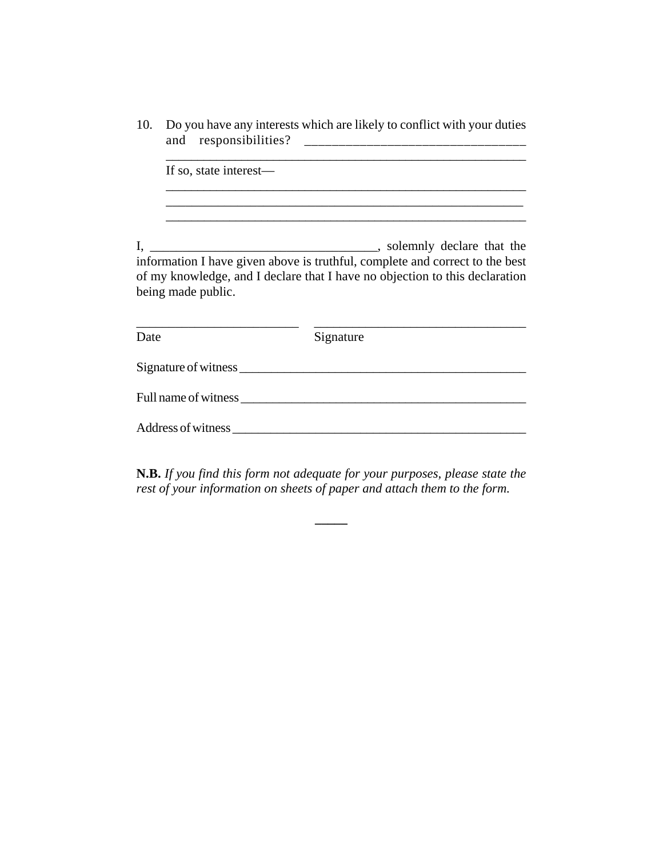10. Do you have any interests which are likely to conflict with your duties and responsibilities? \_\_\_\_\_\_\_\_\_\_\_\_\_\_\_\_\_\_\_\_\_\_\_\_\_\_\_\_\_\_\_\_

If so, state interest— \_\_\_\_\_\_\_\_\_\_\_\_\_\_\_\_\_\_\_\_\_\_\_\_\_\_\_\_\_\_\_\_\_\_\_\_\_\_\_\_\_\_\_\_\_\_\_\_\_\_\_\_\_\_\_ \_\_\_\_\_\_\_\_\_\_\_\_\_\_\_\_\_\_\_\_\_\_\_\_\_\_\_\_\_\_\_\_\_\_\_\_\_\_\_\_\_\_\_\_\_\_\_\_\_\_\_\_\_\_\_\_\_ I, \_\_\_\_\_\_\_\_\_\_\_\_\_\_\_\_\_\_\_\_\_\_\_\_\_\_\_\_\_\_\_\_\_\_\_, solemnly declare that the information I have given above is truthful, complete and correct to the best of my knowledge, and I declare that I have no objection to this declaration being made public. \_\_\_\_\_\_\_\_\_\_\_\_\_\_\_\_\_\_\_\_\_\_\_\_\_ \_\_\_\_\_\_\_\_\_\_\_\_\_\_\_\_\_\_\_\_\_\_\_\_\_\_\_\_\_\_\_\_\_ Date Signature Signature of witness \_\_\_\_\_\_\_\_\_\_\_\_\_\_\_\_\_\_\_\_\_\_\_\_\_\_\_\_\_\_\_\_\_\_\_\_\_\_\_\_\_\_\_\_\_ Full name of witness \_\_\_\_\_\_\_\_\_\_\_\_\_\_\_\_\_\_\_\_\_\_\_\_\_\_\_\_\_\_\_\_\_\_\_\_\_\_\_\_\_\_\_\_\_

**N.B.** *If you find this form not adequate for your purposes, please state the rest of your information on sheets of paper and attach them to the form.*

**\_\_\_\_\_**

Address of witness quality of the set of  $\mathcal{A}$  and  $\mathcal{A}$  and  $\mathcal{A}$  are  $\mathcal{A}$  and  $\mathcal{A}$  are  $\mathcal{A}$  and  $\mathcal{A}$  are  $\mathcal{A}$  and  $\mathcal{A}$  are  $\mathcal{A}$  and  $\mathcal{A}$  are  $\mathcal{A}$  and  $\mathcal{A}$  are  $\mathcal{A}$  are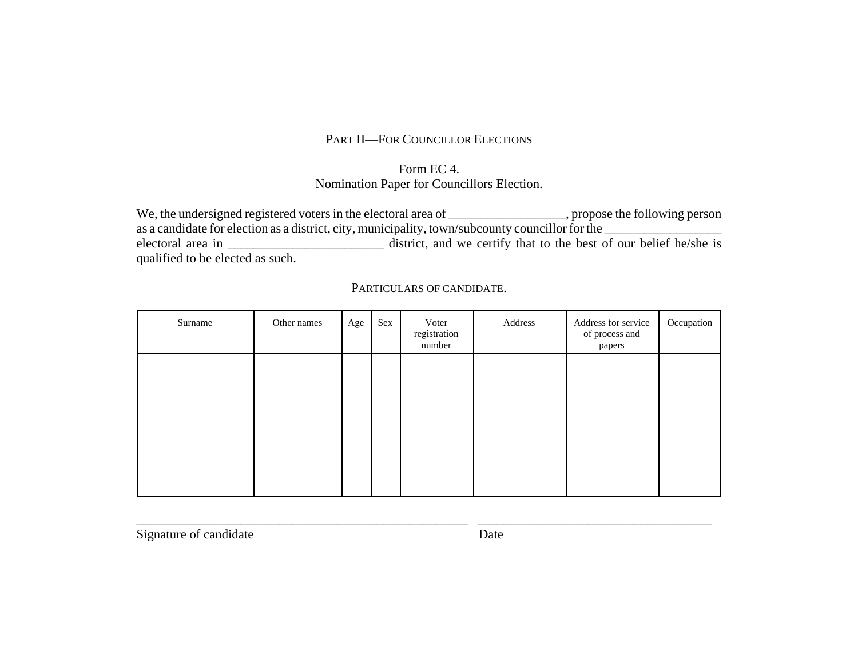# PART II—FOR COUNCILLOR ELECTIONS

### Form EC 4.Nomination Paper for Councillors Election.

We, the undersigned registered voters in the electoral area of \_\_\_\_\_\_\_\_\_\_\_\_\_\_\_\_\_\_, propose the following person as a candidate for election as a district, city, municipality, town/subcounty councillor for the \_\_\_\_\_\_\_\_\_\_\_\_\_\_ electoral area in \_\_\_\_\_\_\_\_\_\_\_\_\_\_\_\_\_\_\_\_\_\_\_\_\_\_\_\_\_ district, and we certify that to the best of our belief he/she is qualified to be elected as such.

| Surname | Other names | Age | Sex | Voter<br>registration<br>number | Address | Address for service<br>of process and<br>papers | Occupation |
|---------|-------------|-----|-----|---------------------------------|---------|-------------------------------------------------|------------|
|         |             |     |     |                                 |         |                                                 |            |
|         |             |     |     |                                 |         |                                                 |            |
|         |             |     |     |                                 |         |                                                 |            |
|         |             |     |     |                                 |         |                                                 |            |

\_\_\_\_\_\_\_\_\_\_\_\_\_\_\_\_\_\_\_\_\_\_\_\_\_\_\_\_\_\_\_\_\_\_\_\_\_\_\_\_\_\_\_\_\_\_\_\_\_\_\_ \_\_\_\_\_\_\_\_\_\_\_\_\_\_\_\_\_\_\_\_\_\_\_\_\_\_\_\_\_\_\_\_\_\_\_\_

PARTICULARS OF CANDIDATE.

Signature of candidate Date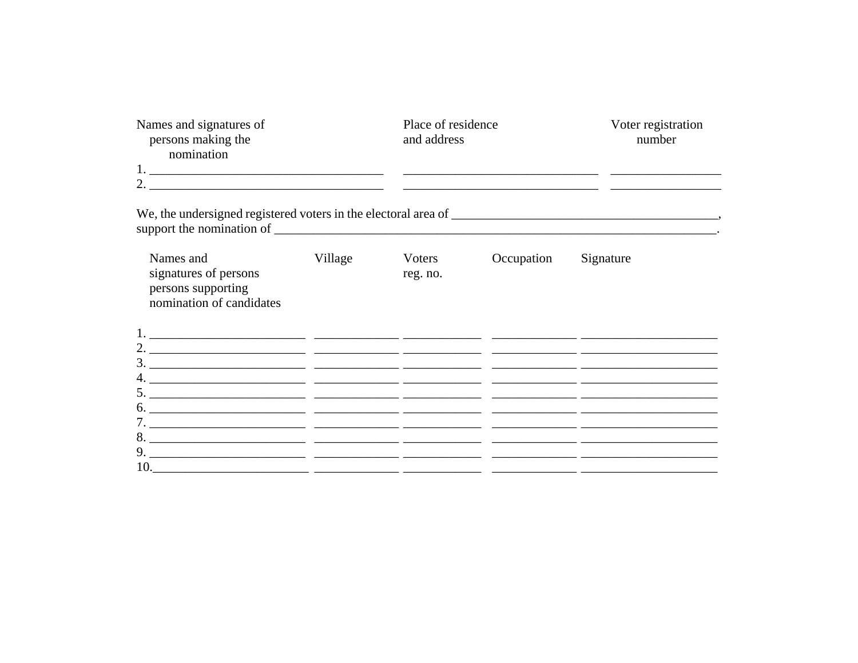| Names and signatures of<br>persons making the<br>nomination<br>2. $\frac{1}{2}$ $\frac{1}{2}$ $\frac{1}{2}$ $\frac{1}{2}$ $\frac{1}{2}$ $\frac{1}{2}$ $\frac{1}{2}$ $\frac{1}{2}$ $\frac{1}{2}$ $\frac{1}{2}$ $\frac{1}{2}$ $\frac{1}{2}$ $\frac{1}{2}$ $\frac{1}{2}$ $\frac{1}{2}$ $\frac{1}{2}$ $\frac{1}{2}$ $\frac{1}{2}$ $\frac{1}{2}$ $\frac{1}{2}$ $\frac{1}{2}$ $\frac{1}{2}$ |         | Place of residence<br>and address | <u> 2000 - Jan James James James James James James James James James James James James James James James James Ja</u> | Voter registration<br>number |  |
|---------------------------------------------------------------------------------------------------------------------------------------------------------------------------------------------------------------------------------------------------------------------------------------------------------------------------------------------------------------------------------------|---------|-----------------------------------|-----------------------------------------------------------------------------------------------------------------------|------------------------------|--|
|                                                                                                                                                                                                                                                                                                                                                                                       |         |                                   |                                                                                                                       |                              |  |
| Names and<br>signatures of persons<br>persons supporting<br>nomination of candidates                                                                                                                                                                                                                                                                                                  | Village | Voters<br>reg. no.                | Occupation                                                                                                            | Signature                    |  |
|                                                                                                                                                                                                                                                                                                                                                                                       |         |                                   |                                                                                                                       |                              |  |
|                                                                                                                                                                                                                                                                                                                                                                                       |         |                                   |                                                                                                                       |                              |  |
|                                                                                                                                                                                                                                                                                                                                                                                       |         |                                   |                                                                                                                       |                              |  |
|                                                                                                                                                                                                                                                                                                                                                                                       |         |                                   |                                                                                                                       |                              |  |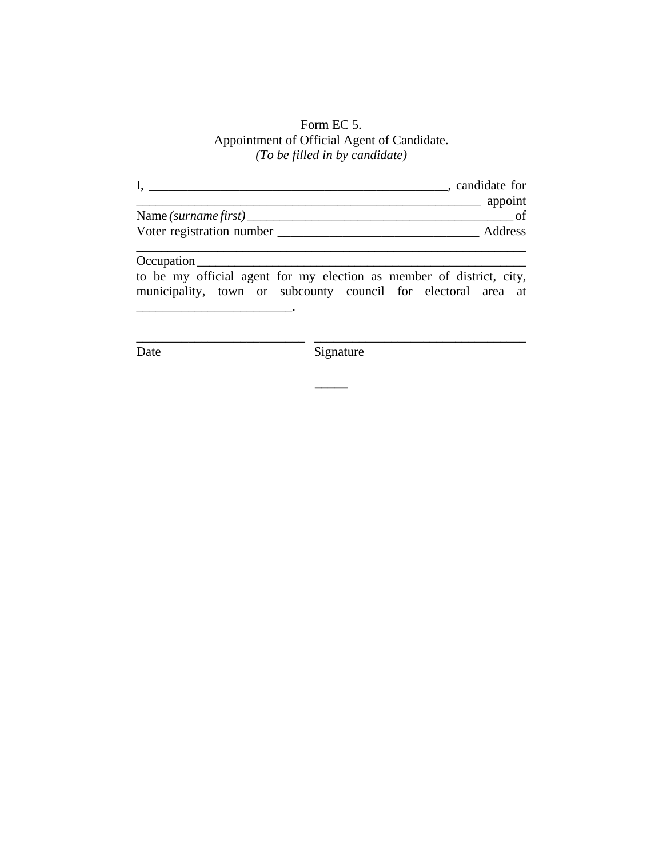### Form EC 5. Appointment of Official Agent of Candidate. *(To be filled in by candidate)*

|                                               | candidate for  |
|-----------------------------------------------|----------------|
|                                               | appoint        |
| Name (surname first) $\overline{\phantom{a}}$ |                |
| Voter registration number                     | <b>Address</b> |
|                                               |                |

#### Occupation \_\_\_\_\_\_\_\_\_\_\_\_\_\_\_\_\_\_\_\_\_\_\_\_\_\_\_\_\_\_\_\_\_\_\_\_\_\_\_\_\_\_\_\_\_\_\_\_\_\_\_\_

to be my official agent for my election as member of district, city, municipality, town or subcounty council for electoral area at

\_\_\_\_\_\_\_\_\_\_\_\_\_\_\_\_\_\_\_\_\_\_\_\_\_\_ \_\_\_\_\_\_\_\_\_\_\_\_\_\_\_\_\_\_\_\_\_\_\_\_\_\_\_\_\_\_\_\_\_

**\_\_\_\_\_**

\_\_\_\_\_\_\_\_\_\_\_\_\_\_\_\_\_\_\_\_\_\_\_\_.

Date Signature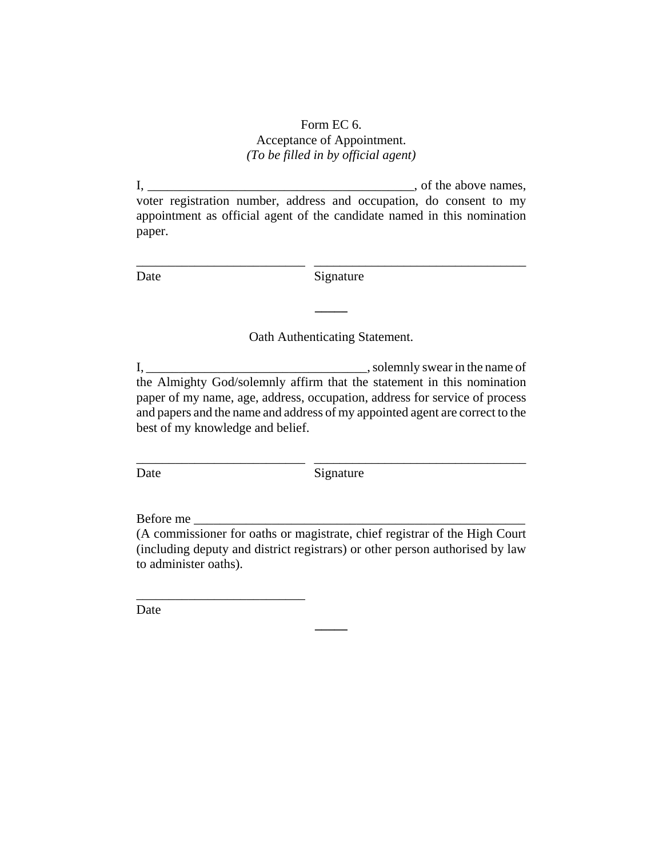#### Form EC 6. Acceptance of Appointment. *(To be filled in by official agent)*

I, \_\_\_\_\_\_\_\_\_\_\_\_\_\_\_\_\_\_\_\_\_\_\_\_\_\_\_\_\_\_\_\_\_\_\_\_\_\_\_\_\_, of the above names, voter registration number, address and occupation, do consent to my appointment as official agent of the candidate named in this nomination paper.

\_\_\_\_\_\_\_\_\_\_\_\_\_\_\_\_\_\_\_\_\_\_\_\_\_\_ \_\_\_\_\_\_\_\_\_\_\_\_\_\_\_\_\_\_\_\_\_\_\_\_\_\_\_\_\_\_\_\_\_

Date Signature

Oath Authenticating Statement.

**\_\_\_\_\_**

I, \_\_\_\_\_\_\_\_\_\_\_\_\_\_\_\_\_\_\_\_\_\_\_\_\_\_\_\_\_\_\_\_\_\_, solemnly swear in the name of the Almighty God/solemnly affirm that the statement in this nomination paper of my name, age, address, occupation, address for service of process and papers and the name and address of my appointed agent are correct to the best of my knowledge and belief.

Date Signature

\_\_\_\_\_\_\_\_\_\_\_\_\_\_\_\_\_\_\_\_\_\_\_\_\_\_ \_\_\_\_\_\_\_\_\_\_\_\_\_\_\_\_\_\_\_\_\_\_\_\_\_\_\_\_\_\_\_\_\_

Before me

\_\_\_\_\_\_\_\_\_\_\_\_\_\_\_\_\_\_\_\_\_\_\_\_\_\_

(A commissioner for oaths or magistrate, chief registrar of the High Court (including deputy and district registrars) or other person authorised by law to administer oaths).

**\_\_\_\_\_**

Date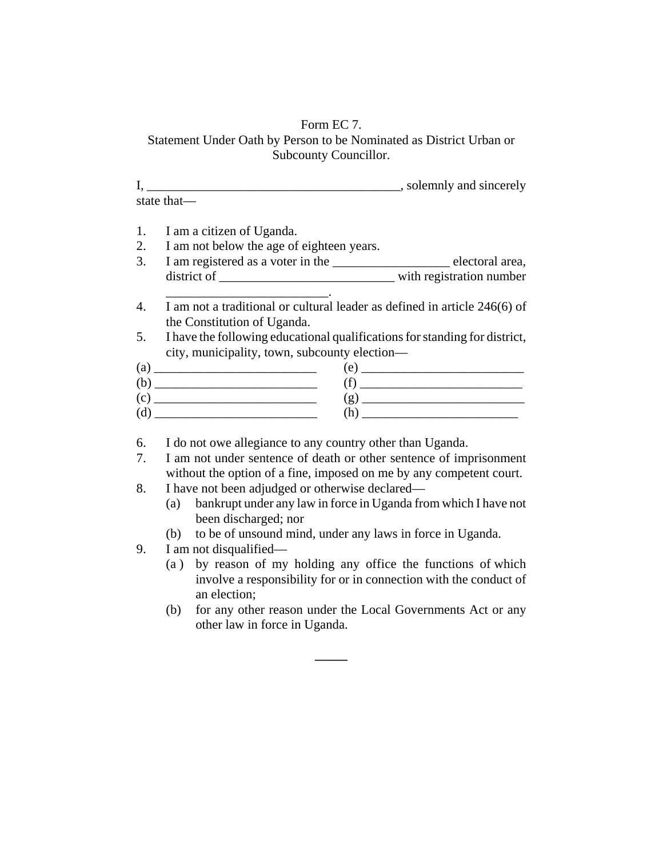### Form EC 7.

Statement Under Oath by Person to be Nominated as District Urban or Subcounty Councillor.

I, \_\_\_\_\_\_\_\_\_\_\_\_\_\_\_\_\_\_\_\_\_\_\_\_\_\_\_\_\_\_\_\_\_\_\_\_\_\_\_, solemnly and sincerely state that—

1. I am a citizen of Uganda.

- 2. I am not below the age of eighteen years.
- 3. I am registered as a voter in the \_\_\_\_\_\_\_\_\_\_\_\_\_\_\_\_\_\_ electoral area, district of \_\_\_\_\_\_\_\_\_\_\_\_\_\_\_\_\_\_\_\_\_\_\_\_\_\_\_ with registration number \_\_\_\_\_\_\_\_\_\_\_\_\_\_\_\_\_\_\_\_\_\_\_\_\_.
- 4. I am not a traditional or cultural leader as defined in article 246(6) of the Constitution of Uganda.
- 5. I have the following educational qualifications for standing for district, city, municipality, town, subcounty election—

| (a  | $\epsilon$   |
|-----|--------------|
| (b) |              |
| (c) | $\mathbf{g}$ |
| (d) |              |

- 6. I do not owe allegiance to any country other than Uganda.
- 7. I am not under sentence of death or other sentence of imprisonment without the option of a fine, imposed on me by any competent court.
- 8. I have not been adjudged or otherwise declared—
	- (a) bankrupt under any law in force in Uganda from which I have not been discharged; nor
	- (b) to be of unsound mind, under any laws in force in Uganda.
- 9. I am not disqualified—
	- (a ) by reason of my holding any office the functions of which involve a responsibility for or in connection with the conduct of an election;
	- (b) for any other reason under the Local Governments Act or any other law in force in Uganda.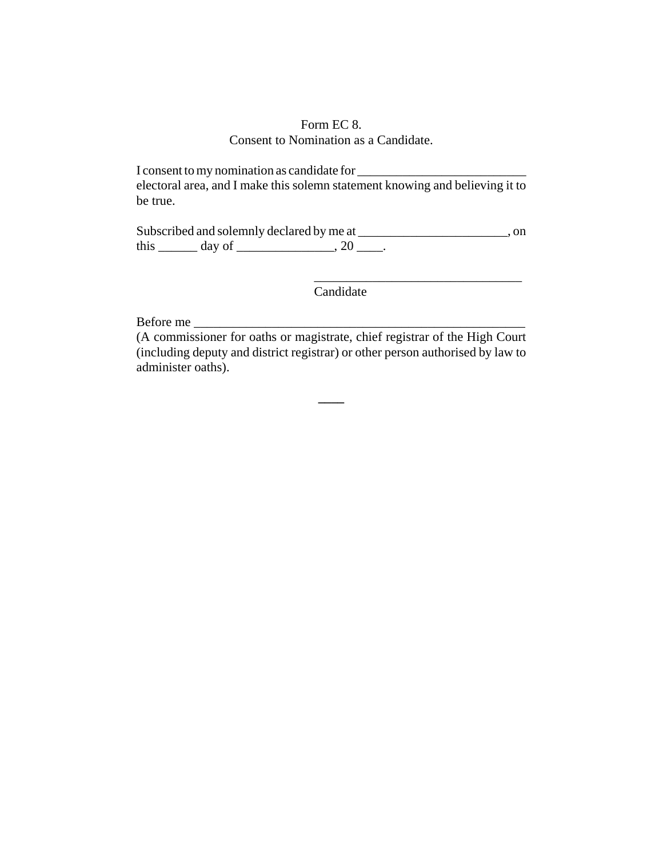#### Form EC 8. Consent to Nomination as a Candidate.

I consent to my nomination as candidate for \_\_\_\_\_\_\_\_\_\_\_\_\_\_\_\_\_\_\_\_\_\_\_\_\_\_ electoral area, and I make this solemn statement knowing and believing it to be true.

Subscribed and solemnly declared by me at \_\_\_\_\_\_\_\_\_\_\_\_\_\_\_\_\_\_\_\_\_\_\_\_, on this  $\_\_\_\_\$  day of  $\_\_\_\_\_\$ , 20  $\_\_\_\_\$ .

Candidate

\_\_\_\_\_\_\_\_\_\_\_\_\_\_\_\_\_\_\_\_\_\_\_\_\_\_\_\_\_\_\_\_

Before me

(A commissioner for oaths or magistrate, chief registrar of the High Court (including deputy and district registrar) or other person authorised by law to administer oaths).

**\_\_\_\_**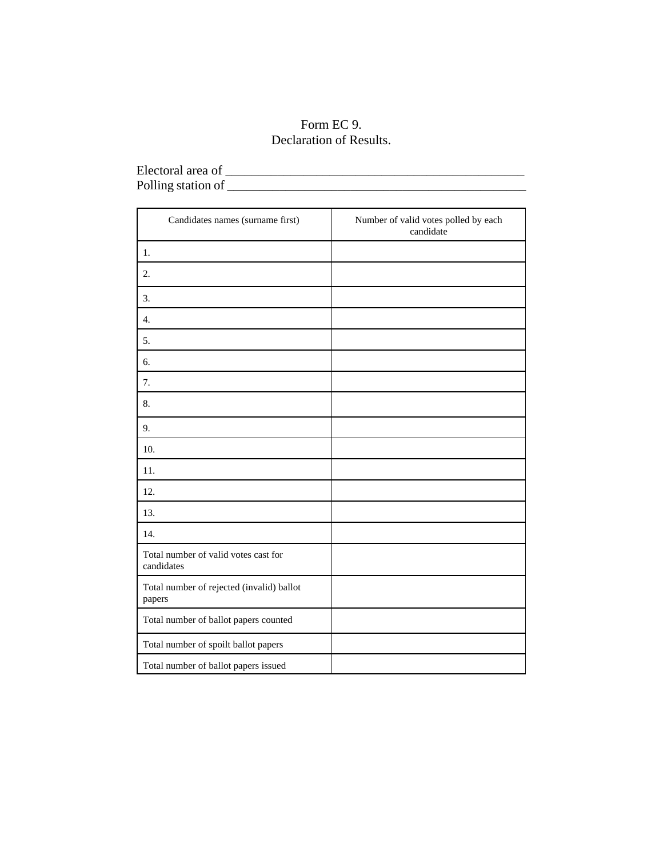# Form EC 9. Declaration of Results.

| Electoral area of  |  |
|--------------------|--|
| Polling station of |  |
|                    |  |

| Candidates names (surname first)                    | Number of valid votes polled by each<br>candidate |
|-----------------------------------------------------|---------------------------------------------------|
| 1.                                                  |                                                   |
| 2.                                                  |                                                   |
| 3.                                                  |                                                   |
| $\overline{4}$ .                                    |                                                   |
| 5.                                                  |                                                   |
| 6.                                                  |                                                   |
| 7.                                                  |                                                   |
| 8.                                                  |                                                   |
| 9.                                                  |                                                   |
| 10.                                                 |                                                   |
| 11.                                                 |                                                   |
| 12.                                                 |                                                   |
| 13.                                                 |                                                   |
| 14.                                                 |                                                   |
| Total number of valid votes cast for<br>candidates  |                                                   |
| Total number of rejected (invalid) ballot<br>papers |                                                   |
| Total number of ballot papers counted               |                                                   |
| Total number of spoilt ballot papers                |                                                   |
| Total number of ballot papers issued                |                                                   |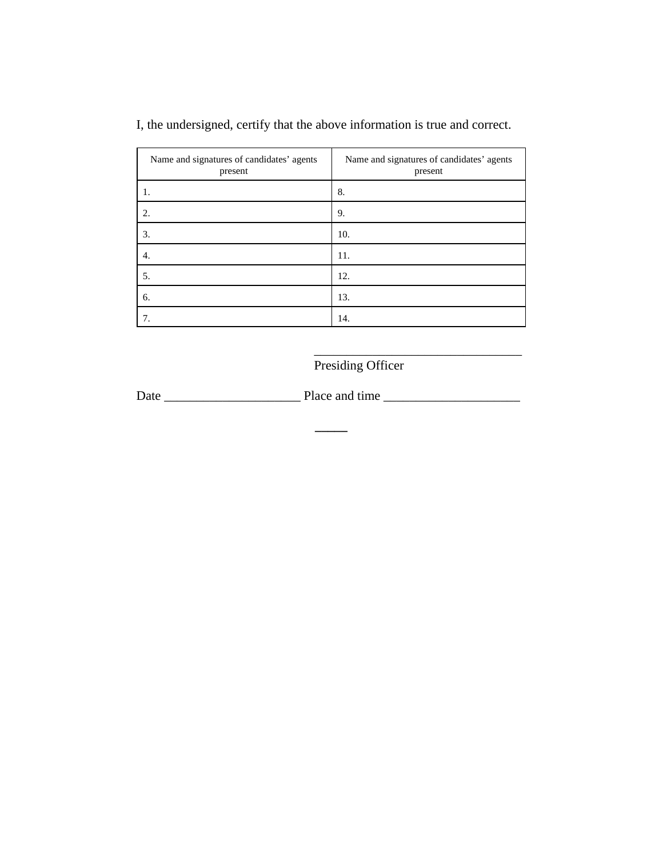| Name and signatures of candidates' agents<br>present | Name and signatures of candidates' agents<br>present |
|------------------------------------------------------|------------------------------------------------------|
|                                                      | 8.                                                   |
| 2.                                                   | 9.                                                   |
| 3.                                                   | 10.                                                  |
| 4.                                                   | 11.                                                  |
| 5.                                                   | 12.                                                  |
| 6.                                                   | 13.                                                  |
| 7.                                                   | 14.                                                  |

I, the undersigned, certify that the above information is true and correct.

Presiding Officer

\_\_\_\_\_\_\_\_\_\_\_\_\_\_\_\_\_\_\_\_\_\_\_\_\_\_\_\_\_\_\_\_

Date \_\_\_\_\_\_\_\_\_\_\_\_\_\_\_\_\_\_\_\_\_ Place and time \_\_\_\_\_\_\_\_\_\_\_\_\_\_\_\_\_\_\_\_\_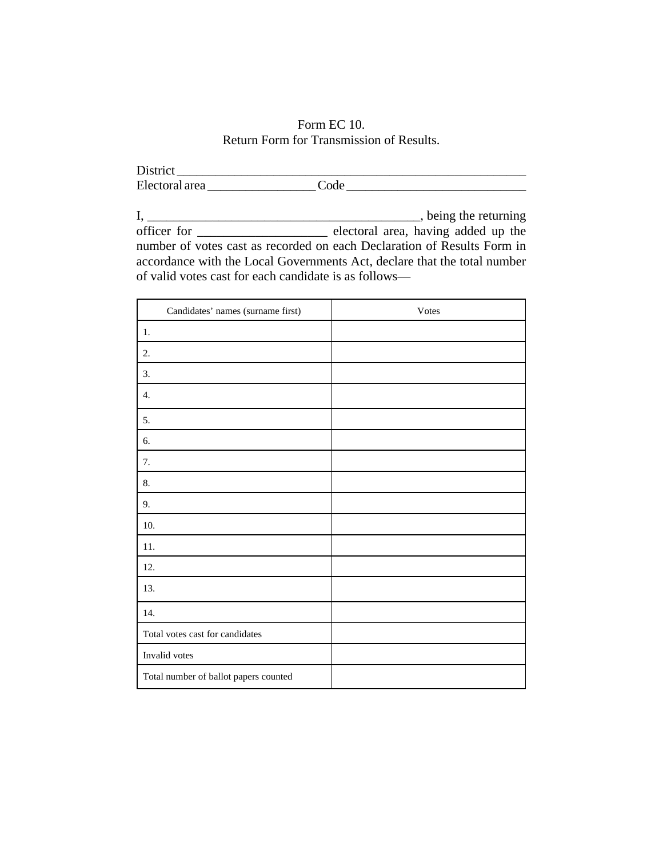### Form EC 10. Return Form for Transmission of Results.

District \_\_\_\_\_\_\_\_\_\_\_\_\_\_\_\_\_\_\_\_\_\_\_\_\_\_\_\_\_\_\_\_\_\_\_\_\_\_\_\_\_\_\_\_\_\_\_\_\_\_\_\_\_\_ Electoral area \_\_\_\_\_\_\_\_\_\_\_\_\_\_\_\_\_ Code \_\_\_\_\_\_\_\_\_\_\_\_\_\_\_\_\_\_\_\_\_\_\_\_\_\_\_\_

I, \_\_\_\_\_\_\_\_\_\_\_\_\_\_\_\_\_\_\_\_\_\_\_\_\_\_\_\_\_\_\_\_\_\_\_\_\_\_\_\_\_\_, being the returning officer for \_\_\_\_\_\_\_\_\_\_\_\_\_\_\_\_\_\_\_\_ electoral area, having added up the number of votes cast as recorded on each Declaration of Results Form in accordance with the Local Governments Act, declare that the total number of valid votes cast for each candidate is as follows—

| Candidates' names (surname first)     | Votes |
|---------------------------------------|-------|
| 1.                                    |       |
| 2.                                    |       |
| 3.                                    |       |
| 4.                                    |       |
| 5.                                    |       |
| 6.                                    |       |
| 7.                                    |       |
| 8.                                    |       |
| 9.                                    |       |
| 10.                                   |       |
| 11.                                   |       |
| 12.                                   |       |
| 13.                                   |       |
| 14.                                   |       |
| Total votes cast for candidates       |       |
| Invalid votes                         |       |
| Total number of ballot papers counted |       |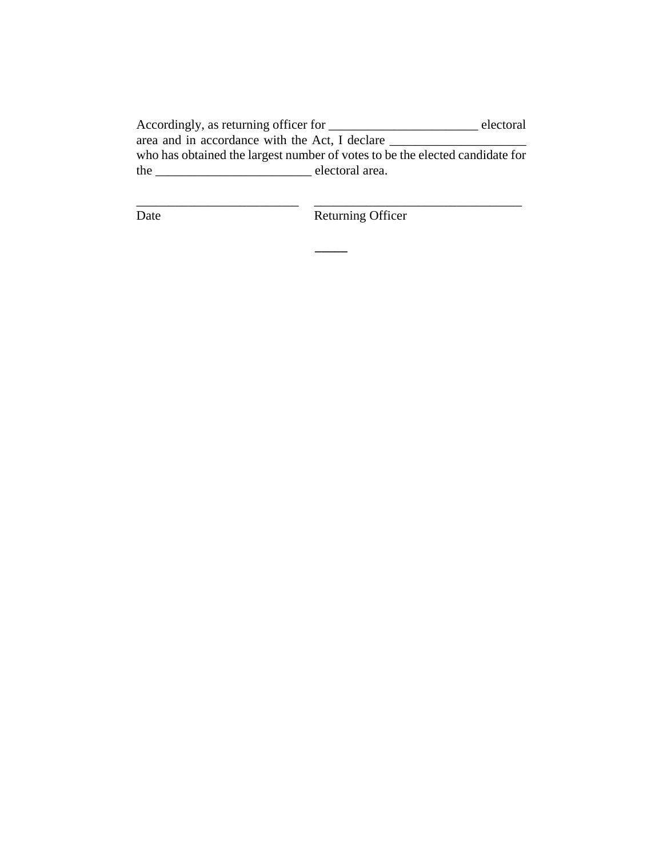Accordingly, as returning officer for \_\_\_\_\_\_\_\_\_\_\_\_\_\_\_\_\_\_\_\_\_\_\_\_\_\_\_\_\_\_\_ electoral area and in accordance with the Act, I declare \_\_\_\_\_\_\_\_\_\_\_\_\_\_\_\_\_\_\_\_\_ who has obtained the largest number of votes to be the elected candidate for the \_\_\_\_\_\_\_\_\_\_\_\_\_\_\_\_\_\_\_\_\_\_\_\_ electoral area.

\_\_\_\_\_\_\_\_\_\_\_\_\_\_\_\_\_\_\_\_\_\_\_\_\_ \_\_\_\_\_\_\_\_\_\_\_\_\_\_\_\_\_\_\_\_\_\_\_\_\_\_\_\_\_\_\_\_

**\_\_\_\_\_**

Date Returning Officer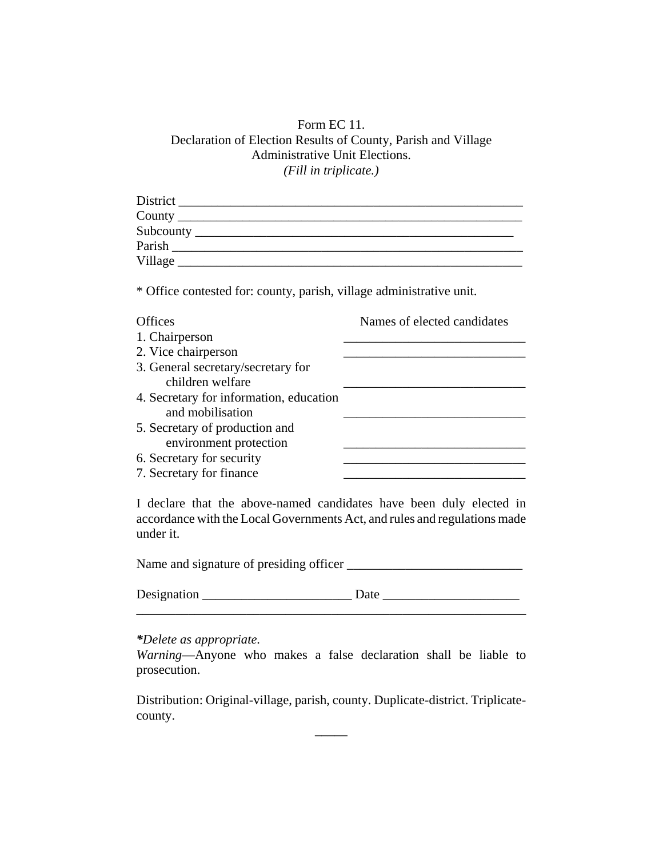### Form EC 11. Declaration of Election Results of County, Parish and Village Administrative Unit Elections. *(Fill in triplicate.)*

| County exponentially a service of the service of the service of the service of the service of the service of the service of the service of the service of the service of the service of the service of the service of the serv |                             |
|--------------------------------------------------------------------------------------------------------------------------------------------------------------------------------------------------------------------------------|-----------------------------|
|                                                                                                                                                                                                                                |                             |
| Parish                                                                                                                                                                                                                         |                             |
|                                                                                                                                                                                                                                |                             |
| * Office contested for: county, parish, village administrative unit.                                                                                                                                                           |                             |
| <b>Offices</b>                                                                                                                                                                                                                 | Names of elected candidates |
| 1. Chairperson                                                                                                                                                                                                                 |                             |
| 2. Vice chairperson                                                                                                                                                                                                            |                             |
| 3. General secretary/secretary for                                                                                                                                                                                             |                             |
| children welfare                                                                                                                                                                                                               |                             |
| 4. Secretary for information, education                                                                                                                                                                                        |                             |
| and mobilisation                                                                                                                                                                                                               |                             |
| 5. Secretary of production and                                                                                                                                                                                                 |                             |
| environment protection                                                                                                                                                                                                         |                             |
| 6. Secretary for security                                                                                                                                                                                                      |                             |
| 7. Secretary for finance                                                                                                                                                                                                       |                             |

I declare that the above-named candidates have been duly elected in accordance with the Local Governments Act, and rules and regulations made under it.

Name and signature of presiding officer \_\_\_\_\_\_\_\_\_\_\_\_\_\_\_\_\_\_\_\_\_\_\_\_\_\_\_

| Designation |  |
|-------------|--|
|             |  |

*\*Delete as appropriate.*

*Warning*—Anyone who makes a false declaration shall be liable to prosecution.

Distribution: Original-village, parish, county. Duplicate-district. Triplicatecounty.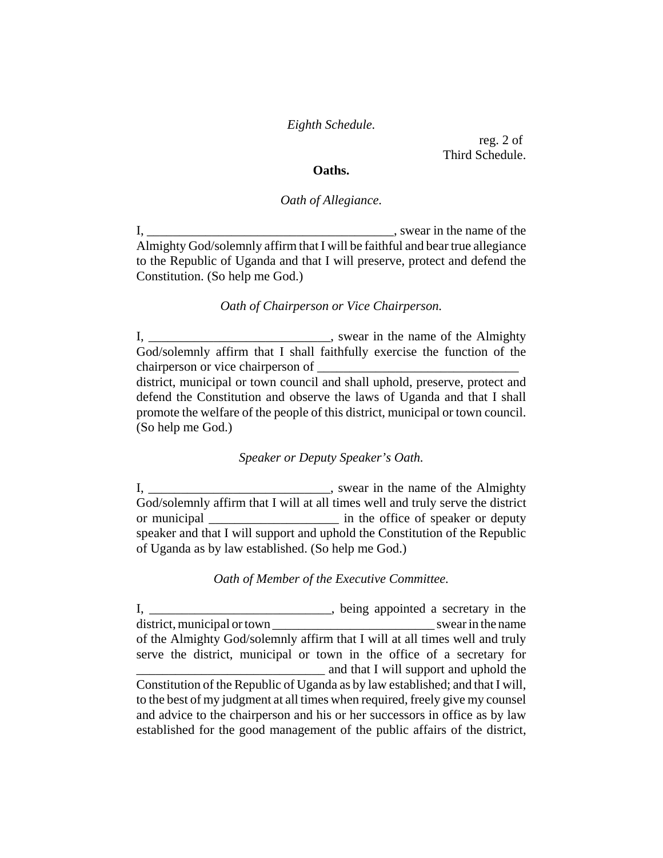*Eighth Schedule.*

reg. 2 of Third Schedule.

#### **Oaths.**

#### *Oath of Allegiance.*

I, \_\_\_\_\_\_\_\_\_\_\_\_\_\_\_\_\_\_\_\_\_\_\_\_\_\_\_\_\_\_\_\_\_\_\_\_\_\_, swear in the name of the Almighty God/solemnly affirm that I will be faithful and bear true allegiance to the Republic of Uganda and that I will preserve, protect and defend the Constitution. (So help me God.)

#### *Oath of Chairperson or Vice Chairperson.*

I, \_\_\_\_\_\_\_\_\_\_\_\_\_\_\_\_\_\_\_\_\_\_\_\_\_\_\_\_\_\_\_\_, swear in the name of the Almighty God/solemnly affirm that I shall faithfully exercise the function of the chairperson or vice chairperson of

district, municipal or town council and shall uphold, preserve, protect and defend the Constitution and observe the laws of Uganda and that I shall promote the welfare of the people of this district, municipal or town council. (So help me God.)

#### *Speaker or Deputy Speaker's Oath.*

I, \_\_\_\_\_\_\_\_\_\_\_\_\_\_\_\_\_\_\_\_\_\_\_\_\_\_\_, swear in the name of the Almighty God/solemnly affirm that I will at all times well and truly serve the district or municipal \_\_\_\_\_\_\_\_\_\_\_\_\_\_\_\_\_\_\_\_ in the office of speaker or deputy speaker and that I will support and uphold the Constitution of the Republic of Uganda as by law established. (So help me God.)

#### *Oath of Member of the Executive Committee.*

I, \_\_\_\_\_\_\_\_\_\_\_\_\_\_\_\_\_\_\_\_\_\_\_\_\_\_\_\_\_, being appointed a secretary in the district, municipal or town swear in the name of the Almighty God/solemnly affirm that I will at all times well and truly serve the district, municipal or town in the office of a secretary for **Example 2.1** and that I will support and uphold the Constitution of the Republic of Uganda as by law established; and that I will, to the best of my judgment at all times when required, freely give my counsel and advice to the chairperson and his or her successors in office as by law established for the good management of the public affairs of the district,